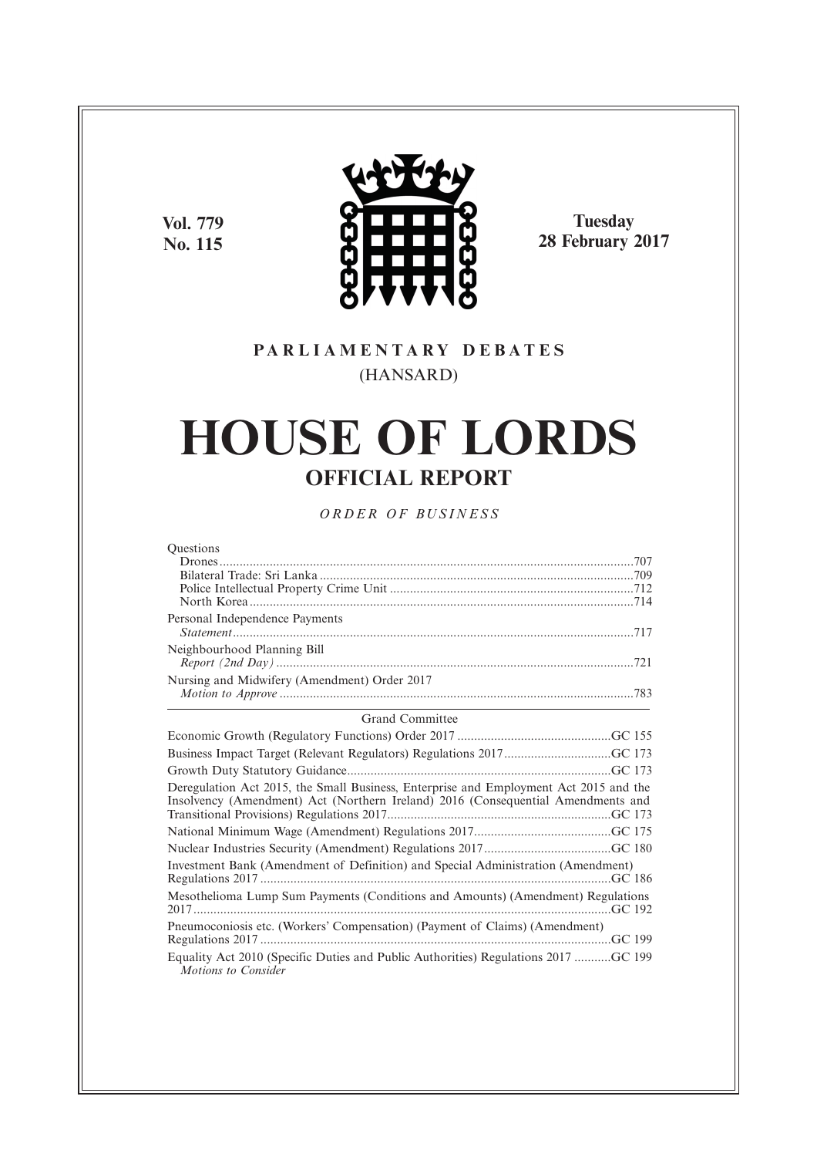**Vol. 779 No. 115**



**Tuesday 28 February 2017**

# **P A R L I A M E N T A R Y D E B A T E S** (HANSARD)

# **HOUSE OF LORDS OFFICIAL REPORT**

*O R D E R O F BU S I N E S S*

| <b>Ouestions</b>                                                                                                                                                          |
|---------------------------------------------------------------------------------------------------------------------------------------------------------------------------|
|                                                                                                                                                                           |
|                                                                                                                                                                           |
|                                                                                                                                                                           |
|                                                                                                                                                                           |
| Personal Independence Payments                                                                                                                                            |
| Neighbourhood Planning Bill                                                                                                                                               |
|                                                                                                                                                                           |
| Nursing and Midwifery (Amendment) Order 2017                                                                                                                              |
|                                                                                                                                                                           |
| <b>Grand Committee</b>                                                                                                                                                    |
|                                                                                                                                                                           |
| Business Impact Target (Relevant Regulators) Regulations 2017GC 173                                                                                                       |
|                                                                                                                                                                           |
| Deregulation Act 2015, the Small Business, Enterprise and Employment Act 2015 and the<br>Insolvency (Amendment) Act (Northern Ireland) 2016 (Consequential Amendments and |
|                                                                                                                                                                           |
|                                                                                                                                                                           |
| Investment Bank (Amendment of Definition) and Special Administration (Amendment)                                                                                          |
| Mesothelioma Lump Sum Payments (Conditions and Amounts) (Amendment) Regulations                                                                                           |
| Pneumoconiosis etc. (Workers' Compensation) (Payment of Claims) (Amendment)                                                                                               |
| Equality Act 2010 (Specific Duties and Public Authorities) Regulations 2017 GC 199<br>Motions to Consider                                                                 |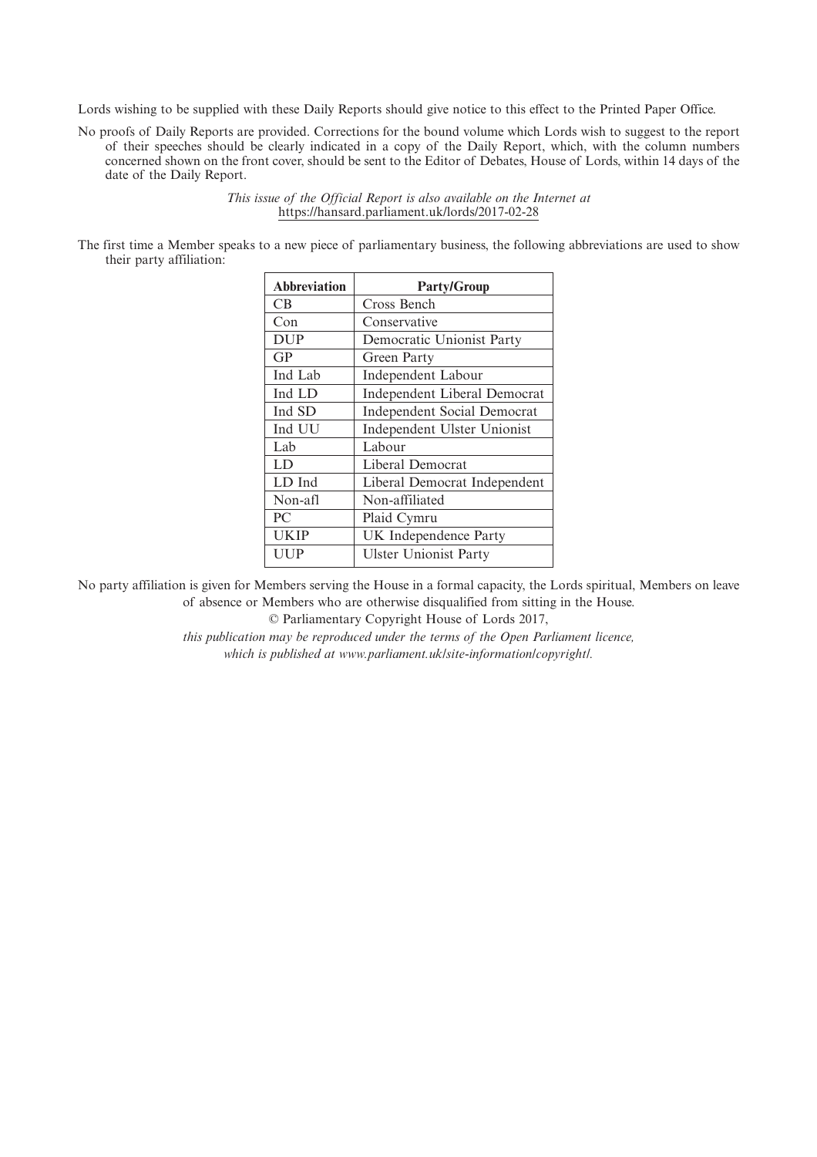Lords wishing to be supplied with these Daily Reports should give notice to this effect to the Printed Paper Office.

No proofs of Daily Reports are provided. Corrections for the bound volume which Lords wish to suggest to the report of their speeches should be clearly indicated in a copy of the Daily Report, which, with the column numbers concerned shown on the front cover, should be sent to the Editor of Debates, House of Lords, within 14 days of the date of the Daily Report.

> *This issue of the Official Report is also available on the Internet at* https://hansard.parliament.uk/lords/2017-02-28

The first time a Member speaks to a new piece of parliamentary business, the following abbreviations are used to show their party affiliation:

| <b>Abbreviation</b> | <b>Party/Group</b>                  |
|---------------------|-------------------------------------|
| CB.                 | Cross Bench                         |
| Con                 | Conservative                        |
| <b>DUP</b>          | Democratic Unionist Party           |
| GP                  | Green Party                         |
| Ind Lab             | <b>Independent Labour</b>           |
| Ind LD              | <b>Independent Liberal Democrat</b> |
| Ind SD              | <b>Independent Social Democrat</b>  |
| Ind UU              | Independent Ulster Unionist         |
| Lab                 | Labour                              |
| LD                  | Liberal Democrat                    |
| LD Ind              | Liberal Democrat Independent        |
| Non-afl             | Non-affiliated                      |
| PC                  | Plaid Cymru                         |
| <b>UKIP</b>         | UK Independence Party               |
| UUP                 | <b>Ulster Unionist Party</b>        |

No party affiliation is given for Members serving the House in a formal capacity, the Lords spiritual, Members on leave of absence or Members who are otherwise disqualified from sitting in the House.

© Parliamentary Copyright House of Lords 2017,

*this publication may be reproduced under the terms of the Open Parliament licence, which is published at www.parliament.uk/site-information/copyright/.*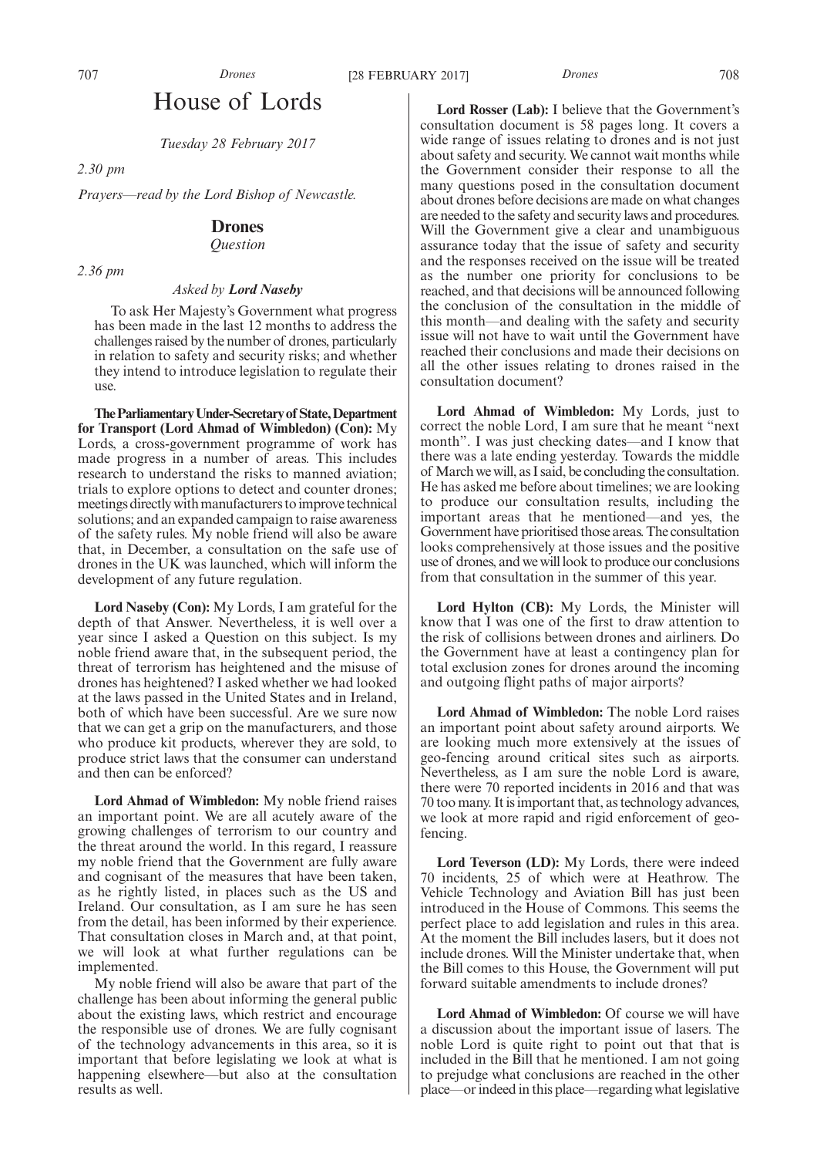## House of Lords

*Tuesday 28 February 2017*

*2.30 pm*

*Prayers—read by the Lord Bishop of Newcastle.*

## **Drones**

*Question*

*2.36 pm*

## *Asked by Lord Naseby*

To ask Her Majesty's Government what progress has been made in the last 12 months to address the challenges raised by the number of drones, particularly in relation to safety and security risks; and whether they intend to introduce legislation to regulate their use.

**TheParliamentaryUnder-Secretaryof State,Department for Transport (Lord Ahmad of Wimbledon) (Con):** My Lords, a cross-government programme of work has made progress in a number of areas. This includes research to understand the risks to manned aviation; trials to explore options to detect and counter drones; meetings directly with manufacturers to improve technical solutions; and an expanded campaign to raise awareness of the safety rules. My noble friend will also be aware that, in December, a consultation on the safe use of drones in the UK was launched, which will inform the development of any future regulation.

**Lord Naseby (Con):** My Lords, I am grateful for the depth of that Answer. Nevertheless, it is well over a year since I asked a Question on this subject. Is my noble friend aware that, in the subsequent period, the threat of terrorism has heightened and the misuse of drones has heightened? I asked whether we had looked at the laws passed in the United States and in Ireland, both of which have been successful. Are we sure now that we can get a grip on the manufacturers, and those who produce kit products, wherever they are sold, to produce strict laws that the consumer can understand and then can be enforced?

**Lord Ahmad of Wimbledon:** My noble friend raises an important point. We are all acutely aware of the growing challenges of terrorism to our country and the threat around the world. In this regard, I reassure my noble friend that the Government are fully aware and cognisant of the measures that have been taken, as he rightly listed, in places such as the US and Ireland. Our consultation, as I am sure he has seen from the detail, has been informed by their experience. That consultation closes in March and, at that point, we will look at what further regulations can be implemented.

My noble friend will also be aware that part of the challenge has been about informing the general public about the existing laws, which restrict and encourage the responsible use of drones. We are fully cognisant of the technology advancements in this area, so it is important that before legislating we look at what is happening elsewhere—but also at the consultation results as well.

**Lord Rosser (Lab):** I believe that the Government's consultation document is 58 pages long. It covers a wide range of issues relating to drones and is not just about safety and security. We cannot wait months while the Government consider their response to all the many questions posed in the consultation document about drones before decisions are made on what changes are needed to the safety and security laws and procedures. Will the Government give a clear and unambiguous assurance today that the issue of safety and security and the responses received on the issue will be treated as the number one priority for conclusions to be reached, and that decisions will be announced following the conclusion of the consultation in the middle of this month—and dealing with the safety and security issue will not have to wait until the Government have reached their conclusions and made their decisions on all the other issues relating to drones raised in the consultation document?

**Lord Ahmad of Wimbledon:** My Lords, just to correct the noble Lord, I am sure that he meant "next month". I was just checking dates—and I know that there was a late ending yesterday. Towards the middle of March we will, as I said, be concluding the consultation. He has asked me before about timelines; we are looking to produce our consultation results, including the important areas that he mentioned—and yes, the Government have prioritised those areas. The consultation looks comprehensively at those issues and the positive use of drones, and we will look to produce our conclusions from that consultation in the summer of this year.

**Lord Hylton (CB):** My Lords, the Minister will know that I was one of the first to draw attention to the risk of collisions between drones and airliners. Do the Government have at least a contingency plan for total exclusion zones for drones around the incoming and outgoing flight paths of major airports?

**Lord Ahmad of Wimbledon:** The noble Lord raises an important point about safety around airports. We are looking much more extensively at the issues of geo-fencing around critical sites such as airports. Nevertheless, as I am sure the noble Lord is aware, there were 70 reported incidents in 2016 and that was 70 too many. It is important that, as technology advances, we look at more rapid and rigid enforcement of geofencing.

**Lord Teverson (LD):** My Lords, there were indeed 70 incidents, 25 of which were at Heathrow. The Vehicle Technology and Aviation Bill has just been introduced in the House of Commons. This seems the perfect place to add legislation and rules in this area. At the moment the Bill includes lasers, but it does not include drones. Will the Minister undertake that, when the Bill comes to this House, the Government will put forward suitable amendments to include drones?

**Lord Ahmad of Wimbledon:** Of course we will have a discussion about the important issue of lasers. The noble Lord is quite right to point out that that is included in the Bill that he mentioned. I am not going to prejudge what conclusions are reached in the other place—or indeed in this place—regarding what legislative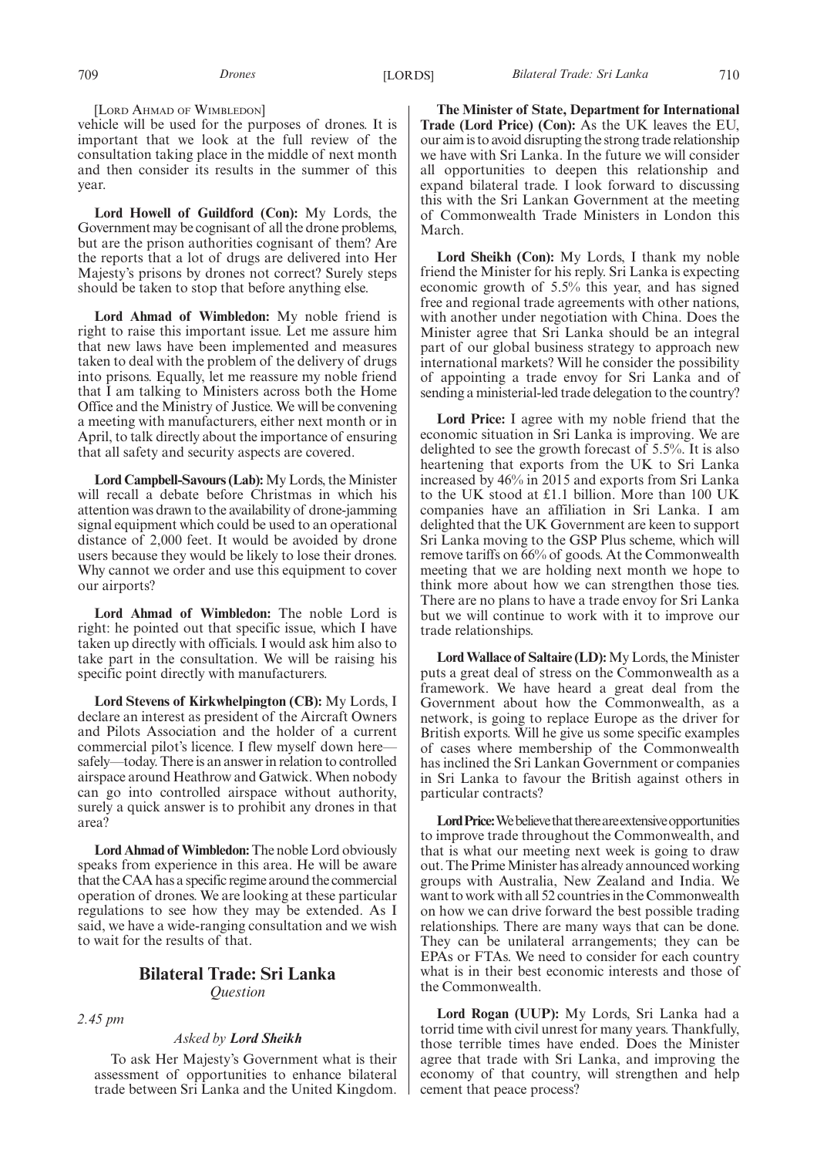[LORD AHMAD OF WIMBLEDON]

vehicle will be used for the purposes of drones. It is important that we look at the full review of the consultation taking place in the middle of next month and then consider its results in the summer of this year.

**Lord Howell of Guildford (Con):** My Lords, the Government may be cognisant of all the drone problems, but are the prison authorities cognisant of them? Are the reports that a lot of drugs are delivered into Her Majesty's prisons by drones not correct? Surely steps should be taken to stop that before anything else.

**Lord Ahmad of Wimbledon:** My noble friend is right to raise this important issue. Let me assure him that new laws have been implemented and measures taken to deal with the problem of the delivery of drugs into prisons. Equally, let me reassure my noble friend that I am talking to Ministers across both the Home Office and the Ministry of Justice. We will be convening a meeting with manufacturers, either next month or in April, to talk directly about the importance of ensuring that all safety and security aspects are covered.

**Lord Campbell-Savours (Lab):**My Lords, the Minister will recall a debate before Christmas in which his attention was drawn to the availability of drone-jamming signal equipment which could be used to an operational distance of 2,000 feet. It would be avoided by drone users because they would be likely to lose their drones. Why cannot we order and use this equipment to cover our airports?

**Lord Ahmad of Wimbledon:** The noble Lord is right: he pointed out that specific issue, which I have taken up directly with officials. I would ask him also to take part in the consultation. We will be raising his specific point directly with manufacturers.

**Lord Stevens of Kirkwhelpington (CB):** My Lords, I declare an interest as president of the Aircraft Owners and Pilots Association and the holder of a current commercial pilot's licence. I flew myself down here safely—today. There is an answer in relation to controlled airspace around Heathrow and Gatwick. When nobody can go into controlled airspace without authority, surely a quick answer is to prohibit any drones in that area?

**Lord Ahmad of Wimbledon:**The noble Lord obviously speaks from experience in this area. He will be aware that the CAA has a specific regime around the commercial operation of drones. We are looking at these particular regulations to see how they may be extended. As I said, we have a wide-ranging consultation and we wish to wait for the results of that.

## **Bilateral Trade: Sri Lanka** *Question*

*2.45 pm*

## *Asked by Lord Sheikh*

To ask Her Majesty's Government what is their assessment of opportunities to enhance bilateral trade between Sri Lanka and the United Kingdom.

**The Minister of State, Department for International Trade (Lord Price) (Con):** As the UK leaves the EU, our aim is to avoid disrupting the strong trade relationship we have with Sri Lanka. In the future we will consider all opportunities to deepen this relationship and expand bilateral trade. I look forward to discussing this with the Sri Lankan Government at the meeting of Commonwealth Trade Ministers in London this March.

**Lord Sheikh (Con):** My Lords, I thank my noble friend the Minister for his reply. Sri Lanka is expecting economic growth of 5.5% this year, and has signed free and regional trade agreements with other nations, with another under negotiation with China. Does the Minister agree that Sri Lanka should be an integral part of our global business strategy to approach new international markets? Will he consider the possibility of appointing a trade envoy for Sri Lanka and of sending a ministerial-led trade delegation to the country?

**Lord Price:** I agree with my noble friend that the economic situation in Sri Lanka is improving. We are delighted to see the growth forecast of 5.5%. It is also heartening that exports from the UK to Sri Lanka increased by 46% in 2015 and exports from Sri Lanka to the UK stood at £1.1 billion. More than 100 UK companies have an affiliation in Sri Lanka. I am delighted that the UK Government are keen to support Sri Lanka moving to the GSP Plus scheme, which will remove tariffs on 66% of goods. At the Commonwealth meeting that we are holding next month we hope to think more about how we can strengthen those ties. There are no plans to have a trade envoy for Sri Lanka but we will continue to work with it to improve our trade relationships.

**Lord Wallace of Saltaire (LD):**My Lords, the Minister puts a great deal of stress on the Commonwealth as a framework. We have heard a great deal from the Government about how the Commonwealth, as a network, is going to replace Europe as the driver for British exports. Will he give us some specific examples of cases where membership of the Commonwealth has inclined the Sri Lankan Government or companies in Sri Lanka to favour the British against others in particular contracts?

**Lord Price:** We believe that there are extensive opportunities to improve trade throughout the Commonwealth, and that is what our meeting next week is going to draw out. The Prime Minister has already announced working groups with Australia, New Zealand and India. We want to work with all 52 countries in the Commonwealth on how we can drive forward the best possible trading relationships. There are many ways that can be done. They can be unilateral arrangements; they can be EPAs or FTAs. We need to consider for each country what is in their best economic interests and those of the Commonwealth.

**Lord Rogan (UUP):** My Lords, Sri Lanka had a torrid time with civil unrest for many years. Thankfully, those terrible times have ended. Does the Minister agree that trade with Sri Lanka, and improving the economy of that country, will strengthen and help cement that peace process?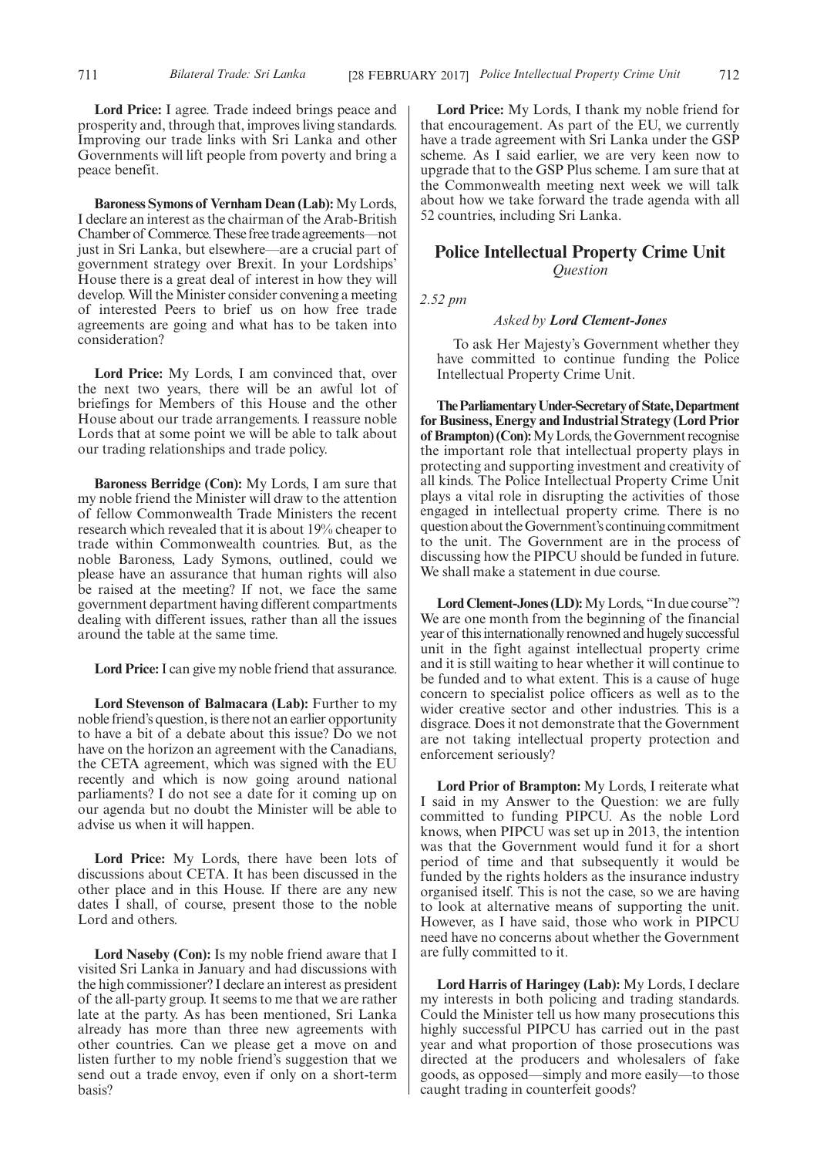**Lord Price:** I agree. Trade indeed brings peace and prosperity and, through that, improves living standards. Improving our trade links with Sri Lanka and other Governments will lift people from poverty and bring a peace benefit.

**Baroness Symons of Vernham Dean (Lab):** My Lords, I declare an interest as the chairman of the Arab-British Chamber of Commerce. These free trade agreements—not just in Sri Lanka, but elsewhere—are a crucial part of government strategy over Brexit. In your Lordships' House there is a great deal of interest in how they will develop. Will the Minister consider convening a meeting of interested Peers to brief us on how free trade agreements are going and what has to be taken into consideration?

**Lord Price:** My Lords, I am convinced that, over the next two years, there will be an awful lot of briefings for Members of this House and the other House about our trade arrangements. I reassure noble Lords that at some point we will be able to talk about our trading relationships and trade policy.

**Baroness Berridge (Con):** My Lords, I am sure that my noble friend the Minister will draw to the attention of fellow Commonwealth Trade Ministers the recent research which revealed that it is about 19% cheaper to trade within Commonwealth countries. But, as the noble Baroness, Lady Symons, outlined, could we please have an assurance that human rights will also be raised at the meeting? If not, we face the same government department having different compartments dealing with different issues, rather than all the issues around the table at the same time.

**Lord Price:**I can give my noble friend that assurance.

**Lord Stevenson of Balmacara (Lab):** Further to my noble friend's question, is there not an earlier opportunity to have a bit of a debate about this issue? Do we not have on the horizon an agreement with the Canadians, the CETA agreement, which was signed with the EU recently and which is now going around national parliaments? I do not see a date for it coming up on our agenda but no doubt the Minister will be able to advise us when it will happen.

**Lord Price:** My Lords, there have been lots of discussions about CETA. It has been discussed in the other place and in this House. If there are any new dates I shall, of course, present those to the noble Lord and others.

**Lord Naseby (Con):** Is my noble friend aware that I visited Sri Lanka in January and had discussions with the high commissioner? I declare an interest as president of the all-party group. It seems to me that we are rather late at the party. As has been mentioned, Sri Lanka already has more than three new agreements with other countries. Can we please get a move on and listen further to my noble friend's suggestion that we send out a trade envoy, even if only on a short-term basis?

**Lord Price:** My Lords, I thank my noble friend for that encouragement. As part of the EU, we currently have a trade agreement with Sri Lanka under the GSP scheme. As I said earlier, we are very keen now to upgrade that to the GSP Plus scheme. I am sure that at the Commonwealth meeting next week we will talk about how we take forward the trade agenda with all 52 countries, including Sri Lanka.

## **Police Intellectual Property Crime Unit** *Question*

*2.52 pm*

## *Asked by Lord Clement-Jones*

To ask Her Majesty's Government whether they have committed to continue funding the Police Intellectual Property Crime Unit.

**TheParliamentaryUnder-Secretaryof State,Department for Business, Energy and Industrial Strategy (Lord Prior of Brampton) (Con):**My Lords, the Government recognise the important role that intellectual property plays in protecting and supporting investment and creativity of all kinds. The Police Intellectual Property Crime Unit plays a vital role in disrupting the activities of those engaged in intellectual property crime. There is no question about the Government's continuing commitment to the unit. The Government are in the process of discussing how the PIPCU should be funded in future. We shall make a statement in due course.

Lord Clement-Jones (LD): My Lords, "In due course"? We are one month from the beginning of the financial year of this internationally renowned and hugely successful unit in the fight against intellectual property crime and it is still waiting to hear whether it will continue to be funded and to what extent. This is a cause of huge concern to specialist police officers as well as to the wider creative sector and other industries. This is a disgrace. Does it not demonstrate that the Government are not taking intellectual property protection and enforcement seriously?

**Lord Prior of Brampton:** My Lords, I reiterate what I said in my Answer to the Question: we are fully committed to funding PIPCU. As the noble Lord knows, when PIPCU was set up in 2013, the intention was that the Government would fund it for a short period of time and that subsequently it would be funded by the rights holders as the insurance industry organised itself. This is not the case, so we are having to look at alternative means of supporting the unit. However, as I have said, those who work in PIPCU need have no concerns about whether the Government are fully committed to it.

**Lord Harris of Haringey (Lab):** My Lords, I declare my interests in both policing and trading standards. Could the Minister tell us how many prosecutions this highly successful PIPCU has carried out in the past year and what proportion of those prosecutions was directed at the producers and wholesalers of fake goods, as opposed—simply and more easily—to those caught trading in counterfeit goods?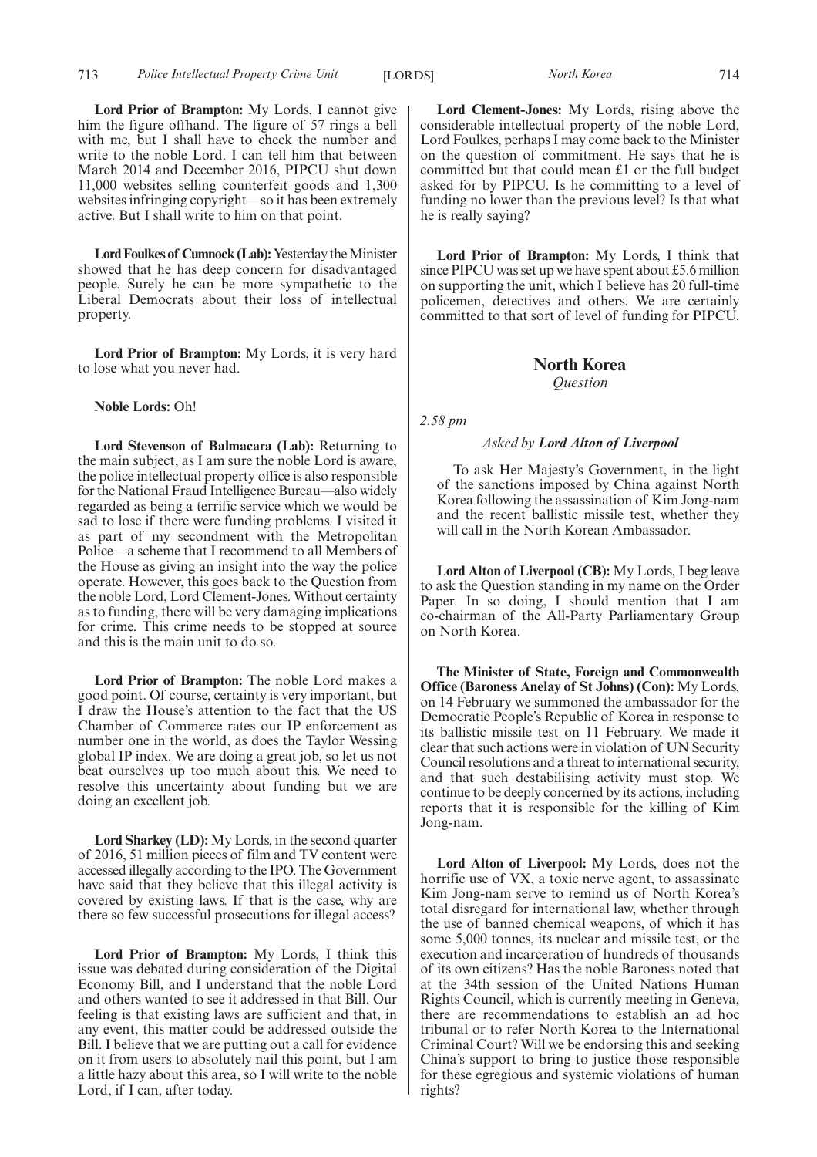713 *Police Intellectual Property Crime Unit* [LORDS] *North Korea* 714

**Lord Prior of Brampton:** My Lords, I cannot give him the figure offhand. The figure of 57 rings a bell with me, but I shall have to check the number and write to the noble Lord. I can tell him that between March 2014 and December 2016, PIPCU shut down 11,000 websites selling counterfeit goods and 1,300 websites infringing copyright—so it has been extremely active. But I shall write to him on that point.

Lord Foulkes of Cumnock (Lab): Yesterday the Minister showed that he has deep concern for disadvantaged people. Surely he can be more sympathetic to the Liberal Democrats about their loss of intellectual property.

**Lord Prior of Brampton:** My Lords, it is very hard to lose what you never had.

**Noble Lords:** Oh!

**Lord Stevenson of Balmacara (Lab):** Returning to the main subject, as I am sure the noble Lord is aware, the police intellectual property office is also responsible for the National Fraud Intelligence Bureau—also widely regarded as being a terrific service which we would be sad to lose if there were funding problems. I visited it as part of my secondment with the Metropolitan Police—a scheme that I recommend to all Members of the House as giving an insight into the way the police operate. However, this goes back to the Question from the noble Lord, Lord Clement-Jones. Without certainty as to funding, there will be very damaging implications for crime. This crime needs to be stopped at source and this is the main unit to do so.

**Lord Prior of Brampton:** The noble Lord makes a good point. Of course, certainty is very important, but I draw the House's attention to the fact that the US Chamber of Commerce rates our IP enforcement as number one in the world, as does the Taylor Wessing global IP index. We are doing a great job, so let us not beat ourselves up too much about this. We need to resolve this uncertainty about funding but we are doing an excellent job.

**Lord Sharkey (LD):** My Lords, in the second quarter of 2016, 51 million pieces of film and TV content were accessed illegally according to the IPO. The Government have said that they believe that this illegal activity is covered by existing laws. If that is the case, why are there so few successful prosecutions for illegal access?

**Lord Prior of Brampton:** My Lords, I think this issue was debated during consideration of the Digital Economy Bill, and I understand that the noble Lord and others wanted to see it addressed in that Bill. Our feeling is that existing laws are sufficient and that, in any event, this matter could be addressed outside the Bill. I believe that we are putting out a call for evidence on it from users to absolutely nail this point, but I am a little hazy about this area, so I will write to the noble Lord, if I can, after today.

**Lord Clement-Jones:** My Lords, rising above the considerable intellectual property of the noble Lord, Lord Foulkes, perhaps I may come back to the Minister on the question of commitment. He says that he is committed but that could mean £1 or the full budget asked for by PIPCU. Is he committing to a level of funding no lower than the previous level? Is that what he is really saying?

**Lord Prior of Brampton:** My Lords, I think that since PIPCU was set up we have spent about £5.6 million on supporting the unit, which I believe has 20 full-time policemen, detectives and others. We are certainly committed to that sort of level of funding for PIPCU.

## **North Korea** *Question*

*2.58 pm*

## *Asked by Lord Alton of Liverpool*

To ask Her Majesty's Government, in the light of the sanctions imposed by China against North Korea following the assassination of Kim Jong-nam and the recent ballistic missile test, whether they will call in the North Korean Ambassador.

**Lord Alton of Liverpool (CB):** My Lords, I beg leave to ask the Question standing in my name on the Order Paper. In so doing, I should mention that I am co-chairman of the All-Party Parliamentary Group on North Korea.

**The Minister of State, Foreign and Commonwealth Office (Baroness Anelay of St Johns) (Con):** My Lords, on 14 February we summoned the ambassador for the Democratic People's Republic of Korea in response to its ballistic missile test on 11 February. We made it clear that such actions were in violation of UN Security Council resolutions and a threat to international security, and that such destabilising activity must stop. We continue to be deeply concerned by its actions, including reports that it is responsible for the killing of Kim Jong-nam.

**Lord Alton of Liverpool:** My Lords, does not the horrific use of VX, a toxic nerve agent, to assassinate Kim Jong-nam serve to remind us of North Korea's total disregard for international law, whether through the use of banned chemical weapons, of which it has some 5,000 tonnes, its nuclear and missile test, or the execution and incarceration of hundreds of thousands of its own citizens? Has the noble Baroness noted that at the 34th session of the United Nations Human Rights Council, which is currently meeting in Geneva, there are recommendations to establish an ad hoc tribunal or to refer North Korea to the International Criminal Court? Will we be endorsing this and seeking China's support to bring to justice those responsible for these egregious and systemic violations of human rights?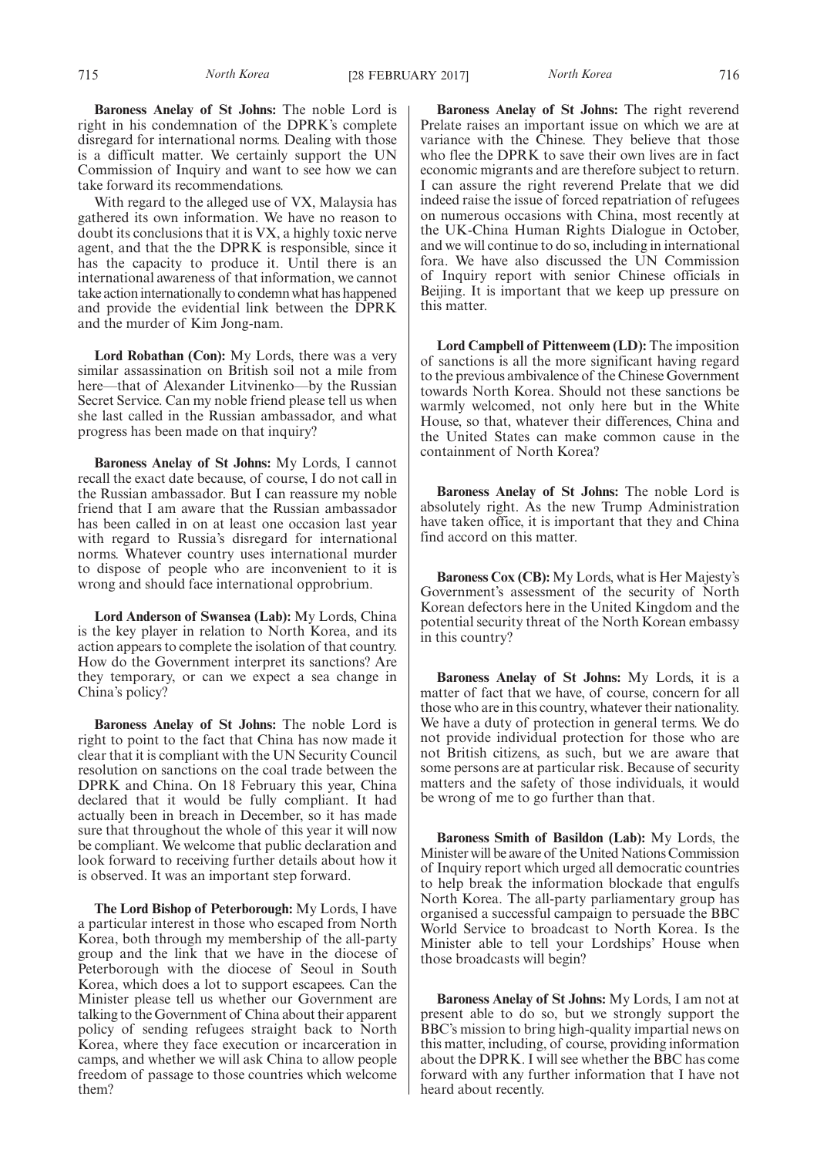**Baroness Anelay of St Johns:** The noble Lord is right in his condemnation of the DPRK's complete disregard for international norms. Dealing with those is a difficult matter. We certainly support the UN Commission of Inquiry and want to see how we can take forward its recommendations.

With regard to the alleged use of VX, Malaysia has gathered its own information. We have no reason to doubt its conclusions that it is VX, a highly toxic nerve agent, and that the the DPRK is responsible, since it has the capacity to produce it. Until there is an international awareness of that information, we cannot take action internationally to condemn what has happened and provide the evidential link between the DPRK and the murder of Kim Jong-nam.

**Lord Robathan (Con):** My Lords, there was a very similar assassination on British soil not a mile from here—that of Alexander Litvinenko—by the Russian Secret Service. Can my noble friend please tell us when she last called in the Russian ambassador, and what progress has been made on that inquiry?

**Baroness Anelay of St Johns:** My Lords, I cannot recall the exact date because, of course, I do not call in the Russian ambassador. But I can reassure my noble friend that I am aware that the Russian ambassador has been called in on at least one occasion last year with regard to Russia's disregard for international norms. Whatever country uses international murder to dispose of people who are inconvenient to it is wrong and should face international opprobrium.

**Lord Anderson of Swansea (Lab):** My Lords, China is the key player in relation to North Korea, and its action appears to complete the isolation of that country. How do the Government interpret its sanctions? Are they temporary, or can we expect a sea change in China's policy?

**Baroness Anelay of St Johns:** The noble Lord is right to point to the fact that China has now made it clear that it is compliant with the UN Security Council resolution on sanctions on the coal trade between the DPRK and China. On 18 February this year, China declared that it would be fully compliant. It had actually been in breach in December, so it has made sure that throughout the whole of this year it will now be compliant. We welcome that public declaration and look forward to receiving further details about how it is observed. It was an important step forward.

**The Lord Bishop of Peterborough:** My Lords, I have a particular interest in those who escaped from North Korea, both through my membership of the all-party group and the link that we have in the diocese of Peterborough with the diocese of Seoul in South Korea, which does a lot to support escapees. Can the Minister please tell us whether our Government are talking to the Government of China about their apparent policy of sending refugees straight back to North Korea, where they face execution or incarceration in camps, and whether we will ask China to allow people freedom of passage to those countries which welcome them?

**Baroness Anelay of St Johns:** The right reverend Prelate raises an important issue on which we are at variance with the Chinese. They believe that those who flee the DPRK to save their own lives are in fact economic migrants and are therefore subject to return. I can assure the right reverend Prelate that we did indeed raise the issue of forced repatriation of refugees on numerous occasions with China, most recently at the UK-China Human Rights Dialogue in October, and we will continue to do so, including in international fora. We have also discussed the UN Commission of Inquiry report with senior Chinese officials in Beijing. It is important that we keep up pressure on this matter.

**Lord Campbell of Pittenweem (LD):** The imposition of sanctions is all the more significant having regard to the previous ambivalence of the Chinese Government towards North Korea. Should not these sanctions be warmly welcomed, not only here but in the White House, so that, whatever their differences, China and the United States can make common cause in the containment of North Korea?

**Baroness Anelay of St Johns:** The noble Lord is absolutely right. As the new Trump Administration have taken office, it is important that they and China find accord on this matter.

**Baroness Cox (CB):** My Lords, what is Her Majesty's Government's assessment of the security of North Korean defectors here in the United Kingdom and the potential security threat of the North Korean embassy in this country?

**Baroness Anelay of St Johns:** My Lords, it is a matter of fact that we have, of course, concern for all those who are in this country, whatever their nationality. We have a duty of protection in general terms. We do not provide individual protection for those who are not British citizens, as such, but we are aware that some persons are at particular risk. Because of security matters and the safety of those individuals, it would be wrong of me to go further than that.

**Baroness Smith of Basildon (Lab):** My Lords, the Minister will be aware of the United Nations Commission of Inquiry report which urged all democratic countries to help break the information blockade that engulfs North Korea. The all-party parliamentary group has organised a successful campaign to persuade the BBC World Service to broadcast to North Korea. Is the Minister able to tell your Lordships' House when those broadcasts will begin?

**Baroness Anelay of St Johns:** My Lords, I am not at present able to do so, but we strongly support the BBC's mission to bring high-quality impartial news on this matter, including, of course, providing information about the DPRK. I will see whether the BBC has come forward with any further information that I have not heard about recently.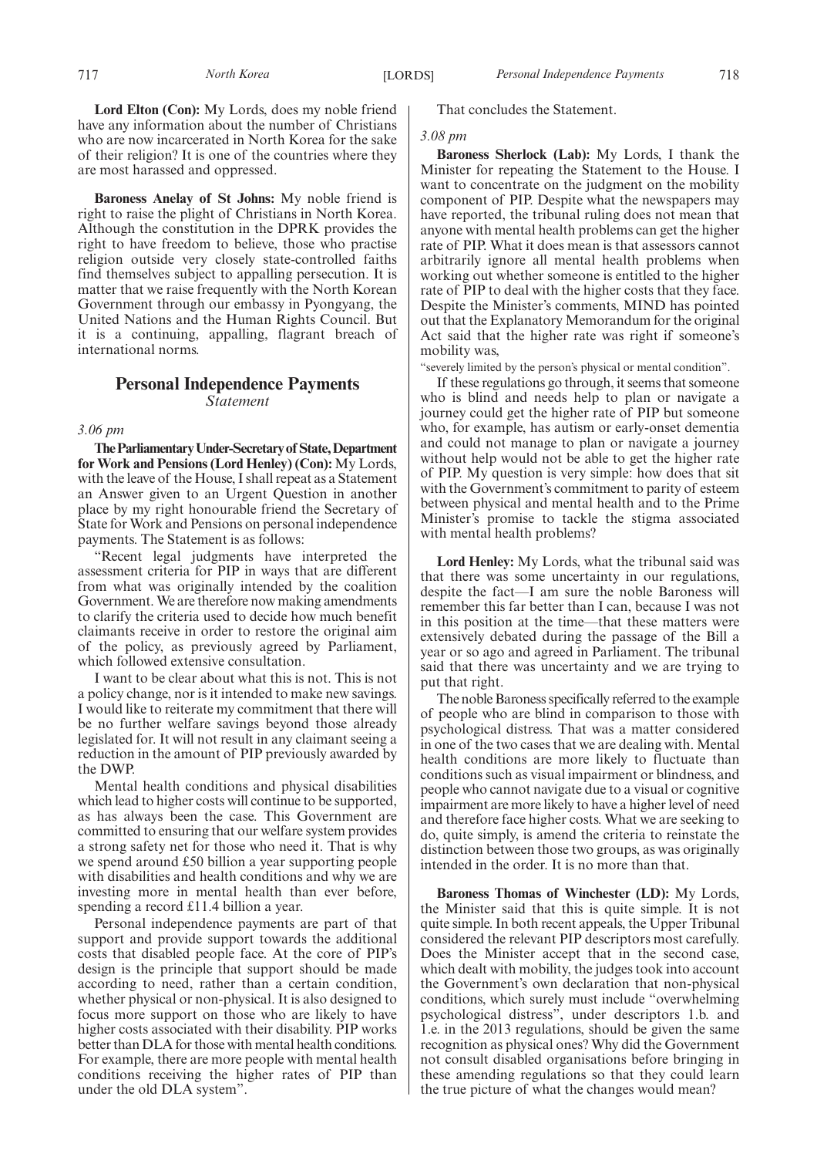**Lord Elton (Con):** My Lords, does my noble friend have any information about the number of Christians who are now incarcerated in North Korea for the sake of their religion? It is one of the countries where they are most harassed and oppressed.

**Baroness Anelay of St Johns:** My noble friend is right to raise the plight of Christians in North Korea. Although the constitution in the DPRK provides the right to have freedom to believe, those who practise religion outside very closely state-controlled faiths find themselves subject to appalling persecution. It is matter that we raise frequently with the North Korean Government through our embassy in Pyongyang, the United Nations and the Human Rights Council. But it is a continuing, appalling, flagrant breach of international norms.

## **Personal Independence Payments** *Statement*

*3.06 pm*

**TheParliamentaryUnder-Secretaryof State,Department for Work and Pensions (Lord Henley) (Con):** My Lords, with the leave of the House, I shall repeat as a Statement an Answer given to an Urgent Question in another place by my right honourable friend the Secretary of State for Work and Pensions on personal independence payments. The Statement is as follows:

"Recent legal judgments have interpreted the assessment criteria for PIP in ways that are different from what was originally intended by the coalition Government. We are therefore now making amendments to clarify the criteria used to decide how much benefit claimants receive in order to restore the original aim of the policy, as previously agreed by Parliament, which followed extensive consultation.

I want to be clear about what this is not. This is not a policy change, nor is it intended to make new savings. I would like to reiterate my commitment that there will be no further welfare savings beyond those already legislated for. It will not result in any claimant seeing a reduction in the amount of PIP previously awarded by the DWP.

Mental health conditions and physical disabilities which lead to higher costs will continue to be supported, as has always been the case. This Government are committed to ensuring that our welfare system provides a strong safety net for those who need it. That is why we spend around £50 billion a year supporting people with disabilities and health conditions and why we are investing more in mental health than ever before, spending a record £11.4 billion a year.

Personal independence payments are part of that support and provide support towards the additional costs that disabled people face. At the core of PIP's design is the principle that support should be made according to need, rather than a certain condition, whether physical or non-physical. It is also designed to focus more support on those who are likely to have higher costs associated with their disability. PIP works better than DLA for those with mental health conditions. For example, there are more people with mental health conditions receiving the higher rates of PIP than under the old DLA system".

That concludes the Statement.

## *3.08 pm*

**Baroness Sherlock (Lab):** My Lords, I thank the Minister for repeating the Statement to the House. I want to concentrate on the judgment on the mobility component of PIP. Despite what the newspapers may have reported, the tribunal ruling does not mean that anyone with mental health problems can get the higher rate of PIP. What it does mean is that assessors cannot arbitrarily ignore all mental health problems when working out whether someone is entitled to the higher rate of PIP to deal with the higher costs that they face. Despite the Minister's comments, MIND has pointed out that the Explanatory Memorandum for the original Act said that the higher rate was right if someone's mobility was,

"severely limited by the person's physical or mental condition".

If these regulations go through, it seems that someone who is blind and needs help to plan or navigate a journey could get the higher rate of PIP but someone who, for example, has autism or early-onset dementia and could not manage to plan or navigate a journey without help would not be able to get the higher rate of PIP. My question is very simple: how does that sit with the Government's commitment to parity of esteem between physical and mental health and to the Prime Minister's promise to tackle the stigma associated with mental health problems?

**Lord Henley:** My Lords, what the tribunal said was that there was some uncertainty in our regulations, despite the fact—I am sure the noble Baroness will remember this far better than I can, because I was not in this position at the time—that these matters were extensively debated during the passage of the Bill a year or so ago and agreed in Parliament. The tribunal said that there was uncertainty and we are trying to put that right.

The noble Baroness specifically referred to the example of people who are blind in comparison to those with psychological distress. That was a matter considered in one of the two cases that we are dealing with. Mental health conditions are more likely to fluctuate than conditions such as visual impairment or blindness, and people who cannot navigate due to a visual or cognitive impairment are more likely to have a higher level of need and therefore face higher costs. What we are seeking to do, quite simply, is amend the criteria to reinstate the distinction between those two groups, as was originally intended in the order. It is no more than that.

**Baroness Thomas of Winchester (LD):** My Lords, the Minister said that this is quite simple. It is not quite simple. In both recent appeals, the Upper Tribunal considered the relevant PIP descriptors most carefully. Does the Minister accept that in the second case, which dealt with mobility, the judges took into account the Government's own declaration that non-physical conditions, which surely must include "overwhelming psychological distress", under descriptors 1.b. and 1.e. in the 2013 regulations, should be given the same recognition as physical ones? Why did the Government not consult disabled organisations before bringing in these amending regulations so that they could learn the true picture of what the changes would mean?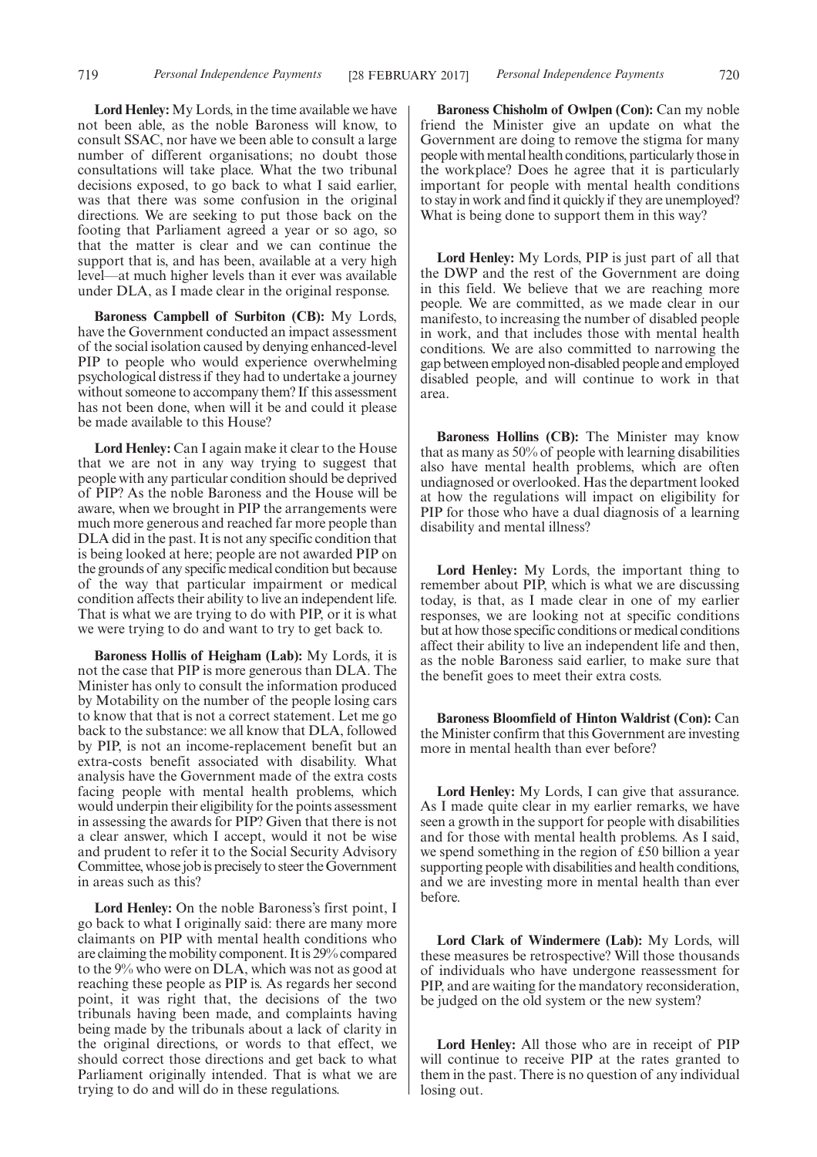**Lord Henley:** My Lords, in the time available we have not been able, as the noble Baroness will know, to consult SSAC, nor have we been able to consult a large number of different organisations; no doubt those consultations will take place. What the two tribunal decisions exposed, to go back to what I said earlier, was that there was some confusion in the original directions. We are seeking to put those back on the footing that Parliament agreed a year or so ago, so that the matter is clear and we can continue the support that is, and has been, available at a very high level—at much higher levels than it ever was available under DLA, as I made clear in the original response.

**Baroness Campbell of Surbiton (CB):** My Lords, have the Government conducted an impact assessment of the social isolation caused by denying enhanced-level PIP to people who would experience overwhelming psychological distress if they had to undertake a journey without someone to accompany them? If this assessment has not been done, when will it be and could it please be made available to this House?

**Lord Henley:** Can I again make it clear to the House that we are not in any way trying to suggest that people with any particular condition should be deprived of PIP? As the noble Baroness and the House will be aware, when we brought in PIP the arrangements were much more generous and reached far more people than DLA did in the past. It is not any specific condition that is being looked at here; people are not awarded PIP on the grounds of any specific medical condition but because of the way that particular impairment or medical condition affects their ability to live an independent life. That is what we are trying to do with PIP, or it is what we were trying to do and want to try to get back to.

**Baroness Hollis of Heigham (Lab):** My Lords, it is not the case that PIP is more generous than DLA. The Minister has only to consult the information produced by Motability on the number of the people losing cars to know that that is not a correct statement. Let me go back to the substance: we all know that DLA, followed by PIP, is not an income-replacement benefit but an extra-costs benefit associated with disability. What analysis have the Government made of the extra costs facing people with mental health problems, which would underpin their eligibility for the points assessment in assessing the awards for PIP? Given that there is not a clear answer, which I accept, would it not be wise and prudent to refer it to the Social Security Advisory Committee, whose job is precisely to steer the Government in areas such as this?

**Lord Henley:** On the noble Baroness's first point, I go back to what I originally said: there are many more claimants on PIP with mental health conditions who are claiming the mobility component. It is 29% compared to the 9% who were on DLA, which was not as good at reaching these people as PIP is. As regards her second point, it was right that, the decisions of the two tribunals having been made, and complaints having being made by the tribunals about a lack of clarity in the original directions, or words to that effect, we should correct those directions and get back to what Parliament originally intended. That is what we are trying to do and will do in these regulations.

**Baroness Chisholm of Owlpen (Con):** Can my noble friend the Minister give an update on what the Government are doing to remove the stigma for many people with mental health conditions, particularly those in the workplace? Does he agree that it is particularly important for people with mental health conditions to stay in work and find it quickly if they are unemployed? What is being done to support them in this way?

**Lord Henley:** My Lords, PIP is just part of all that the DWP and the rest of the Government are doing in this field. We believe that we are reaching more people. We are committed, as we made clear in our manifesto, to increasing the number of disabled people in work, and that includes those with mental health conditions. We are also committed to narrowing the gap between employed non-disabled people and employed disabled people, and will continue to work in that area.

**Baroness Hollins (CB):** The Minister may know that as many as 50% of people with learning disabilities also have mental health problems, which are often undiagnosed or overlooked. Has the department looked at how the regulations will impact on eligibility for PIP for those who have a dual diagnosis of a learning disability and mental illness?

**Lord Henley:** My Lords, the important thing to remember about PIP, which is what we are discussing today, is that, as I made clear in one of my earlier responses, we are looking not at specific conditions but at how those specific conditions or medical conditions affect their ability to live an independent life and then, as the noble Baroness said earlier, to make sure that the benefit goes to meet their extra costs.

**Baroness Bloomfield of Hinton Waldrist (Con):** Can the Minister confirm that this Government are investing more in mental health than ever before?

**Lord Henley:** My Lords, I can give that assurance. As I made quite clear in my earlier remarks, we have seen a growth in the support for people with disabilities and for those with mental health problems. As I said, we spend something in the region of £50 billion a year supporting people with disabilities and health conditions, and we are investing more in mental health than ever before.

**Lord Clark of Windermere (Lab):** My Lords, will these measures be retrospective? Will those thousands of individuals who have undergone reassessment for PIP, and are waiting for the mandatory reconsideration, be judged on the old system or the new system?

**Lord Henley:** All those who are in receipt of PIP will continue to receive PIP at the rates granted to them in the past. There is no question of any individual losing out.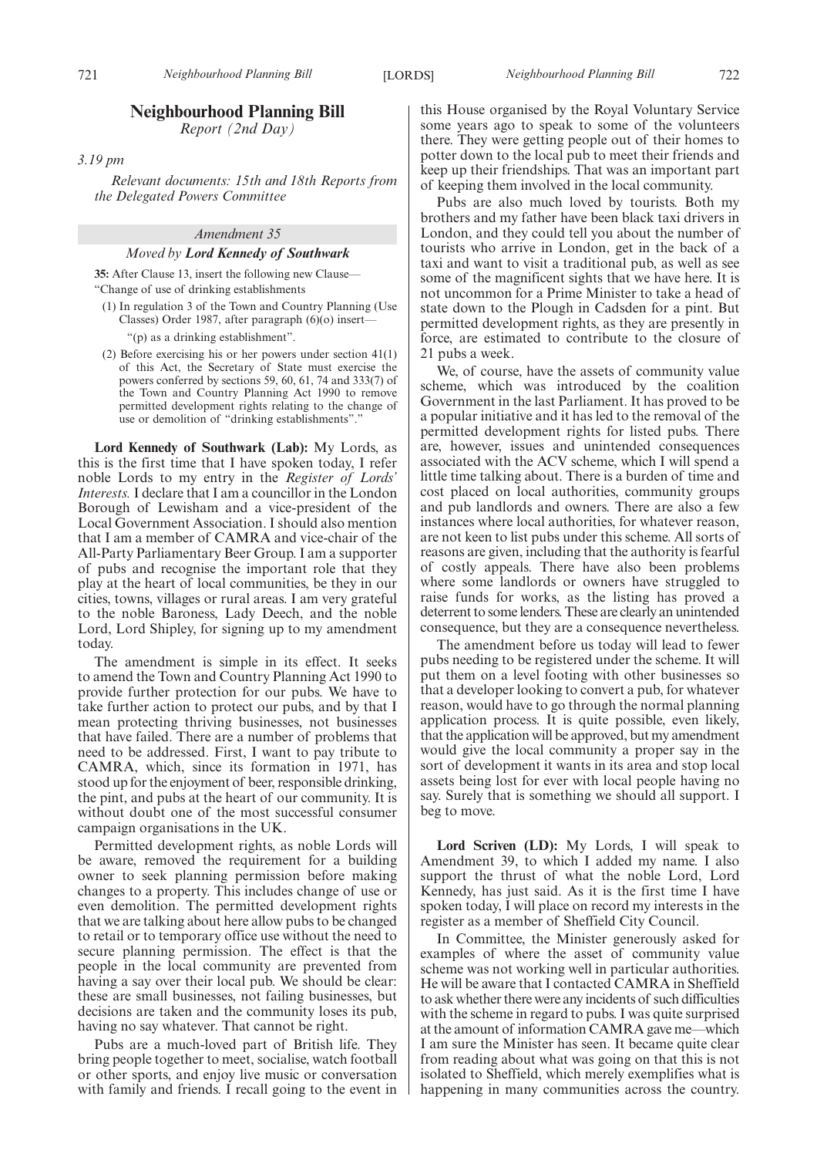## **Neighbourhood Planning Bill**

*Report (2nd Day)*

*3.19 pm*

*Relevant documents: 15th and 18th Reports from the Delegated Powers Committee*

## *Amendment 35*

#### *Moved by Lord Kennedy of Southwark*

**35:** After Clause 13, insert the following new Clause— "Change of use of drinking establishments

(1) In regulation 3 of the Town and Country Planning (Use Classes) Order 1987, after paragraph (6)(o) insert—

"(p) as a drinking establishment".

(2) Before exercising his or her powers under section 41(1) of this Act, the Secretary of State must exercise the powers conferred by sections 59, 60, 61, 74 and 333(7) of the Town and Country Planning Act 1990 to remove permitted development rights relating to the change of use or demolition of "drinking establishments"."

**Lord Kennedy of Southwark (Lab):** My Lords, as this is the first time that I have spoken today, I refer noble Lords to my entry in the *Register of Lords' Interests.*I declare that I am a councillor in the London Borough of Lewisham and a vice-president of the Local Government Association. I should also mention that I am a member of CAMRA and vice-chair of the All-Party Parliamentary Beer Group. I am a supporter of pubs and recognise the important role that they play at the heart of local communities, be they in our cities, towns, villages or rural areas. I am very grateful to the noble Baroness, Lady Deech, and the noble Lord, Lord Shipley, for signing up to my amendment today.

The amendment is simple in its effect. It seeks to amend the Town and Country Planning Act 1990 to provide further protection for our pubs. We have to take further action to protect our pubs, and by that I mean protecting thriving businesses, not businesses that have failed. There are a number of problems that need to be addressed. First, I want to pay tribute to CAMRA, which, since its formation in 1971, has stood up for the enjoyment of beer, responsible drinking, the pint, and pubs at the heart of our community. It is without doubt one of the most successful consumer campaign organisations in the UK.

Permitted development rights, as noble Lords will be aware, removed the requirement for a building owner to seek planning permission before making changes to a property. This includes change of use or even demolition. The permitted development rights that we are talking about here allow pubs to be changed to retail or to temporary office use without the need to secure planning permission. The effect is that the people in the local community are prevented from having a say over their local pub. We should be clear: these are small businesses, not failing businesses, but decisions are taken and the community loses its pub, having no say whatever. That cannot be right.

Pubs are a much-loved part of British life. They bring people together to meet, socialise, watch football or other sports, and enjoy live music or conversation with family and friends. I recall going to the event in this House organised by the Royal Voluntary Service some years ago to speak to some of the volunteers there. They were getting people out of their homes to potter down to the local pub to meet their friends and keep up their friendships. That was an important part of keeping them involved in the local community.

Pubs are also much loved by tourists. Both my brothers and my father have been black taxi drivers in London, and they could tell you about the number of tourists who arrive in London, get in the back of a taxi and want to visit a traditional pub, as well as see some of the magnificent sights that we have here. It is not uncommon for a Prime Minister to take a head of state down to the Plough in Cadsden for a pint. But permitted development rights, as they are presently in force, are estimated to contribute to the closure of 21 pubs a week.

We, of course, have the assets of community value scheme, which was introduced by the coalition Government in the last Parliament. It has proved to be a popular initiative and it has led to the removal of the permitted development rights for listed pubs. There are, however, issues and unintended consequences associated with the ACV scheme, which I will spend a little time talking about. There is a burden of time and cost placed on local authorities, community groups and pub landlords and owners. There are also a few instances where local authorities, for whatever reason, are not keen to list pubs under this scheme. All sorts of reasons are given, including that the authority is fearful of costly appeals. There have also been problems where some landlords or owners have struggled to raise funds for works, as the listing has proved a deterrent to some lenders. These are clearly an unintended consequence, but they are a consequence nevertheless.

The amendment before us today will lead to fewer pubs needing to be registered under the scheme. It will put them on a level footing with other businesses so that a developer looking to convert a pub, for whatever reason, would have to go through the normal planning application process. It is quite possible, even likely, that the application will be approved, but my amendment would give the local community a proper say in the sort of development it wants in its area and stop local assets being lost for ever with local people having no say. Surely that is something we should all support. I beg to move.

**Lord Scriven (LD):** My Lords, I will speak to Amendment 39, to which I added my name. I also support the thrust of what the noble Lord, Lord Kennedy, has just said. As it is the first time I have spoken today, I will place on record my interests in the register as a member of Sheffield City Council.

In Committee, the Minister generously asked for examples of where the asset of community value scheme was not working well in particular authorities. He will be aware that I contacted CAMRA in Sheffield to ask whether there were any incidents of such difficulties with the scheme in regard to pubs. I was quite surprised at the amount of information CAMRA gave me—which I am sure the Minister has seen. It became quite clear from reading about what was going on that this is not isolated to Sheffield, which merely exemplifies what is happening in many communities across the country.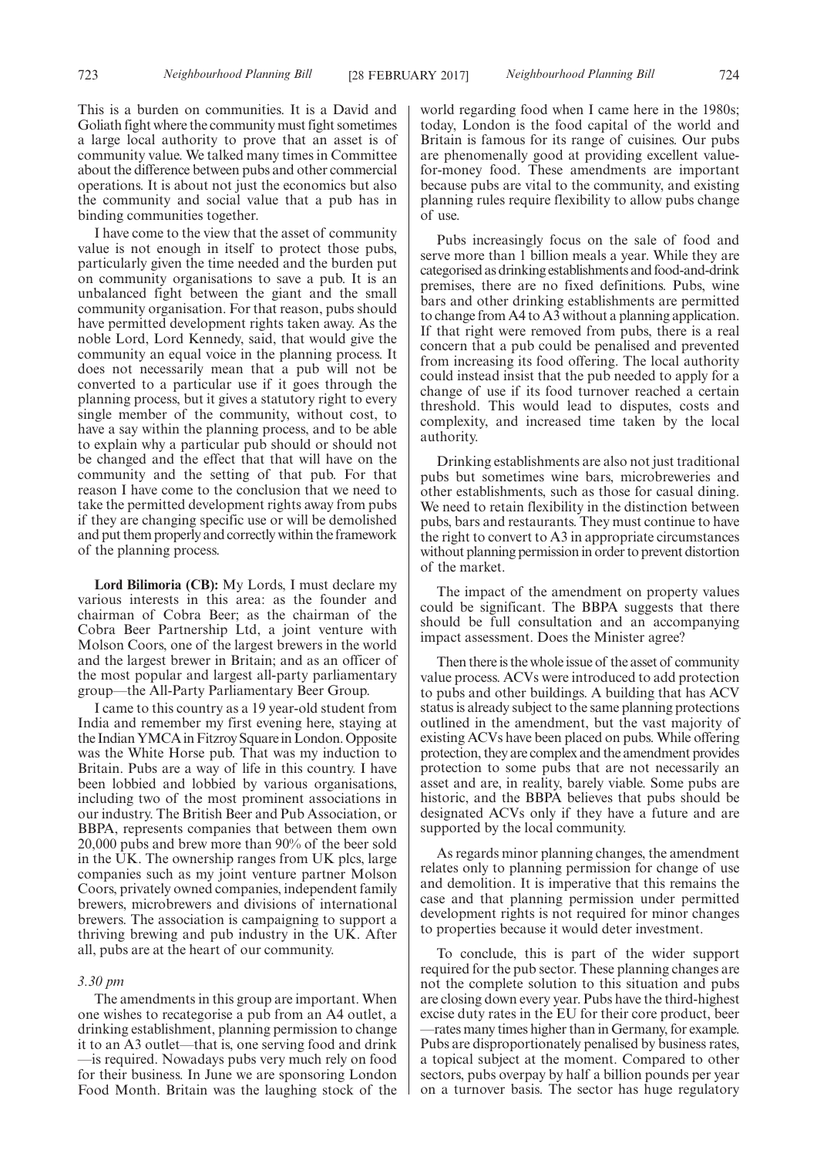I have come to the view that the asset of community value is not enough in itself to protect those pubs, particularly given the time needed and the burden put on community organisations to save a pub. It is an unbalanced fight between the giant and the small community organisation. For that reason, pubs should have permitted development rights taken away. As the noble Lord, Lord Kennedy, said, that would give the community an equal voice in the planning process. It does not necessarily mean that a pub will not be converted to a particular use if it goes through the planning process, but it gives a statutory right to every single member of the community, without cost, to have a say within the planning process, and to be able to explain why a particular pub should or should not be changed and the effect that that will have on the community and the setting of that pub. For that reason I have come to the conclusion that we need to take the permitted development rights away from pubs if they are changing specific use or will be demolished and put them properly and correctly within the framework of the planning process.

**Lord Bilimoria (CB):** My Lords, I must declare my various interests in this area: as the founder and chairman of Cobra Beer; as the chairman of the Cobra Beer Partnership Ltd, a joint venture with Molson Coors, one of the largest brewers in the world and the largest brewer in Britain; and as an officer of the most popular and largest all-party parliamentary group—the All-Party Parliamentary Beer Group.

I came to this country as a 19 year-old student from India and remember my first evening here, staying at the Indian YMCA in Fitzroy Square in London. Opposite was the White Horse pub. That was my induction to Britain. Pubs are a way of life in this country. I have been lobbied and lobbied by various organisations, including two of the most prominent associations in our industry. The British Beer and Pub Association, or BBPA, represents companies that between them own 20,000 pubs and brew more than 90% of the beer sold in the UK. The ownership ranges from UK plcs, large companies such as my joint venture partner Molson Coors, privately owned companies, independent family brewers, microbrewers and divisions of international brewers. The association is campaigning to support a thriving brewing and pub industry in the UK. After all, pubs are at the heart of our community.

## *3.30 pm*

The amendments in this group are important. When one wishes to recategorise a pub from an A4 outlet, a drinking establishment, planning permission to change it to an A3 outlet—that is, one serving food and drink —is required. Nowadays pubs very much rely on food for their business. In June we are sponsoring London Food Month. Britain was the laughing stock of the world regarding food when I came here in the 1980s; today, London is the food capital of the world and Britain is famous for its range of cuisines. Our pubs are phenomenally good at providing excellent valuefor-money food. These amendments are important because pubs are vital to the community, and existing planning rules require flexibility to allow pubs change of use.

Pubs increasingly focus on the sale of food and serve more than 1 billion meals a year. While they are categorised as drinking establishments and food-and-drink premises, there are no fixed definitions. Pubs, wine bars and other drinking establishments are permitted to change from A4 to A3 without a planning application. If that right were removed from pubs, there is a real concern that a pub could be penalised and prevented from increasing its food offering. The local authority could instead insist that the pub needed to apply for a change of use if its food turnover reached a certain threshold. This would lead to disputes, costs and complexity, and increased time taken by the local authority.

Drinking establishments are also not just traditional pubs but sometimes wine bars, microbreweries and other establishments, such as those for casual dining. We need to retain flexibility in the distinction between pubs, bars and restaurants. They must continue to have the right to convert to A3 in appropriate circumstances without planning permission in order to prevent distortion of the market.

The impact of the amendment on property values could be significant. The BBPA suggests that there should be full consultation and an accompanying impact assessment. Does the Minister agree?

Then there is the whole issue of the asset of community value process. ACVs were introduced to add protection to pubs and other buildings. A building that has ACV status is already subject to the same planning protections outlined in the amendment, but the vast majority of existing ACVs have been placed on pubs. While offering protection, they are complex and the amendment provides protection to some pubs that are not necessarily an asset and are, in reality, barely viable. Some pubs are historic, and the BBPA believes that pubs should be designated ACVs only if they have a future and are supported by the local community.

As regards minor planning changes, the amendment relates only to planning permission for change of use and demolition. It is imperative that this remains the case and that planning permission under permitted development rights is not required for minor changes to properties because it would deter investment.

To conclude, this is part of the wider support required for the pub sector. These planning changes are not the complete solution to this situation and pubs are closing down every year. Pubs have the third-highest excise duty rates in the EU for their core product, beer —rates many times higher than in Germany, for example. Pubs are disproportionately penalised by business rates, a topical subject at the moment. Compared to other sectors, pubs overpay by half a billion pounds per year on a turnover basis. The sector has huge regulatory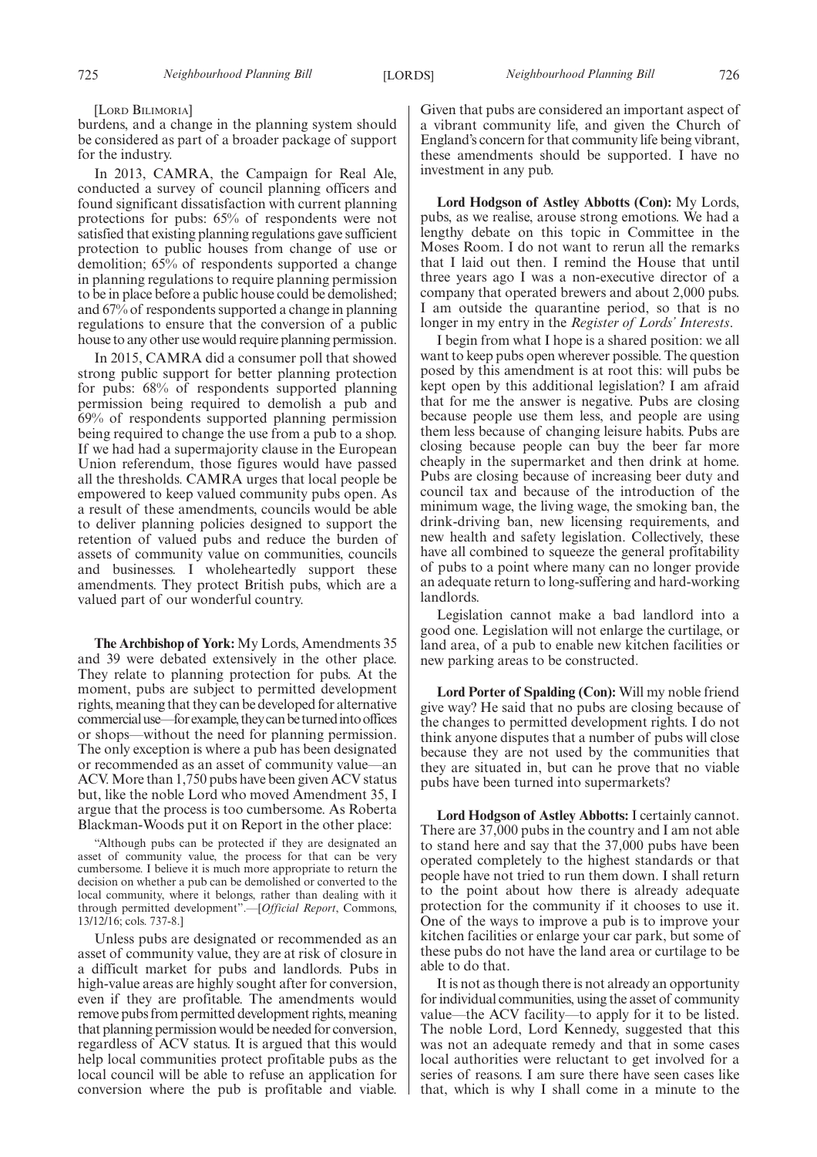[LORD BILIMORIA]

burdens, and a change in the planning system should be considered as part of a broader package of support for the industry.

In 2013, CAMRA, the Campaign for Real Ale, conducted a survey of council planning officers and found significant dissatisfaction with current planning protections for pubs: 65% of respondents were not satisfied that existing planning regulations gave sufficient protection to public houses from change of use or demolition; 65% of respondents supported a change in planning regulations to require planning permission to be in place before a public house could be demolished; and 67% of respondents supported a change in planning regulations to ensure that the conversion of a public house to any other use would require planning permission.

In 2015, CAMRA did a consumer poll that showed strong public support for better planning protection for pubs: 68% of respondents supported planning permission being required to demolish a pub and 69% of respondents supported planning permission being required to change the use from a pub to a shop. If we had had a supermajority clause in the European Union referendum, those figures would have passed all the thresholds. CAMRA urges that local people be empowered to keep valued community pubs open. As a result of these amendments, councils would be able to deliver planning policies designed to support the retention of valued pubs and reduce the burden of assets of community value on communities, councils and businesses. I wholeheartedly support these amendments. They protect British pubs, which are a valued part of our wonderful country.

**The Archbishop of York:** My Lords, Amendments 35 and 39 were debated extensively in the other place. They relate to planning protection for pubs. At the moment, pubs are subject to permitted development rights, meaning that they can be developed for alternative commercialuse—forexample,theycanbeturnedintooffices or shops—without the need for planning permission. The only exception is where a pub has been designated or recommended as an asset of community value—an ACV. More than 1,750 pubs have been given ACV status but, like the noble Lord who moved Amendment 35, I argue that the process is too cumbersome. As Roberta Blackman-Woods put it on Report in the other place:

"Although pubs can be protected if they are designated an asset of community value, the process for that can be very cumbersome. I believe it is much more appropriate to return the decision on whether a pub can be demolished or converted to the local community, where it belongs, rather than dealing with it through permitted development".—[*Official Report*, Commons, 13/12/16; cols. 737-8.]

Unless pubs are designated or recommended as an asset of community value, they are at risk of closure in a difficult market for pubs and landlords. Pubs in high-value areas are highly sought after for conversion, even if they are profitable. The amendments would remove pubs from permitted development rights, meaning that planning permission would be needed for conversion, regardless of ACV status. It is argued that this would help local communities protect profitable pubs as the local council will be able to refuse an application for conversion where the pub is profitable and viable. Given that pubs are considered an important aspect of a vibrant community life, and given the Church of England's concern for that community life being vibrant, these amendments should be supported. I have no investment in any pub.

**Lord Hodgson of Astley Abbotts (Con):** My Lords, pubs, as we realise, arouse strong emotions. We had a lengthy debate on this topic in Committee in the Moses Room. I do not want to rerun all the remarks that I laid out then. I remind the House that until three years ago I was a non-executive director of a company that operated brewers and about 2,000 pubs. I am outside the quarantine period, so that is no longer in my entry in the *Register of Lords' Interests*.

I begin from what I hope is a shared position: we all want to keep pubs open wherever possible. The question posed by this amendment is at root this: will pubs be kept open by this additional legislation? I am afraid that for me the answer is negative. Pubs are closing because people use them less, and people are using them less because of changing leisure habits. Pubs are closing because people can buy the beer far more cheaply in the supermarket and then drink at home. Pubs are closing because of increasing beer duty and council tax and because of the introduction of the minimum wage, the living wage, the smoking ban, the drink-driving ban, new licensing requirements, and new health and safety legislation. Collectively, these have all combined to squeeze the general profitability of pubs to a point where many can no longer provide an adequate return to long-suffering and hard-working landlords.

Legislation cannot make a bad landlord into a good one. Legislation will not enlarge the curtilage, or land area, of a pub to enable new kitchen facilities or new parking areas to be constructed.

**Lord Porter of Spalding (Con):** Will my noble friend give way? He said that no pubs are closing because of the changes to permitted development rights. I do not think anyone disputes that a number of pubs will close because they are not used by the communities that they are situated in, but can he prove that no viable pubs have been turned into supermarkets?

**Lord Hodgson of Astley Abbotts:** I certainly cannot. There are 37,000 pubs in the country and I am not able to stand here and say that the 37,000 pubs have been operated completely to the highest standards or that people have not tried to run them down. I shall return to the point about how there is already adequate protection for the community if it chooses to use it. One of the ways to improve a pub is to improve your kitchen facilities or enlarge your car park, but some of these pubs do not have the land area or curtilage to be able to do that.

It is not as though there is not already an opportunity for individual communities, using the asset of community value—the ACV facility—to apply for it to be listed. The noble Lord, Lord Kennedy, suggested that this was not an adequate remedy and that in some cases local authorities were reluctant to get involved for a series of reasons. I am sure there have seen cases like that, which is why I shall come in a minute to the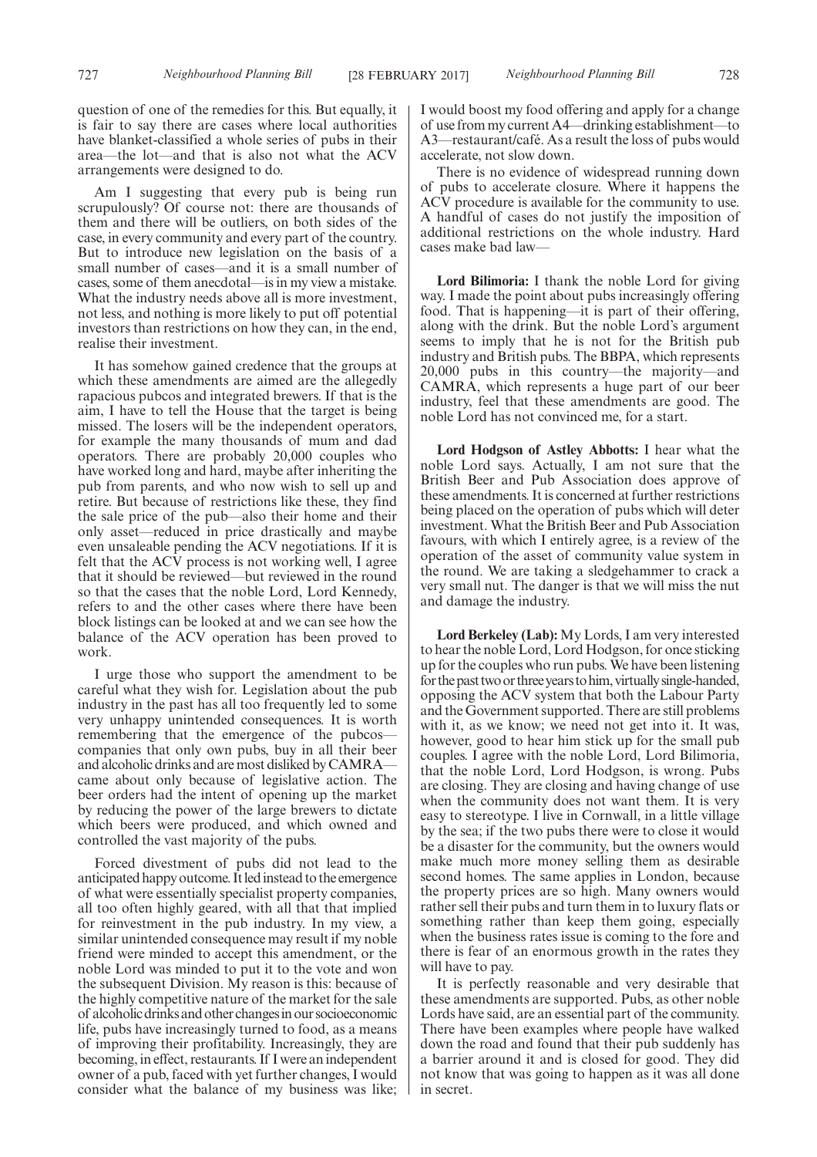question of one of the remedies for this. But equally, it is fair to say there are cases where local authorities have blanket-classified a whole series of pubs in their area—the lot—and that is also not what the ACV arrangements were designed to do.

Am I suggesting that every pub is being run scrupulously? Of course not: there are thousands of them and there will be outliers, on both sides of the case, in every community and every part of the country. But to introduce new legislation on the basis of a small number of cases—and it is a small number of cases, some of them anecdotal—is in my view a mistake. What the industry needs above all is more investment, not less, and nothing is more likely to put off potential investors than restrictions on how they can, in the end, realise their investment.

It has somehow gained credence that the groups at which these amendments are aimed are the allegedly rapacious pubcos and integrated brewers. If that is the aim, I have to tell the House that the target is being missed. The losers will be the independent operators, for example the many thousands of mum and dad operators. There are probably 20,000 couples who have worked long and hard, maybe after inheriting the pub from parents, and who now wish to sell up and retire. But because of restrictions like these, they find the sale price of the pub—also their home and their only asset—reduced in price drastically and maybe even unsaleable pending the ACV negotiations. If it is felt that the ACV process is not working well, I agree that it should be reviewed—but reviewed in the round so that the cases that the noble Lord, Lord Kennedy, refers to and the other cases where there have been block listings can be looked at and we can see how the balance of the ACV operation has been proved to work.

I urge those who support the amendment to be careful what they wish for. Legislation about the pub industry in the past has all too frequently led to some very unhappy unintended consequences. It is worth remembering that the emergence of the pubcos companies that only own pubs, buy in all their beer and alcoholic drinks and are most disliked by CAMRA came about only because of legislative action. The beer orders had the intent of opening up the market by reducing the power of the large brewers to dictate which beers were produced, and which owned and controlled the vast majority of the pubs.

Forced divestment of pubs did not lead to the anticipated happy outcome. It led instead to the emergence of what were essentially specialist property companies, all too often highly geared, with all that that implied for reinvestment in the pub industry. In my view, a similar unintended consequence may result if my noble friend were minded to accept this amendment, or the noble Lord was minded to put it to the vote and won the subsequent Division. My reason is this: because of the highly competitive nature of the market for the sale of alcoholicdrinksandotherchangesinoursocioeconomic life, pubs have increasingly turned to food, as a means of improving their profitability. Increasingly, they are becoming, in effect, restaurants. If I were an independent owner of a pub, faced with yet further changes, I would consider what the balance of my business was like; I would boost my food offering and apply for a change of use from my current A4—drinking establishment—to A3—restaurant/café. As a result the loss of pubs would accelerate, not slow down.

There is no evidence of widespread running down of pubs to accelerate closure. Where it happens the ACV procedure is available for the community to use. A handful of cases do not justify the imposition of additional restrictions on the whole industry. Hard cases make bad law—

**Lord Bilimoria:** I thank the noble Lord for giving way. I made the point about pubs increasingly offering food. That is happening—it is part of their offering, along with the drink. But the noble Lord's argument seems to imply that he is not for the British pub industry and British pubs. The BBPA, which represents 20,000 pubs in this country—the majority—and CAMRA, which represents a huge part of our beer industry, feel that these amendments are good. The noble Lord has not convinced me, for a start.

**Lord Hodgson of Astley Abbotts:** I hear what the noble Lord says. Actually, I am not sure that the British Beer and Pub Association does approve of these amendments. It is concerned at further restrictions being placed on the operation of pubs which will deter investment. What the British Beer and Pub Association favours, with which I entirely agree, is a review of the operation of the asset of community value system in the round. We are taking a sledgehammer to crack a very small nut. The danger is that we will miss the nut and damage the industry.

**Lord Berkeley (Lab):** My Lords, I am very interested to hear the noble Lord, Lord Hodgson, for once sticking up for the couples who run pubs. We have been listening for the past two or three years to him, virtually single-handed, opposing the ACV system that both the Labour Party and the Government supported. There are still problems with it, as we know; we need not get into it. It was, however, good to hear him stick up for the small pub couples. I agree with the noble Lord, Lord Bilimoria, that the noble Lord, Lord Hodgson, is wrong. Pubs are closing. They are closing and having change of use when the community does not want them. It is very easy to stereotype. I live in Cornwall, in a little village by the sea; if the two pubs there were to close it would be a disaster for the community, but the owners would make much more money selling them as desirable second homes. The same applies in London, because the property prices are so high. Many owners would rather sell their pubs and turn them in to luxury flats or something rather than keep them going, especially when the business rates issue is coming to the fore and there is fear of an enormous growth in the rates they will have to pay.

It is perfectly reasonable and very desirable that these amendments are supported. Pubs, as other noble Lords have said, are an essential part of the community. There have been examples where people have walked down the road and found that their pub suddenly has a barrier around it and is closed for good. They did not know that was going to happen as it was all done in secret.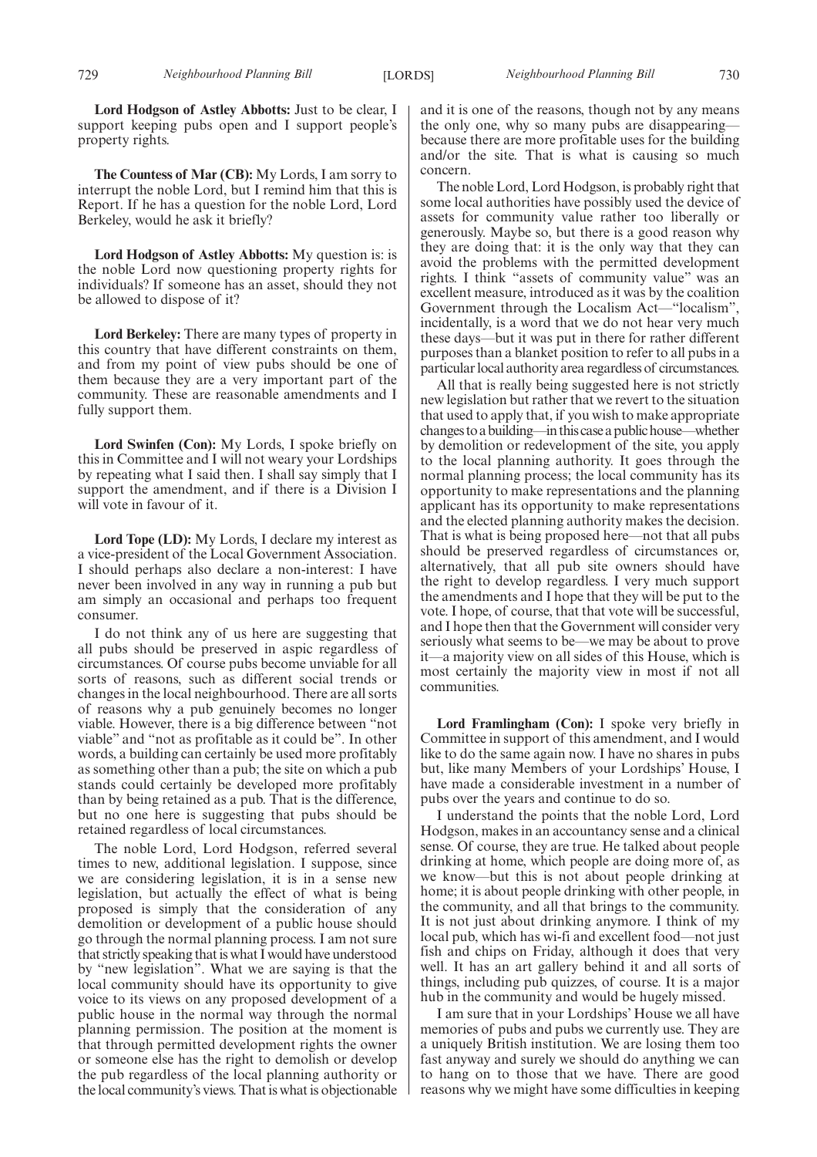**Lord Hodgson of Astley Abbotts:** Just to be clear, I support keeping pubs open and I support people's property rights.

**The Countess of Mar (CB):** My Lords, I am sorry to interrupt the noble Lord, but I remind him that this is Report. If he has a question for the noble Lord, Lord Berkeley, would he ask it briefly?

**Lord Hodgson of Astley Abbotts:** My question is: is the noble Lord now questioning property rights for individuals? If someone has an asset, should they not be allowed to dispose of it?

**Lord Berkeley:** There are many types of property in this country that have different constraints on them, and from my point of view pubs should be one of them because they are a very important part of the community. These are reasonable amendments and I fully support them.

**Lord Swinfen (Con):** My Lords, I spoke briefly on this in Committee and I will not weary your Lordships by repeating what I said then. I shall say simply that I support the amendment, and if there is a Division I will vote in favour of it.

**Lord Tope (LD):** My Lords, I declare my interest as a vice-president of the Local Government Association. I should perhaps also declare a non-interest: I have never been involved in any way in running a pub but am simply an occasional and perhaps too frequent consumer.

I do not think any of us here are suggesting that all pubs should be preserved in aspic regardless of circumstances. Of course pubs become unviable for all sorts of reasons, such as different social trends or changes in the local neighbourhood. There are all sorts of reasons why a pub genuinely becomes no longer viable. However, there is a big difference between "not viable" and "not as profitable as it could be". In other words, a building can certainly be used more profitably as something other than a pub; the site on which a pub stands could certainly be developed more profitably than by being retained as a pub. That is the difference, but no one here is suggesting that pubs should be retained regardless of local circumstances.

The noble Lord, Lord Hodgson, referred several times to new, additional legislation. I suppose, since we are considering legislation, it is in a sense new legislation, but actually the effect of what is being proposed is simply that the consideration of any demolition or development of a public house should go through the normal planning process. I am not sure that strictly speaking that is what I would have understood by "new legislation". What we are saying is that the local community should have its opportunity to give voice to its views on any proposed development of a public house in the normal way through the normal planning permission. The position at the moment is that through permitted development rights the owner or someone else has the right to demolish or develop the pub regardless of the local planning authority or the local community's views. That is what is objectionable

and it is one of the reasons, though not by any means the only one, why so many pubs are disappearing because there are more profitable uses for the building and/or the site. That is what is causing so much concern.

The noble Lord, Lord Hodgson, is probably right that some local authorities have possibly used the device of assets for community value rather too liberally or generously. Maybe so, but there is a good reason why they are doing that: it is the only way that they can avoid the problems with the permitted development rights. I think "assets of community value" was an excellent measure, introduced as it was by the coalition Government through the Localism Act—"localism", incidentally, is a word that we do not hear very much these days—but it was put in there for rather different purposes than a blanket position to refer to all pubs in a particular local authority area regardless of circumstances.

All that is really being suggested here is not strictly new legislation but rather that we revert to the situation that used to apply that, if you wish to make appropriate changestoabuilding—inthiscaseapublichouse—whether by demolition or redevelopment of the site, you apply to the local planning authority. It goes through the normal planning process; the local community has its opportunity to make representations and the planning applicant has its opportunity to make representations and the elected planning authority makes the decision. That is what is being proposed here—not that all pubs should be preserved regardless of circumstances or, alternatively, that all pub site owners should have the right to develop regardless. I very much support the amendments and I hope that they will be put to the vote. I hope, of course, that that vote will be successful, and I hope then that the Government will consider very seriously what seems to be—we may be about to prove it—a majority view on all sides of this House, which is most certainly the majority view in most if not all communities.

**Lord Framlingham (Con):** I spoke very briefly in Committee in support of this amendment, and I would like to do the same again now. I have no shares in pubs but, like many Members of your Lordships' House, I have made a considerable investment in a number of pubs over the years and continue to do so.

I understand the points that the noble Lord, Lord Hodgson, makes in an accountancy sense and a clinical sense. Of course, they are true. He talked about people drinking at home, which people are doing more of, as we know—but this is not about people drinking at home; it is about people drinking with other people, in the community, and all that brings to the community. It is not just about drinking anymore. I think of my local pub, which has wi-fi and excellent food—not just fish and chips on Friday, although it does that very well. It has an art gallery behind it and all sorts of things, including pub quizzes, of course. It is a major hub in the community and would be hugely missed.

I am sure that in your Lordships' House we all have memories of pubs and pubs we currently use. They are a uniquely British institution. We are losing them too fast anyway and surely we should do anything we can to hang on to those that we have. There are good reasons why we might have some difficulties in keeping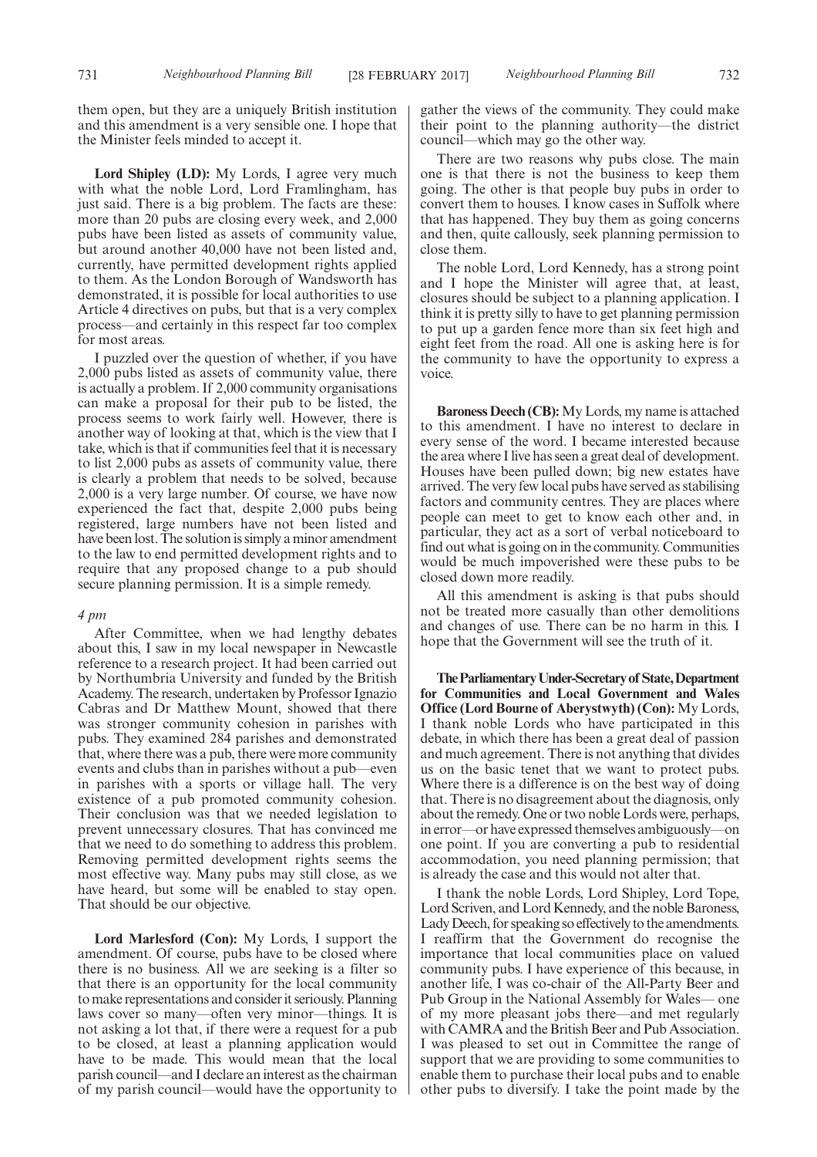them open, but they are a uniquely British institution and this amendment is a very sensible one. I hope that the Minister feels minded to accept it.

Lord Shipley (LD): My Lords, I agree very much with what the noble Lord, Lord Framlingham, has just said. There is a big problem. The facts are these: more than 20 pubs are closing every week, and 2,000 pubs have been listed as assets of community value, but around another 40,000 have not been listed and, currently, have permitted development rights applied to them. As the London Borough of Wandsworth has demonstrated, it is possible for local authorities to use Article 4 directives on pubs, but that is a very complex process—and certainly in this respect far too complex for most areas.

I puzzled over the question of whether, if you have 2,000 pubs listed as assets of community value, there is actually a problem. If 2,000 community organisations can make a proposal for their pub to be listed, the process seems to work fairly well. However, there is another way of looking at that, which is the view that I take, which is that if communities feel that it is necessary to list 2,000 pubs as assets of community value, there is clearly a problem that needs to be solved, because 2,000 is a very large number. Of course, we have now experienced the fact that, despite 2,000 pubs being registered, large numbers have not been listed and have been lost. The solution is simply a minor amendment to the law to end permitted development rights and to require that any proposed change to a pub should secure planning permission. It is a simple remedy.

## *4 pm*

After Committee, when we had lengthy debates about this, I saw in my local newspaper in Newcastle reference to a research project. It had been carried out by Northumbria University and funded by the British Academy. The research, undertaken by Professor Ignazio Cabras and Dr Matthew Mount, showed that there was stronger community cohesion in parishes with pubs. They examined 284 parishes and demonstrated that, where there was a pub, there were more community events and clubs than in parishes without a pub—even in parishes with a sports or village hall. The very existence of a pub promoted community cohesion. Their conclusion was that we needed legislation to prevent unnecessary closures. That has convinced me that we need to do something to address this problem. Removing permitted development rights seems the most effective way. Many pubs may still close, as we have heard, but some will be enabled to stay open. That should be our objective.

**Lord Marlesford (Con):** My Lords, I support the amendment. Of course, pubs have to be closed where there is no business. All we are seeking is a filter so that there is an opportunity for the local community to make representations and consider it seriously. Planning laws cover so many—often very minor—things. It is not asking a lot that, if there were a request for a pub to be closed, at least a planning application would have to be made. This would mean that the local parish council—and I declare an interest as the chairman of my parish council—would have the opportunity to gather the views of the community. They could make their point to the planning authority—the district council—which may go the other way.

There are two reasons why pubs close. The main one is that there is not the business to keep them going. The other is that people buy pubs in order to convert them to houses. I know cases in Suffolk where that has happened. They buy them as going concerns and then, quite callously, seek planning permission to close them.

The noble Lord, Lord Kennedy, has a strong point and I hope the Minister will agree that, at least, closures should be subject to a planning application. I think it is pretty silly to have to get planning permission to put up a garden fence more than six feet high and eight feet from the road. All one is asking here is for the community to have the opportunity to express a voice.

**Baroness Deech (CB):** My Lords, my name is attached to this amendment. I have no interest to declare in every sense of the word. I became interested because the area where I live has seen a great deal of development. Houses have been pulled down; big new estates have arrived. The very few local pubs have served as stabilising factors and community centres. They are places where people can meet to get to know each other and, in particular, they act as a sort of verbal noticeboard to find out what is going on in the community. Communities would be much impoverished were these pubs to be closed down more readily.

All this amendment is asking is that pubs should not be treated more casually than other demolitions and changes of use. There can be no harm in this. I hope that the Government will see the truth of it.

**TheParliamentaryUnder-Secretaryof State,Department for Communities and Local Government and Wales Office (Lord Bourne of Aberystwyth) (Con):** My Lords, I thank noble Lords who have participated in this debate, in which there has been a great deal of passion and much agreement. There is not anything that divides us on the basic tenet that we want to protect pubs. Where there is a difference is on the best way of doing that. There is no disagreement about the diagnosis, only about the remedy. One or two noble Lords were, perhaps, in error—or have expressed themselves ambiguously—on one point. If you are converting a pub to residential accommodation, you need planning permission; that is already the case and this would not alter that.

I thank the noble Lords, Lord Shipley, Lord Tope, Lord Scriven, and Lord Kennedy, and the noble Baroness, Lady Deech, for speaking so effectively to the amendments. I reaffirm that the Government do recognise the importance that local communities place on valued community pubs. I have experience of this because, in another life, I was co-chair of the All-Party Beer and Pub Group in the National Assembly for Wales— one of my more pleasant jobs there—and met regularly with CAMRA and the British Beer and Pub Association. I was pleased to set out in Committee the range of support that we are providing to some communities to enable them to purchase their local pubs and to enable other pubs to diversify. I take the point made by the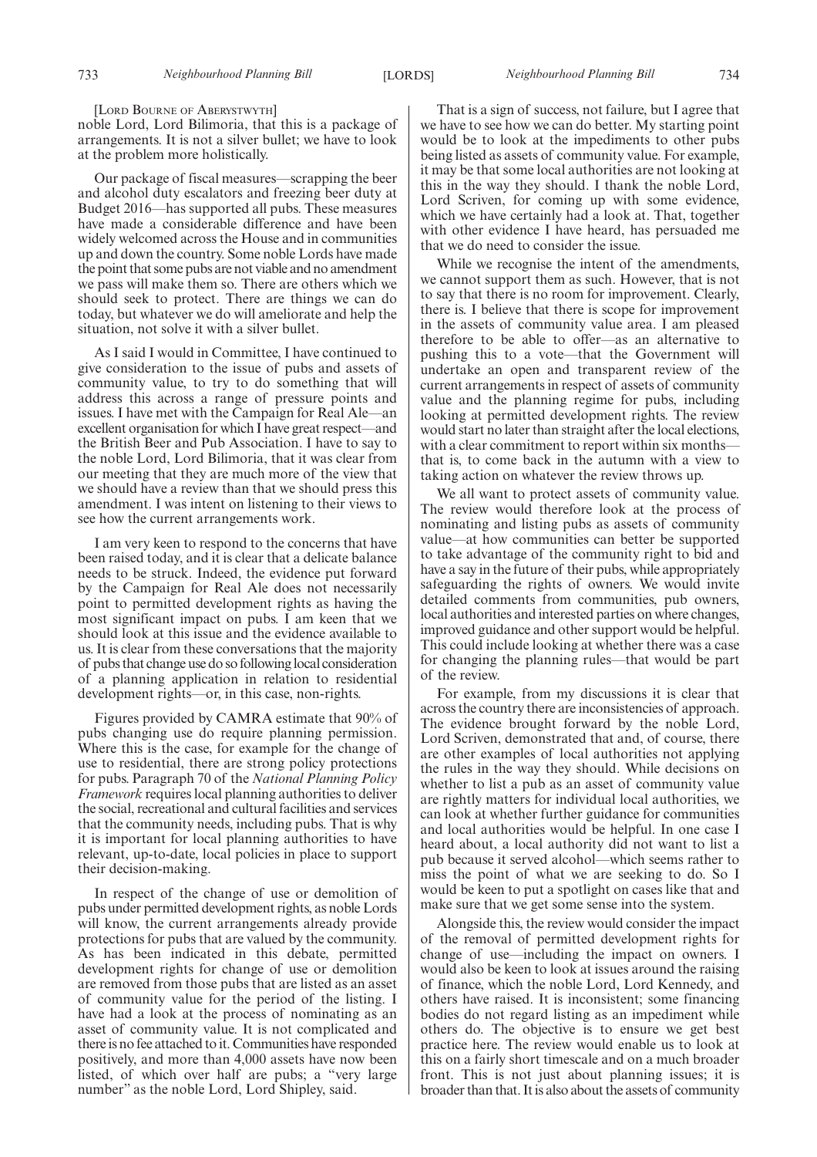[LORD BOURNE OF ABERYSTWYTH]

noble Lord, Lord Bilimoria, that this is a package of arrangements. It is not a silver bullet; we have to look at the problem more holistically.

Our package of fiscal measures—scrapping the beer and alcohol duty escalators and freezing beer duty at Budget 2016—has supported all pubs. These measures have made a considerable difference and have been widely welcomed across the House and in communities up and down the country. Some noble Lords have made the point that some pubs are not viable and no amendment we pass will make them so. There are others which we should seek to protect. There are things we can do today, but whatever we do will ameliorate and help the situation, not solve it with a silver bullet.

As I said I would in Committee, I have continued to give consideration to the issue of pubs and assets of community value, to try to do something that will address this across a range of pressure points and issues. I have met with the Campaign for Real Ale—an excellent organisation for which I have great respect—and the British Beer and Pub Association. I have to say to the noble Lord, Lord Bilimoria, that it was clear from our meeting that they are much more of the view that we should have a review than that we should press this amendment. I was intent on listening to their views to see how the current arrangements work.

I am very keen to respond to the concerns that have been raised today, and it is clear that a delicate balance needs to be struck. Indeed, the evidence put forward by the Campaign for Real Ale does not necessarily point to permitted development rights as having the most significant impact on pubs. I am keen that we should look at this issue and the evidence available to us. It is clear from these conversations that the majority of pubs that change use do so following local consideration of a planning application in relation to residential development rights—or, in this case, non-rights.

Figures provided by CAMRA estimate that 90% of pubs changing use do require planning permission. Where this is the case, for example for the change of use to residential, there are strong policy protections for pubs. Paragraph 70 of the *National Planning Policy Framework* requires local planning authorities to deliver the social, recreational and cultural facilities and services that the community needs, including pubs. That is why it is important for local planning authorities to have relevant, up-to-date, local policies in place to support their decision-making.

In respect of the change of use or demolition of pubs under permitted development rights, as noble Lords will know, the current arrangements already provide protections for pubs that are valued by the community. As has been indicated in this debate, permitted development rights for change of use or demolition are removed from those pubs that are listed as an asset of community value for the period of the listing. I have had a look at the process of nominating as an asset of community value. It is not complicated and there is no fee attached to it. Communities have responded positively, and more than 4,000 assets have now been listed, of which over half are pubs; a "very large number" as the noble Lord, Lord Shipley, said.

That is a sign of success, not failure, but I agree that we have to see how we can do better. My starting point would be to look at the impediments to other pubs being listed as assets of community value. For example, it may be that some local authorities are not looking at this in the way they should. I thank the noble Lord, Lord Scriven, for coming up with some evidence, which we have certainly had a look at. That, together with other evidence I have heard, has persuaded me that we do need to consider the issue.

While we recognise the intent of the amendments, we cannot support them as such. However, that is not to say that there is no room for improvement. Clearly, there is. I believe that there is scope for improvement in the assets of community value area. I am pleased therefore to be able to offer—as an alternative to pushing this to a vote—that the Government will undertake an open and transparent review of the current arrangements in respect of assets of community value and the planning regime for pubs, including looking at permitted development rights. The review would start no later than straight after the local elections, with a clear commitment to report within six months that is, to come back in the autumn with a view to taking action on whatever the review throws up.

We all want to protect assets of community value. The review would therefore look at the process of nominating and listing pubs as assets of community value—at how communities can better be supported to take advantage of the community right to bid and have a say in the future of their pubs, while appropriately safeguarding the rights of owners. We would invite detailed comments from communities, pub owners, local authorities and interested parties on where changes, improved guidance and other support would be helpful. This could include looking at whether there was a case for changing the planning rules—that would be part of the review.

For example, from my discussions it is clear that across the country there are inconsistencies of approach. The evidence brought forward by the noble Lord, Lord Scriven, demonstrated that and, of course, there are other examples of local authorities not applying the rules in the way they should. While decisions on whether to list a pub as an asset of community value are rightly matters for individual local authorities, we can look at whether further guidance for communities and local authorities would be helpful. In one case I heard about, a local authority did not want to list a pub because it served alcohol—which seems rather to miss the point of what we are seeking to do. So I would be keen to put a spotlight on cases like that and make sure that we get some sense into the system.

Alongside this, the review would consider the impact of the removal of permitted development rights for change of use—including the impact on owners. I would also be keen to look at issues around the raising of finance, which the noble Lord, Lord Kennedy, and others have raised. It is inconsistent; some financing bodies do not regard listing as an impediment while others do. The objective is to ensure we get best practice here. The review would enable us to look at this on a fairly short timescale and on a much broader front. This is not just about planning issues; it is broader than that. It is also about the assets of community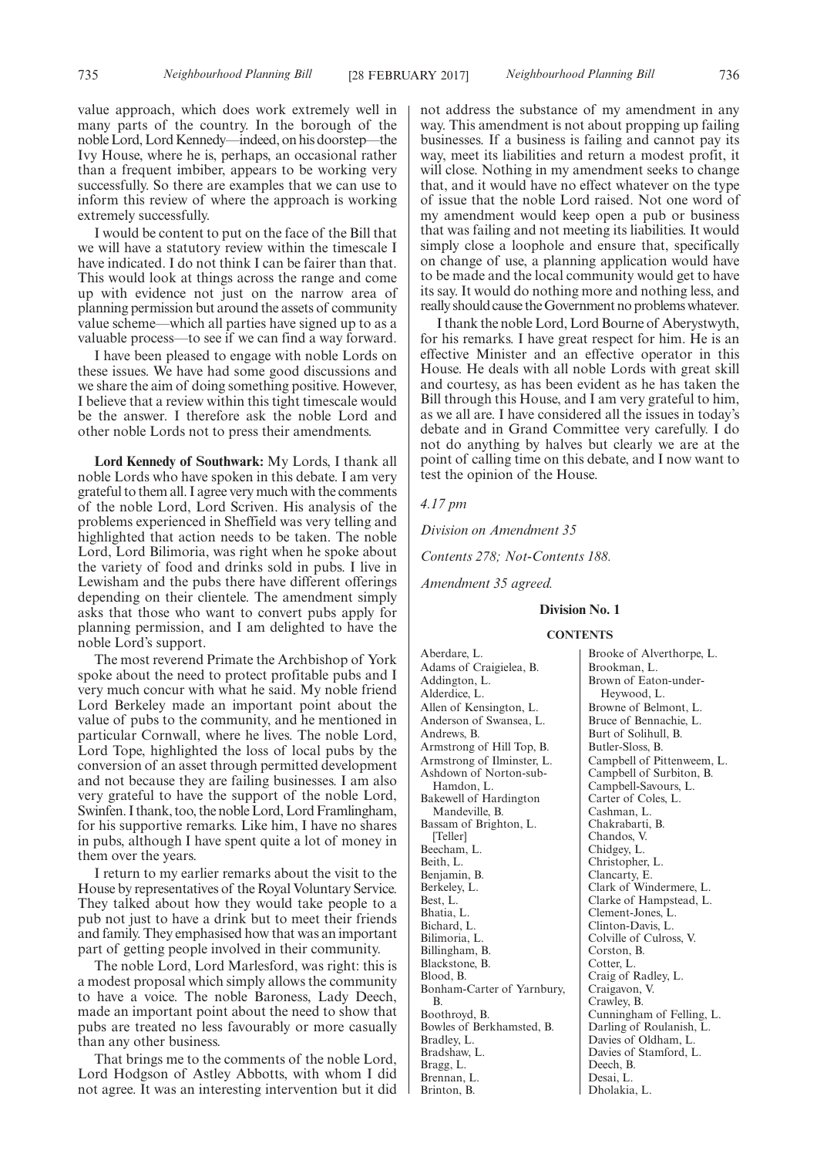value approach, which does work extremely well in many parts of the country. In the borough of the noble Lord, Lord Kennedy—indeed, on his doorstep—the Ivy House, where he is, perhaps, an occasional rather than a frequent imbiber, appears to be working very successfully. So there are examples that we can use to inform this review of where the approach is working extremely successfully.

I would be content to put on the face of the Bill that we will have a statutory review within the timescale I have indicated. I do not think I can be fairer than that. This would look at things across the range and come up with evidence not just on the narrow area of planning permission but around the assets of community value scheme—which all parties have signed up to as a valuable process—to see if we can find a way forward.

I have been pleased to engage with noble Lords on these issues. We have had some good discussions and we share the aim of doing something positive. However, I believe that a review within this tight timescale would be the answer. I therefore ask the noble Lord and other noble Lords not to press their amendments.

**Lord Kennedy of Southwark:** My Lords, I thank all noble Lords who have spoken in this debate. I am very grateful to them all. I agree very much with the comments of the noble Lord, Lord Scriven. His analysis of the problems experienced in Sheffield was very telling and highlighted that action needs to be taken. The noble Lord, Lord Bilimoria, was right when he spoke about the variety of food and drinks sold in pubs. I live in Lewisham and the pubs there have different offerings depending on their clientele. The amendment simply asks that those who want to convert pubs apply for planning permission, and I am delighted to have the noble Lord's support.

The most reverend Primate the Archbishop of York spoke about the need to protect profitable pubs and I very much concur with what he said. My noble friend Lord Berkeley made an important point about the value of pubs to the community, and he mentioned in particular Cornwall, where he lives. The noble Lord, Lord Tope, highlighted the loss of local pubs by the conversion of an asset through permitted development and not because they are failing businesses. I am also very grateful to have the support of the noble Lord, Swinfen. I thank, too, the noble Lord, Lord Framlingham, for his supportive remarks. Like him, I have no shares in pubs, although I have spent quite a lot of money in them over the years.

I return to my earlier remarks about the visit to the House by representatives of the Royal Voluntary Service. They talked about how they would take people to a pub not just to have a drink but to meet their friends and family. They emphasised how that was an important part of getting people involved in their community.

The noble Lord, Lord Marlesford, was right: this is a modest proposal which simply allows the community to have a voice. The noble Baroness, Lady Deech, made an important point about the need to show that pubs are treated no less favourably or more casually than any other business.

That brings me to the comments of the noble Lord, Lord Hodgson of Astley Abbotts, with whom I did not agree. It was an interesting intervention but it did not address the substance of my amendment in any way. This amendment is not about propping up failing businesses. If a business is failing and cannot pay its way, meet its liabilities and return a modest profit, it will close. Nothing in my amendment seeks to change that, and it would have no effect whatever on the type of issue that the noble Lord raised. Not one word of my amendment would keep open a pub or business that was failing and not meeting its liabilities. It would simply close a loophole and ensure that, specifically on change of use, a planning application would have to be made and the local community would get to have its say. It would do nothing more and nothing less, and really should cause the Government no problems whatever.

I thank the noble Lord, Lord Bourne of Aberystwyth, for his remarks. I have great respect for him. He is an effective Minister and an effective operator in this House. He deals with all noble Lords with great skill and courtesy, as has been evident as he has taken the Bill through this House, and I am very grateful to him, as we all are. I have considered all the issues in today's debate and in Grand Committee very carefully. I do not do anything by halves but clearly we are at the point of calling time on this debate, and I now want to test the opinion of the House.

## *4.17 pm*

*Division on Amendment 35*

*Contents 278; Not-Contents 188.*

*Amendment 35 agreed.*

## **Division No. 1**

#### **CONTENTS**

Aberdare, L. Adams of Craigielea, B. Addington, L. Alderdice, L. Allen of Kensington, L. Anderson of Swansea, L. Andrews, B. Armstrong of Hill Top, B. Armstrong of Ilminster, L. Ashdown of Norton-sub-Hamdon, L. Bakewell of Hardington Mandeville, B. Bassam of Brighton, L. [Teller] Beecham, L. Beith, L. Benjamin, B. Berkeley, L. Best, L. Bhatia, L. Bichard, L. Bilimoria, L. Billingham, B. Blackstone, B. Blood, B. Bonham-Carter of Yarnbury, B. Boothroyd, B. Bowles of Berkhamsted, B. Bradley, L. Bradshaw, L. Bragg, L. Brennan, L. Brinton, B.

Brooke of Alverthorpe, L. Brookman, L. Brown of Eaton-under-Heywood, L. Browne of Belmont, L. Bruce of Bennachie, L. Burt of Solihull, B. Butler-Sloss, B. Campbell of Pittenweem, L. Campbell of Surbiton, B. Campbell-Savours, L. Carter of Coles, L. Cashman, L. Chakrabarti, B. Chandos, V. Chidgey, L. Christopher, L. Clancarty, E. Clark of Windermere, L. Clarke of Hampstead, L. Clement-Jones, L. Clinton-Davis, L. Colville of Culross, V. Corston, B. Cotter, L. Craig of Radley, L. Craigavon, V. Crawley, B. Cunningham of Felling, L. Darling of Roulanish, L. Davies of Oldham, L. Davies of Stamford, L. Deech, B. Desai, L. Dholakia, L.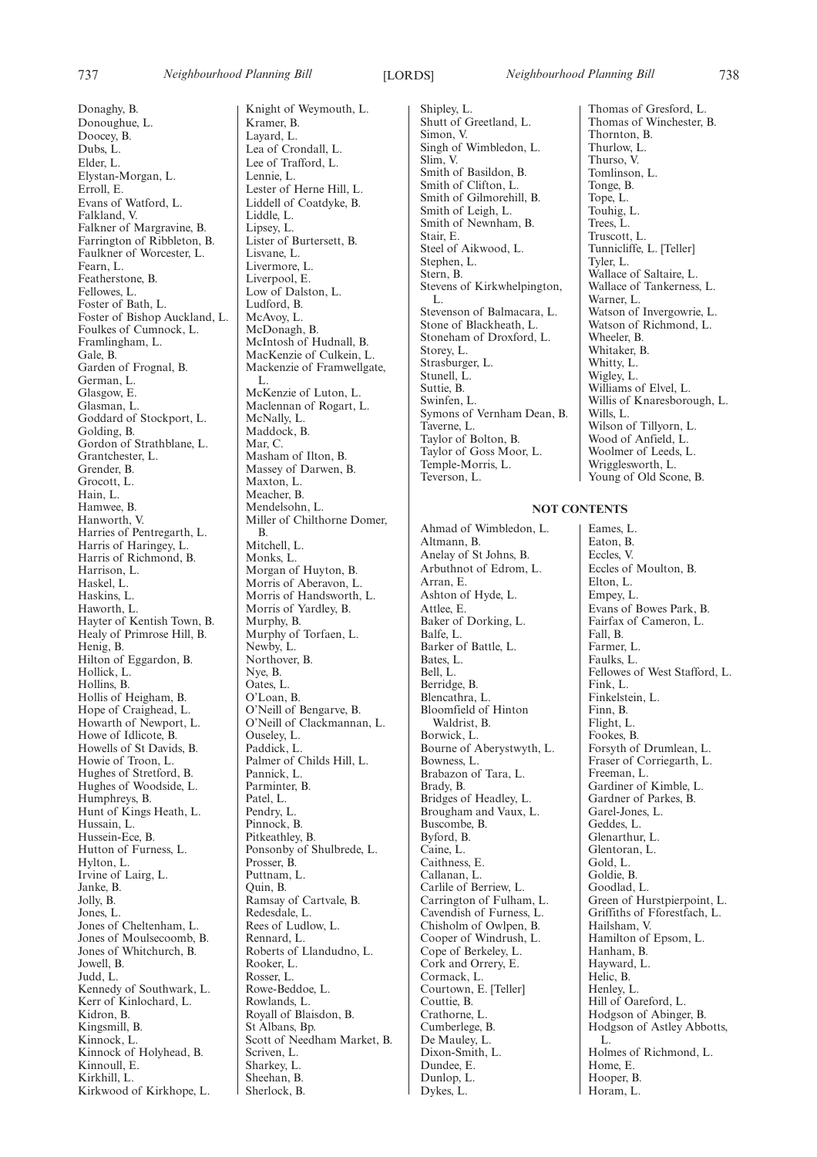Donaghy, B. Donoughue, L. Doocey, B. Dubs, L. Elder, L. Elystan-Morgan, L. Erroll, E. Evans of Watford, L. Falkland, V. Falkner of Margravine, B. Farrington of Ribbleton, B. Faulkner of Worcester, L. Fearn, L. Featherstone, B. Fellowes, L. Foster of Bath, L. Foster of Bishop Auckland, L. Foulkes of Cumnock, L. Framlingham, L. Gale, B. Garden of Frognal, B. German, L. Glasgow, E. Glasman, L. Goddard of Stockport, L. Golding, B. Gordon of Strathblane, L. Grantchester, L. Grender, B. Grocott, L. Hain, L. Hamwee, B. Hanworth, V. Harries of Pentregarth, L. Harris of Haringey, L. Harris of Richmond, B. Harrison, L. Haskel, L. Haskins, L. Haworth, L. Hayter of Kentish Town, B. Healy of Primrose Hill, B. Henig, B. Hilton of Eggardon, B. Hollick, L. Hollins, B. Hollis of Heigham, B. Hope of Craighead, L. Howarth of Newport, L. Howe of Idlicote, B. Howells of St Davids, B. Howie of Troon, L. Hughes of Stretford, B. Hughes of Woodside, L. Humphreys, B. Hunt of Kings Heath, L. Hussain, L. Hussein-Ece, B. Hutton of Furness, L. Hylton, L. Irvine of Lairg, L. Janke, B. Jolly, B. Jones, L. Jones of Cheltenham, L. Jones of Moulsecoomb, B. Jones of Whitchurch, B. Jowell, B. Judd, L. Kennedy of Southwark, L. Kerr of Kinlochard, L. Kidron, B. Kingsmill, B. Kinnock, L. Kinnock of Holyhead, B. Kinnoull, E. Kirkhill<sub>L</sub> Kirkwood of Kirkhope, L.

Knight of Weymouth, L. Kramer, B. Layard, L. Lea of Crondall, L. Lee of Trafford, L. Lennie, L. Lester of Herne Hill, L. Liddell of Coatdyke, B. Liddle, L. Lipsey, L. Lister of Burtersett, B. Lisvane, L. Livermore, L. Liverpool, E. Low of Dalston, L. Ludford, B. McAvoy, L. McDonagh, B. McIntosh of Hudnall, B. MacKenzie of Culkein, L. Mackenzie of Framwellgate, L. McKenzie of Luton, L. Maclennan of Rogart, L. McNally, L. Maddock, B. Mar, C. Masham of Ilton, B. Massey of Darwen, B. Maxton, L. Meacher, B. Mendelsohn, L. Miller of Chilthorne Domer, B. Mitchell, L. Monks, L. Morgan of Huyton, B. Morris of Aberavon, L. Morris of Handsworth, L. Morris of Yardley, B. Murphy, B. Murphy of Torfaen, L. Newby, L. Northover, B. Nye, B. Oates, L. O'Loan, B. O'Neill of Bengarve, B. O'Neill of Clackmannan, L. Ouseley, L. Paddick, L. Palmer of Childs Hill, L. Pannick, L. Parminter, B. Patel, L. Pendry, L. Pinnock, B. Pitkeathley, B. Ponsonby of Shulbrede, L. Prosser, B. Puttnam, L. Quin, B. Ramsay of Cartvale, B. Redesdale, L. Rees of Ludlow, L. Rennard, L. Roberts of Llandudno, L. Rooker, L. Rosser, L. Rowe-Beddoe, L. Rowlands, L. Royall of Blaisdon, B. St Albans, Bp. Scott of Needham Market, B. Scriven, L. Sharkey, L. Sheehan, B. Sherlock, B.

Shipley, L. Shutt of Greetland, L. Simon, V. Singh of Wimbledon, L. Slim, V. Smith of Basildon, B. Smith of Clifton, L. Smith of Gilmorehill, B. Smith of Leigh, L. Smith of Newnham, B. Stair, E. Steel of Aikwood, L. Stephen, L. Stern, B. Stevens of Kirkwhelpington, L. Stevenson of Balmacara, L. Stone of Blackheath, L. Stoneham of Droxford, L. Storey, L. Strasburger, L. Stunell, L. Suttie, B. Swinfen, L. Symons of Vernham Dean, B. Taverne, L. Taylor of Bolton, B. Taylor of Goss Moor, L. Temple-Morris, L. Teverson, L.

Ahmad of Wimbledon, L. Altmann, B. Anelay of St Johns, B. Arbuthnot of Edrom, L. Arran, E. Ashton of Hyde, L. Attlee, E. Baker of Dorking, L. Balfe, L. Barker of Battle, L. Bates, L. Bell, L. Berridge, B. Blencathra, L. Bloomfield of Hinton Waldrist, B. Borwick, L. Bourne of Aberystwyth, L. Bowness, L. Brabazon of Tara, L. Brady, B. Bridges of Headley, L. Brougham and Vaux, L. Buscombe, B. Byford, B. Caine, L. Caithness, E. Callanan, L. Carlile of Berriew, L. Carrington of Fulham, L. Cavendish of Furness, L. Chisholm of Owlpen, B. Cooper of Windrush, L. Cope of Berkeley, L. Cork and Orrery, E. Cormack, L. Courtown, E. [Teller] Couttie, B. Crathorne, L. Cumberlege, B. De Mauley, L. Dixon-Smith, L. Dundee, E. Dunlop, L. Dykes, L.

Thomas of Gresford, L. Thomas of Winchester, B. Thornton, B. Thurlow, L. Thurso, V. Tomlinson, L. Tonge, B. Tope, L. Touhig, L. Trees, L. Truscott, L. Tunnicliffe, L. [Teller] Tyler, L. Wallace of Saltaire, L. Wallace of Tankerness, L. Warner, L. Watson of Invergowrie, L. Watson of Richmond, L. Wheeler, B. Whitaker, B. Whitty, L. Wigley, L. Williams of Elvel, L. Willis of Knaresborough, L. Wills, L. Wilson of Tillyorn, L. Wood of Anfield, L. Woolmer of Leeds, L. Wrigglesworth, L. Young of Old Scone, B.

## **NOT CONTENTS**

Eames, L. Eaton, B. Eccles, V. Eccles of Moulton, B. Elton, L. Empey, L. Evans of Bowes Park, B. Fairfax of Cameron, L. Fall, B. Farmer, L. Faulks, L. Fellowes of West Stafford, L. Fink, L. Finkelstein, L. Finn, B. Flight, L. Fookes, B. Forsyth of Drumlean, L. Fraser of Corriegarth, L. Freeman, L. Gardiner of Kimble, L. Gardner of Parkes, B. Garel-Jones, L. Geddes, L. Glenarthur, L. Glentoran, L. Gold, L. Goldie, B. Goodlad, L. Green of Hurstpierpoint, L. Griffiths of Fforestfach, L. Hailsham, V. Hamilton of Epsom, L. Hanham, B. Hayward, L. Helic, B. Henley, L. Hill of Oareford, L. Hodgson of Abinger, B. Hodgson of Astley Abbotts, L. Holmes of Richmond, L. Home, E. Hooper, B. Horam, L.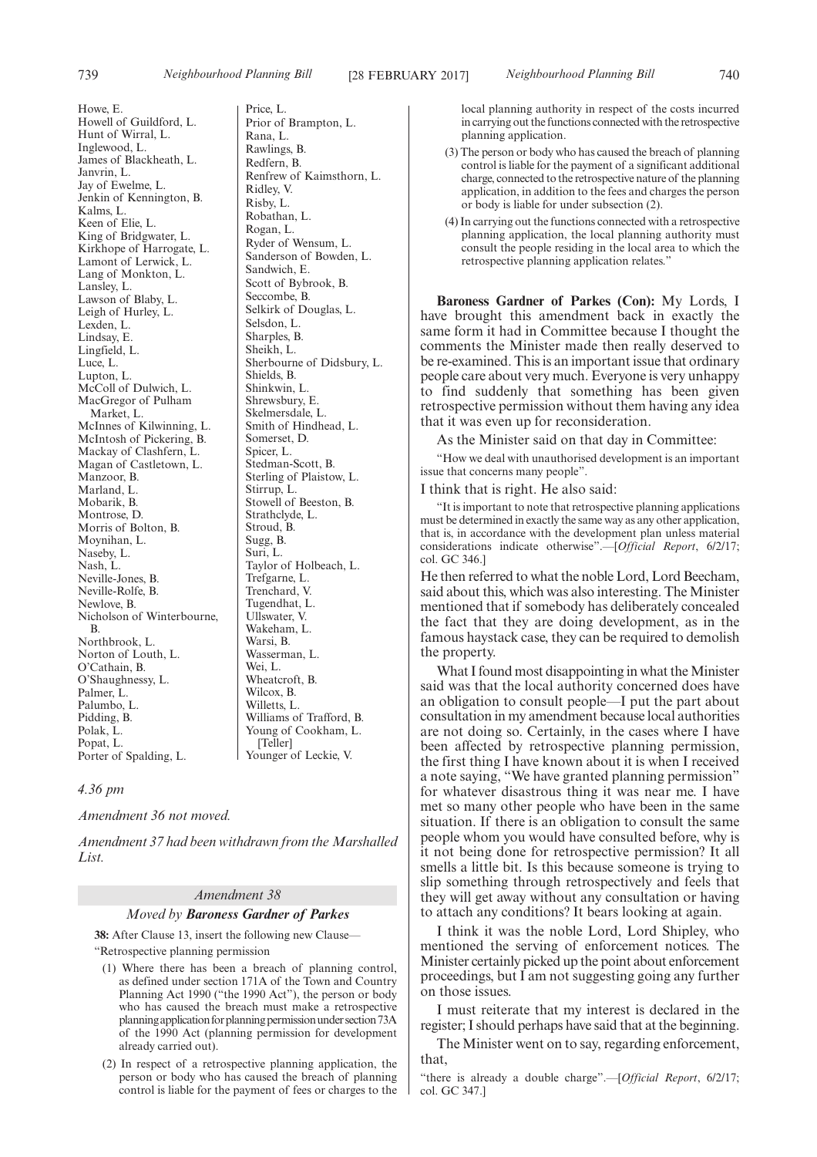Howe, E. Howell of Guildford, L. Hunt of Wirral, L. Inglewood, L. James of Blackheath, L. Janvrin, L. Jay of Ewelme, L. Jenkin of Kennington, B. Kalms, L. Keen of Elie, L. King of Bridgwater, L. Kirkhope of Harrogate, L. Lamont of Lerwick, L. Lang of Monkton, L. Lansley, L. Lawson of Blaby, L. Leigh of Hurley, L. Lexden, L. Lindsay, E. Lingfield, L. Luce, L. Lupton, L. McColl of Dulwich, L. MacGregor of Pulham Market, L. McInnes of Kilwinning, L. McIntosh of Pickering, B. Mackay of Clashfern, L. Magan of Castletown, L. Manzoor, B. Marland, L. Mobarik, B. Montrose, D. Morris of Bolton, B. Moynihan, L. Naseby, L. Nash, L. Neville-Jones, B. Neville-Rolfe, B. Newlove, B. Nicholson of Winterbourne, B. Northbrook, L. Norton of Louth, L. O'Cathain, B. O'Shaughnessy, L. Palmer, L. Palumbo, L. Pidding, B. Polak, L. Popat, L. Porter of Spalding, L.

Price, L. Prior of Brampton, L. Rana, L. Rawlings, B. Redfern, B. Renfrew of Kaimsthorn, L. Ridley, V. Risby, L. Robathan, L. Rogan, L. Ryder of Wensum, L. Sanderson of Bowden, L. Sandwich, E. Scott of Bybrook, B. Seccombe, B. Selkirk of Douglas, L. Selsdon, L. Sharples, B. Sheikh, L. Sherbourne of Didsbury, L. Shields, B. Shinkwin, L. Shrewsbury, E. Skelmersdale, L. Smith of Hindhead, L. Somerset, D. Spicer, L. Stedman-Scott, B. Sterling of Plaistow, L. Stirrup, L. Stowell of Beeston, B. Strathclyde, L. Stroud, B. Sugg, B. Suri, L. Taylor of Holbeach, L. Trefgarne, L. Trenchard, V. Tugendhat, L. Ullswater, V. Wakeham, L. Warsi, B. Wasserman, L. Wei, L. Wheatcroft, B. Wilcox, B. Willetts, L. Williams of Trafford, B. Young of Cookham, L. [Teller] Younger of Leckie, V.

## *4.36 pm*

*Amendment 36 not moved.*

*Amendment 37 had been withdrawn from the Marshalled List.*

## *Amendment 38*

*Moved by Baroness Gardner of Parkes*

**38:** After Clause 13, insert the following new Clause— "Retrospective planning permission

- (1) Where there has been a breach of planning control, as defined under section 171A of the Town and Country Planning Act 1990 ("the 1990 Act"), the person or body who has caused the breach must make a retrospective planning application for planning permission under section 73A of the 1990 Act (planning permission for development already carried out).
- (2) In respect of a retrospective planning application, the person or body who has caused the breach of planning control is liable for the payment of fees or charges to the

local planning authority in respect of the costs incurred in carrying out the functions connected with the retrospective planning application.

- (3) The person or body who has caused the breach of planning control is liable for the payment of a significant additional charge, connected to the retrospective nature of the planning application, in addition to the fees and charges the person or body is liable for under subsection (2).
- (4) In carrying out the functions connected with a retrospective planning application, the local planning authority must consult the people residing in the local area to which the retrospective planning application relates."

**Baroness Gardner of Parkes (Con):** My Lords, I have brought this amendment back in exactly the same form it had in Committee because I thought the comments the Minister made then really deserved to be re-examined. This is an important issue that ordinary people care about very much. Everyone is very unhappy to find suddenly that something has been given retrospective permission without them having any idea that it was even up for reconsideration.

As the Minister said on that day in Committee:

"How we deal with unauthorised development is an important issue that concerns many people".

I think that is right. He also said:

"It is important to note that retrospective planning applications must be determined in exactly the same way as any other application, that is, in accordance with the development plan unless material considerations indicate otherwise".—[*Official Report*, 6/2/17; col. GC 346.]

He then referred to what the noble Lord, Lord Beecham, said about this, which was also interesting. The Minister mentioned that if somebody has deliberately concealed the fact that they are doing development, as in the famous haystack case, they can be required to demolish the property.

What I found most disappointing in what the Minister said was that the local authority concerned does have an obligation to consult people—I put the part about consultation in my amendment because local authorities are not doing so. Certainly, in the cases where I have been affected by retrospective planning permission, the first thing I have known about it is when I received a note saying, "We have granted planning permission" for whatever disastrous thing it was near me. I have met so many other people who have been in the same situation. If there is an obligation to consult the same people whom you would have consulted before, why is it not being done for retrospective permission? It all smells a little bit. Is this because someone is trying to slip something through retrospectively and feels that they will get away without any consultation or having to attach any conditions? It bears looking at again.

I think it was the noble Lord, Lord Shipley, who mentioned the serving of enforcement notices. The Minister certainly picked up the point about enforcement proceedings, but I am not suggesting going any further on those issues.

I must reiterate that my interest is declared in the register; I should perhaps have said that at the beginning.

The Minister went on to say, regarding enforcement, that,

"there is already a double charge".—[*Official Report*, 6/2/17; col. GC 347.]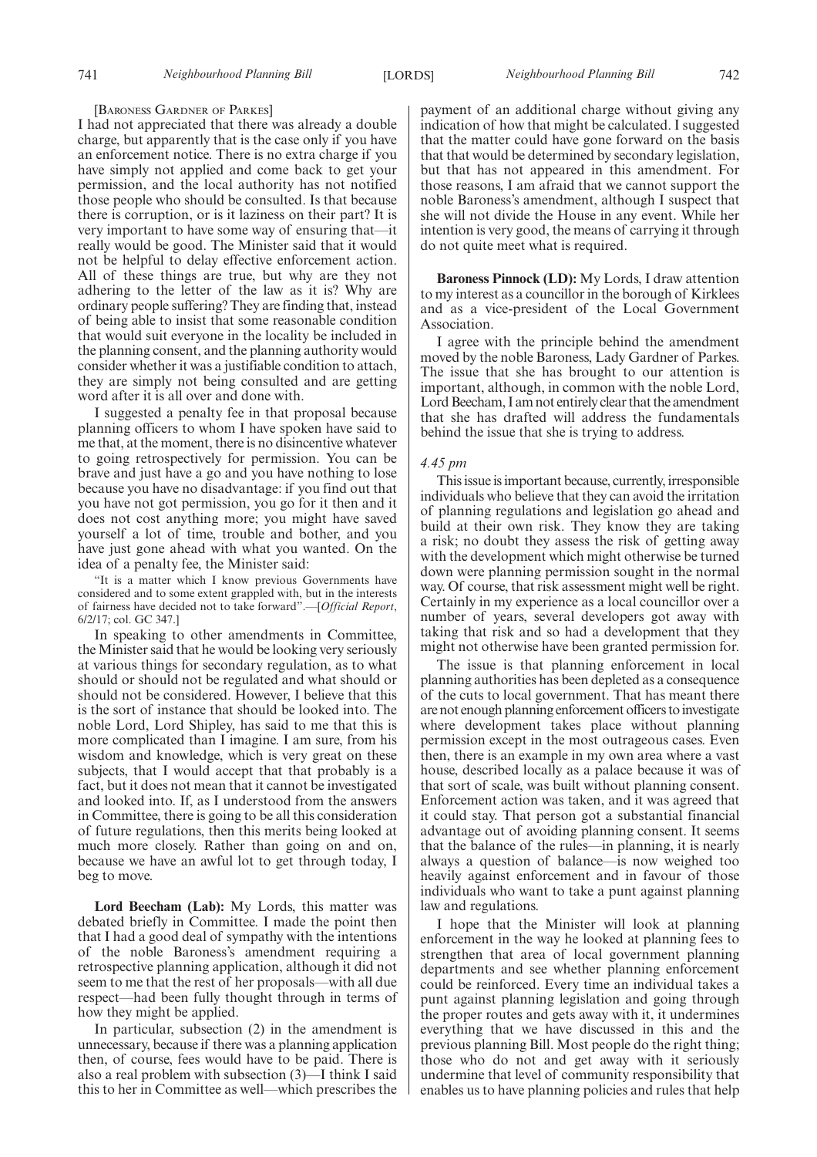#### [BARONESS GARDNER OF PARKES]

I had not appreciated that there was already a double charge, but apparently that is the case only if you have an enforcement notice. There is no extra charge if you have simply not applied and come back to get your permission, and the local authority has not notified those people who should be consulted. Is that because there is corruption, or is it laziness on their part? It is very important to have some way of ensuring that—it really would be good. The Minister said that it would not be helpful to delay effective enforcement action. All of these things are true, but why are they not adhering to the letter of the law as it is? Why are ordinary people suffering? They are finding that, instead of being able to insist that some reasonable condition that would suit everyone in the locality be included in the planning consent, and the planning authority would consider whether it was a justifiable condition to attach, they are simply not being consulted and are getting word after it is all over and done with.

I suggested a penalty fee in that proposal because planning officers to whom I have spoken have said to me that, at the moment, there is no disincentive whatever to going retrospectively for permission. You can be brave and just have a go and you have nothing to lose because you have no disadvantage: if you find out that you have not got permission, you go for it then and it does not cost anything more; you might have saved yourself a lot of time, trouble and bother, and you have just gone ahead with what you wanted. On the idea of a penalty fee, the Minister said:

"It is a matter which I know previous Governments have considered and to some extent grappled with, but in the interests of fairness have decided not to take forward".—[*Official Report*, 6/2/17; col. GC 347.]

In speaking to other amendments in Committee, the Minister said that he would be looking very seriously at various things for secondary regulation, as to what should or should not be regulated and what should or should not be considered. However, I believe that this is the sort of instance that should be looked into. The noble Lord, Lord Shipley, has said to me that this is more complicated than I imagine. I am sure, from his wisdom and knowledge, which is very great on these subjects, that I would accept that that probably is a fact, but it does not mean that it cannot be investigated and looked into. If, as I understood from the answers in Committee, there is going to be all this consideration of future regulations, then this merits being looked at much more closely. Rather than going on and on, because we have an awful lot to get through today, I beg to move.

**Lord Beecham (Lab):** My Lords, this matter was debated briefly in Committee. I made the point then that I had a good deal of sympathy with the intentions of the noble Baroness's amendment requiring a retrospective planning application, although it did not seem to me that the rest of her proposals—with all due respect—had been fully thought through in terms of how they might be applied.

In particular, subsection (2) in the amendment is unnecessary, because if there was a planning application then, of course, fees would have to be paid. There is also a real problem with subsection (3)—I think I said this to her in Committee as well—which prescribes the payment of an additional charge without giving any indication of how that might be calculated. I suggested that the matter could have gone forward on the basis that that would be determined by secondary legislation, but that has not appeared in this amendment. For those reasons, I am afraid that we cannot support the noble Baroness's amendment, although I suspect that she will not divide the House in any event. While her intention is very good, the means of carrying it through do not quite meet what is required.

**Baroness Pinnock (LD):** My Lords, I draw attention to my interest as a councillor in the borough of Kirklees and as a vice-president of the Local Government Association.

I agree with the principle behind the amendment moved by the noble Baroness, Lady Gardner of Parkes. The issue that she has brought to our attention is important, although, in common with the noble Lord, Lord Beecham, I am not entirely clear that the amendment that she has drafted will address the fundamentals behind the issue that she is trying to address.

## *4.45 pm*

This issue is important because, currently, irresponsible individuals who believe that they can avoid the irritation of planning regulations and legislation go ahead and build at their own risk. They know they are taking a risk; no doubt they assess the risk of getting away with the development which might otherwise be turned down were planning permission sought in the normal way. Of course, that risk assessment might well be right. Certainly in my experience as a local councillor over a number of years, several developers got away with taking that risk and so had a development that they might not otherwise have been granted permission for.

The issue is that planning enforcement in local planning authorities has been depleted as a consequence of the cuts to local government. That has meant there are not enough planning enforcement officers to investigate where development takes place without planning permission except in the most outrageous cases. Even then, there is an example in my own area where a vast house, described locally as a palace because it was of that sort of scale, was built without planning consent. Enforcement action was taken, and it was agreed that it could stay. That person got a substantial financial advantage out of avoiding planning consent. It seems that the balance of the rules—in planning, it is nearly always a question of balance—is now weighed too heavily against enforcement and in favour of those individuals who want to take a punt against planning law and regulations.

I hope that the Minister will look at planning enforcement in the way he looked at planning fees to strengthen that area of local government planning departments and see whether planning enforcement could be reinforced. Every time an individual takes a punt against planning legislation and going through the proper routes and gets away with it, it undermines everything that we have discussed in this and the previous planning Bill. Most people do the right thing; those who do not and get away with it seriously undermine that level of community responsibility that enables us to have planning policies and rules that help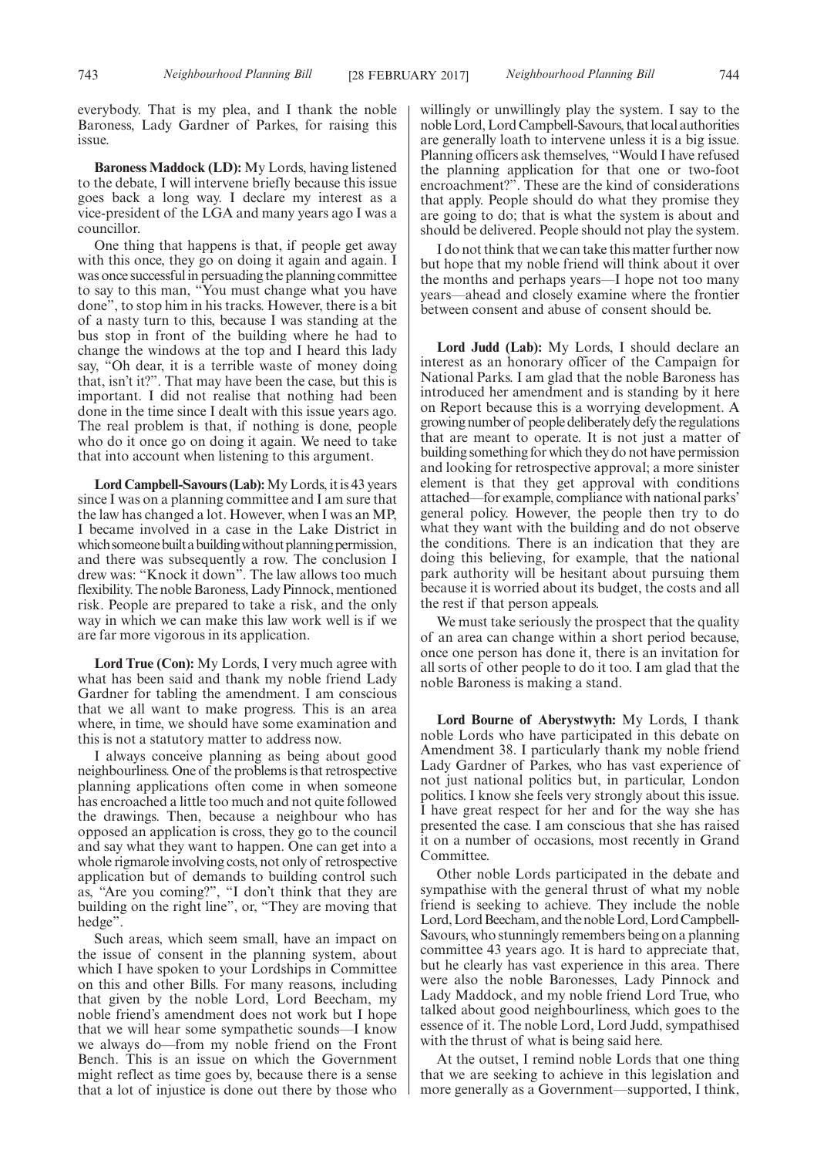everybody. That is my plea, and I thank the noble Baroness, Lady Gardner of Parkes, for raising this issue.

**Baroness Maddock (LD):** My Lords, having listened to the debate, I will intervene briefly because this issue goes back a long way. I declare my interest as a vice-president of the LGA and many years ago I was a councillor.

One thing that happens is that, if people get away with this once, they go on doing it again and again. I was once successful in persuading the planning committee to say to this man, "You must change what you have done", to stop him in his tracks. However, there is a bit of a nasty turn to this, because I was standing at the bus stop in front of the building where he had to change the windows at the top and I heard this lady say, "Oh dear, it is a terrible waste of money doing that, isn't it?". That may have been the case, but this is important. I did not realise that nothing had been done in the time since I dealt with this issue years ago. The real problem is that, if nothing is done, people who do it once go on doing it again. We need to take that into account when listening to this argument.

**Lord Campbell-Savours (Lab):**My Lords, it is 43 years since I was on a planning committee and I am sure that the law has changed a lot. However, when I was an MP, I became involved in a case in the Lake District in which someone built a building without planning permission, and there was subsequently a row. The conclusion I drew was: "Knock it down". The law allows too much flexibility. The noble Baroness, Lady Pinnock, mentioned risk. People are prepared to take a risk, and the only way in which we can make this law work well is if we are far more vigorous in its application.

**Lord True (Con):** My Lords, I very much agree with what has been said and thank my noble friend Lady Gardner for tabling the amendment. I am conscious that we all want to make progress. This is an area where, in time, we should have some examination and this is not a statutory matter to address now.

I always conceive planning as being about good neighbourliness. One of the problems is that retrospective planning applications often come in when someone has encroached a little too much and not quite followed the drawings. Then, because a neighbour who has opposed an application is cross, they go to the council and say what they want to happen. One can get into a whole rigmarole involving costs, not only of retrospective application but of demands to building control such as, "Are you coming?", "I don't think that they are building on the right line", or, "They are moving that hedge".

Such areas, which seem small, have an impact on the issue of consent in the planning system, about which I have spoken to your Lordships in Committee on this and other Bills. For many reasons, including that given by the noble Lord, Lord Beecham, my noble friend's amendment does not work but I hope that we will hear some sympathetic sounds—I know we always do—from my noble friend on the Front Bench. This is an issue on which the Government might reflect as time goes by, because there is a sense that a lot of injustice is done out there by those who willingly or unwillingly play the system. I say to the noble Lord, Lord Campbell-Savours, that local authorities are generally loath to intervene unless it is a big issue. Planning officers ask themselves, "Would I have refused the planning application for that one or two-foot encroachment?". These are the kind of considerations that apply. People should do what they promise they are going to do; that is what the system is about and should be delivered. People should not play the system.

I do not think that we can take this matter further now but hope that my noble friend will think about it over the months and perhaps years—I hope not too many years—ahead and closely examine where the frontier between consent and abuse of consent should be.

**Lord Judd (Lab):** My Lords, I should declare an interest as an honorary officer of the Campaign for National Parks. I am glad that the noble Baroness has introduced her amendment and is standing by it here on Report because this is a worrying development. A growing number of people deliberately defy the regulations that are meant to operate. It is not just a matter of building something for which they do not have permission and looking for retrospective approval; a more sinister element is that they get approval with conditions attached—for example, compliance with national parks' general policy. However, the people then try to do what they want with the building and do not observe the conditions. There is an indication that they are doing this believing, for example, that the national park authority will be hesitant about pursuing them because it is worried about its budget, the costs and all the rest if that person appeals.

We must take seriously the prospect that the quality of an area can change within a short period because, once one person has done it, there is an invitation for all sorts of other people to do it too. I am glad that the noble Baroness is making a stand.

**Lord Bourne of Aberystwyth:** My Lords, I thank noble Lords who have participated in this debate on Amendment 38. I particularly thank my noble friend Lady Gardner of Parkes, who has vast experience of not just national politics but, in particular, London politics. I know she feels very strongly about this issue. I have great respect for her and for the way she has presented the case. I am conscious that she has raised it on a number of occasions, most recently in Grand Committee.

Other noble Lords participated in the debate and sympathise with the general thrust of what my noble friend is seeking to achieve. They include the noble Lord, Lord Beecham, and the noble Lord, Lord Campbell-Savours, who stunningly remembers being on a planning committee 43 years ago. It is hard to appreciate that, but he clearly has vast experience in this area. There were also the noble Baronesses, Lady Pinnock and Lady Maddock, and my noble friend Lord True, who talked about good neighbourliness, which goes to the essence of it. The noble Lord, Lord Judd, sympathised with the thrust of what is being said here.

At the outset, I remind noble Lords that one thing that we are seeking to achieve in this legislation and more generally as a Government—supported, I think,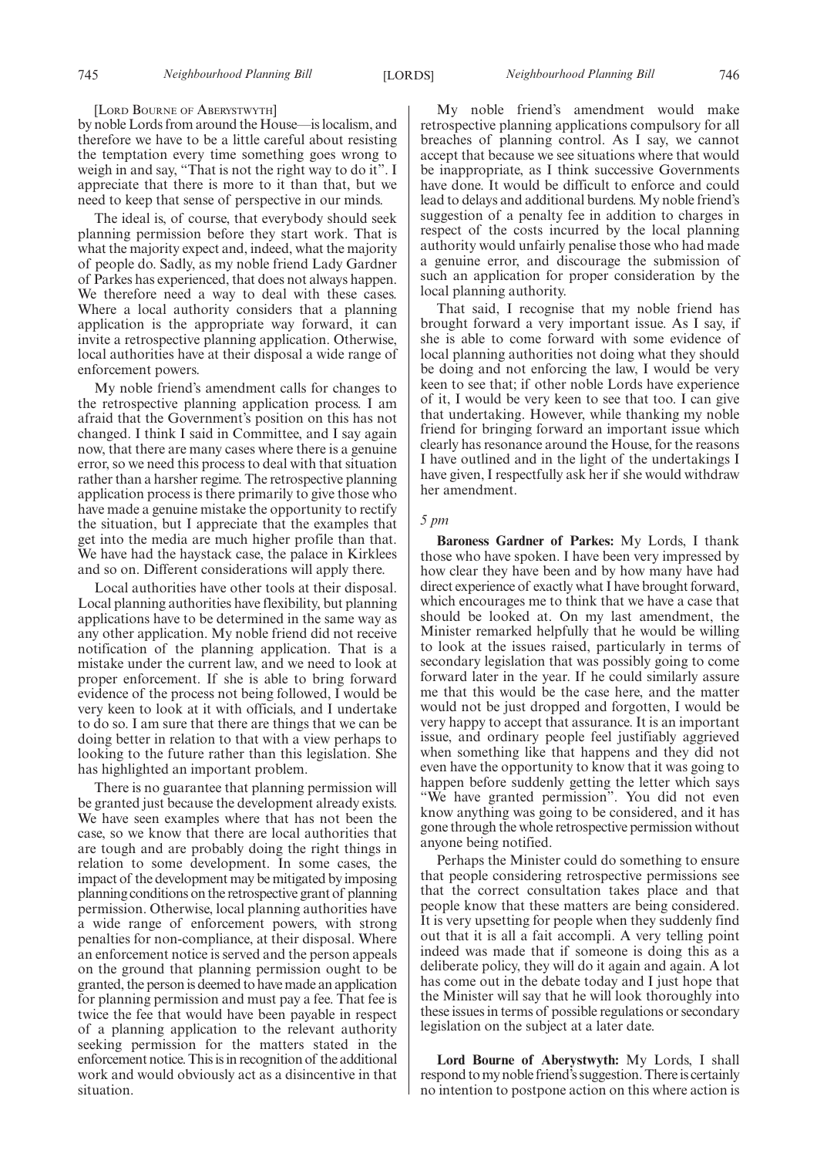## [LORD BOURNE OF ABERYSTWYTH]

by noble Lords from around the House—is localism, and therefore we have to be a little careful about resisting the temptation every time something goes wrong to weigh in and say, "That is not the right way to do it". I appreciate that there is more to it than that, but we need to keep that sense of perspective in our minds.

The ideal is, of course, that everybody should seek planning permission before they start work. That is what the majority expect and, indeed, what the majority of people do. Sadly, as my noble friend Lady Gardner of Parkes has experienced, that does not always happen. We therefore need a way to deal with these cases. Where a local authority considers that a planning application is the appropriate way forward, it can invite a retrospective planning application. Otherwise, local authorities have at their disposal a wide range of enforcement powers.

My noble friend's amendment calls for changes to the retrospective planning application process. I am afraid that the Government's position on this has not changed. I think I said in Committee, and I say again now, that there are many cases where there is a genuine error, so we need this process to deal with that situation rather than a harsher regime. The retrospective planning application process is there primarily to give those who have made a genuine mistake the opportunity to rectify the situation, but I appreciate that the examples that get into the media are much higher profile than that. We have had the haystack case, the palace in Kirklees and so on. Different considerations will apply there.

Local authorities have other tools at their disposal. Local planning authorities have flexibility, but planning applications have to be determined in the same way as any other application. My noble friend did not receive notification of the planning application. That is a mistake under the current law, and we need to look at proper enforcement. If she is able to bring forward evidence of the process not being followed, I would be very keen to look at it with officials, and I undertake to do so. I am sure that there are things that we can be doing better in relation to that with a view perhaps to looking to the future rather than this legislation. She has highlighted an important problem.

There is no guarantee that planning permission will be granted just because the development already exists. We have seen examples where that has not been the case, so we know that there are local authorities that are tough and are probably doing the right things in relation to some development. In some cases, the impact of the development may be mitigated by imposing planning conditions on the retrospective grant of planning permission. Otherwise, local planning authorities have a wide range of enforcement powers, with strong penalties for non-compliance, at their disposal. Where an enforcement notice is served and the person appeals on the ground that planning permission ought to be granted, the person is deemed to have made an application for planning permission and must pay a fee. That fee is twice the fee that would have been payable in respect of a planning application to the relevant authority seeking permission for the matters stated in the enforcement notice. This is in recognition of the additional work and would obviously act as a disincentive in that situation.

My noble friend's amendment would make retrospective planning applications compulsory for all breaches of planning control. As I say, we cannot accept that because we see situations where that would be inappropriate, as I think successive Governments have done. It would be difficult to enforce and could lead to delays and additional burdens. My noble friend's suggestion of a penalty fee in addition to charges in respect of the costs incurred by the local planning authority would unfairly penalise those who had made a genuine error, and discourage the submission of such an application for proper consideration by the local planning authority.

That said, I recognise that my noble friend has brought forward a very important issue. As I say, if she is able to come forward with some evidence of local planning authorities not doing what they should be doing and not enforcing the law, I would be very keen to see that; if other noble Lords have experience of it, I would be very keen to see that too. I can give that undertaking. However, while thanking my noble friend for bringing forward an important issue which clearly has resonance around the House, for the reasons I have outlined and in the light of the undertakings I have given, I respectfully ask her if she would withdraw her amendment.

## *5 pm*

**Baroness Gardner of Parkes:** My Lords, I thank those who have spoken. I have been very impressed by how clear they have been and by how many have had direct experience of exactly what I have brought forward, which encourages me to think that we have a case that should be looked at. On my last amendment, the Minister remarked helpfully that he would be willing to look at the issues raised, particularly in terms of secondary legislation that was possibly going to come forward later in the year. If he could similarly assure me that this would be the case here, and the matter would not be just dropped and forgotten, I would be very happy to accept that assurance. It is an important issue, and ordinary people feel justifiably aggrieved when something like that happens and they did not even have the opportunity to know that it was going to happen before suddenly getting the letter which says "We have granted permission". You did not even know anything was going to be considered, and it has gone through the whole retrospective permission without anyone being notified.

Perhaps the Minister could do something to ensure that people considering retrospective permissions see that the correct consultation takes place and that people know that these matters are being considered. It is very upsetting for people when they suddenly find out that it is all a fait accompli. A very telling point indeed was made that if someone is doing this as a deliberate policy, they will do it again and again. A lot has come out in the debate today and I just hope that the Minister will say that he will look thoroughly into these issues in terms of possible regulations or secondary legislation on the subject at a later date.

**Lord Bourne of Aberystwyth:** My Lords, I shall respond to my noble friend's suggestion. There is certainly no intention to postpone action on this where action is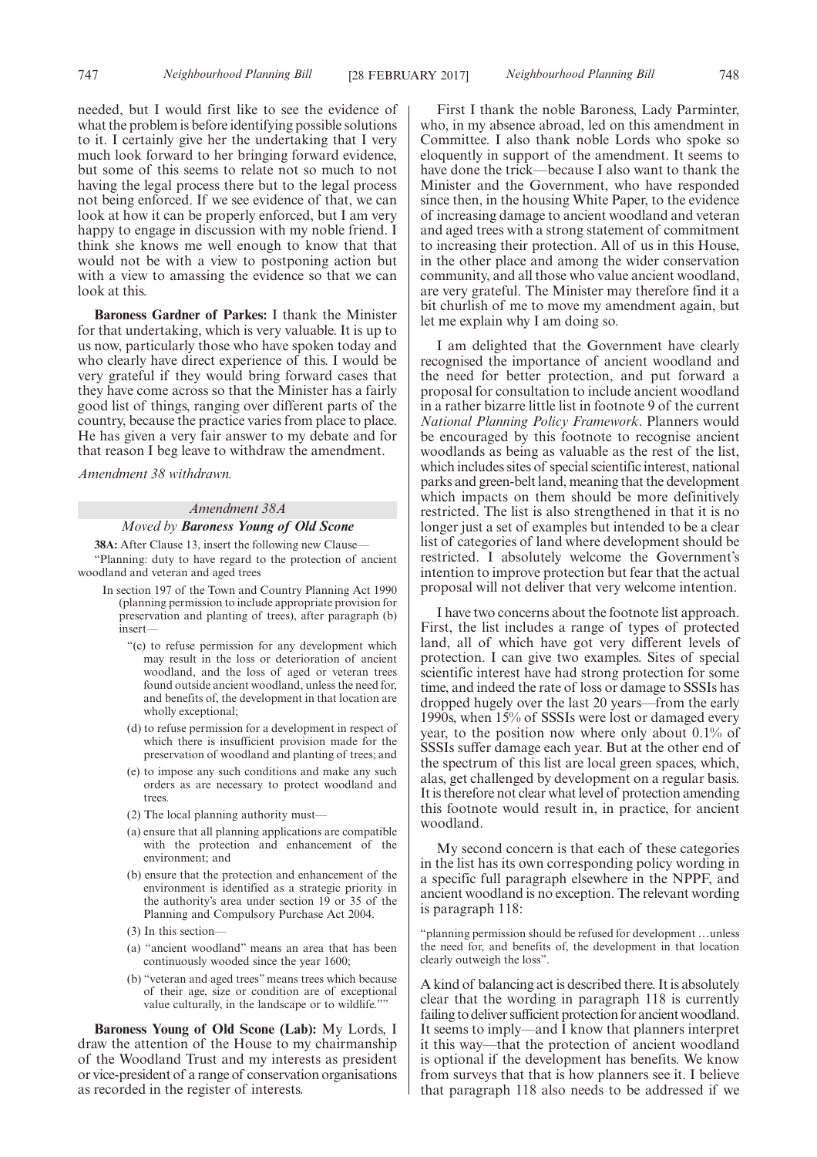needed, but I would first like to see the evidence of what the problem is before identifying possible solutions to it. I certainly give her the undertaking that I very much look forward to her bringing forward evidence, but some of this seems to relate not so much to not having the legal process there but to the legal process not being enforced. If we see evidence of that, we can look at how it can be properly enforced, but I am very happy to engage in discussion with my noble friend. I think she knows me well enough to know that that would not be with a view to postponing action but with a view to amassing the evidence so that we can look at this.

**Baroness Gardner of Parkes:** I thank the Minister for that undertaking, which is very valuable. It is up to us now, particularly those who have spoken today and who clearly have direct experience of this. I would be very grateful if they would bring forward cases that they have come across so that the Minister has a fairly good list of things, ranging over different parts of the country, because the practice varies from place to place. He has given a very fair answer to my debate and for that reason I beg leave to withdraw the amendment.

*Amendment 38 withdrawn.*

#### *Amendment 38A*

## *Moved by Baroness Young of Old Scone*

**38A:** After Clause 13, insert the following new Clause—

"Planning: duty to have regard to the protection of ancient woodland and veteran and aged trees

- In section 197 of the Town and Country Planning Act 1990 (planning permission to include appropriate provision for preservation and planting of trees), after paragraph (b) insert—
	- "(c) to refuse permission for any development which may result in the loss or deterioration of ancient woodland, and the loss of aged or veteran trees found outside ancient woodland, unless the need for, and benefits of, the development in that location are wholly exceptional;
	- (d) to refuse permission for a development in respect of which there is insufficient provision made for the preservation of woodland and planting of trees; and
	- (e) to impose any such conditions and make any such orders as are necessary to protect woodland and trees.
	- (2) The local planning authority must—
	- (a) ensure that all planning applications are compatible with the protection and enhancement of the environment; and
	- (b) ensure that the protection and enhancement of the environment is identified as a strategic priority in the authority's area under section 19 or 35 of the Planning and Compulsory Purchase Act 2004.
	- (3) In this section—
	- (a) "ancient woodland" means an area that has been continuously wooded since the year 1600;
	- (b) "veteran and aged trees" means trees which because of their age, size or condition are of exceptional value culturally, in the landscape or to wildlife.""

**Baroness Young of Old Scone (Lab):** My Lords, I draw the attention of the House to my chairmanship of the Woodland Trust and my interests as president or vice-president of a range of conservation organisations as recorded in the register of interests.

First I thank the noble Baroness, Lady Parminter, who, in my absence abroad, led on this amendment in Committee. I also thank noble Lords who spoke so eloquently in support of the amendment. It seems to have done the trick—because I also want to thank the Minister and the Government, who have responded since then, in the housing White Paper, to the evidence of increasing damage to ancient woodland and veteran and aged trees with a strong statement of commitment to increasing their protection. All of us in this House, in the other place and among the wider conservation community, and all those who value ancient woodland, are very grateful. The Minister may therefore find it a bit churlish of me to move my amendment again, but let me explain why I am doing so.

I am delighted that the Government have clearly recognised the importance of ancient woodland and the need for better protection, and put forward a proposal for consultation to include ancient woodland in a rather bizarre little list in footnote 9 of the current *National Planning Policy Framework*. Planners would be encouraged by this footnote to recognise ancient woodlands as being as valuable as the rest of the list, which includes sites of special scientific interest, national parks and green-belt land, meaning that the development which impacts on them should be more definitively restricted. The list is also strengthened in that it is no longer just a set of examples but intended to be a clear list of categories of land where development should be restricted. I absolutely welcome the Government's intention to improve protection but fear that the actual proposal will not deliver that very welcome intention.

I have two concerns about the footnote list approach. First, the list includes a range of types of protected land, all of which have got very different levels of protection. I can give two examples. Sites of special scientific interest have had strong protection for some time, and indeed the rate of loss or damage to SSSIs has dropped hugely over the last 20 years—from the early 1990s, when 15% of SSSIs were lost or damaged every year, to the position now where only about 0.1% of SSSIs suffer damage each year. But at the other end of the spectrum of this list are local green spaces, which, alas, get challenged by development on a regular basis. It is therefore not clear what level of protection amending this footnote would result in, in practice, for ancient woodland.

My second concern is that each of these categories in the list has its own corresponding policy wording in a specific full paragraph elsewhere in the NPPF, and ancient woodland is no exception. The relevant wording is paragraph 118:

"planning permission should be refused for development …unless the need for, and benefits of, the development in that location clearly outweigh the loss".

A kind of balancing act is described there. It is absolutely clear that the wording in paragraph 118 is currently failing to deliver sufficient protection for ancient woodland. It seems to imply—and I know that planners interpret it this way—that the protection of ancient woodland is optional if the development has benefits. We know from surveys that that is how planners see it. I believe that paragraph 118 also needs to be addressed if we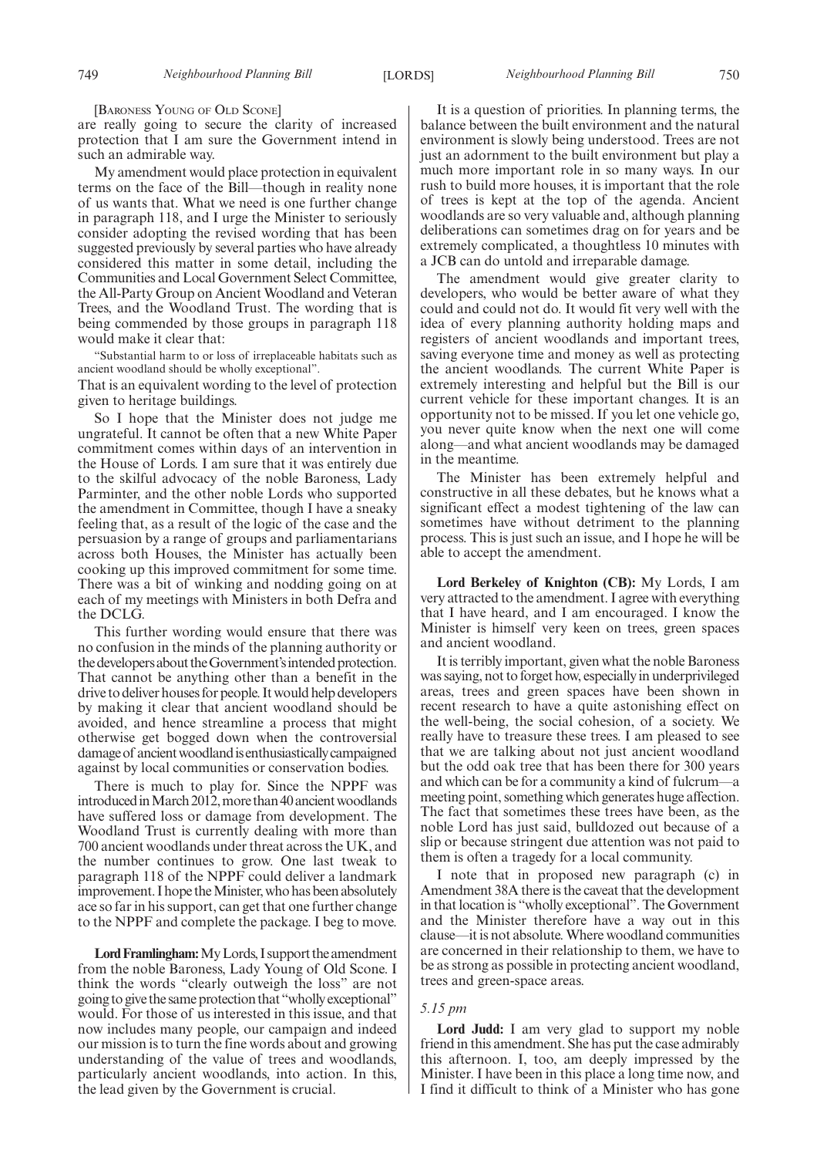[BARONESS YOUNG OF OLD SCONE]

are really going to secure the clarity of increased protection that I am sure the Government intend in such an admirable way.

My amendment would place protection in equivalent terms on the face of the Bill—though in reality none of us wants that. What we need is one further change in paragraph 118, and I urge the Minister to seriously consider adopting the revised wording that has been suggested previously by several parties who have already considered this matter in some detail, including the Communities and Local Government Select Committee, the All-Party Group on Ancient Woodland and Veteran Trees, and the Woodland Trust. The wording that is being commended by those groups in paragraph 118 would make it clear that:

"Substantial harm to or loss of irreplaceable habitats such as ancient woodland should be wholly exceptional".

That is an equivalent wording to the level of protection given to heritage buildings.

So I hope that the Minister does not judge me ungrateful. It cannot be often that a new White Paper commitment comes within days of an intervention in the House of Lords. I am sure that it was entirely due to the skilful advocacy of the noble Baroness, Lady Parminter, and the other noble Lords who supported the amendment in Committee, though I have a sneaky feeling that, as a result of the logic of the case and the persuasion by a range of groups and parliamentarians across both Houses, the Minister has actually been cooking up this improved commitment for some time. There was a bit of winking and nodding going on at each of my meetings with Ministers in both Defra and the DCLG.

This further wording would ensure that there was no confusion in the minds of the planning authority or the developers about the Government's intended protection. That cannot be anything other than a benefit in the drive to deliver houses for people. It would help developers by making it clear that ancient woodland should be avoided, and hence streamline a process that might otherwise get bogged down when the controversial damage of ancient woodland is enthusiastically campaigned against by local communities or conservation bodies.

There is much to play for. Since the NPPF was introduced in March 2012, more than 40 ancient woodlands have suffered loss or damage from development. The Woodland Trust is currently dealing with more than 700 ancient woodlands under threat across the UK, and the number continues to grow. One last tweak to paragraph 118 of the NPPF could deliver a landmark improvement. I hope the Minister, who has been absolutely ace so far in his support, can get that one further change to the NPPF and complete the package. I beg to move.

Lord Framlingham: My Lords, I support the amendment from the noble Baroness, Lady Young of Old Scone. I think the words "clearly outweigh the loss" are not going to give the same protection that "wholly exceptional" would. For those of us interested in this issue, and that now includes many people, our campaign and indeed our mission is to turn the fine words about and growing understanding of the value of trees and woodlands, particularly ancient woodlands, into action. In this, the lead given by the Government is crucial.

It is a question of priorities. In planning terms, the balance between the built environment and the natural environment is slowly being understood. Trees are not just an adornment to the built environment but play a much more important role in so many ways. In our rush to build more houses, it is important that the role of trees is kept at the top of the agenda. Ancient woodlands are so very valuable and, although planning deliberations can sometimes drag on for years and be extremely complicated, a thoughtless 10 minutes with a JCB can do untold and irreparable damage.

The amendment would give greater clarity to developers, who would be better aware of what they could and could not do. It would fit very well with the idea of every planning authority holding maps and registers of ancient woodlands and important trees, saving everyone time and money as well as protecting the ancient woodlands. The current White Paper is extremely interesting and helpful but the Bill is our current vehicle for these important changes. It is an opportunity not to be missed. If you let one vehicle go, you never quite know when the next one will come along—and what ancient woodlands may be damaged in the meantime.

The Minister has been extremely helpful and constructive in all these debates, but he knows what a significant effect a modest tightening of the law can sometimes have without detriment to the planning process. This is just such an issue, and I hope he will be able to accept the amendment.

**Lord Berkeley of Knighton (CB):** My Lords, I am very attracted to the amendment. I agree with everything that I have heard, and I am encouraged. I know the Minister is himself very keen on trees, green spaces and ancient woodland.

It is terribly important, given what the noble Baroness was saying, not to forget how, especially in underprivileged areas, trees and green spaces have been shown in recent research to have a quite astonishing effect on the well-being, the social cohesion, of a society. We really have to treasure these trees. I am pleased to see that we are talking about not just ancient woodland but the odd oak tree that has been there for 300 years and which can be for a community a kind of fulcrum—a meeting point, something which generates huge affection. The fact that sometimes these trees have been, as the noble Lord has just said, bulldozed out because of a slip or because stringent due attention was not paid to them is often a tragedy for a local community.

I note that in proposed new paragraph (c) in Amendment 38A there is the caveat that the development in that location is "wholly exceptional". The Government and the Minister therefore have a way out in this clause—it is not absolute. Where woodland communities are concerned in their relationship to them, we have to be as strong as possible in protecting ancient woodland, trees and green-space areas.

#### *5.15 pm*

**Lord Judd:** I am very glad to support my noble friend in this amendment. She has put the case admirably this afternoon. I, too, am deeply impressed by the Minister. I have been in this place a long time now, and I find it difficult to think of a Minister who has gone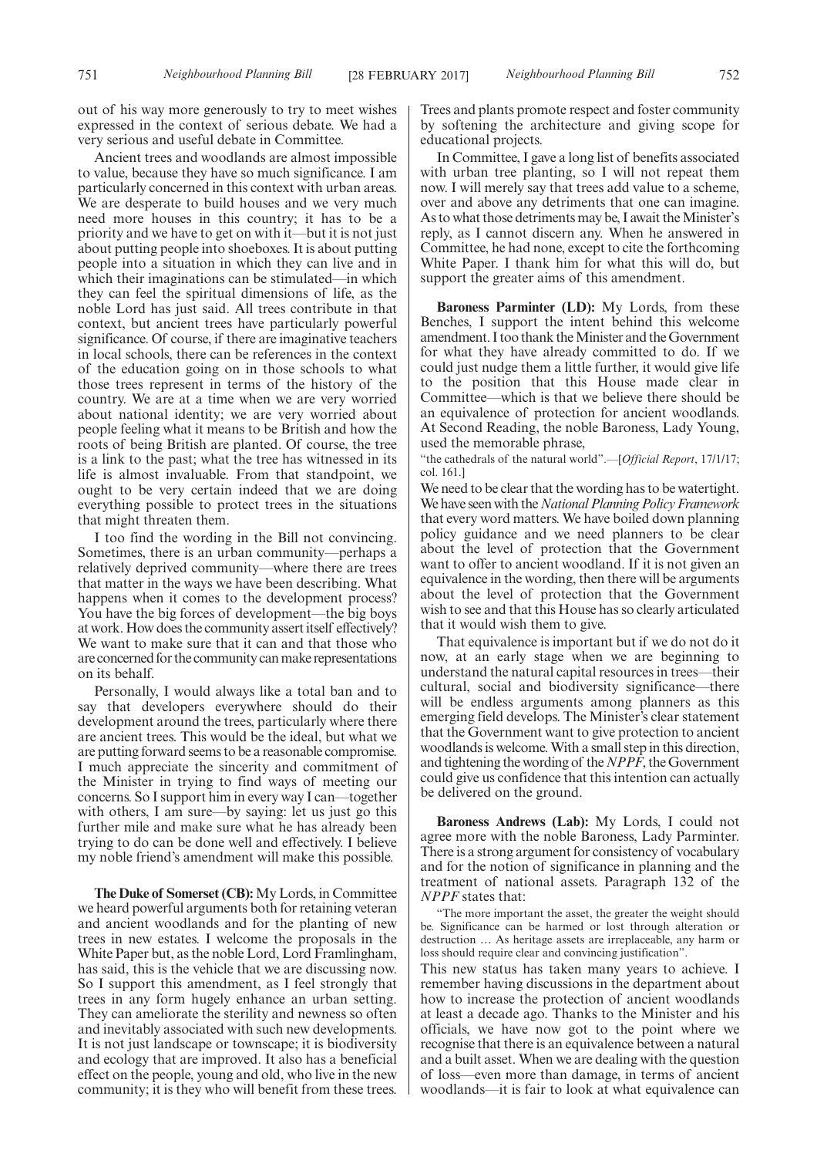out of his way more generously to try to meet wishes expressed in the context of serious debate. We had a very serious and useful debate in Committee.

Ancient trees and woodlands are almost impossible to value, because they have so much significance. I am particularly concerned in this context with urban areas. We are desperate to build houses and we very much need more houses in this country; it has to be a priority and we have to get on with it—but it is not just about putting people into shoeboxes. It is about putting people into a situation in which they can live and in which their imaginations can be stimulated—in which they can feel the spiritual dimensions of life, as the noble Lord has just said. All trees contribute in that context, but ancient trees have particularly powerful significance. Of course, if there are imaginative teachers in local schools, there can be references in the context of the education going on in those schools to what those trees represent in terms of the history of the country. We are at a time when we are very worried about national identity; we are very worried about people feeling what it means to be British and how the roots of being British are planted. Of course, the tree is a link to the past; what the tree has witnessed in its life is almost invaluable. From that standpoint, we ought to be very certain indeed that we are doing everything possible to protect trees in the situations that might threaten them.

I too find the wording in the Bill not convincing. Sometimes, there is an urban community—perhaps a relatively deprived community—where there are trees that matter in the ways we have been describing. What happens when it comes to the development process? You have the big forces of development—the big boys at work. How does the community assert itself effectively? We want to make sure that it can and that those who are concerned for the community can make representations on its behalf.

Personally, I would always like a total ban and to say that developers everywhere should do their development around the trees, particularly where there are ancient trees. This would be the ideal, but what we are putting forward seems to be a reasonable compromise. I much appreciate the sincerity and commitment of the Minister in trying to find ways of meeting our concerns. So I support him in every way I can—together with others, I am sure—by saying: let us just go this further mile and make sure what he has already been trying to do can be done well and effectively. I believe my noble friend's amendment will make this possible.

**The Duke of Somerset (CB):** My Lords, in Committee we heard powerful arguments both for retaining veteran and ancient woodlands and for the planting of new trees in new estates. I welcome the proposals in the White Paper but, as the noble Lord, Lord Framlingham, has said, this is the vehicle that we are discussing now. So I support this amendment, as I feel strongly that trees in any form hugely enhance an urban setting. They can ameliorate the sterility and newness so often and inevitably associated with such new developments. It is not just landscape or townscape; it is biodiversity and ecology that are improved. It also has a beneficial effect on the people, young and old, who live in the new community; it is they who will benefit from these trees.

Trees and plants promote respect and foster community by softening the architecture and giving scope for educational projects.

In Committee, I gave a long list of benefits associated with urban tree planting, so I will not repeat them now. I will merely say that trees add value to a scheme, over and above any detriments that one can imagine. As to what those detriments may be, I await the Minister's reply, as I cannot discern any. When he answered in Committee, he had none, except to cite the forthcoming White Paper. I thank him for what this will do, but support the greater aims of this amendment.

**Baroness Parminter (LD):** My Lords, from these Benches, I support the intent behind this welcome amendment. I too thank the Minister and the Government for what they have already committed to do. If we could just nudge them a little further, it would give life to the position that this House made clear in Committee—which is that we believe there should be an equivalence of protection for ancient woodlands. At Second Reading, the noble Baroness, Lady Young, used the memorable phrase,

"the cathedrals of the natural world".—[*Official Report*, 17/1/17; col. 161.]

We need to be clear that the wording has to be watertight. We have seen with the*National Planning Policy Framework* that every word matters. We have boiled down planning policy guidance and we need planners to be clear about the level of protection that the Government want to offer to ancient woodland. If it is not given an equivalence in the wording, then there will be arguments about the level of protection that the Government wish to see and that this House has so clearly articulated that it would wish them to give.

That equivalence is important but if we do not do it now, at an early stage when we are beginning to understand the natural capital resources in trees—their cultural, social and biodiversity significance—there will be endless arguments among planners as this emerging field develops. The Minister's clear statement that the Government want to give protection to ancient woodlands is welcome. With a small step in this direction, and tightening the wording of the*NPPF*, the Government could give us confidence that this intention can actually be delivered on the ground.

**Baroness Andrews (Lab):** My Lords, I could not agree more with the noble Baroness, Lady Parminter. There is a strong argument for consistency of vocabulary and for the notion of significance in planning and the treatment of national assets. Paragraph 132 of the *NPPF* states that:

"The more important the asset, the greater the weight should be. Significance can be harmed or lost through alteration or destruction … As heritage assets are irreplaceable, any harm or loss should require clear and convincing justification".

This new status has taken many years to achieve. I remember having discussions in the department about how to increase the protection of ancient woodlands at least a decade ago. Thanks to the Minister and his officials, we have now got to the point where we recognise that there is an equivalence between a natural and a built asset. When we are dealing with the question of loss—even more than damage, in terms of ancient woodlands—it is fair to look at what equivalence can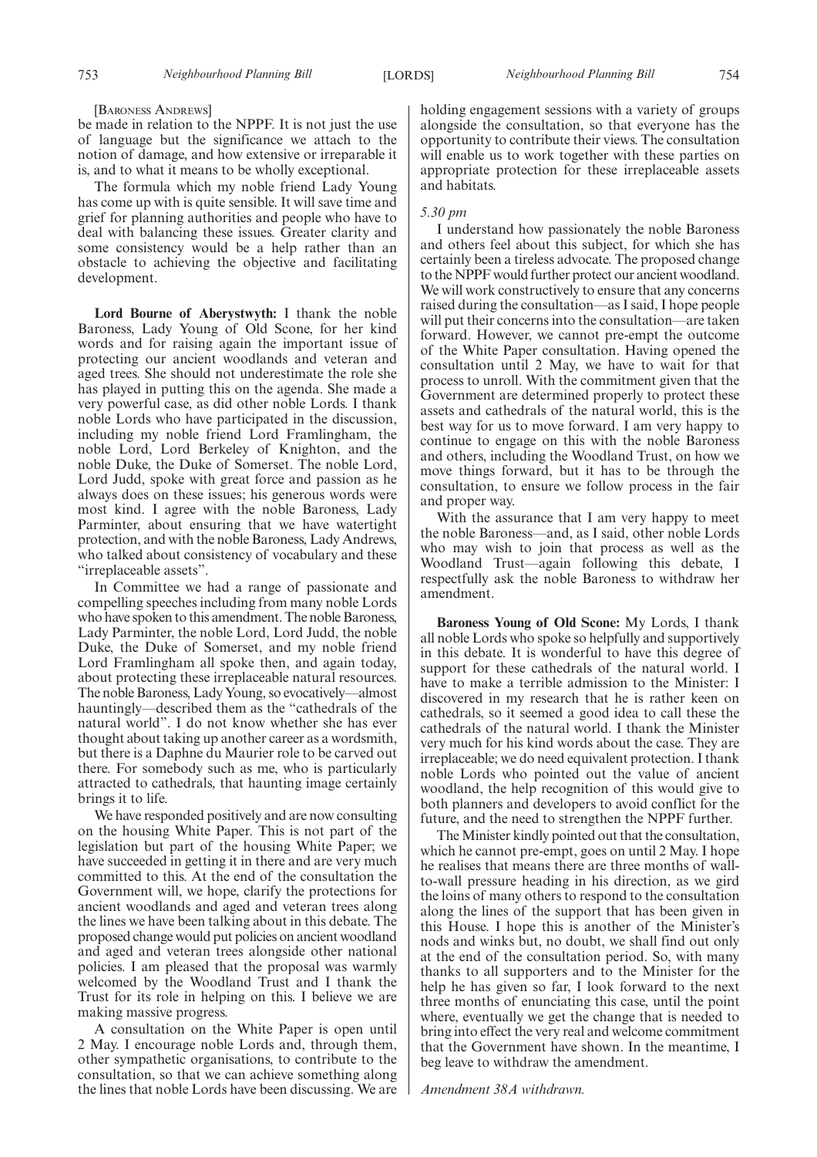#### [BARONESS ANDREWS]

be made in relation to the NPPF. It is not just the use of language but the significance we attach to the notion of damage, and how extensive or irreparable it is, and to what it means to be wholly exceptional.

The formula which my noble friend Lady Young has come up with is quite sensible. It will save time and grief for planning authorities and people who have to deal with balancing these issues. Greater clarity and some consistency would be a help rather than an obstacle to achieving the objective and facilitating development.

**Lord Bourne of Aberystwyth:** I thank the noble Baroness, Lady Young of Old Scone, for her kind words and for raising again the important issue of protecting our ancient woodlands and veteran and aged trees. She should not underestimate the role she has played in putting this on the agenda. She made a very powerful case, as did other noble Lords. I thank noble Lords who have participated in the discussion, including my noble friend Lord Framlingham, the noble Lord, Lord Berkeley of Knighton, and the noble Duke, the Duke of Somerset. The noble Lord, Lord Judd, spoke with great force and passion as he always does on these issues; his generous words were most kind. I agree with the noble Baroness, Lady Parminter, about ensuring that we have watertight protection, and with the noble Baroness, Lady Andrews, who talked about consistency of vocabulary and these "irreplaceable assets".

In Committee we had a range of passionate and compelling speeches including from many noble Lords who have spoken to this amendment. The noble Baroness, Lady Parminter, the noble Lord, Lord Judd, the noble Duke, the Duke of Somerset, and my noble friend Lord Framlingham all spoke then, and again today, about protecting these irreplaceable natural resources. The noble Baroness, Lady Young, so evocatively—almost hauntingly—described them as the "cathedrals of the natural world". I do not know whether she has ever thought about taking up another career as a wordsmith, but there is a Daphne du Maurier role to be carved out there. For somebody such as me, who is particularly attracted to cathedrals, that haunting image certainly brings it to life.

We have responded positively and are now consulting on the housing White Paper. This is not part of the legislation but part of the housing White Paper; we have succeeded in getting it in there and are very much committed to this. At the end of the consultation the Government will, we hope, clarify the protections for ancient woodlands and aged and veteran trees along the lines we have been talking about in this debate. The proposed change would put policies on ancient woodland and aged and veteran trees alongside other national policies. I am pleased that the proposal was warmly welcomed by the Woodland Trust and I thank the Trust for its role in helping on this. I believe we are making massive progress.

A consultation on the White Paper is open until 2 May. I encourage noble Lords and, through them, other sympathetic organisations, to contribute to the consultation, so that we can achieve something along the lines that noble Lords have been discussing. We are holding engagement sessions with a variety of groups alongside the consultation, so that everyone has the opportunity to contribute their views. The consultation will enable us to work together with these parties on appropriate protection for these irreplaceable assets and habitats.

## *5.30 pm*

I understand how passionately the noble Baroness and others feel about this subject, for which she has certainly been a tireless advocate. The proposed change to the NPPF would further protect our ancient woodland. We will work constructively to ensure that any concerns raised during the consultation—as I said, I hope people will put their concerns into the consultation—are taken forward. However, we cannot pre-empt the outcome of the White Paper consultation. Having opened the consultation until 2 May, we have to wait for that process to unroll. With the commitment given that the Government are determined properly to protect these assets and cathedrals of the natural world, this is the best way for us to move forward. I am very happy to continue to engage on this with the noble Baroness and others, including the Woodland Trust, on how we move things forward, but it has to be through the consultation, to ensure we follow process in the fair and proper way.

With the assurance that I am very happy to meet the noble Baroness—and, as I said, other noble Lords who may wish to join that process as well as the Woodland Trust—again following this debate, I respectfully ask the noble Baroness to withdraw her amendment.

**Baroness Young of Old Scone:** My Lords, I thank all noble Lords who spoke so helpfully and supportively in this debate. It is wonderful to have this degree of support for these cathedrals of the natural world. I have to make a terrible admission to the Minister: I discovered in my research that he is rather keen on cathedrals, so it seemed a good idea to call these the cathedrals of the natural world. I thank the Minister very much for his kind words about the case. They are irreplaceable; we do need equivalent protection. I thank noble Lords who pointed out the value of ancient woodland, the help recognition of this would give to both planners and developers to avoid conflict for the future, and the need to strengthen the NPPF further.

The Minister kindly pointed out that the consultation, which he cannot pre-empt, goes on until 2 May. I hope he realises that means there are three months of wallto-wall pressure heading in his direction, as we gird the loins of many others to respond to the consultation along the lines of the support that has been given in this House. I hope this is another of the Minister's nods and winks but, no doubt, we shall find out only at the end of the consultation period. So, with many thanks to all supporters and to the Minister for the help he has given so far, I look forward to the next three months of enunciating this case, until the point where, eventually we get the change that is needed to bring into effect the very real and welcome commitment that the Government have shown. In the meantime, I beg leave to withdraw the amendment.

*Amendment 38A withdrawn.*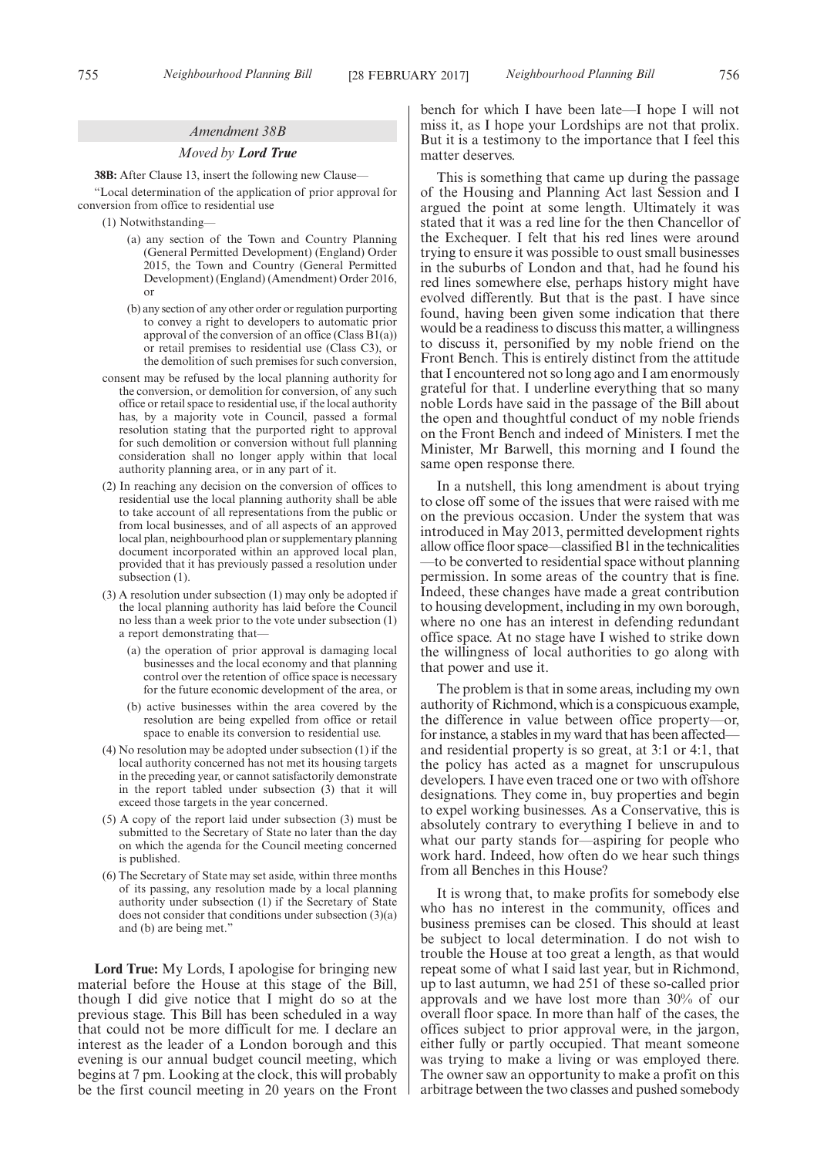#### *Amendment 38B*

#### *Moved by Lord True*

**38B:** After Clause 13, insert the following new Clause—

"Local determination of the application of prior approval for conversion from office to residential use

- (1) Notwithstanding—
	- (a) any section of the Town and Country Planning (General Permitted Development) (England) Order 2015, the Town and Country (General Permitted Development) (England) (Amendment) Order 2016, or
	- (b) any section of any other order or regulation purporting to convey a right to developers to automatic prior approval of the conversion of an office (Class  $B1(a)$ ) or retail premises to residential use (Class C3), or the demolition of such premises for such conversion,
- consent may be refused by the local planning authority for the conversion, or demolition for conversion, of any such office or retail space to residential use, if the local authority has, by a majority vote in Council, passed a formal resolution stating that the purported right to approval for such demolition or conversion without full planning consideration shall no longer apply within that local authority planning area, or in any part of it.
- (2) In reaching any decision on the conversion of offices to residential use the local planning authority shall be able to take account of all representations from the public or from local businesses, and of all aspects of an approved local plan, neighbourhood plan or supplementary planning document incorporated within an approved local plan, provided that it has previously passed a resolution under subsection  $(1)$ .
- (3) A resolution under subsection (1) may only be adopted if the local planning authority has laid before the Council no less than a week prior to the vote under subsection (1) a report demonstrating that—
	- (a) the operation of prior approval is damaging local businesses and the local economy and that planning control over the retention of office space is necessary for the future economic development of the area, or
	- (b) active businesses within the area covered by the resolution are being expelled from office or retail space to enable its conversion to residential use.
- (4) No resolution may be adopted under subsection (1) if the local authority concerned has not met its housing targets in the preceding year, or cannot satisfactorily demonstrate in the report tabled under subsection (3) that it will exceed those targets in the year concerned.
- (5) A copy of the report laid under subsection (3) must be submitted to the Secretary of State no later than the day on which the agenda for the Council meeting concerned is published.
- (6) The Secretary of State may set aside, within three months of its passing, any resolution made by a local planning authority under subsection (1) if the Secretary of State does not consider that conditions under subsection (3)(a) and (b) are being met."

**Lord True:** My Lords, I apologise for bringing new material before the House at this stage of the Bill, though I did give notice that I might do so at the previous stage. This Bill has been scheduled in a way that could not be more difficult for me. I declare an interest as the leader of a London borough and this evening is our annual budget council meeting, which begins at 7 pm. Looking at the clock, this will probably be the first council meeting in 20 years on the Front bench for which I have been late—I hope I will not miss it, as I hope your Lordships are not that prolix. But it is a testimony to the importance that I feel this matter deserves.

This is something that came up during the passage of the Housing and Planning Act last Session and I argued the point at some length. Ultimately it was stated that it was a red line for the then Chancellor of the Exchequer. I felt that his red lines were around trying to ensure it was possible to oust small businesses in the suburbs of London and that, had he found his red lines somewhere else, perhaps history might have evolved differently. But that is the past. I have since found, having been given some indication that there would be a readiness to discuss this matter, a willingness to discuss it, personified by my noble friend on the Front Bench. This is entirely distinct from the attitude that I encountered not so long ago and I am enormously grateful for that. I underline everything that so many noble Lords have said in the passage of the Bill about the open and thoughtful conduct of my noble friends on the Front Bench and indeed of Ministers. I met the Minister, Mr Barwell, this morning and I found the same open response there.

In a nutshell, this long amendment is about trying to close off some of the issues that were raised with me on the previous occasion. Under the system that was introduced in May 2013, permitted development rights allow office floor space—classified B1 in the technicalities —to be converted to residential space without planning permission. In some areas of the country that is fine. Indeed, these changes have made a great contribution to housing development, including in my own borough, where no one has an interest in defending redundant office space. At no stage have I wished to strike down the willingness of local authorities to go along with that power and use it.

The problem is that in some areas, including my own authority of Richmond, which is a conspicuous example, the difference in value between office property—or, for instance, a stables in my ward that has been affected and residential property is so great, at 3:1 or 4:1, that the policy has acted as a magnet for unscrupulous developers. I have even traced one or two with offshore designations. They come in, buy properties and begin to expel working businesses. As a Conservative, this is absolutely contrary to everything I believe in and to what our party stands for—aspiring for people who work hard. Indeed, how often do we hear such things from all Benches in this House?

It is wrong that, to make profits for somebody else who has no interest in the community, offices and business premises can be closed. This should at least be subject to local determination. I do not wish to trouble the House at too great a length, as that would repeat some of what I said last year, but in Richmond, up to last autumn, we had 251 of these so-called prior approvals and we have lost more than 30% of our overall floor space. In more than half of the cases, the offices subject to prior approval were, in the jargon, either fully or partly occupied. That meant someone was trying to make a living or was employed there. The owner saw an opportunity to make a profit on this arbitrage between the two classes and pushed somebody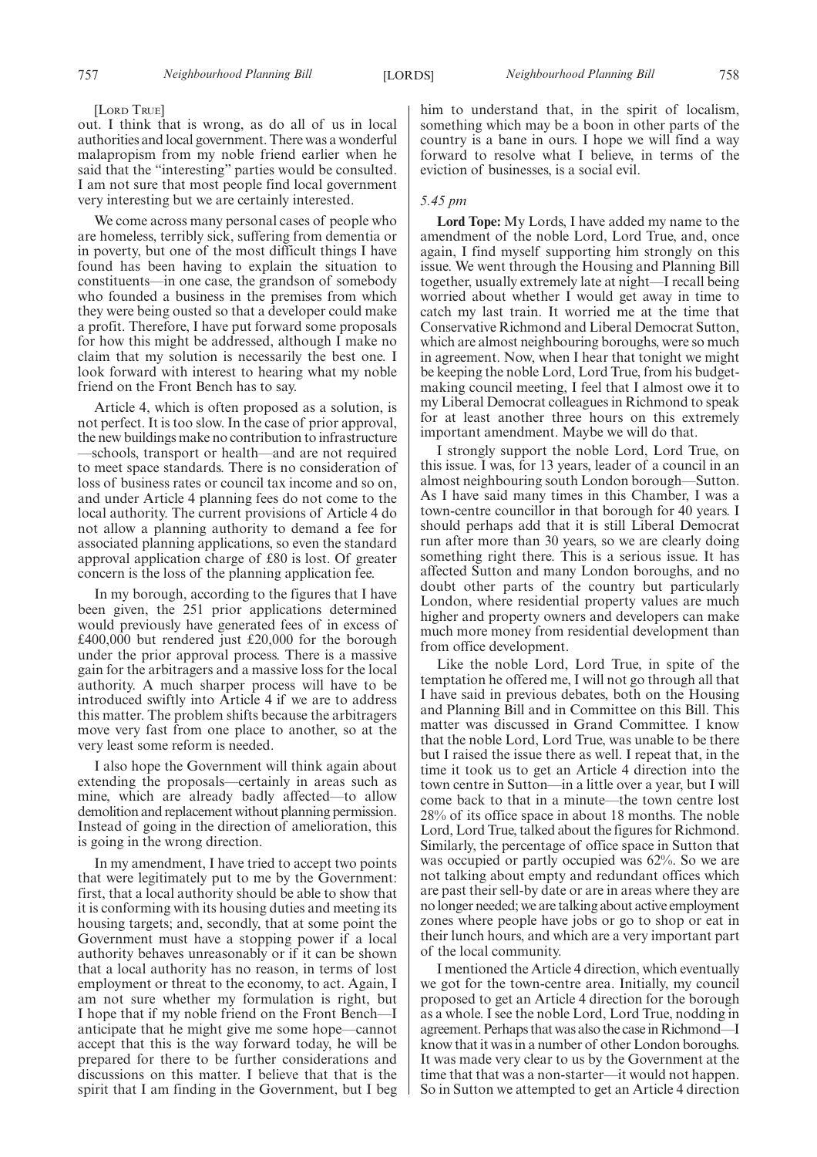## [LORD TRUE]

out. I think that is wrong, as do all of us in local authorities and local government. There was a wonderful malapropism from my noble friend earlier when he said that the "interesting" parties would be consulted. I am not sure that most people find local government very interesting but we are certainly interested.

We come across many personal cases of people who are homeless, terribly sick, suffering from dementia or in poverty, but one of the most difficult things I have found has been having to explain the situation to constituents—in one case, the grandson of somebody who founded a business in the premises from which they were being ousted so that a developer could make a profit. Therefore, I have put forward some proposals for how this might be addressed, although I make no claim that my solution is necessarily the best one. I look forward with interest to hearing what my noble friend on the Front Bench has to say.

Article 4, which is often proposed as a solution, is not perfect. It is too slow. In the case of prior approval, the new buildings make no contribution to infrastructure —schools, transport or health—and are not required to meet space standards. There is no consideration of loss of business rates or council tax income and so on, and under Article 4 planning fees do not come to the local authority. The current provisions of Article 4 do not allow a planning authority to demand a fee for associated planning applications, so even the standard approval application charge of £80 is lost. Of greater concern is the loss of the planning application fee.

In my borough, according to the figures that I have been given, the 251 prior applications determined would previously have generated fees of in excess of £400,000 but rendered just £20,000 for the borough under the prior approval process. There is a massive gain for the arbitragers and a massive loss for the local authority. A much sharper process will have to be introduced swiftly into Article 4 if we are to address this matter. The problem shifts because the arbitragers move very fast from one place to another, so at the very least some reform is needed.

I also hope the Government will think again about extending the proposals—certainly in areas such as mine, which are already badly affected—to allow demolition and replacement without planning permission. Instead of going in the direction of amelioration, this is going in the wrong direction.

In my amendment, I have tried to accept two points that were legitimately put to me by the Government: first, that a local authority should be able to show that it is conforming with its housing duties and meeting its housing targets; and, secondly, that at some point the Government must have a stopping power if a local authority behaves unreasonably or if it can be shown that a local authority has no reason, in terms of lost employment or threat to the economy, to act. Again, I am not sure whether my formulation is right, but I hope that if my noble friend on the Front Bench—I anticipate that he might give me some hope—cannot accept that this is the way forward today, he will be prepared for there to be further considerations and discussions on this matter. I believe that that is the spirit that I am finding in the Government, but I beg him to understand that, in the spirit of localism, something which may be a boon in other parts of the country is a bane in ours. I hope we will find a way forward to resolve what I believe, in terms of the eviction of businesses, is a social evil.

## *5.45 pm*

**Lord Tope:** My Lords, I have added my name to the amendment of the noble Lord, Lord True, and, once again, I find myself supporting him strongly on this issue. We went through the Housing and Planning Bill together, usually extremely late at night—I recall being worried about whether I would get away in time to catch my last train. It worried me at the time that Conservative Richmond and Liberal Democrat Sutton, which are almost neighbouring boroughs, were so much in agreement. Now, when I hear that tonight we might be keeping the noble Lord, Lord True, from his budgetmaking council meeting, I feel that I almost owe it to my Liberal Democrat colleagues in Richmond to speak for at least another three hours on this extremely important amendment. Maybe we will do that.

I strongly support the noble Lord, Lord True, on this issue. I was, for 13 years, leader of a council in an almost neighbouring south London borough—Sutton. As I have said many times in this Chamber, I was a town-centre councillor in that borough for 40 years. I should perhaps add that it is still Liberal Democrat run after more than 30 years, so we are clearly doing something right there. This is a serious issue. It has affected Sutton and many London boroughs, and no doubt other parts of the country but particularly London, where residential property values are much higher and property owners and developers can make much more money from residential development than from office development.

Like the noble Lord, Lord True, in spite of the temptation he offered me, I will not go through all that I have said in previous debates, both on the Housing and Planning Bill and in Committee on this Bill. This matter was discussed in Grand Committee. I know that the noble Lord, Lord True, was unable to be there but I raised the issue there as well. I repeat that, in the time it took us to get an Article 4 direction into the town centre in Sutton—in a little over a year, but I will come back to that in a minute—the town centre lost 28% of its office space in about 18 months. The noble Lord, Lord True, talked about the figures for Richmond. Similarly, the percentage of office space in Sutton that was occupied or partly occupied was 62%. So we are not talking about empty and redundant offices which are past their sell-by date or are in areas where they are no longer needed; we are talking about active employment zones where people have jobs or go to shop or eat in their lunch hours, and which are a very important part of the local community.

I mentioned the Article 4 direction, which eventually we got for the town-centre area. Initially, my council proposed to get an Article 4 direction for the borough as a whole. I see the noble Lord, Lord True, nodding in agreement. Perhaps that was also the case in Richmond—I know that it was in a number of other London boroughs. It was made very clear to us by the Government at the time that that was a non-starter—it would not happen. So in Sutton we attempted to get an Article 4 direction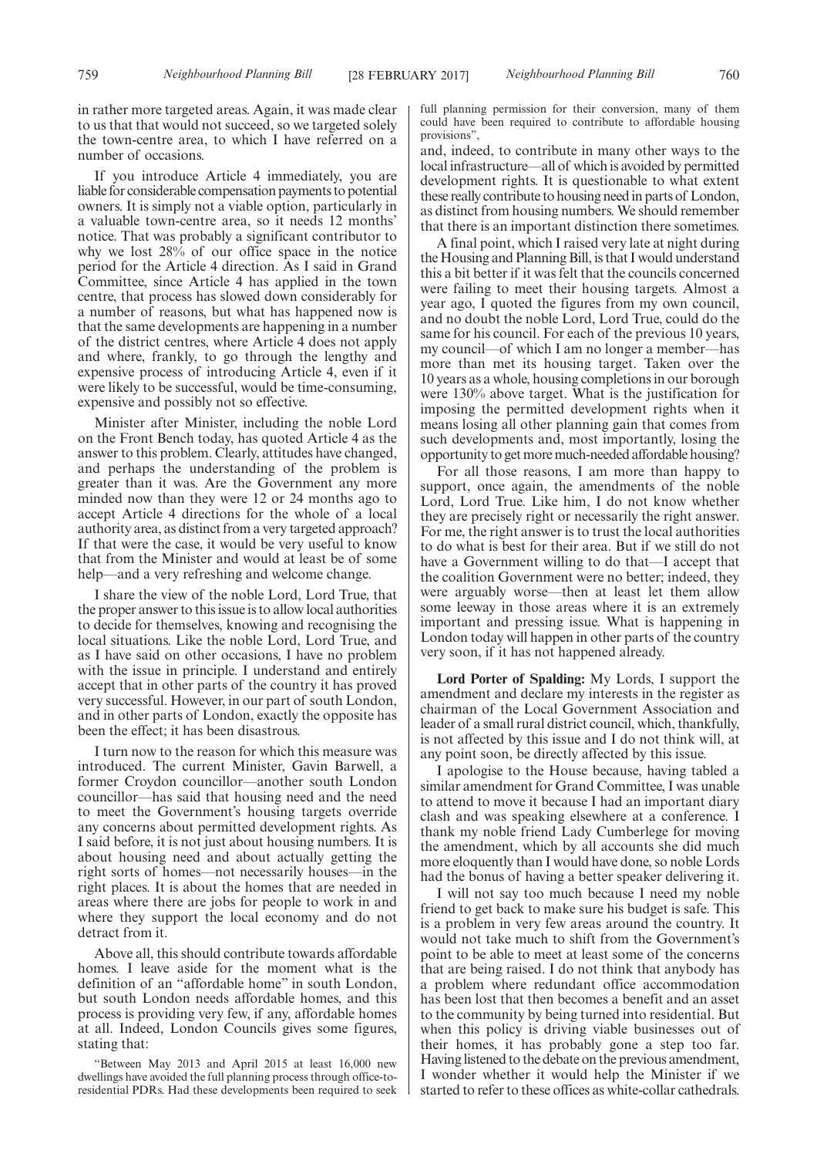in rather more targeted areas. Again, it was made clear to us that that would not succeed, so we targeted solely the town-centre area, to which I have referred on a number of occasions.

If you introduce Article 4 immediately, you are liable for considerable compensation payments to potential owners. It is simply not a viable option, particularly in a valuable town-centre area, so it needs 12 months' notice. That was probably a significant contributor to why we lost 28% of our office space in the notice period for the Article 4 direction. As I said in Grand Committee, since Article 4 has applied in the town centre, that process has slowed down considerably for a number of reasons, but what has happened now is that the same developments are happening in a number of the district centres, where Article 4 does not apply and where, frankly, to go through the lengthy and expensive process of introducing Article 4, even if it were likely to be successful, would be time-consuming, expensive and possibly not so effective.

Minister after Minister, including the noble Lord on the Front Bench today, has quoted Article 4 as the answer to this problem. Clearly, attitudes have changed, and perhaps the understanding of the problem is greater than it was. Are the Government any more minded now than they were 12 or 24 months ago to accept Article 4 directions for the whole of a local authority area, as distinct from a very targeted approach? If that were the case, it would be very useful to know that from the Minister and would at least be of some help—and a very refreshing and welcome change.

I share the view of the noble Lord, Lord True, that the proper answer to this issue is to allow local authorities to decide for themselves, knowing and recognising the local situations. Like the noble Lord, Lord True, and as I have said on other occasions, I have no problem with the issue in principle. I understand and entirely accept that in other parts of the country it has proved very successful. However, in our part of south London, and in other parts of London, exactly the opposite has been the effect; it has been disastrous.

I turn now to the reason for which this measure was introduced. The current Minister, Gavin Barwell, a former Croydon councillor—another south London councillor—has said that housing need and the need to meet the Government's housing targets override any concerns about permitted development rights. As I said before, it is not just about housing numbers. It is about housing need and about actually getting the right sorts of homes—not necessarily houses—in the right places. It is about the homes that are needed in areas where there are jobs for people to work in and where they support the local economy and do not detract from it.

Above all, this should contribute towards affordable homes. I leave aside for the moment what is the definition of an "affordable home" in south London, but south London needs affordable homes, and this process is providing very few, if any, affordable homes at all. Indeed, London Councils gives some figures, stating that:

"Between May 2013 and April 2015 at least 16,000 new dwellings have avoided the full planning process through office-toresidential PDRs. Had these developments been required to seek full planning permission for their conversion, many of them could have been required to contribute to affordable housing provisions",

and, indeed, to contribute in many other ways to the local infrastructure—all of which is avoided by permitted development rights. It is questionable to what extent these really contribute to housing need in parts of London, as distinct from housing numbers. We should remember that there is an important distinction there sometimes.

A final point, which I raised very late at night during the Housing and Planning Bill, is that I would understand this a bit better if it was felt that the councils concerned were failing to meet their housing targets. Almost a year ago, I quoted the figures from my own council, and no doubt the noble Lord, Lord True, could do the same for his council. For each of the previous 10 years, my council—of which I am no longer a member—has more than met its housing target. Taken over the 10 years as a whole, housing completions in our borough were 130% above target. What is the justification for imposing the permitted development rights when it means losing all other planning gain that comes from such developments and, most importantly, losing the opportunity to get more much-needed affordable housing?

For all those reasons, I am more than happy to support, once again, the amendments of the noble Lord, Lord True. Like him, I do not know whether they are precisely right or necessarily the right answer. For me, the right answer is to trust the local authorities to do what is best for their area. But if we still do not have a Government willing to do that—I accept that the coalition Government were no better; indeed, they were arguably worse—then at least let them allow some leeway in those areas where it is an extremely important and pressing issue. What is happening in London today will happen in other parts of the country very soon, if it has not happened already.

**Lord Porter of Spalding:** My Lords, I support the amendment and declare my interests in the register as chairman of the Local Government Association and leader of a small rural district council, which, thankfully, is not affected by this issue and I do not think will, at any point soon, be directly affected by this issue.

I apologise to the House because, having tabled a similar amendment for Grand Committee, I was unable to attend to move it because I had an important diary clash and was speaking elsewhere at a conference. I thank my noble friend Lady Cumberlege for moving the amendment, which by all accounts she did much more eloquently than I would have done, so noble Lords had the bonus of having a better speaker delivering it.

I will not say too much because I need my noble friend to get back to make sure his budget is safe. This is a problem in very few areas around the country. It would not take much to shift from the Government's point to be able to meet at least some of the concerns that are being raised. I do not think that anybody has a problem where redundant office accommodation has been lost that then becomes a benefit and an asset to the community by being turned into residential. But when this policy is driving viable businesses out of their homes, it has probably gone a step too far. Having listened to the debate on the previous amendment, I wonder whether it would help the Minister if we started to refer to these offices as white-collar cathedrals.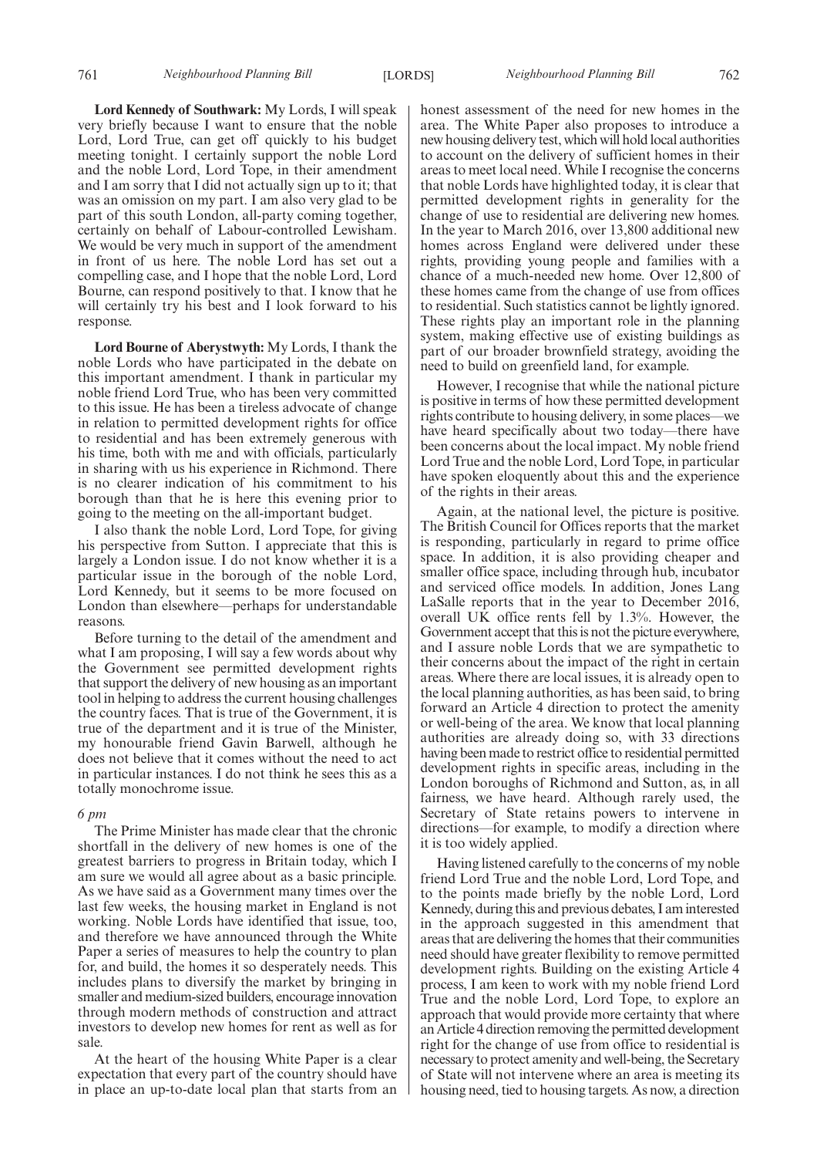**Lord Kennedy of Southwark:** My Lords, I will speak very briefly because I want to ensure that the noble Lord, Lord True, can get off quickly to his budget meeting tonight. I certainly support the noble Lord and the noble Lord, Lord Tope, in their amendment and I am sorry that I did not actually sign up to it; that was an omission on my part. I am also very glad to be part of this south London, all-party coming together, certainly on behalf of Labour-controlled Lewisham. We would be very much in support of the amendment in front of us here. The noble Lord has set out a compelling case, and I hope that the noble Lord, Lord Bourne, can respond positively to that. I know that he will certainly try his best and I look forward to his response.

**Lord Bourne of Aberystwyth:** My Lords, I thank the noble Lords who have participated in the debate on this important amendment. I thank in particular my noble friend Lord True, who has been very committed to this issue. He has been a tireless advocate of change in relation to permitted development rights for office to residential and has been extremely generous with his time, both with me and with officials, particularly in sharing with us his experience in Richmond. There is no clearer indication of his commitment to his borough than that he is here this evening prior to going to the meeting on the all-important budget.

I also thank the noble Lord, Lord Tope, for giving his perspective from Sutton. I appreciate that this is largely a London issue. I do not know whether it is a particular issue in the borough of the noble Lord, Lord Kennedy, but it seems to be more focused on London than elsewhere—perhaps for understandable reasons.

Before turning to the detail of the amendment and what I am proposing, I will say a few words about why the Government see permitted development rights that support the delivery of new housing as an important tool in helping to address the current housing challenges the country faces. That is true of the Government, it is true of the department and it is true of the Minister, my honourable friend Gavin Barwell, although he does not believe that it comes without the need to act in particular instances. I do not think he sees this as a totally monochrome issue.

#### *6 pm*

The Prime Minister has made clear that the chronic shortfall in the delivery of new homes is one of the greatest barriers to progress in Britain today, which I am sure we would all agree about as a basic principle. As we have said as a Government many times over the last few weeks, the housing market in England is not working. Noble Lords have identified that issue, too, and therefore we have announced through the White Paper a series of measures to help the country to plan for, and build, the homes it so desperately needs. This includes plans to diversify the market by bringing in smaller and medium-sized builders, encourage innovation through modern methods of construction and attract investors to develop new homes for rent as well as for sale.

At the heart of the housing White Paper is a clear expectation that every part of the country should have in place an up-to-date local plan that starts from an honest assessment of the need for new homes in the area. The White Paper also proposes to introduce a new housing delivery test, which will hold local authorities to account on the delivery of sufficient homes in their areas to meet local need. While I recognise the concerns that noble Lords have highlighted today, it is clear that permitted development rights in generality for the change of use to residential are delivering new homes. In the year to March 2016, over 13,800 additional new homes across England were delivered under these rights, providing young people and families with a chance of a much-needed new home. Over 12,800 of these homes came from the change of use from offices to residential. Such statistics cannot be lightly ignored. These rights play an important role in the planning system, making effective use of existing buildings as part of our broader brownfield strategy, avoiding the need to build on greenfield land, for example.

However, I recognise that while the national picture is positive in terms of how these permitted development rights contribute to housing delivery, in some places—we have heard specifically about two today—there have been concerns about the local impact. My noble friend Lord True and the noble Lord, Lord Tope, in particular have spoken eloquently about this and the experience of the rights in their areas.

Again, at the national level, the picture is positive. The British Council for Offices reports that the market is responding, particularly in regard to prime office space. In addition, it is also providing cheaper and smaller office space, including through hub, incubator and serviced office models. In addition, Jones Lang LaSalle reports that in the year to December 2016, overall UK office rents fell by 1.3%. However, the Government accept that this is not the picture everywhere, and I assure noble Lords that we are sympathetic to their concerns about the impact of the right in certain areas. Where there are local issues, it is already open to the local planning authorities, as has been said, to bring forward an Article 4 direction to protect the amenity or well-being of the area. We know that local planning authorities are already doing so, with 33 directions having been made to restrict office to residential permitted development rights in specific areas, including in the London boroughs of Richmond and Sutton, as, in all fairness, we have heard. Although rarely used, the Secretary of State retains powers to intervene in directions—for example, to modify a direction where it is too widely applied.

Having listened carefully to the concerns of my noble friend Lord True and the noble Lord, Lord Tope, and to the points made briefly by the noble Lord, Lord Kennedy, during this and previous debates, I am interested in the approach suggested in this amendment that areas that are delivering the homes that their communities need should have greater flexibility to remove permitted development rights. Building on the existing Article 4 process, I am keen to work with my noble friend Lord True and the noble Lord, Lord Tope, to explore an approach that would provide more certainty that where an Article 4 direction removing the permitted development right for the change of use from office to residential is necessary to protect amenity and well-being, the Secretary of State will not intervene where an area is meeting its housing need, tied to housing targets. As now, a direction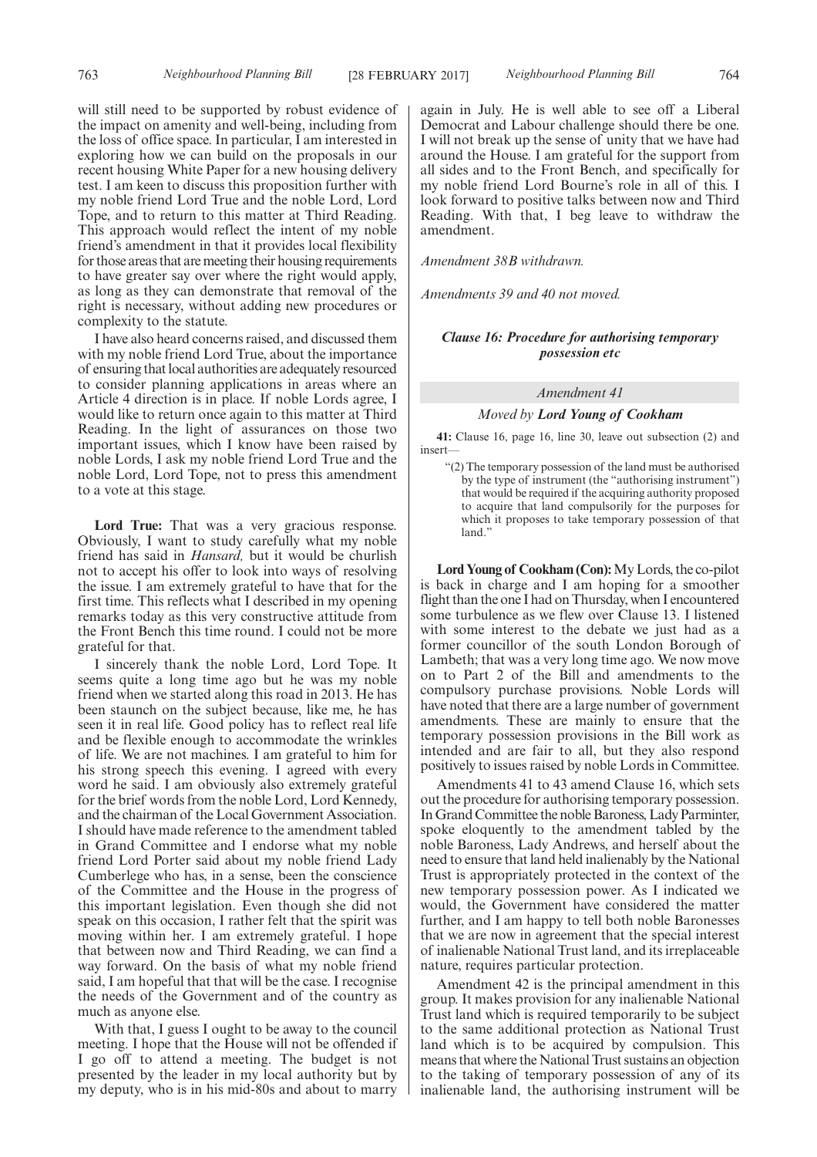will still need to be supported by robust evidence of the impact on amenity and well-being, including from the loss of office space. In particular, I am interested in exploring how we can build on the proposals in our recent housing White Paper for a new housing delivery test. I am keen to discuss this proposition further with my noble friend Lord True and the noble Lord, Lord Tope, and to return to this matter at Third Reading. This approach would reflect the intent of my noble friend's amendment in that it provides local flexibility for those areas that are meeting their housing requirements to have greater say over where the right would apply, as long as they can demonstrate that removal of the right is necessary, without adding new procedures or complexity to the statute.

I have also heard concerns raised, and discussed them with my noble friend Lord True, about the importance of ensuring that local authorities are adequately resourced to consider planning applications in areas where an Article 4 direction is in place. If noble Lords agree, I would like to return once again to this matter at Third Reading. In the light of assurances on those two important issues, which I know have been raised by noble Lords, I ask my noble friend Lord True and the noble Lord, Lord Tope, not to press this amendment to a vote at this stage.

**Lord True:** That was a very gracious response. Obviously, I want to study carefully what my noble friend has said in *Hansard,* but it would be churlish not to accept his offer to look into ways of resolving the issue. I am extremely grateful to have that for the first time. This reflects what I described in my opening remarks today as this very constructive attitude from the Front Bench this time round. I could not be more grateful for that.

I sincerely thank the noble Lord, Lord Tope. It seems quite a long time ago but he was my noble friend when we started along this road in 2013. He has been staunch on the subject because, like me, he has seen it in real life. Good policy has to reflect real life and be flexible enough to accommodate the wrinkles of life. We are not machines. I am grateful to him for his strong speech this evening. I agreed with every word he said. I am obviously also extremely grateful for the brief words from the noble Lord, Lord Kennedy, and the chairman of the Local Government Association. I should have made reference to the amendment tabled in Grand Committee and I endorse what my noble friend Lord Porter said about my noble friend Lady Cumberlege who has, in a sense, been the conscience of the Committee and the House in the progress of this important legislation. Even though she did not speak on this occasion, I rather felt that the spirit was moving within her. I am extremely grateful. I hope that between now and Third Reading, we can find a way forward. On the basis of what my noble friend said, I am hopeful that that will be the case. I recognise the needs of the Government and of the country as much as anyone else.

With that, I guess I ought to be away to the council meeting. I hope that the House will not be offended if I go off to attend a meeting. The budget is not presented by the leader in my local authority but by my deputy, who is in his mid-80s and about to marry again in July. He is well able to see off a Liberal Democrat and Labour challenge should there be one. I will not break up the sense of unity that we have had around the House. I am grateful for the support from all sides and to the Front Bench, and specifically for my noble friend Lord Bourne's role in all of this. I look forward to positive talks between now and Third Reading. With that, I beg leave to withdraw the amendment.

*Amendment 38B withdrawn.*

*Amendments 39 and 40 not moved.*

## *Clause 16: Procedure for authorising temporary possession etc*

## *Amendment 41*

#### *Moved by Lord Young of Cookham*

**41:** Clause 16, page 16, line 30, leave out subsection (2) and insert—

"(2) The temporary possession of the land must be authorised by the type of instrument (the "authorising instrument") that would be required if the acquiring authority proposed to acquire that land compulsorily for the purposes for which it proposes to take temporary possession of that land."

**Lord Young of Cookham (Con):**My Lords, the co-pilot is back in charge and I am hoping for a smoother flight than the one I had on Thursday, when I encountered some turbulence as we flew over Clause 13. I listened with some interest to the debate we just had as a former councillor of the south London Borough of Lambeth; that was a very long time ago. We now move on to Part 2 of the Bill and amendments to the compulsory purchase provisions. Noble Lords will have noted that there are a large number of government amendments. These are mainly to ensure that the temporary possession provisions in the Bill work as intended and are fair to all, but they also respond positively to issues raised by noble Lords in Committee.

Amendments 41 to 43 amend Clause 16, which sets out the procedure for authorising temporary possession. In Grand Committee the noble Baroness, Lady Parminter, spoke eloquently to the amendment tabled by the noble Baroness, Lady Andrews, and herself about the need to ensure that land held inalienably by the National Trust is appropriately protected in the context of the new temporary possession power. As I indicated we would, the Government have considered the matter further, and I am happy to tell both noble Baronesses that we are now in agreement that the special interest of inalienable National Trust land, and its irreplaceable nature, requires particular protection.

Amendment 42 is the principal amendment in this group. It makes provision for any inalienable National Trust land which is required temporarily to be subject to the same additional protection as National Trust land which is to be acquired by compulsion. This means that where the National Trust sustains an objection to the taking of temporary possession of any of its inalienable land, the authorising instrument will be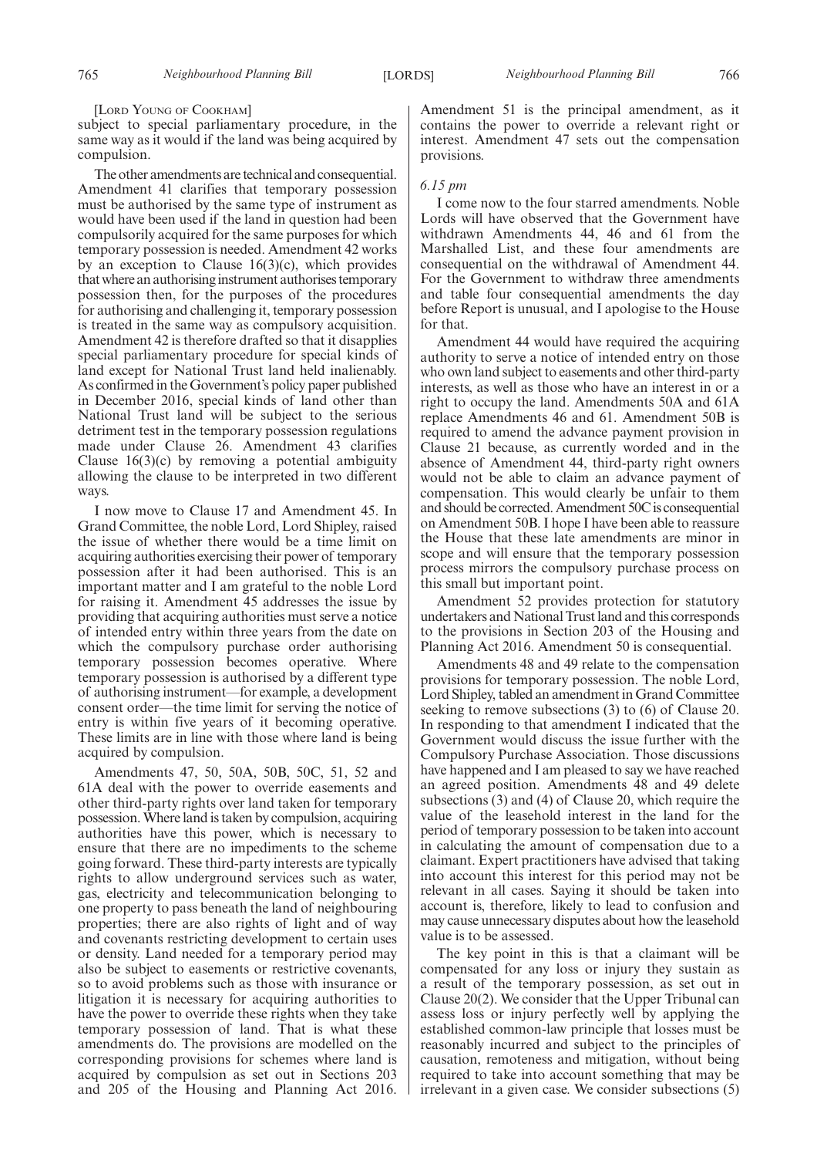[LORD YOUNG OF COOKHAM]

subject to special parliamentary procedure, in the same way as it would if the land was being acquired by compulsion.

The other amendments are technical and consequential. Amendment 41 clarifies that temporary possession must be authorised by the same type of instrument as would have been used if the land in question had been compulsorily acquired for the same purposes for which temporary possession is needed. Amendment 42 works by an exception to Clause  $16(3)(c)$ , which provides that where an authorising instrument authorises temporary possession then, for the purposes of the procedures for authorising and challenging it, temporary possession is treated in the same way as compulsory acquisition. Amendment 42 is therefore drafted so that it disapplies special parliamentary procedure for special kinds of land except for National Trust land held inalienably. As confirmed in the Government's policy paper published in December 2016, special kinds of land other than National Trust land will be subject to the serious detriment test in the temporary possession regulations made under Clause 26. Amendment 43 clarifies Clause  $16(3)(c)$  by removing a potential ambiguity allowing the clause to be interpreted in two different ways.

I now move to Clause 17 and Amendment 45. In Grand Committee, the noble Lord, Lord Shipley, raised the issue of whether there would be a time limit on acquiring authorities exercising their power of temporary possession after it had been authorised. This is an important matter and I am grateful to the noble Lord for raising it. Amendment 45 addresses the issue by providing that acquiring authorities must serve a notice of intended entry within three years from the date on which the compulsory purchase order authorising temporary possession becomes operative. Where temporary possession is authorised by a different type of authorising instrument—for example, a development consent order—the time limit for serving the notice of entry is within five years of it becoming operative. These limits are in line with those where land is being acquired by compulsion.

Amendments 47, 50, 50A, 50B, 50C, 51, 52 and 61A deal with the power to override easements and other third-party rights over land taken for temporary possession. Where land is taken by compulsion, acquiring authorities have this power, which is necessary to ensure that there are no impediments to the scheme going forward. These third-party interests are typically rights to allow underground services such as water, gas, electricity and telecommunication belonging to one property to pass beneath the land of neighbouring properties; there are also rights of light and of way and covenants restricting development to certain uses or density. Land needed for a temporary period may also be subject to easements or restrictive covenants, so to avoid problems such as those with insurance or litigation it is necessary for acquiring authorities to have the power to override these rights when they take temporary possession of land. That is what these amendments do. The provisions are modelled on the corresponding provisions for schemes where land is acquired by compulsion as set out in Sections 203 and 205 of the Housing and Planning Act 2016.

Amendment 51 is the principal amendment, as it contains the power to override a relevant right or interest. Amendment 47 sets out the compensation provisions.

## *6.15 pm*

I come now to the four starred amendments. Noble Lords will have observed that the Government have withdrawn Amendments 44, 46 and 61 from the Marshalled List, and these four amendments are consequential on the withdrawal of Amendment 44. For the Government to withdraw three amendments and table four consequential amendments the day before Report is unusual, and I apologise to the House for that.

Amendment 44 would have required the acquiring authority to serve a notice of intended entry on those who own land subject to easements and other third-party interests, as well as those who have an interest in or a right to occupy the land. Amendments 50A and 61A replace Amendments 46 and 61. Amendment 50B is required to amend the advance payment provision in Clause 21 because, as currently worded and in the absence of Amendment 44, third-party right owners would not be able to claim an advance payment of compensation. This would clearly be unfair to them and should be corrected. Amendment 50C is consequential on Amendment 50B. I hope I have been able to reassure the House that these late amendments are minor in scope and will ensure that the temporary possession process mirrors the compulsory purchase process on this small but important point.

Amendment 52 provides protection for statutory undertakers and National Trust land and this corresponds to the provisions in Section 203 of the Housing and Planning Act 2016. Amendment 50 is consequential.

Amendments 48 and 49 relate to the compensation provisions for temporary possession. The noble Lord, Lord Shipley, tabled an amendment in Grand Committee seeking to remove subsections (3) to (6) of Clause 20. In responding to that amendment I indicated that the Government would discuss the issue further with the Compulsory Purchase Association. Those discussions have happened and I am pleased to say we have reached an agreed position. Amendments 48 and 49 delete subsections (3) and (4) of Clause 20, which require the value of the leasehold interest in the land for the period of temporary possession to be taken into account in calculating the amount of compensation due to a claimant. Expert practitioners have advised that taking into account this interest for this period may not be relevant in all cases. Saying it should be taken into account is, therefore, likely to lead to confusion and may cause unnecessary disputes about how the leasehold value is to be assessed.

The key point in this is that a claimant will be compensated for any loss or injury they sustain as a result of the temporary possession, as set out in Clause 20(2). We consider that the Upper Tribunal can assess loss or injury perfectly well by applying the established common-law principle that losses must be reasonably incurred and subject to the principles of causation, remoteness and mitigation, without being required to take into account something that may be irrelevant in a given case. We consider subsections (5)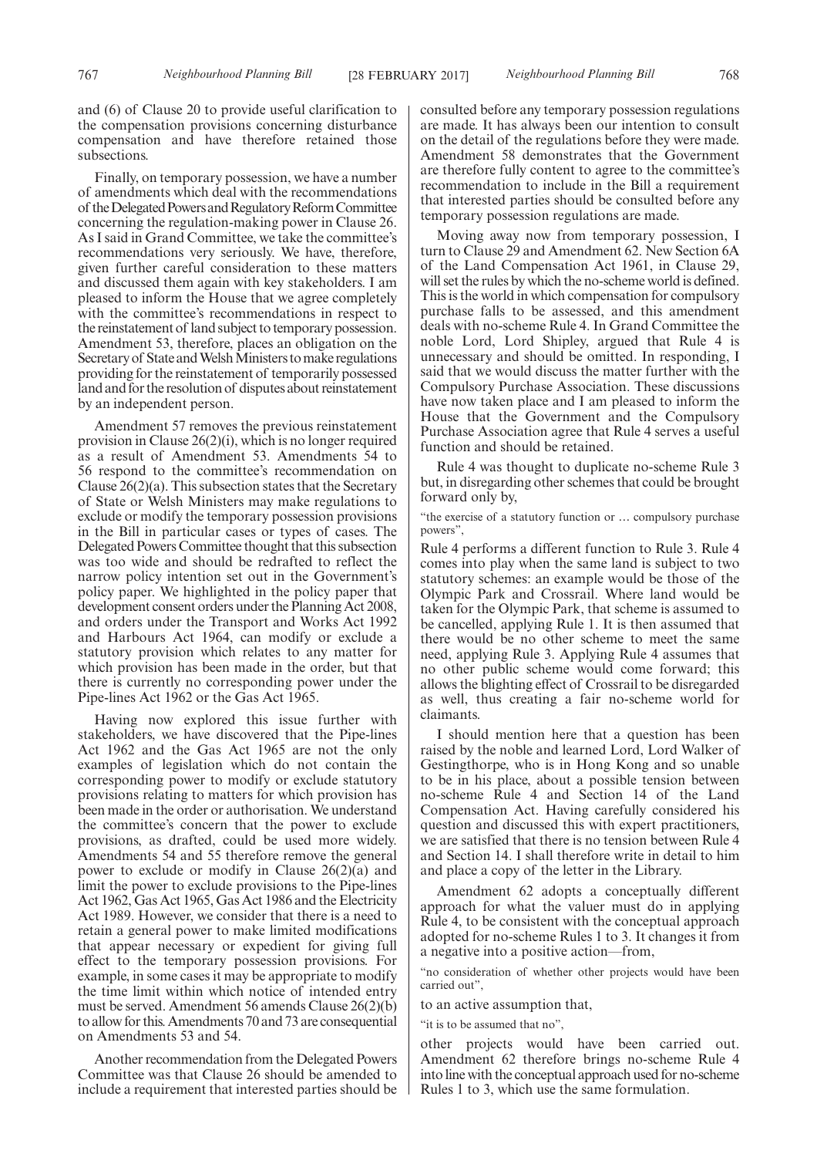and (6) of Clause 20 to provide useful clarification to the compensation provisions concerning disturbance compensation and have therefore retained those subsections.

Finally, on temporary possession, we have a number of amendments which deal with the recommendations of theDelegatedPowersandRegulatoryReformCommittee concerning the regulation-making power in Clause 26. As I said in Grand Committee, we take the committee's recommendations very seriously. We have, therefore, given further careful consideration to these matters and discussed them again with key stakeholders. I am pleased to inform the House that we agree completely with the committee's recommendations in respect to the reinstatement of land subject to temporary possession. Amendment 53, therefore, places an obligation on the Secretary of State and Welsh Ministers to make regulations providing for the reinstatement of temporarily possessed land and for the resolution of disputes about reinstatement by an independent person.

Amendment 57 removes the previous reinstatement provision in Clause 26(2)(i), which is no longer required as a result of Amendment 53. Amendments 54 to 56 respond to the committee's recommendation on Clause 26(2)(a). This subsection states that the Secretary of State or Welsh Ministers may make regulations to exclude or modify the temporary possession provisions in the Bill in particular cases or types of cases. The Delegated Powers Committee thought that this subsection was too wide and should be redrafted to reflect the narrow policy intention set out in the Government's policy paper. We highlighted in the policy paper that development consent orders under the Planning Act 2008, and orders under the Transport and Works Act 1992 and Harbours Act 1964, can modify or exclude a statutory provision which relates to any matter for which provision has been made in the order, but that there is currently no corresponding power under the Pipe-lines Act 1962 or the Gas Act 1965.

Having now explored this issue further with stakeholders, we have discovered that the Pipe-lines Act 1962 and the Gas Act 1965 are not the only examples of legislation which do not contain the corresponding power to modify or exclude statutory provisions relating to matters for which provision has been made in the order or authorisation. We understand the committee's concern that the power to exclude provisions, as drafted, could be used more widely. Amendments 54 and 55 therefore remove the general power to exclude or modify in Clause 26(2)(a) and limit the power to exclude provisions to the Pipe-lines Act 1962, Gas Act 1965, Gas Act 1986 and the Electricity Act 1989. However, we consider that there is a need to retain a general power to make limited modifications that appear necessary or expedient for giving full effect to the temporary possession provisions. For example, in some cases it may be appropriate to modify the time limit within which notice of intended entry must be served. Amendment 56 amends Clause 26(2)(b) to allow for this. Amendments 70 and 73 are consequential on Amendments 53 and 54.

Another recommendation from the Delegated Powers Committee was that Clause 26 should be amended to include a requirement that interested parties should be consulted before any temporary possession regulations are made. It has always been our intention to consult on the detail of the regulations before they were made. Amendment 58 demonstrates that the Government are therefore fully content to agree to the committee's recommendation to include in the Bill a requirement that interested parties should be consulted before any temporary possession regulations are made.

Moving away now from temporary possession, I turn to Clause 29 and Amendment 62. New Section 6A of the Land Compensation Act 1961, in Clause 29, will set the rules by which the no-scheme world is defined. This is the world in which compensation for compulsory purchase falls to be assessed, and this amendment deals with no-scheme Rule 4. In Grand Committee the noble Lord, Lord Shipley, argued that Rule 4 is unnecessary and should be omitted. In responding, I said that we would discuss the matter further with the Compulsory Purchase Association. These discussions have now taken place and I am pleased to inform the House that the Government and the Compulsory Purchase Association agree that Rule 4 serves a useful function and should be retained.

Rule 4 was thought to duplicate no-scheme Rule 3 but, in disregarding other schemes that could be brought forward only by,

"the exercise of a statutory function or … compulsory purchase powers",

Rule 4 performs a different function to Rule 3. Rule 4 comes into play when the same land is subject to two statutory schemes: an example would be those of the Olympic Park and Crossrail. Where land would be taken for the Olympic Park, that scheme is assumed to be cancelled, applying Rule 1. It is then assumed that there would be no other scheme to meet the same need, applying Rule 3. Applying Rule 4 assumes that no other public scheme would come forward; this allows the blighting effect of Crossrail to be disregarded as well, thus creating a fair no-scheme world for claimants.

I should mention here that a question has been raised by the noble and learned Lord, Lord Walker of Gestingthorpe, who is in Hong Kong and so unable to be in his place, about a possible tension between no-scheme Rule 4 and Section 14 of the Land Compensation Act. Having carefully considered his question and discussed this with expert practitioners, we are satisfied that there is no tension between Rule 4 and Section 14. I shall therefore write in detail to him and place a copy of the letter in the Library.

Amendment 62 adopts a conceptually different approach for what the valuer must do in applying Rule 4, to be consistent with the conceptual approach adopted for no-scheme Rules 1 to 3. It changes it from a negative into a positive action—from,

"no consideration of whether other projects would have been carried out",

to an active assumption that,

"it is to be assumed that no",

other projects would have been carried out. Amendment 62 therefore brings no-scheme Rule 4 into line with the conceptual approach used for no-scheme Rules 1 to 3, which use the same formulation.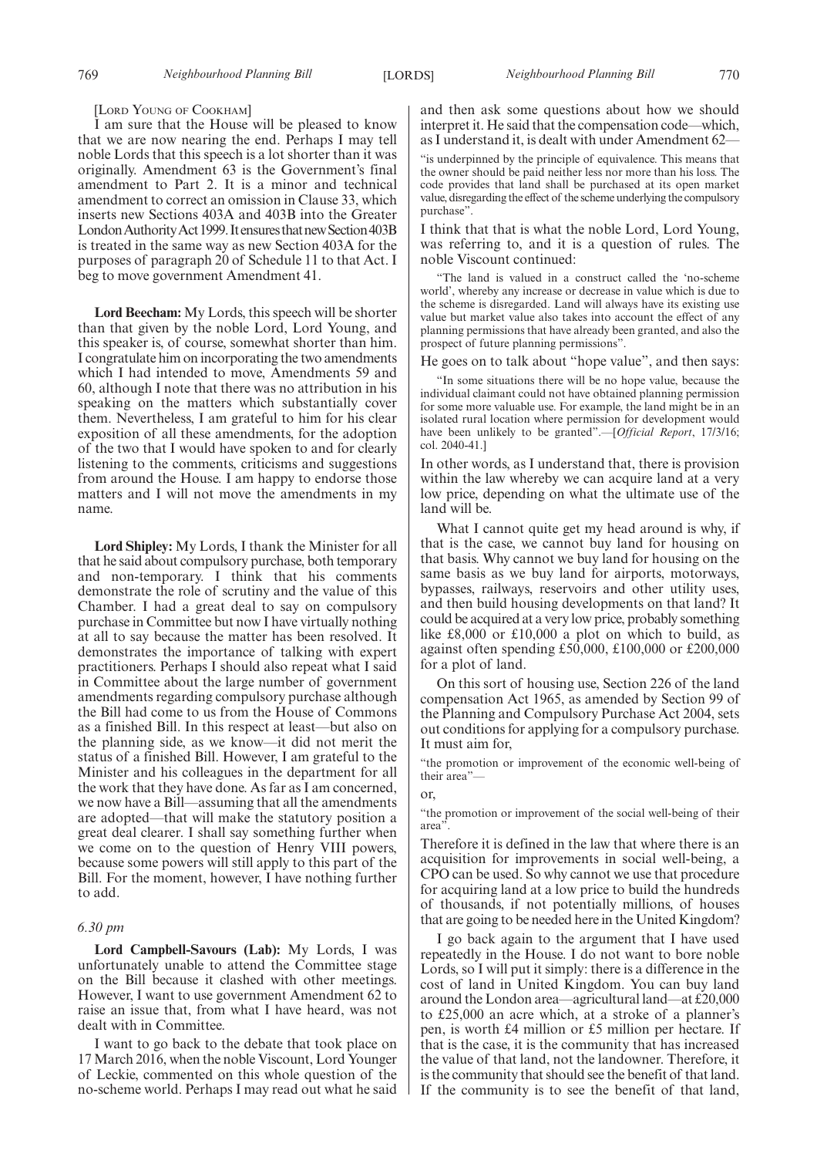#### [LORD YOUNG OF COOKHAM]

I am sure that the House will be pleased to know that we are now nearing the end. Perhaps I may tell noble Lords that this speech is a lot shorter than it was originally. Amendment 63 is the Government's final amendment to Part 2. It is a minor and technical amendment to correct an omission in Clause 33, which inserts new Sections 403A and 403B into the Greater London Authority Act 1999. It ensures that new Section 403B is treated in the same way as new Section 403A for the purposes of paragraph 20 of Schedule 11 to that Act. I beg to move government Amendment 41.

**Lord Beecham:** My Lords, this speech will be shorter than that given by the noble Lord, Lord Young, and this speaker is, of course, somewhat shorter than him. I congratulate him on incorporating the two amendments which I had intended to move, Amendments 59 and 60, although I note that there was no attribution in his speaking on the matters which substantially cover them. Nevertheless, I am grateful to him for his clear exposition of all these amendments, for the adoption of the two that I would have spoken to and for clearly listening to the comments, criticisms and suggestions from around the House. I am happy to endorse those matters and I will not move the amendments in my name.

**Lord Shipley:** My Lords, I thank the Minister for all that he said about compulsory purchase, both temporary and non-temporary. I think that his comments demonstrate the role of scrutiny and the value of this Chamber. I had a great deal to say on compulsory purchase in Committee but now I have virtually nothing at all to say because the matter has been resolved. It demonstrates the importance of talking with expert practitioners. Perhaps I should also repeat what I said in Committee about the large number of government amendments regarding compulsory purchase although the Bill had come to us from the House of Commons as a finished Bill. In this respect at least—but also on the planning side, as we know—it did not merit the status of a finished Bill. However, I am grateful to the Minister and his colleagues in the department for all the work that they have done. As far as I am concerned, we now have a Bill—assuming that all the amendments are adopted—that will make the statutory position a great deal clearer. I shall say something further when we come on to the question of Henry VIII powers, because some powers will still apply to this part of the Bill. For the moment, however, I have nothing further to add.

## *6.30 pm*

**Lord Campbell-Savours (Lab):** My Lords, I was unfortunately unable to attend the Committee stage on the Bill because it clashed with other meetings. However, I want to use government Amendment 62 to raise an issue that, from what I have heard, was not dealt with in Committee.

I want to go back to the debate that took place on 17 March 2016, when the noble Viscount, Lord Younger of Leckie, commented on this whole question of the no-scheme world. Perhaps I may read out what he said and then ask some questions about how we should interpret it. He said that the compensation code—which, as I understand it, is dealt with under Amendment 62—

"is underpinned by the principle of equivalence. This means that the owner should be paid neither less nor more than his loss. The code provides that land shall be purchased at its open market value, disregarding the effect of the scheme underlying the compulsory purchase".

I think that that is what the noble Lord, Lord Young, was referring to, and it is a question of rules. The noble Viscount continued:

"The land is valued in a construct called the 'no-scheme world', whereby any increase or decrease in value which is due to the scheme is disregarded. Land will always have its existing use value but market value also takes into account the effect of any planning permissions that have already been granted, and also the prospect of future planning permissions".

He goes on to talk about "hope value", and then says:

"In some situations there will be no hope value, because the individual claimant could not have obtained planning permission for some more valuable use. For example, the land might be in an isolated rural location where permission for development would have been unlikely to be granted".—[*Official Report*, 17/3/16; col. 2040-41.]

In other words, as I understand that, there is provision within the law whereby we can acquire land at a very low price, depending on what the ultimate use of the land will be.

What I cannot quite get my head around is why, if that is the case, we cannot buy land for housing on that basis. Why cannot we buy land for housing on the same basis as we buy land for airports, motorways, bypasses, railways, reservoirs and other utility uses, and then build housing developments on that land? It could be acquired at a very low price, probably something like £8,000 or £10,000 a plot on which to build, as against often spending £50,000, £100,000 or £200,000 for a plot of land.

On this sort of housing use, Section 226 of the land compensation Act 1965, as amended by Section 99 of the Planning and Compulsory Purchase Act 2004, sets out conditions for applying for a compulsory purchase. It must aim for,

"the promotion or improvement of the economic well-being of their area"—

#### or,

"the promotion or improvement of the social well-being of their area".

Therefore it is defined in the law that where there is an acquisition for improvements in social well-being, a CPO can be used. So why cannot we use that procedure for acquiring land at a low price to build the hundreds of thousands, if not potentially millions, of houses that are going to be needed here in the United Kingdom?

I go back again to the argument that I have used repeatedly in the House. I do not want to bore noble Lords, so I will put it simply: there is a difference in the cost of land in United Kingdom. You can buy land around the London area—agricultural land—at £20,000 to £25,000 an acre which, at a stroke of a planner's pen, is worth £4 million or £5 million per hectare. If that is the case, it is the community that has increased the value of that land, not the landowner. Therefore, it is the community that should see the benefit of that land. If the community is to see the benefit of that land,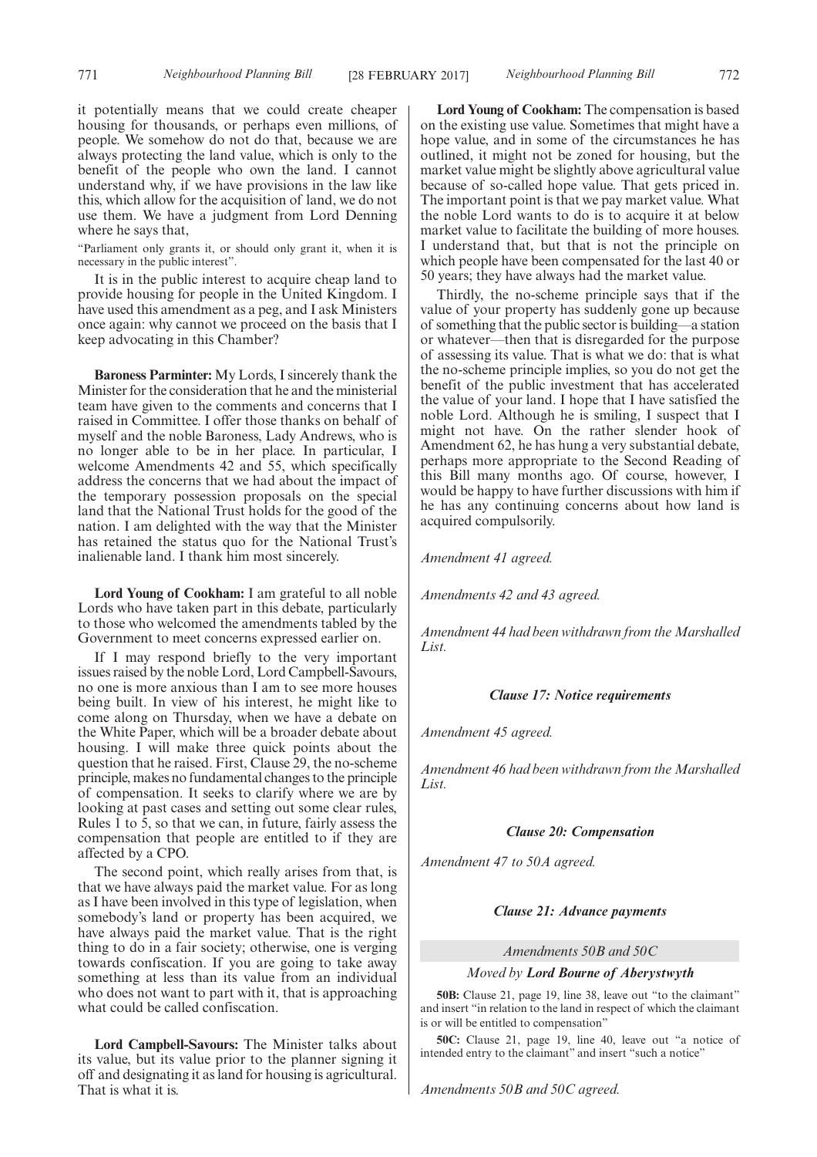it potentially means that we could create cheaper housing for thousands, or perhaps even millions, of people. We somehow do not do that, because we are always protecting the land value, which is only to the benefit of the people who own the land. I cannot understand why, if we have provisions in the law like this, which allow for the acquisition of land, we do not use them. We have a judgment from Lord Denning where he says that,

"Parliament only grants it, or should only grant it, when it is necessary in the public interest".

It is in the public interest to acquire cheap land to provide housing for people in the United Kingdom. I have used this amendment as a peg, and I ask Ministers once again: why cannot we proceed on the basis that I keep advocating in this Chamber?

**Baroness Parminter:** My Lords, I sincerely thank the Minister for the consideration that he and the ministerial team have given to the comments and concerns that I raised in Committee. I offer those thanks on behalf of myself and the noble Baroness, Lady Andrews, who is no longer able to be in her place. In particular, I welcome Amendments 42 and 55, which specifically address the concerns that we had about the impact of the temporary possession proposals on the special land that the National Trust holds for the good of the nation. I am delighted with the way that the Minister has retained the status quo for the National Trust's inalienable land. I thank him most sincerely.

**Lord Young of Cookham:** I am grateful to all noble Lords who have taken part in this debate, particularly to those who welcomed the amendments tabled by the Government to meet concerns expressed earlier on.

If I may respond briefly to the very important issues raised by the noble Lord, Lord Campbell-Savours, no one is more anxious than I am to see more houses being built. In view of his interest, he might like to come along on Thursday, when we have a debate on the White Paper, which will be a broader debate about housing. I will make three quick points about the question that he raised. First, Clause 29, the no-scheme principle, makes no fundamental changes to the principle of compensation. It seeks to clarify where we are by looking at past cases and setting out some clear rules, Rules 1 to 5, so that we can, in future, fairly assess the compensation that people are entitled to if they are affected by a CPO.

The second point, which really arises from that, is that we have always paid the market value. For as long as I have been involved in this type of legislation, when somebody's land or property has been acquired, we have always paid the market value. That is the right thing to do in a fair society; otherwise, one is verging towards confiscation. If you are going to take away something at less than its value from an individual who does not want to part with it, that is approaching what could be called confiscation.

**Lord Campbell-Savours:** The Minister talks about its value, but its value prior to the planner signing it off and designating it as land for housing is agricultural. That is what it is.

**Lord Young of Cookham:** The compensation is based on the existing use value. Sometimes that might have a hope value, and in some of the circumstances he has outlined, it might not be zoned for housing, but the market value might be slightly above agricultural value because of so-called hope value. That gets priced in. The important point is that we pay market value. What the noble Lord wants to do is to acquire it at below market value to facilitate the building of more houses. I understand that, but that is not the principle on which people have been compensated for the last 40 or 50 years; they have always had the market value.

Thirdly, the no-scheme principle says that if the value of your property has suddenly gone up because of something that the public sector is building—a station or whatever—then that is disregarded for the purpose of assessing its value. That is what we do: that is what the no-scheme principle implies, so you do not get the benefit of the public investment that has accelerated the value of your land. I hope that I have satisfied the noble Lord. Although he is smiling, I suspect that I might not have. On the rather slender hook of Amendment 62, he has hung a very substantial debate, perhaps more appropriate to the Second Reading of this Bill many months ago. Of course, however, I would be happy to have further discussions with him if he has any continuing concerns about how land is acquired compulsorily.

*Amendment 41 agreed.*

*Amendments 42 and 43 agreed.*

*Amendment 44 had been withdrawn from the Marshalled List.*

## *Clause 17: Notice requirements*

*Amendment 45 agreed.*

*Amendment 46 had been withdrawn from the Marshalled List.*

## *Clause 20: Compensation*

*Amendment 47 to 50A agreed.*

## *Clause 21: Advance payments*

*Amendments 50B and 50C*

## *Moved by Lord Bourne of Aberystwyth*

**50B:** Clause 21, page 19, line 38, leave out "to the claimant" and insert "in relation to the land in respect of which the claimant is or will be entitled to compensation"

**50C:** Clause 21, page 19, line 40, leave out "a notice of intended entry to the claimant" and insert "such a notice"

*Amendments 50B and 50C agreed.*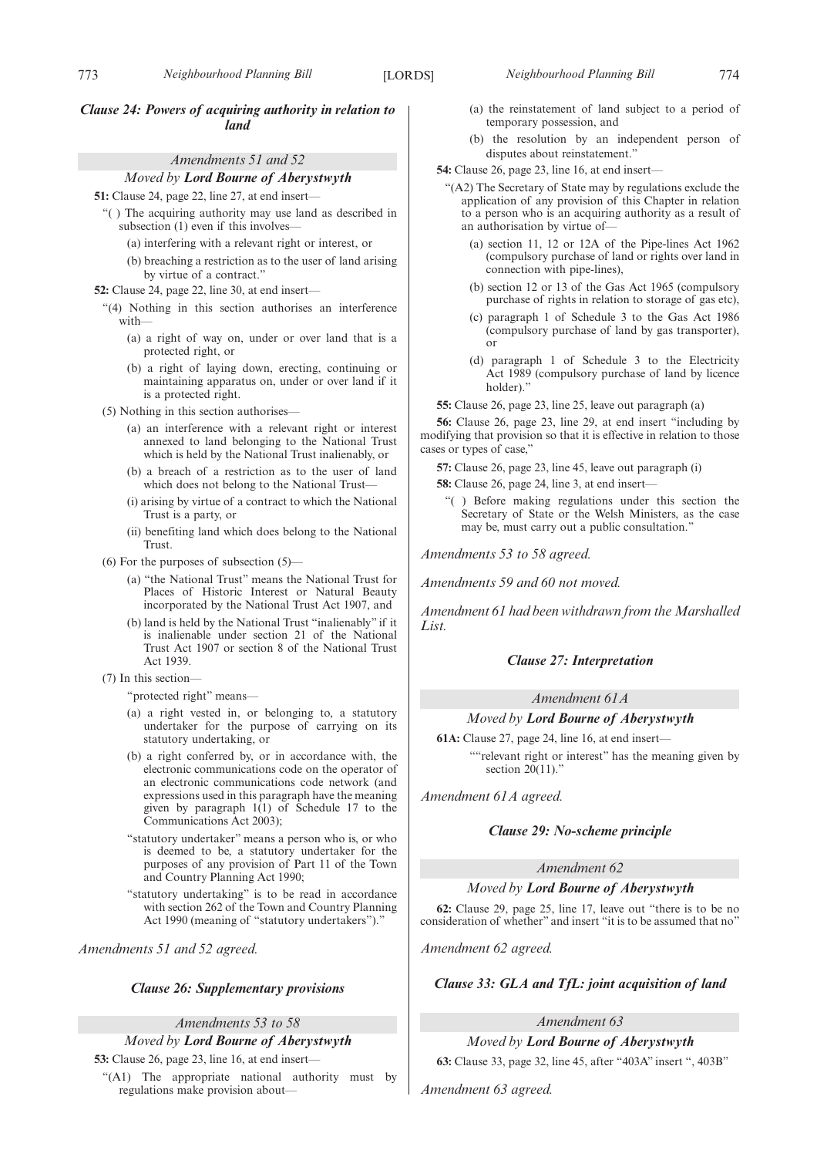## *Amendments 51 and 52*

## *Moved by Lord Bourne of Aberystwyth*

**51:** Clause 24, page 22, line 27, at end insert—

- "( ) The acquiring authority may use land as described in subsection (1) even if this involves—
	- (a) interfering with a relevant right or interest, or
	- (b) breaching a restriction as to the user of land arising by virtue of a contract."
- **52:** Clause 24, page 22, line 30, at end insert—
	- "(4) Nothing in this section authorises an interference with—
		- (a) a right of way on, under or over land that is a protected right, or
		- (b) a right of laying down, erecting, continuing or maintaining apparatus on, under or over land if it is a protected right.
	- (5) Nothing in this section authorises—
		- (a) an interference with a relevant right or interest annexed to land belonging to the National Trust which is held by the National Trust inalienably, or
		- (b) a breach of a restriction as to the user of land which does not belong to the National Trust—
		- (i) arising by virtue of a contract to which the National Trust is a party, or
		- (ii) benefiting land which does belong to the National Trust.
	- (6) For the purposes of subsection (5)—
		- (a) "the National Trust" means the National Trust for Places of Historic Interest or Natural Beauty incorporated by the National Trust Act 1907, and
		- (b) land is held by the National Trust "inalienably" if it is inalienable under section 21 of the National Trust Act 1907 or section 8 of the National Trust Act 1939.
	- (7) In this section—
		- "protected right" means—
		- (a) a right vested in, or belonging to, a statutory undertaker for the purpose of carrying on its statutory undertaking, or
		- (b) a right conferred by, or in accordance with, the electronic communications code on the operator of an electronic communications code network (and expressions used in this paragraph have the meaning given by paragraph 1(1) of Schedule 17 to the Communications Act 2003);
		- "statutory undertaker" means a person who is, or who is deemed to be, a statutory undertaker for the purposes of any provision of Part 11 of the Town and Country Planning Act 1990;
		- "statutory undertaking" is to be read in accordance with section 262 of the Town and Country Planning Act 1990 (meaning of "statutory undertakers").

*Amendments 51 and 52 agreed.*

## *Clause 26: Supplementary provisions*

*Amendments 53 to 58*

# *Moved by Lord Bourne of Aberystwyth*

**53:** Clause 26, page 23, line 16, at end insert—

"(A1) The appropriate national authority must by regulations make provision about—

- (a) the reinstatement of land subject to a period of temporary possession, and
- (b) the resolution by an independent person of disputes about reinstatement.'
- **54:** Clause 26, page 23, line 16, at end insert—
	- "(A2) The Secretary of State may by regulations exclude the application of any provision of this Chapter in relation to a person who is an acquiring authority as a result of an authorisation by virtue of—
		- (a) section 11, 12 or 12A of the Pipe-lines Act 1962 (compulsory purchase of land or rights over land in connection with pipe-lines),
		- (b) section 12 or 13 of the Gas Act 1965 (compulsory purchase of rights in relation to storage of gas etc),
		- (c) paragraph 1 of Schedule 3 to the Gas Act 1986 (compulsory purchase of land by gas transporter), or
		- (d) paragraph 1 of Schedule 3 to the Electricity Act 1989 (compulsory purchase of land by licence holder)."

**55:** Clause 26, page 23, line 25, leave out paragraph (a)

**56:** Clause 26, page 23, line 29, at end insert "including by modifying that provision so that it is effective in relation to those cases or types of case,"

**57:** Clause 26, page 23, line 45, leave out paragraph (i)

**58:** Clause 26, page 24, line 3, at end insert—

"( ) Before making regulations under this section the Secretary of State or the Welsh Ministers, as the case may be, must carry out a public consultation."

*Amendments 53 to 58 agreed.*

*Amendments 59 and 60 not moved.*

*Amendment 61 had been withdrawn from the Marshalled List.*

## *Clause 27: Interpretation*

## *Amendment 61A*

## *Moved by Lord Bourne of Aberystwyth*

**61A:** Clause 27, page 24, line 16, at end insert— ""relevant right or interest" has the meaning given by section  $20(11)$ ."

*Amendment 61A agreed.*

## *Clause 29: No-scheme principle*

*Amendment 62*

## *Moved by Lord Bourne of Aberystwyth*

**62:** Clause 29, page 25, line 17, leave out "there is to be no consideration of whether" and insert "it is to be assumed that no"

*Amendment 62 agreed.*

## *Clause 33: GLA and TfL: joint acquisition of land*

## *Amendment 63*

*Moved by Lord Bourne of Aberystwyth*

**63:** Clause 33, page 32, line 45, after "403A" insert ", 403B"

*Amendment 63 agreed.*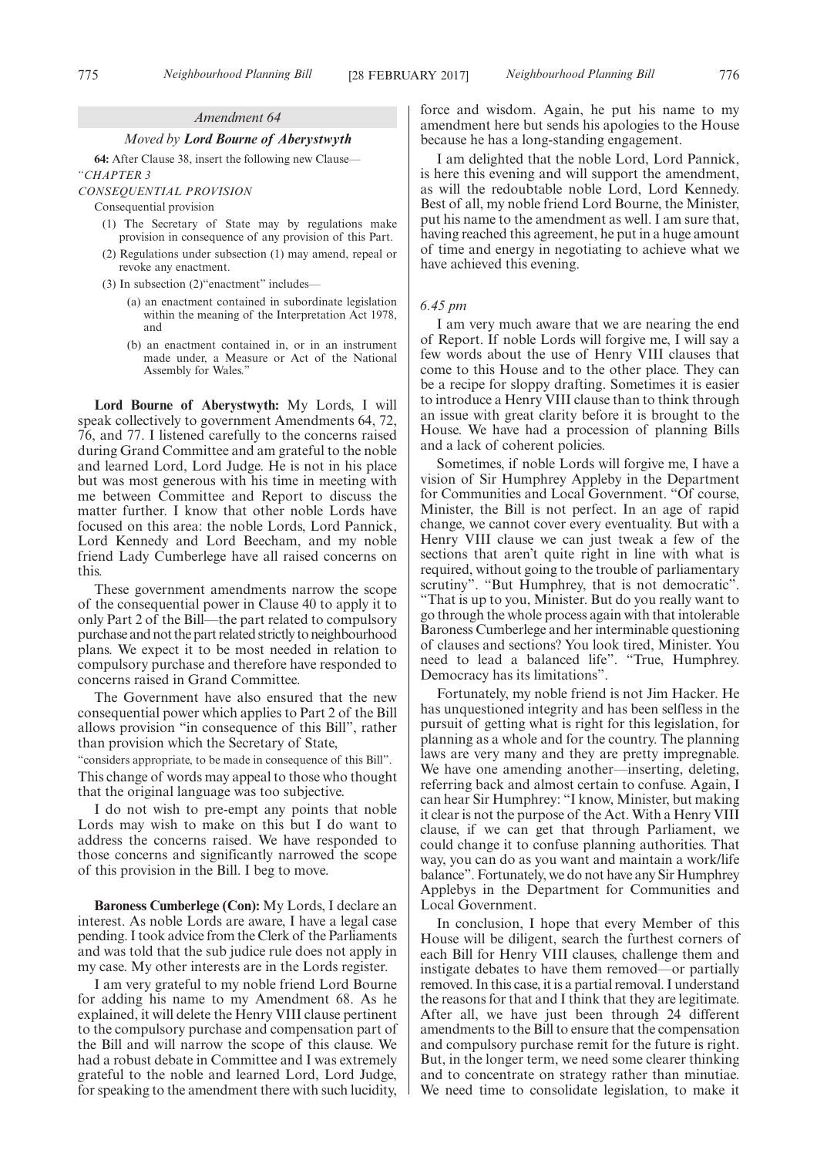#### *Amendment 64*

# *Moved by Lord Bourne of Aberystwyth*

**64:** After Clause 38, insert the following new Clause— *"CHAPTER 3*

#### *CONSEQUENTIAL PROVISION*

Consequential provision

- (1) The Secretary of State may by regulations make provision in consequence of any provision of this Part.
- (2) Regulations under subsection (1) may amend, repeal or revoke any enactment.
- (3) In subsection (2)"enactment" includes—
	- (a) an enactment contained in subordinate legislation within the meaning of the Interpretation Act 1978, and
	- (b) an enactment contained in, or in an instrument made under, a Measure or Act of the National Assembly for Wales."

**Lord Bourne of Aberystwyth:** My Lords, I will speak collectively to government Amendments 64, 72, 76, and 77. I listened carefully to the concerns raised during Grand Committee and am grateful to the noble and learned Lord, Lord Judge. He is not in his place but was most generous with his time in meeting with me between Committee and Report to discuss the matter further. I know that other noble Lords have focused on this area: the noble Lords, Lord Pannick, Lord Kennedy and Lord Beecham, and my noble friend Lady Cumberlege have all raised concerns on this.

These government amendments narrow the scope of the consequential power in Clause 40 to apply it to only Part 2 of the Bill—the part related to compulsory purchase and not the part related strictly to neighbourhood plans. We expect it to be most needed in relation to compulsory purchase and therefore have responded to concerns raised in Grand Committee.

The Government have also ensured that the new consequential power which applies to Part 2 of the Bill allows provision "in consequence of this Bill", rather than provision which the Secretary of State,

"considers appropriate, to be made in consequence of this Bill". This change of words may appeal to those who thought that the original language was too subjective.

I do not wish to pre-empt any points that noble Lords may wish to make on this but I do want to address the concerns raised. We have responded to those concerns and significantly narrowed the scope of this provision in the Bill. I beg to move.

**Baroness Cumberlege (Con):** My Lords, I declare an interest. As noble Lords are aware, I have a legal case pending. I took advice from the Clerk of the Parliaments and was told that the sub judice rule does not apply in my case. My other interests are in the Lords register.

I am very grateful to my noble friend Lord Bourne for adding his name to my Amendment 68. As he explained, it will delete the Henry VIII clause pertinent to the compulsory purchase and compensation part of the Bill and will narrow the scope of this clause. We had a robust debate in Committee and I was extremely grateful to the noble and learned Lord, Lord Judge, for speaking to the amendment there with such lucidity,

force and wisdom. Again, he put his name to my amendment here but sends his apologies to the House because he has a long-standing engagement.

I am delighted that the noble Lord, Lord Pannick, is here this evening and will support the amendment, as will the redoubtable noble Lord, Lord Kennedy. Best of all, my noble friend Lord Bourne, the Minister, put his name to the amendment as well. I am sure that, having reached this agreement, he put in a huge amount of time and energy in negotiating to achieve what we have achieved this evening.

### *6.45 pm*

I am very much aware that we are nearing the end of Report. If noble Lords will forgive me, I will say a few words about the use of Henry VIII clauses that come to this House and to the other place. They can be a recipe for sloppy drafting. Sometimes it is easier to introduce a Henry VIII clause than to think through an issue with great clarity before it is brought to the House. We have had a procession of planning Bills and a lack of coherent policies.

Sometimes, if noble Lords will forgive me, I have a vision of Sir Humphrey Appleby in the Department for Communities and Local Government. "Of course, Minister, the Bill is not perfect. In an age of rapid change, we cannot cover every eventuality. But with a Henry VIII clause we can just tweak a few of the sections that aren't quite right in line with what is required, without going to the trouble of parliamentary scrutiny". "But Humphrey, that is not democratic" "That is up to you, Minister. But do you really want to go through the whole process again with that intolerable Baroness Cumberlege and her interminable questioning of clauses and sections? You look tired, Minister. You need to lead a balanced life". "True, Humphrey. Democracy has its limitations".

Fortunately, my noble friend is not Jim Hacker. He has unquestioned integrity and has been selfless in the pursuit of getting what is right for this legislation, for planning as a whole and for the country. The planning laws are very many and they are pretty impregnable. We have one amending another—inserting, deleting, referring back and almost certain to confuse. Again, I can hear Sir Humphrey: "I know, Minister, but making it clear is not the purpose of the Act. With a Henry VIII clause, if we can get that through Parliament, we could change it to confuse planning authorities. That way, you can do as you want and maintain a work/life balance". Fortunately, we do not have any Sir Humphrey Applebys in the Department for Communities and Local Government.

In conclusion, I hope that every Member of this House will be diligent, search the furthest corners of each Bill for Henry VIII clauses, challenge them and instigate debates to have them removed—or partially removed. In this case, it is a partial removal. I understand the reasons for that and I think that they are legitimate. After all, we have just been through 24 different amendments to the Bill to ensure that the compensation and compulsory purchase remit for the future is right. But, in the longer term, we need some clearer thinking and to concentrate on strategy rather than minutiae. We need time to consolidate legislation, to make it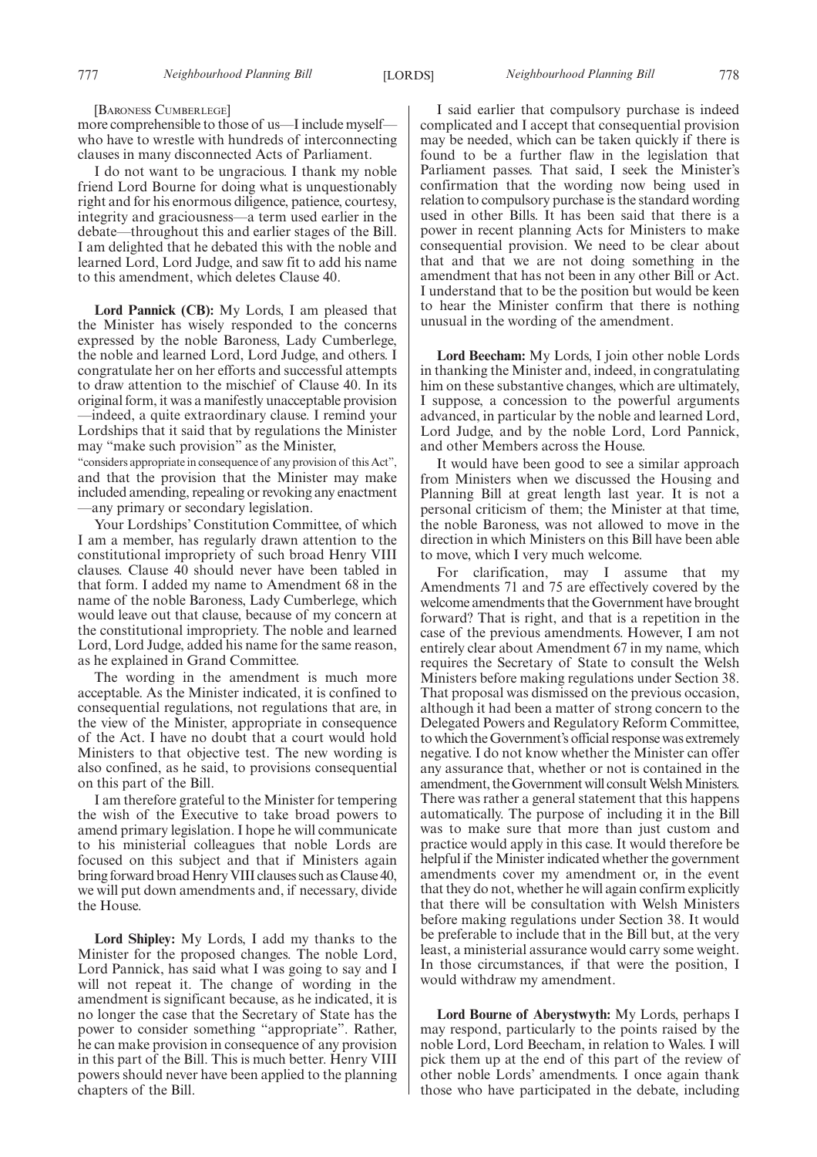### [BARONESS CUMBERLEGE]

more comprehensible to those of us—I include myself who have to wrestle with hundreds of interconnecting clauses in many disconnected Acts of Parliament.

I do not want to be ungracious. I thank my noble friend Lord Bourne for doing what is unquestionably right and for his enormous diligence, patience, courtesy, integrity and graciousness—a term used earlier in the debate—throughout this and earlier stages of the Bill. I am delighted that he debated this with the noble and learned Lord, Lord Judge, and saw fit to add his name to this amendment, which deletes Clause 40.

**Lord Pannick (CB):** My Lords, I am pleased that the Minister has wisely responded to the concerns expressed by the noble Baroness, Lady Cumberlege, the noble and learned Lord, Lord Judge, and others. I congratulate her on her efforts and successful attempts to draw attention to the mischief of Clause 40. In its original form, it was a manifestly unacceptable provision —indeed, a quite extraordinary clause. I remind your Lordships that it said that by regulations the Minister may "make such provision" as the Minister,

"considers appropriate in consequence of any provision of this Act", and that the provision that the Minister may make included amending, repealing or revoking any enactment —any primary or secondary legislation.

Your Lordships' Constitution Committee, of which I am a member, has regularly drawn attention to the constitutional impropriety of such broad Henry VIII clauses. Clause 40 should never have been tabled in that form. I added my name to Amendment 68 in the name of the noble Baroness, Lady Cumberlege, which would leave out that clause, because of my concern at the constitutional impropriety. The noble and learned Lord, Lord Judge, added his name for the same reason, as he explained in Grand Committee.

The wording in the amendment is much more acceptable. As the Minister indicated, it is confined to consequential regulations, not regulations that are, in the view of the Minister, appropriate in consequence of the Act. I have no doubt that a court would hold Ministers to that objective test. The new wording is also confined, as he said, to provisions consequential on this part of the Bill.

I am therefore grateful to the Minister for tempering the wish of the Executive to take broad powers to amend primary legislation. I hope he will communicate to his ministerial colleagues that noble Lords are focused on this subject and that if Ministers again bring forward broad Henry VIII clauses such as Clause 40, we will put down amendments and, if necessary, divide the House.

**Lord Shipley:** My Lords, I add my thanks to the Minister for the proposed changes. The noble Lord, Lord Pannick, has said what I was going to say and I will not repeat it. The change of wording in the amendment is significant because, as he indicated, it is no longer the case that the Secretary of State has the power to consider something "appropriate". Rather, he can make provision in consequence of any provision in this part of the Bill. This is much better. Henry VIII powers should never have been applied to the planning chapters of the Bill.

I said earlier that compulsory purchase is indeed complicated and I accept that consequential provision may be needed, which can be taken quickly if there is found to be a further flaw in the legislation that Parliament passes. That said, I seek the Minister's confirmation that the wording now being used in relation to compulsory purchase is the standard wording used in other Bills. It has been said that there is a power in recent planning Acts for Ministers to make consequential provision. We need to be clear about that and that we are not doing something in the amendment that has not been in any other Bill or Act. I understand that to be the position but would be keen to hear the Minister confirm that there is nothing unusual in the wording of the amendment.

**Lord Beecham:** My Lords, I join other noble Lords in thanking the Minister and, indeed, in congratulating him on these substantive changes, which are ultimately, I suppose, a concession to the powerful arguments advanced, in particular by the noble and learned Lord, Lord Judge, and by the noble Lord, Lord Pannick, and other Members across the House.

It would have been good to see a similar approach from Ministers when we discussed the Housing and Planning Bill at great length last year. It is not a personal criticism of them; the Minister at that time, the noble Baroness, was not allowed to move in the direction in which Ministers on this Bill have been able to move, which I very much welcome.

For clarification, may I assume that my Amendments 71 and 75 are effectively covered by the welcome amendments that the Government have brought forward? That is right, and that is a repetition in the case of the previous amendments. However, I am not entirely clear about Amendment 67 in my name, which requires the Secretary of State to consult the Welsh Ministers before making regulations under Section 38. That proposal was dismissed on the previous occasion, although it had been a matter of strong concern to the Delegated Powers and Regulatory Reform Committee, to which the Government's official response was extremely negative. I do not know whether the Minister can offer any assurance that, whether or not is contained in the amendment, the Government will consult Welsh Ministers. There was rather a general statement that this happens automatically. The purpose of including it in the Bill was to make sure that more than just custom and practice would apply in this case. It would therefore be helpful if the Minister indicated whether the government amendments cover my amendment or, in the event that they do not, whether he will again confirm explicitly that there will be consultation with Welsh Ministers before making regulations under Section 38. It would be preferable to include that in the Bill but, at the very least, a ministerial assurance would carry some weight. In those circumstances, if that were the position, I would withdraw my amendment.

**Lord Bourne of Aberystwyth:** My Lords, perhaps I may respond, particularly to the points raised by the noble Lord, Lord Beecham, in relation to Wales. I will pick them up at the end of this part of the review of other noble Lords' amendments. I once again thank those who have participated in the debate, including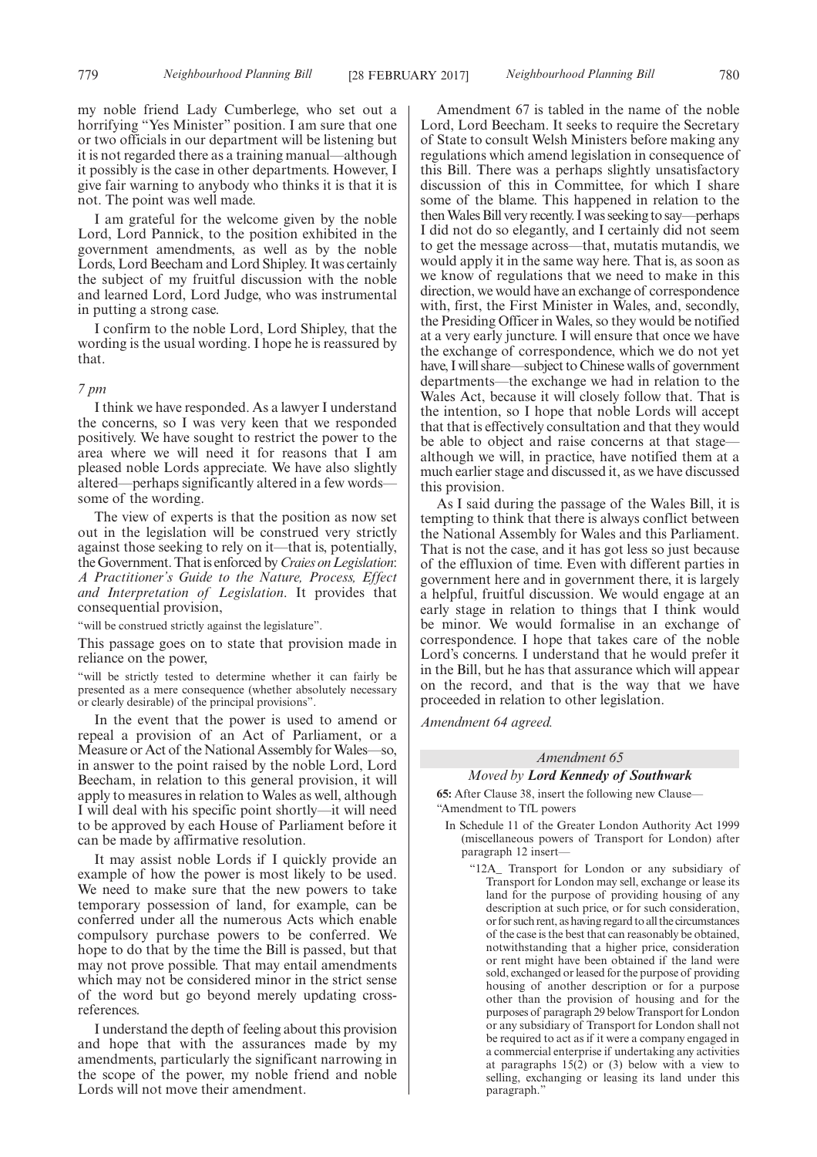my noble friend Lady Cumberlege, who set out a horrifying "Yes Minister" position. I am sure that one or two officials in our department will be listening but it is not regarded there as a training manual—although it possibly is the case in other departments. However, I give fair warning to anybody who thinks it is that it is not. The point was well made.

I am grateful for the welcome given by the noble Lord, Lord Pannick, to the position exhibited in the government amendments, as well as by the noble Lords, Lord Beecham and Lord Shipley. It was certainly the subject of my fruitful discussion with the noble and learned Lord, Lord Judge, who was instrumental in putting a strong case.

I confirm to the noble Lord, Lord Shipley, that the wording is the usual wording. I hope he is reassured by that.

## *7 pm*

I think we have responded. As a lawyer I understand the concerns, so I was very keen that we responded positively. We have sought to restrict the power to the area where we will need it for reasons that I am pleased noble Lords appreciate. We have also slightly altered—perhaps significantly altered in a few words some of the wording.

The view of experts is that the position as now set out in the legislation will be construed very strictly against those seeking to rely on it—that is, potentially, the Government. That is enforced by*Craies on Legislation*: *A Practitioner's Guide to the Nature, Process, Effect and Interpretation of Legislation*. It provides that consequential provision,

"will be construed strictly against the legislature".

This passage goes on to state that provision made in reliance on the power,

"will be strictly tested to determine whether it can fairly be presented as a mere consequence (whether absolutely necessary or clearly desirable) of the principal provisions".

In the event that the power is used to amend or repeal a provision of an Act of Parliament, or a Measure or Act of the National Assembly for Wales—so, in answer to the point raised by the noble Lord, Lord Beecham, in relation to this general provision, it will apply to measures in relation to Wales as well, although I will deal with his specific point shortly—it will need to be approved by each House of Parliament before it can be made by affirmative resolution.

It may assist noble Lords if I quickly provide an example of how the power is most likely to be used. We need to make sure that the new powers to take temporary possession of land, for example, can be conferred under all the numerous Acts which enable compulsory purchase powers to be conferred. We hope to do that by the time the Bill is passed, but that may not prove possible. That may entail amendments which may not be considered minor in the strict sense of the word but go beyond merely updating crossreferences.

I understand the depth of feeling about this provision and hope that with the assurances made by my amendments, particularly the significant narrowing in the scope of the power, my noble friend and noble Lords will not move their amendment.

Amendment 67 is tabled in the name of the noble Lord, Lord Beecham. It seeks to require the Secretary of State to consult Welsh Ministers before making any regulations which amend legislation in consequence of this Bill. There was a perhaps slightly unsatisfactory discussion of this in Committee, for which I share some of the blame. This happened in relation to the then Wales Bill very recently. I was seeking to say—perhaps I did not do so elegantly, and I certainly did not seem to get the message across—that, mutatis mutandis, we would apply it in the same way here. That is, as soon as we know of regulations that we need to make in this direction, we would have an exchange of correspondence with, first, the First Minister in Wales, and, secondly, the Presiding Officer in Wales, so they would be notified at a very early juncture. I will ensure that once we have the exchange of correspondence, which we do not yet have, I will share—subject to Chinese walls of government departments—the exchange we had in relation to the Wales Act, because it will closely follow that. That is the intention, so I hope that noble Lords will accept that that is effectively consultation and that they would be able to object and raise concerns at that stage although we will, in practice, have notified them at a much earlier stage and discussed it, as we have discussed this provision.

As I said during the passage of the Wales Bill, it is tempting to think that there is always conflict between the National Assembly for Wales and this Parliament. That is not the case, and it has got less so just because of the effluxion of time. Even with different parties in government here and in government there, it is largely a helpful, fruitful discussion. We would engage at an early stage in relation to things that I think would be minor. We would formalise in an exchange of correspondence. I hope that takes care of the noble Lord's concerns. I understand that he would prefer it in the Bill, but he has that assurance which will appear on the record, and that is the way that we have proceeded in relation to other legislation.

*Amendment 64 agreed.*

## *Amendment 65*

## *Moved by Lord Kennedy of Southwark*

**65:** After Clause 38, insert the following new Clause— "Amendment to TfL powers

- In Schedule 11 of the Greater London Authority Act 1999 (miscellaneous powers of Transport for London) after paragraph 12 insert—
	- "12A\_ Transport for London or any subsidiary of Transport for London may sell, exchange or lease its land for the purpose of providing housing of any description at such price, or for such consideration, or for such rent, as having regard to all the circumstances of the case is the best that can reasonably be obtained, notwithstanding that a higher price, consideration or rent might have been obtained if the land were sold, exchanged or leased for the purpose of providing housing of another description or for a purpose other than the provision of housing and for the purposes of paragraph 29 below Transport for London or any subsidiary of Transport for London shall not be required to act as if it were a company engaged in a commercial enterprise if undertaking any activities at paragraphs 15(2) or (3) below with a view to selling, exchanging or leasing its land under this paragraph."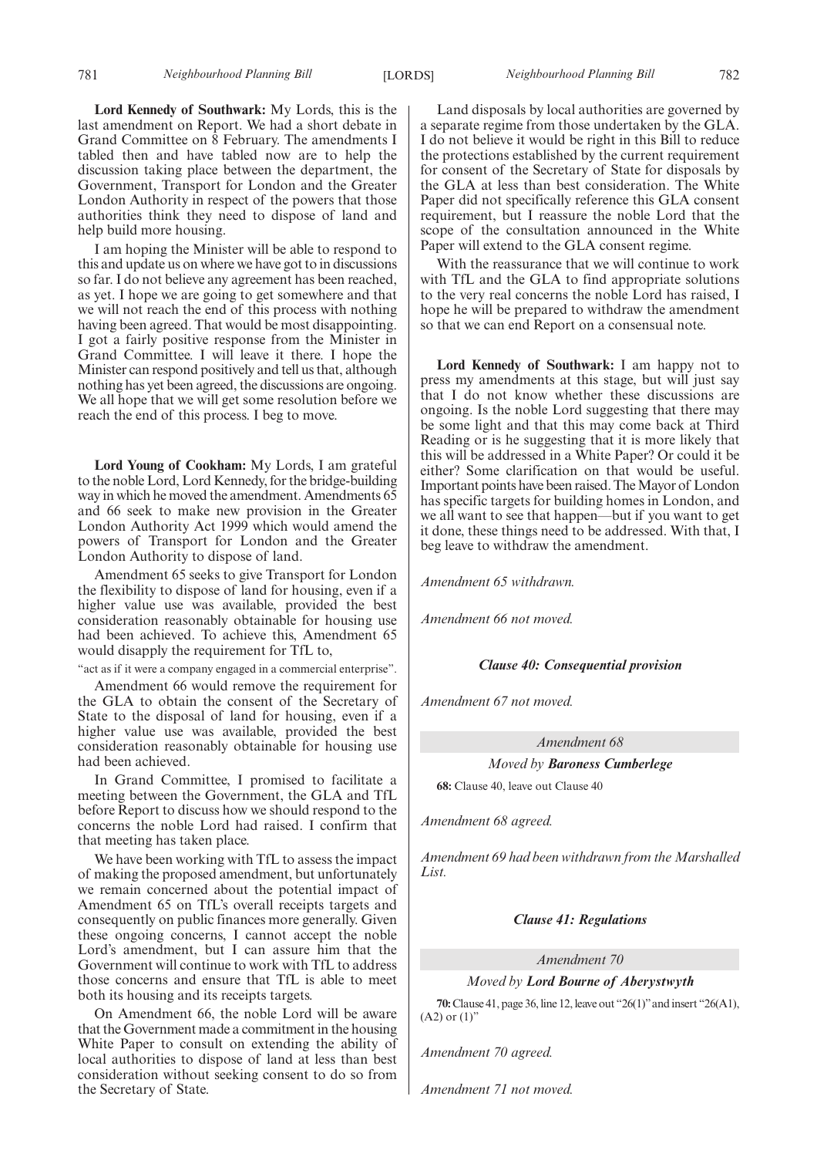**Lord Kennedy of Southwark:** My Lords, this is the last amendment on Report. We had a short debate in Grand Committee on 8 February. The amendments I tabled then and have tabled now are to help the discussion taking place between the department, the Government, Transport for London and the Greater London Authority in respect of the powers that those authorities think they need to dispose of land and help build more housing.

I am hoping the Minister will be able to respond to this and update us on where we have got to in discussions so far. I do not believe any agreement has been reached, as yet. I hope we are going to get somewhere and that we will not reach the end of this process with nothing having been agreed. That would be most disappointing. I got a fairly positive response from the Minister in Grand Committee. I will leave it there. I hope the Minister can respond positively and tell us that, although nothing has yet been agreed, the discussions are ongoing. We all hope that we will get some resolution before we reach the end of this process. I beg to move.

**Lord Young of Cookham:** My Lords, I am grateful to the noble Lord, Lord Kennedy, for the bridge-building way in which he moved the amendment. Amendments 65 and 66 seek to make new provision in the Greater London Authority Act 1999 which would amend the powers of Transport for London and the Greater London Authority to dispose of land.

Amendment 65 seeks to give Transport for London the flexibility to dispose of land for housing, even if a higher value use was available, provided the best consideration reasonably obtainable for housing use had been achieved. To achieve this, Amendment 65 would disapply the requirement for TfL to,

"act as if it were a company engaged in a commercial enterprise".

Amendment 66 would remove the requirement for the GLA to obtain the consent of the Secretary of State to the disposal of land for housing, even if a higher value use was available, provided the best consideration reasonably obtainable for housing use had been achieved.

In Grand Committee, I promised to facilitate a meeting between the Government, the GLA and TfL before Report to discuss how we should respond to the concerns the noble Lord had raised. I confirm that that meeting has taken place.

We have been working with TfL to assess the impact of making the proposed amendment, but unfortunately we remain concerned about the potential impact of Amendment 65 on TfL's overall receipts targets and consequently on public finances more generally. Given these ongoing concerns, I cannot accept the noble Lord's amendment, but I can assure him that the Government will continue to work with TfL to address those concerns and ensure that TfL is able to meet both its housing and its receipts targets.

On Amendment 66, the noble Lord will be aware that the Government made a commitment in the housing White Paper to consult on extending the ability of local authorities to dispose of land at less than best consideration without seeking consent to do so from the Secretary of State.

781 *Neighbourhood Planning Bill Neighbourhood Planning Bill* [LORDS] 782

Land disposals by local authorities are governed by a separate regime from those undertaken by the GLA. I do not believe it would be right in this Bill to reduce the protections established by the current requirement for consent of the Secretary of State for disposals by the GLA at less than best consideration. The White Paper did not specifically reference this GLA consent requirement, but I reassure the noble Lord that the scope of the consultation announced in the White Paper will extend to the GLA consent regime.

With the reassurance that we will continue to work with TfL and the GLA to find appropriate solutions to the very real concerns the noble Lord has raised, I hope he will be prepared to withdraw the amendment so that we can end Report on a consensual note.

**Lord Kennedy of Southwark:** I am happy not to press my amendments at this stage, but will just say that I do not know whether these discussions are ongoing. Is the noble Lord suggesting that there may be some light and that this may come back at Third Reading or is he suggesting that it is more likely that this will be addressed in a White Paper? Or could it be either? Some clarification on that would be useful. Important points have been raised. The Mayor of London has specific targets for building homes in London, and we all want to see that happen—but if you want to get it done, these things need to be addressed. With that, I beg leave to withdraw the amendment.

*Amendment 65 withdrawn.*

*Amendment 66 not moved.*

## *Clause 40: Consequential provision*

*Amendment 67 not moved.*

*Amendment 68*

*Moved by Baroness Cumberlege*

**68:** Clause 40, leave out Clause 40

*Amendment 68 agreed.*

*Amendment 69 had been withdrawn from the Marshalled List.*

## *Clause 41: Regulations*

*Amendment 70*

# *Moved by Lord Bourne of Aberystwyth*

**70:**Clause 41, page 36, line 12, leave out "26(1)"and insert "26(A1),  $(A2)$  or  $(1)$ "

*Amendment 70 agreed.*

*Amendment 71 not moved.*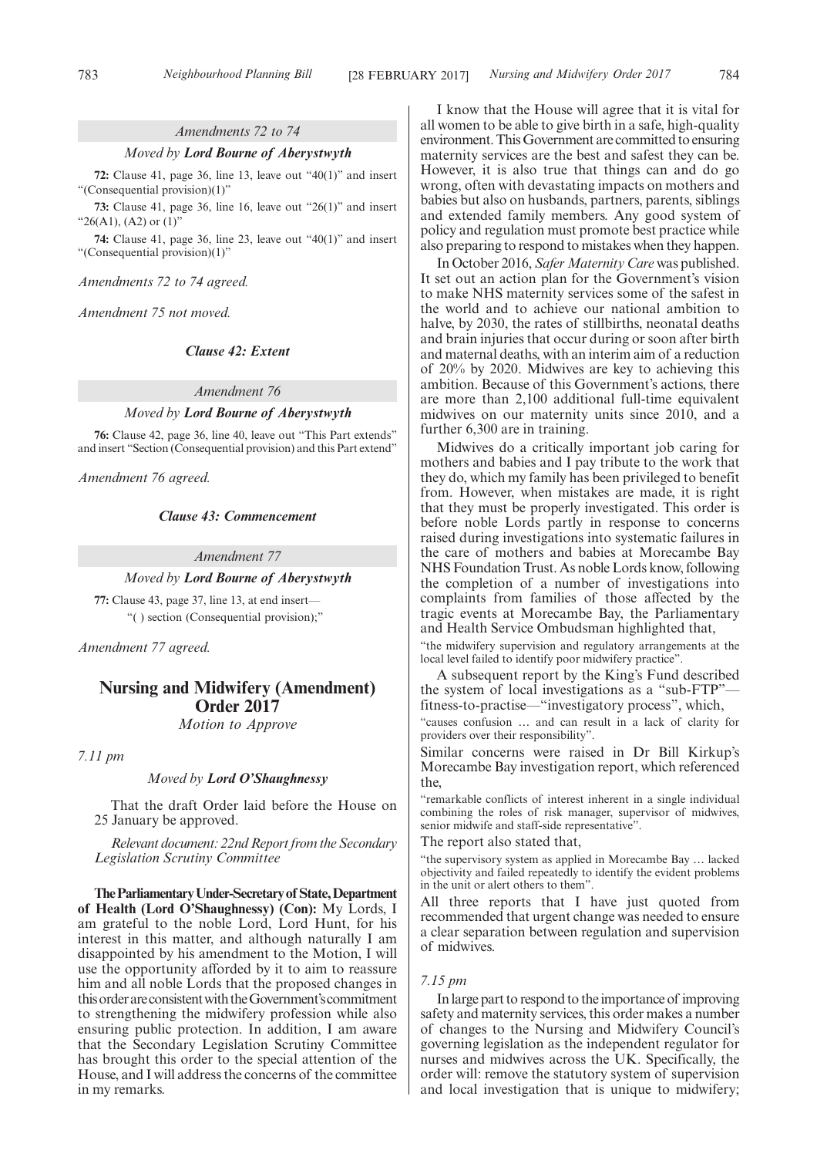## *Amendments 72 to 74*

#### *Moved by Lord Bourne of Aberystwyth*

**72:** Clause 41, page 36, line 13, leave out "40(1)" and insert "(Consequential provision)(1)"

**73:** Clause 41, page 36, line 16, leave out "26(1)" and insert " $26(A1)$ ,  $(A2)$  or  $(1)$ "

**74:** Clause 41, page 36, line 23, leave out "40(1)" and insert "(Consequential provision)(1)"

*Amendments 72 to 74 agreed.*

*Amendment 75 not moved.*

# *Clause 42: Extent*

*Amendment 76*

# *Moved by Lord Bourne of Aberystwyth*

**76:** Clause 42, page 36, line 40, leave out "This Part extends" and insert "Section (Consequential provision) and this Part extend"

*Amendment 76 agreed.*

## *Clause 43: Commencement*

*Amendment 77*

# *Moved by Lord Bourne of Aberystwyth*

**77:** Clause 43, page 37, line 13, at end insert— "( ) section (Consequential provision);"

*Amendment 77 agreed.*

# **Nursing and Midwifery (Amendment) Order 2017**

*Motion to Approve*

*7.11 pm*

# *Moved by Lord O'Shaughnessy*

That the draft Order laid before the House on 25 January be approved.

*Relevant document: 22nd Report from the Secondary Legislation Scrutiny Committee*

**TheParliamentaryUnder-Secretaryof State,Department of Health (Lord O'Shaughnessy) (Con):** My Lords, I am grateful to the noble Lord, Lord Hunt, for his interest in this matter, and although naturally I am disappointed by his amendment to the Motion, I will use the opportunity afforded by it to aim to reassure him and all noble Lords that the proposed changes in this order are consistent with the Government's commitment to strengthening the midwifery profession while also ensuring public protection. In addition, I am aware that the Secondary Legislation Scrutiny Committee has brought this order to the special attention of the House, and I will address the concerns of the committee in my remarks.

I know that the House will agree that it is vital for all women to be able to give birth in a safe, high-quality environment. This Government are committed to ensuring maternity services are the best and safest they can be. However, it is also true that things can and do go wrong, often with devastating impacts on mothers and babies but also on husbands, partners, parents, siblings and extended family members. Any good system of policy and regulation must promote best practice while also preparing to respond to mistakes when they happen.

In October 2016, *Safer Maternity Care* was published. It set out an action plan for the Government's vision to make NHS maternity services some of the safest in the world and to achieve our national ambition to halve, by 2030, the rates of stillbirths, neonatal deaths and brain injuries that occur during or soon after birth and maternal deaths, with an interim aim of a reduction of 20% by 2020. Midwives are key to achieving this ambition. Because of this Government's actions, there are more than 2,100 additional full-time equivalent midwives on our maternity units since 2010, and a further 6,300 are in training.

Midwives do a critically important job caring for mothers and babies and I pay tribute to the work that they do, which my family has been privileged to benefit from. However, when mistakes are made, it is right that they must be properly investigated. This order is before noble Lords partly in response to concerns raised during investigations into systematic failures in the care of mothers and babies at Morecambe Bay NHS Foundation Trust. As noble Lords know, following the completion of a number of investigations into complaints from families of those affected by the tragic events at Morecambe Bay, the Parliamentary and Health Service Ombudsman highlighted that,

"the midwifery supervision and regulatory arrangements at the local level failed to identify poor midwifery practice".

A subsequent report by the King's Fund described the system of local investigations as a "sub-FTP" fitness-to-practise—"investigatory process", which,

"causes confusion … and can result in a lack of clarity for providers over their responsibility".

Similar concerns were raised in Dr Bill Kirkup's Morecambe Bay investigation report, which referenced the,

"remarkable conflicts of interest inherent in a single individual combining the roles of risk manager, supervisor of midwives, senior midwife and staff-side representative".

The report also stated that,

"the supervisory system as applied in Morecambe Bay … lacked objectivity and failed repeatedly to identify the evident problems in the unit or alert others to them".

All three reports that I have just quoted from recommended that urgent change was needed to ensure a clear separation between regulation and supervision of midwives.

### *7.15 pm*

In large part to respond to the importance of improving safety and maternity services, this order makes a number of changes to the Nursing and Midwifery Council's governing legislation as the independent regulator for nurses and midwives across the UK. Specifically, the order will: remove the statutory system of supervision and local investigation that is unique to midwifery;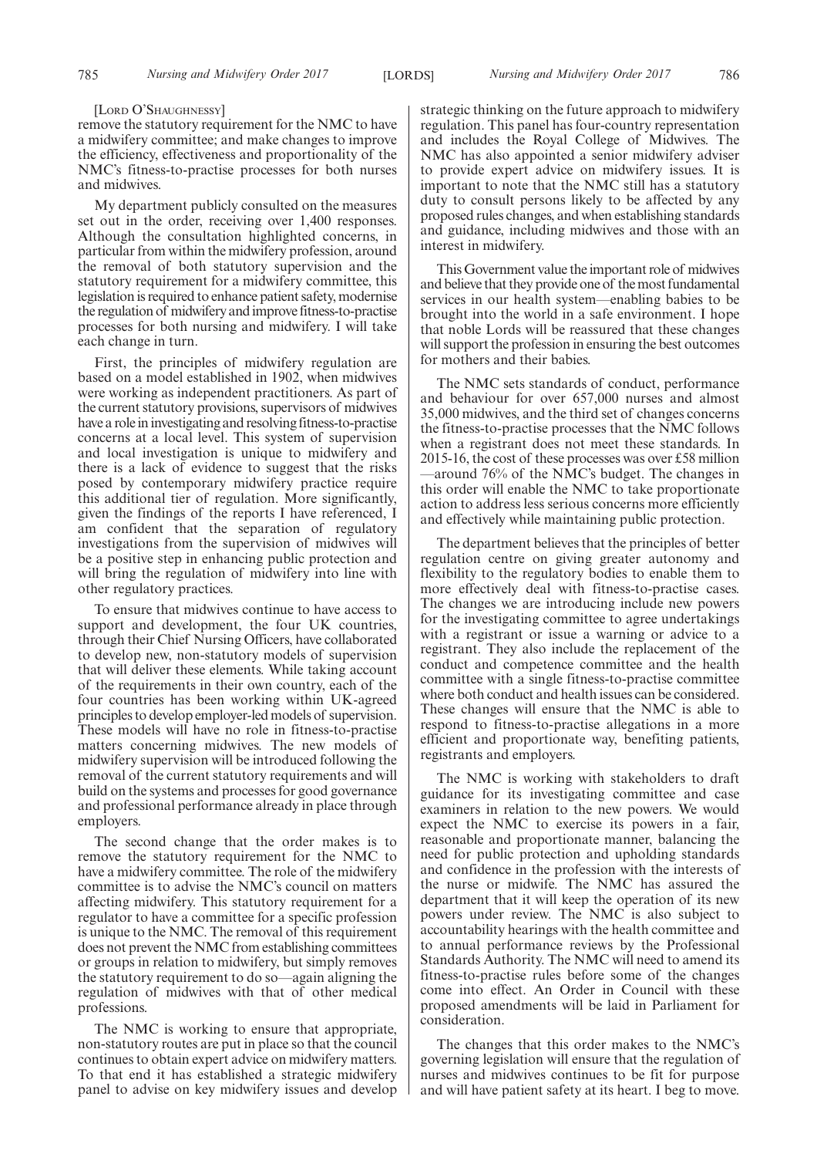#### [LORD O'SHAUGHNESSY]

remove the statutory requirement for the NMC to have a midwifery committee; and make changes to improve the efficiency, effectiveness and proportionality of the NMC's fitness-to-practise processes for both nurses and midwives.

My department publicly consulted on the measures set out in the order, receiving over 1,400 responses. Although the consultation highlighted concerns, in particular from within the midwifery profession, around the removal of both statutory supervision and the statutory requirement for a midwifery committee, this legislation is required to enhance patient safety, modernise the regulation of midwifery and improve fitness-to-practise processes for both nursing and midwifery. I will take each change in turn.

First, the principles of midwifery regulation are based on a model established in 1902, when midwives were working as independent practitioners. As part of the current statutory provisions, supervisors of midwives have a role in investigating and resolving fitness-to-practise concerns at a local level. This system of supervision and local investigation is unique to midwifery and there is a lack of evidence to suggest that the risks posed by contemporary midwifery practice require this additional tier of regulation. More significantly, given the findings of the reports I have referenced, I am confident that the separation of regulatory investigations from the supervision of midwives will be a positive step in enhancing public protection and will bring the regulation of midwifery into line with other regulatory practices.

To ensure that midwives continue to have access to support and development, the four UK countries, through their Chief Nursing Officers, have collaborated to develop new, non-statutory models of supervision that will deliver these elements. While taking account of the requirements in their own country, each of the four countries has been working within UK-agreed principles to develop employer-led models of supervision. These models will have no role in fitness-to-practise matters concerning midwives. The new models of midwifery supervision will be introduced following the removal of the current statutory requirements and will build on the systems and processes for good governance and professional performance already in place through employers.

The second change that the order makes is to remove the statutory requirement for the NMC to have a midwifery committee. The role of the midwifery committee is to advise the NMC's council on matters affecting midwifery. This statutory requirement for a regulator to have a committee for a specific profession is unique to the NMC. The removal of this requirement does not prevent the NMC from establishing committees or groups in relation to midwifery, but simply removes the statutory requirement to do so—again aligning the regulation of midwives with that of other medical professions.

The NMC is working to ensure that appropriate, non-statutory routes are put in place so that the council continues to obtain expert advice on midwifery matters. To that end it has established a strategic midwifery panel to advise on key midwifery issues and develop strategic thinking on the future approach to midwifery regulation. This panel has four-country representation and includes the Royal College of Midwives. The NMC has also appointed a senior midwifery adviser to provide expert advice on midwifery issues. It is important to note that the NMC still has a statutory duty to consult persons likely to be affected by any proposed rules changes, and when establishing standards and guidance, including midwives and those with an interest in midwifery.

This Government value the important role of midwives and believe that they provide one of the most fundamental services in our health system—enabling babies to be brought into the world in a safe environment. I hope that noble Lords will be reassured that these changes will support the profession in ensuring the best outcomes for mothers and their babies.

The NMC sets standards of conduct, performance and behaviour for over 657,000 nurses and almost 35,000 midwives, and the third set of changes concerns the fitness-to-practise processes that the NMC follows when a registrant does not meet these standards. In 2015-16, the cost of these processes was over £58 million —around 76% of the NMC's budget. The changes in this order will enable the NMC to take proportionate action to address less serious concerns more efficiently and effectively while maintaining public protection.

The department believes that the principles of better regulation centre on giving greater autonomy and flexibility to the regulatory bodies to enable them to more effectively deal with fitness-to-practise cases. The changes we are introducing include new powers for the investigating committee to agree undertakings with a registrant or issue a warning or advice to a registrant. They also include the replacement of the conduct and competence committee and the health committee with a single fitness-to-practise committee where both conduct and health issues can be considered. These changes will ensure that the NMC is able to respond to fitness-to-practise allegations in a more efficient and proportionate way, benefiting patients, registrants and employers.

The NMC is working with stakeholders to draft guidance for its investigating committee and case examiners in relation to the new powers. We would expect the NMC to exercise its powers in a fair, reasonable and proportionate manner, balancing the need for public protection and upholding standards and confidence in the profession with the interests of the nurse or midwife. The NMC has assured the department that it will keep the operation of its new powers under review. The NMC is also subject to accountability hearings with the health committee and to annual performance reviews by the Professional Standards Authority. The NMC will need to amend its fitness-to-practise rules before some of the changes come into effect. An Order in Council with these proposed amendments will be laid in Parliament for consideration.

The changes that this order makes to the NMC's governing legislation will ensure that the regulation of nurses and midwives continues to be fit for purpose and will have patient safety at its heart. I beg to move.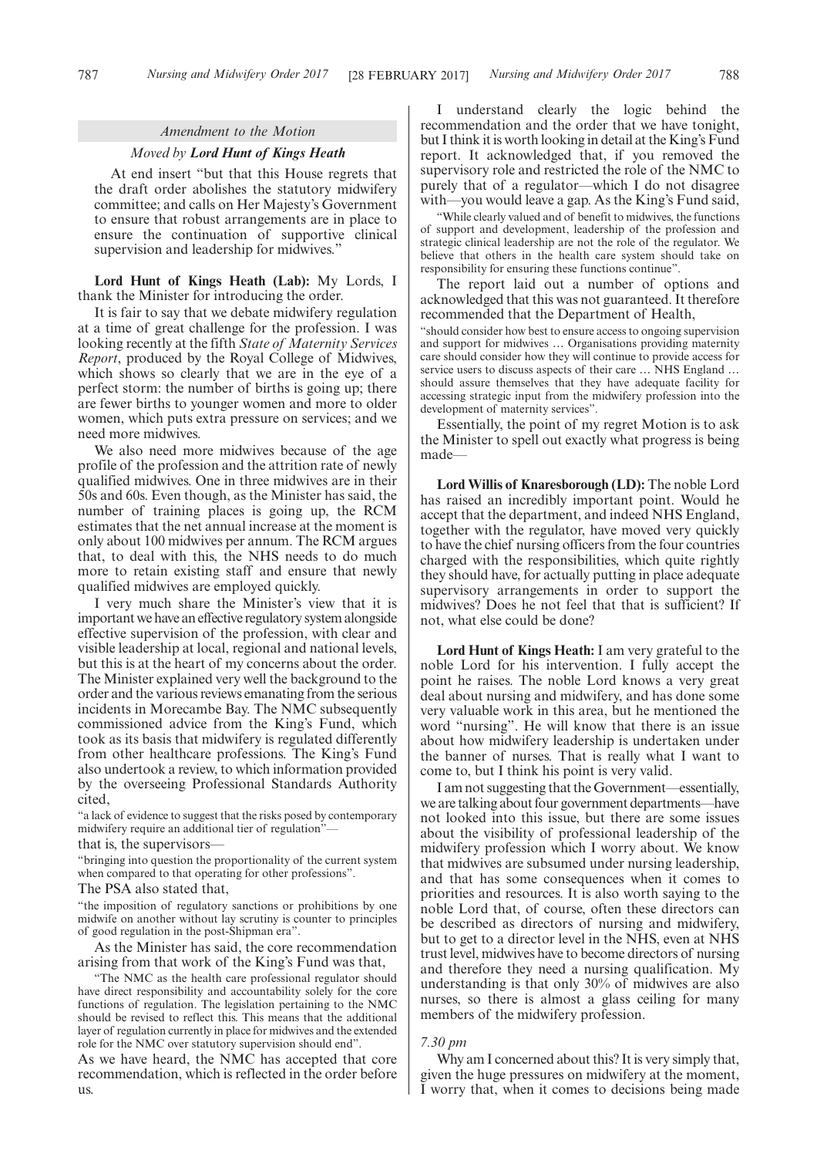#### *Amendment to the Motion*

#### *Moved by Lord Hunt of Kings Heath*

At end insert "but that this House regrets that the draft order abolishes the statutory midwifery committee; and calls on Her Majesty's Government to ensure that robust arrangements are in place to ensure the continuation of supportive clinical supervision and leadership for midwives."

**Lord Hunt of Kings Heath (Lab):** My Lords, I thank the Minister for introducing the order.

It is fair to say that we debate midwifery regulation at a time of great challenge for the profession. I was looking recently at the fifth *State of Maternity Services Report*, produced by the Royal College of Midwives, which shows so clearly that we are in the eye of a perfect storm: the number of births is going up; there are fewer births to younger women and more to older women, which puts extra pressure on services; and we need more midwives.

We also need more midwives because of the age profile of the profession and the attrition rate of newly qualified midwives. One in three midwives are in their 50s and 60s. Even though, as the Minister has said, the number of training places is going up, the RCM estimates that the net annual increase at the moment is only about 100 midwives per annum. The RCM argues that, to deal with this, the NHS needs to do much more to retain existing staff and ensure that newly qualified midwives are employed quickly.

I very much share the Minister's view that it is important we have an effective regulatory system alongside effective supervision of the profession, with clear and visible leadership at local, regional and national levels, but this is at the heart of my concerns about the order. The Minister explained very well the background to the order and the various reviews emanating from the serious incidents in Morecambe Bay. The NMC subsequently commissioned advice from the King's Fund, which took as its basis that midwifery is regulated differently from other healthcare professions. The King's Fund also undertook a review, to which information provided by the overseeing Professional Standards Authority cited,

"a lack of evidence to suggest that the risks posed by contemporary midwifery require an additional tier of regulation"

that is, the supervisors—

"bringing into question the proportionality of the current system when compared to that operating for other professions".

The PSA also stated that,

"the imposition of regulatory sanctions or prohibitions by one midwife on another without lay scrutiny is counter to principles of good regulation in the post-Shipman era".

As the Minister has said, the core recommendation arising from that work of the King's Fund was that,

"The NMC as the health care professional regulator should have direct responsibility and accountability solely for the core functions of regulation. The legislation pertaining to the NMC should be revised to reflect this. This means that the additional layer of regulation currently in place for midwives and the extended role for the NMC over statutory supervision should end".

As we have heard, the NMC has accepted that core recommendation, which is reflected in the order before us.

I understand clearly the logic behind the recommendation and the order that we have tonight, but I think it is worth looking in detail at the King's Fund report. It acknowledged that, if you removed the supervisory role and restricted the role of the NMC to purely that of a regulator—which I do not disagree with—you would leave a gap. As the King's Fund said,

"While clearly valued and of benefit to midwives, the functions of support and development, leadership of the profession and strategic clinical leadership are not the role of the regulator. We believe that others in the health care system should take on responsibility for ensuring these functions continue".

The report laid out a number of options and acknowledged that this was not guaranteed. It therefore recommended that the Department of Health,

"should consider how best to ensure access to ongoing supervision and support for midwives … Organisations providing maternity care should consider how they will continue to provide access for service users to discuss aspects of their care ... NHS England ... should assure themselves that they have adequate facility for accessing strategic input from the midwifery profession into the development of maternity services".

Essentially, the point of my regret Motion is to ask the Minister to spell out exactly what progress is being made—

**Lord Willis of Knaresborough (LD):** The noble Lord has raised an incredibly important point. Would he accept that the department, and indeed NHS England, together with the regulator, have moved very quickly to have the chief nursing officers from the four countries charged with the responsibilities, which quite rightly they should have, for actually putting in place adequate supervisory arrangements in order to support the midwives? Does he not feel that that is sufficient? If not, what else could be done?

**Lord Hunt of Kings Heath:** I am very grateful to the noble Lord for his intervention. I fully accept the point he raises. The noble Lord knows a very great deal about nursing and midwifery, and has done some very valuable work in this area, but he mentioned the word "nursing". He will know that there is an issue about how midwifery leadership is undertaken under the banner of nurses. That is really what I want to come to, but I think his point is very valid.

I am not suggesting that the Government—essentially, we are talking about four government departments—have not looked into this issue, but there are some issues about the visibility of professional leadership of the midwifery profession which I worry about. We know that midwives are subsumed under nursing leadership, and that has some consequences when it comes to priorities and resources. It is also worth saying to the noble Lord that, of course, often these directors can be described as directors of nursing and midwifery, but to get to a director level in the NHS, even at NHS trust level, midwives have to become directors of nursing and therefore they need a nursing qualification. My understanding is that only 30% of midwives are also nurses, so there is almost a glass ceiling for many members of the midwifery profession.

# *7.30 pm*

Why am I concerned about this? It is very simply that, given the huge pressures on midwifery at the moment, I worry that, when it comes to decisions being made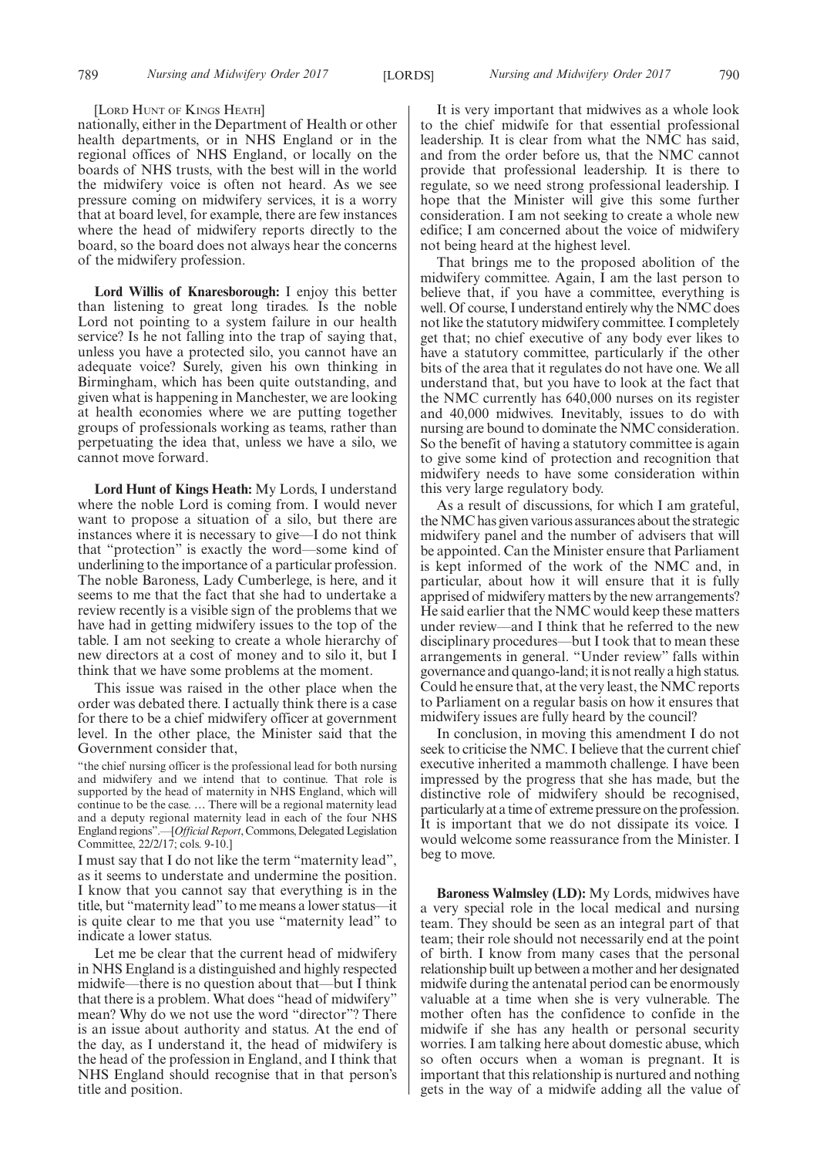#### [LORD HUNT OF KINGS HEATH]

nationally, either in the Department of Health or other health departments, or in NHS England or in the regional offices of NHS England, or locally on the boards of NHS trusts, with the best will in the world the midwifery voice is often not heard. As we see pressure coming on midwifery services, it is a worry that at board level, for example, there are few instances where the head of midwifery reports directly to the board, so the board does not always hear the concerns of the midwifery profession.

**Lord Willis of Knaresborough:** I enjoy this better than listening to great long tirades. Is the noble Lord not pointing to a system failure in our health service? Is he not falling into the trap of saying that, unless you have a protected silo, you cannot have an adequate voice? Surely, given his own thinking in Birmingham, which has been quite outstanding, and given what is happening in Manchester, we are looking at health economies where we are putting together groups of professionals working as teams, rather than perpetuating the idea that, unless we have a silo, we cannot move forward.

**Lord Hunt of Kings Heath:** My Lords, I understand where the noble Lord is coming from. I would never want to propose a situation of a silo, but there are instances where it is necessary to give—I do not think that "protection" is exactly the word—some kind of underlining to the importance of a particular profession. The noble Baroness, Lady Cumberlege, is here, and it seems to me that the fact that she had to undertake a review recently is a visible sign of the problems that we have had in getting midwifery issues to the top of the table. I am not seeking to create a whole hierarchy of new directors at a cost of money and to silo it, but I think that we have some problems at the moment.

This issue was raised in the other place when the order was debated there. I actually think there is a case for there to be a chief midwifery officer at government level. In the other place, the Minister said that the Government consider that,

"the chief nursing officer is the professional lead for both nursing and midwifery and we intend that to continue. That role is supported by the head of maternity in NHS England, which will continue to be the case. … There will be a regional maternity lead and a deputy regional maternity lead in each of the four NHS England regions".—[*Official Report*, Commons, Delegated Legislation Committee, 22/2/17; cols. 9-10.]

I must say that I do not like the term "maternity lead", as it seems to understate and undermine the position. I know that you cannot say that everything is in the title, but "maternity lead" to me means a lower status—it is quite clear to me that you use "maternity lead" to indicate a lower status.

Let me be clear that the current head of midwifery in NHS England is a distinguished and highly respected midwife—there is no question about that—but I think that there is a problem. What does "head of midwifery" mean? Why do we not use the word "director"? There is an issue about authority and status. At the end of the day, as I understand it, the head of midwifery is the head of the profession in England, and I think that NHS England should recognise that in that person's title and position.

It is very important that midwives as a whole look to the chief midwife for that essential professional leadership. It is clear from what the NMC has said, and from the order before us, that the NMC cannot provide that professional leadership. It is there to regulate, so we need strong professional leadership. I hope that the Minister will give this some further consideration. I am not seeking to create a whole new edifice; I am concerned about the voice of midwifery not being heard at the highest level.

That brings me to the proposed abolition of the midwifery committee. Again, I am the last person to believe that, if you have a committee, everything is well. Of course, I understand entirely why the NMC does not like the statutory midwifery committee. I completely get that; no chief executive of any body ever likes to have a statutory committee, particularly if the other bits of the area that it regulates do not have one. We all understand that, but you have to look at the fact that the NMC currently has 640,000 nurses on its register and 40,000 midwives. Inevitably, issues to do with nursing are bound to dominate the NMC consideration. So the benefit of having a statutory committee is again to give some kind of protection and recognition that midwifery needs to have some consideration within this very large regulatory body.

As a result of discussions, for which I am grateful, the NMC has given various assurances about the strategic midwifery panel and the number of advisers that will be appointed. Can the Minister ensure that Parliament is kept informed of the work of the NMC and, in particular, about how it will ensure that it is fully apprised of midwifery matters by the new arrangements? He said earlier that the NMC would keep these matters under review—and I think that he referred to the new disciplinary procedures—but I took that to mean these arrangements in general. "Under review" falls within governance and quango-land; it is not really a high status. Could he ensure that, at the very least, the NMC reports to Parliament on a regular basis on how it ensures that midwifery issues are fully heard by the council?

In conclusion, in moving this amendment I do not seek to criticise the NMC. I believe that the current chief executive inherited a mammoth challenge. I have been impressed by the progress that she has made, but the distinctive role of midwifery should be recognised, particularly at a time of extreme pressure on the profession. It is important that we do not dissipate its voice. I would welcome some reassurance from the Minister. I beg to move.

**Baroness Walmsley (LD):** My Lords, midwives have a very special role in the local medical and nursing team. They should be seen as an integral part of that team; their role should not necessarily end at the point of birth. I know from many cases that the personal relationship built up between a mother and her designated midwife during the antenatal period can be enormously valuable at a time when she is very vulnerable. The mother often has the confidence to confide in the midwife if she has any health or personal security worries. I am talking here about domestic abuse, which so often occurs when a woman is pregnant. It is important that this relationship is nurtured and nothing gets in the way of a midwife adding all the value of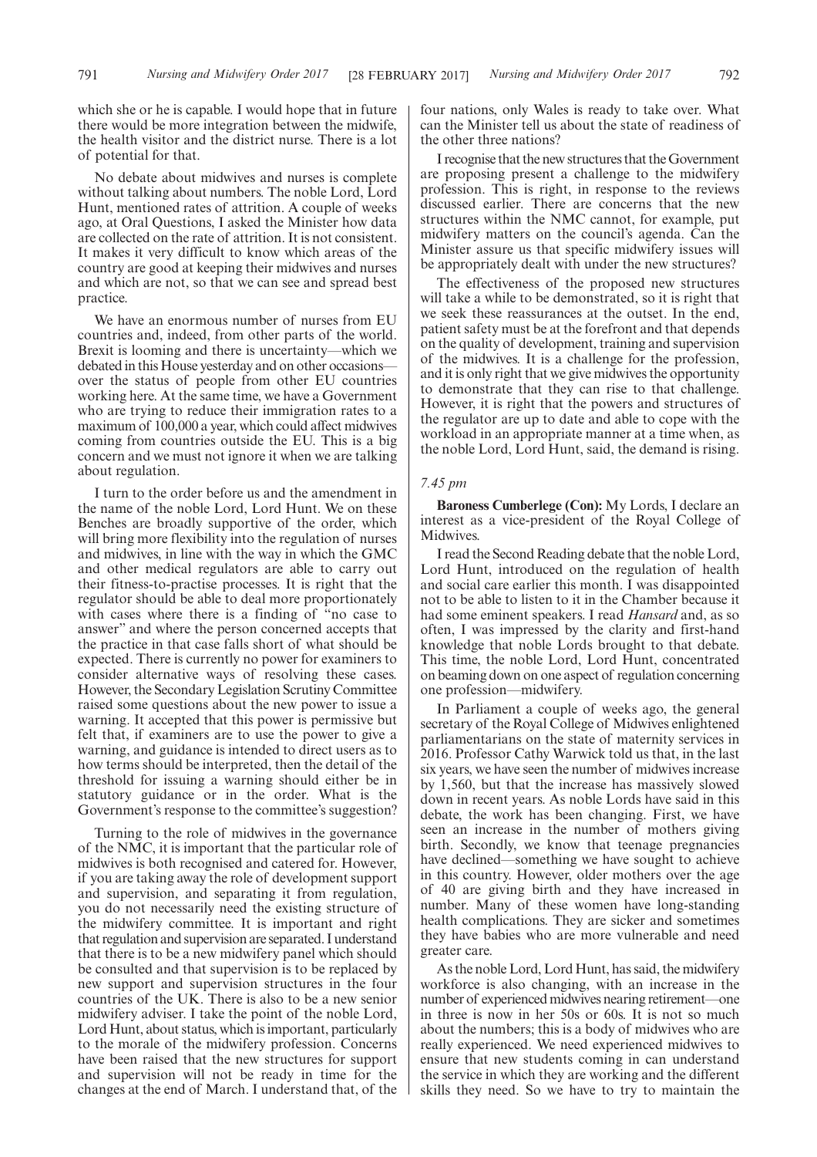No debate about midwives and nurses is complete without talking about numbers. The noble Lord, Lord Hunt, mentioned rates of attrition. A couple of weeks ago, at Oral Questions, I asked the Minister how data are collected on the rate of attrition. It is not consistent. It makes it very difficult to know which areas of the country are good at keeping their midwives and nurses and which are not, so that we can see and spread best practice.

We have an enormous number of nurses from EU countries and, indeed, from other parts of the world. Brexit is looming and there is uncertainty—which we debated in this House yesterday and on other occasions over the status of people from other EU countries working here. At the same time, we have a Government who are trying to reduce their immigration rates to a maximum of 100,000 a year, which could affect midwives coming from countries outside the EU. This is a big concern and we must not ignore it when we are talking about regulation.

I turn to the order before us and the amendment in the name of the noble Lord, Lord Hunt. We on these Benches are broadly supportive of the order, which will bring more flexibility into the regulation of nurses and midwives, in line with the way in which the GMC and other medical regulators are able to carry out their fitness-to-practise processes. It is right that the regulator should be able to deal more proportionately with cases where there is a finding of "no case to answer" and where the person concerned accepts that the practice in that case falls short of what should be expected. There is currently no power for examiners to consider alternative ways of resolving these cases. However, the Secondary Legislation Scrutiny Committee raised some questions about the new power to issue a warning. It accepted that this power is permissive but felt that, if examiners are to use the power to give a warning, and guidance is intended to direct users as to how terms should be interpreted, then the detail of the threshold for issuing a warning should either be in statutory guidance or in the order. What is the Government's response to the committee's suggestion?

Turning to the role of midwives in the governance of the NMC, it is important that the particular role of midwives is both recognised and catered for. However, if you are taking away the role of development support and supervision, and separating it from regulation, you do not necessarily need the existing structure of the midwifery committee. It is important and right that regulation and supervision are separated. I understand that there is to be a new midwifery panel which should be consulted and that supervision is to be replaced by new support and supervision structures in the four countries of the UK. There is also to be a new senior midwifery adviser. I take the point of the noble Lord, Lord Hunt, about status, which is important, particularly to the morale of the midwifery profession. Concerns have been raised that the new structures for support and supervision will not be ready in time for the changes at the end of March. I understand that, of the four nations, only Wales is ready to take over. What can the Minister tell us about the state of readiness of the other three nations?

I recognise that the new structures that the Government are proposing present a challenge to the midwifery profession. This is right, in response to the reviews discussed earlier. There are concerns that the new structures within the NMC cannot, for example, put midwifery matters on the council's agenda. Can the Minister assure us that specific midwifery issues will be appropriately dealt with under the new structures?

The effectiveness of the proposed new structures will take a while to be demonstrated, so it is right that we seek these reassurances at the outset. In the end, patient safety must be at the forefront and that depends on the quality of development, training and supervision of the midwives. It is a challenge for the profession, and it is only right that we give midwives the opportunity to demonstrate that they can rise to that challenge. However, it is right that the powers and structures of the regulator are up to date and able to cope with the workload in an appropriate manner at a time when, as the noble Lord, Lord Hunt, said, the demand is rising.

## *7.45 pm*

**Baroness Cumberlege (Con):** My Lords, I declare an interest as a vice-president of the Royal College of Midwives.

I read the Second Reading debate that the noble Lord, Lord Hunt, introduced on the regulation of health and social care earlier this month. I was disappointed not to be able to listen to it in the Chamber because it had some eminent speakers. I read *Hansard* and, as so often, I was impressed by the clarity and first-hand knowledge that noble Lords brought to that debate. This time, the noble Lord, Lord Hunt, concentrated on beaming down on one aspect of regulation concerning one profession—midwifery.

In Parliament a couple of weeks ago, the general secretary of the Royal College of Midwives enlightened parliamentarians on the state of maternity services in 2016. Professor Cathy Warwick told us that, in the last six years, we have seen the number of midwives increase by 1,560, but that the increase has massively slowed down in recent years. As noble Lords have said in this debate, the work has been changing. First, we have seen an increase in the number of mothers giving birth. Secondly, we know that teenage pregnancies have declined—something we have sought to achieve in this country. However, older mothers over the age of 40 are giving birth and they have increased in number. Many of these women have long-standing health complications. They are sicker and sometimes they have babies who are more vulnerable and need greater care.

As the noble Lord, Lord Hunt, has said, the midwifery workforce is also changing, with an increase in the number of experienced midwives nearing retirement—one in three is now in her 50s or 60s. It is not so much about the numbers; this is a body of midwives who are really experienced. We need experienced midwives to ensure that new students coming in can understand the service in which they are working and the different skills they need. So we have to try to maintain the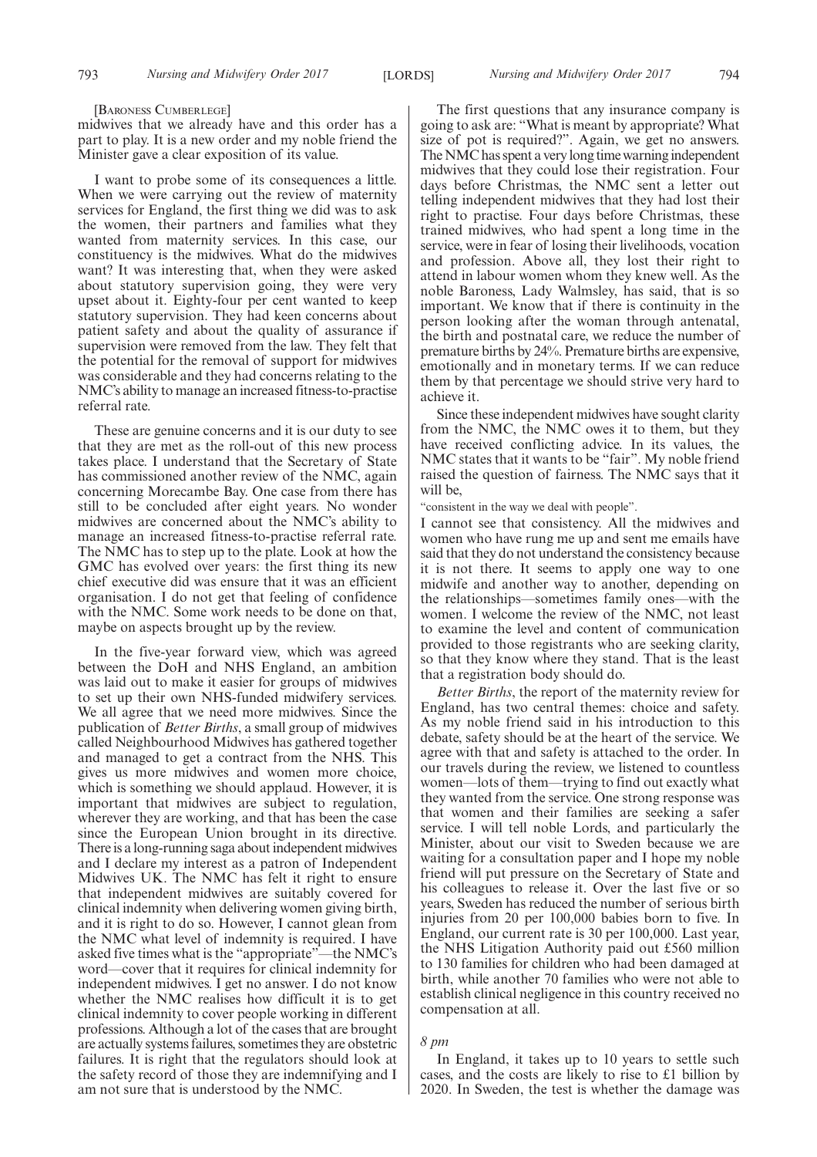#### [BARONESS CUMBERLEGE]

midwives that we already have and this order has a part to play. It is a new order and my noble friend the Minister gave a clear exposition of its value.

I want to probe some of its consequences a little. When we were carrying out the review of maternity services for England, the first thing we did was to ask the women, their partners and families what they wanted from maternity services. In this case, our constituency is the midwives. What do the midwives want? It was interesting that, when they were asked about statutory supervision going, they were very upset about it. Eighty-four per cent wanted to keep statutory supervision. They had keen concerns about patient safety and about the quality of assurance if supervision were removed from the law. They felt that the potential for the removal of support for midwives was considerable and they had concerns relating to the NMC's ability to manage an increased fitness-to-practise referral rate.

These are genuine concerns and it is our duty to see that they are met as the roll-out of this new process takes place. I understand that the Secretary of State has commissioned another review of the NMC, again concerning Morecambe Bay. One case from there has still to be concluded after eight years. No wonder midwives are concerned about the NMC's ability to manage an increased fitness-to-practise referral rate. The NMC has to step up to the plate. Look at how the GMC has evolved over years: the first thing its new chief executive did was ensure that it was an efficient organisation. I do not get that feeling of confidence with the NMC. Some work needs to be done on that, maybe on aspects brought up by the review.

In the five-year forward view, which was agreed between the DoH and NHS England, an ambition was laid out to make it easier for groups of midwives to set up their own NHS-funded midwifery services. We all agree that we need more midwives. Since the publication of *Better Births*, a small group of midwives called Neighbourhood Midwives has gathered together and managed to get a contract from the NHS. This gives us more midwives and women more choice, which is something we should applaud. However, it is important that midwives are subject to regulation, wherever they are working, and that has been the case since the European Union brought in its directive. There is a long-running saga about independent midwives and I declare my interest as a patron of Independent Midwives UK. The NMC has felt it right to ensure that independent midwives are suitably covered for clinical indemnity when delivering women giving birth, and it is right to do so. However, I cannot glean from the NMC what level of indemnity is required. I have asked five times what is the "appropriate"—the NMC's word—cover that it requires for clinical indemnity for independent midwives. I get no answer. I do not know whether the NMC realises how difficult it is to get clinical indemnity to cover people working in different professions. Although a lot of the cases that are brought are actually systems failures, sometimes they are obstetric failures. It is right that the regulators should look at the safety record of those they are indemnifying and I am not sure that is understood by the NMC.

The first questions that any insurance company is going to ask are: "What is meant by appropriate? What size of pot is required?". Again, we get no answers. The NMC has spent a very long time warning independent midwives that they could lose their registration. Four days before Christmas, the NMC sent a letter out telling independent midwives that they had lost their right to practise. Four days before Christmas, these trained midwives, who had spent a long time in the service, were in fear of losing their livelihoods, vocation and profession. Above all, they lost their right to attend in labour women whom they knew well. As the noble Baroness, Lady Walmsley, has said, that is so important. We know that if there is continuity in the person looking after the woman through antenatal, the birth and postnatal care, we reduce the number of premature births by 24%. Premature births are expensive, emotionally and in monetary terms. If we can reduce them by that percentage we should strive very hard to achieve it.

Since these independent midwives have sought clarity from the NMC, the NMC owes it to them, but they have received conflicting advice. In its values, the NMC states that it wants to be "fair". My noble friend raised the question of fairness. The NMC says that it will be,

"consistent in the way we deal with people".

I cannot see that consistency. All the midwives and women who have rung me up and sent me emails have said that they do not understand the consistency because it is not there. It seems to apply one way to one midwife and another way to another, depending on the relationships—sometimes family ones—with the women. I welcome the review of the NMC, not least to examine the level and content of communication provided to those registrants who are seeking clarity, so that they know where they stand. That is the least that a registration body should do.

*Better Births*, the report of the maternity review for England, has two central themes: choice and safety. As my noble friend said in his introduction to this debate, safety should be at the heart of the service. We agree with that and safety is attached to the order. In our travels during the review, we listened to countless women—lots of them—trying to find out exactly what they wanted from the service. One strong response was that women and their families are seeking a safer service. I will tell noble Lords, and particularly the Minister, about our visit to Sweden because we are waiting for a consultation paper and I hope my noble friend will put pressure on the Secretary of State and his colleagues to release it. Over the last five or so years, Sweden has reduced the number of serious birth injuries from 20 per 100,000 babies born to five. In England, our current rate is 30 per 100,000. Last year, the NHS Litigation Authority paid out £560 million to 130 families for children who had been damaged at birth, while another 70 families who were not able to establish clinical negligence in this country received no compensation at all.

# *8 pm*

In England, it takes up to 10 years to settle such cases, and the costs are likely to rise to £1 billion by 2020. In Sweden, the test is whether the damage was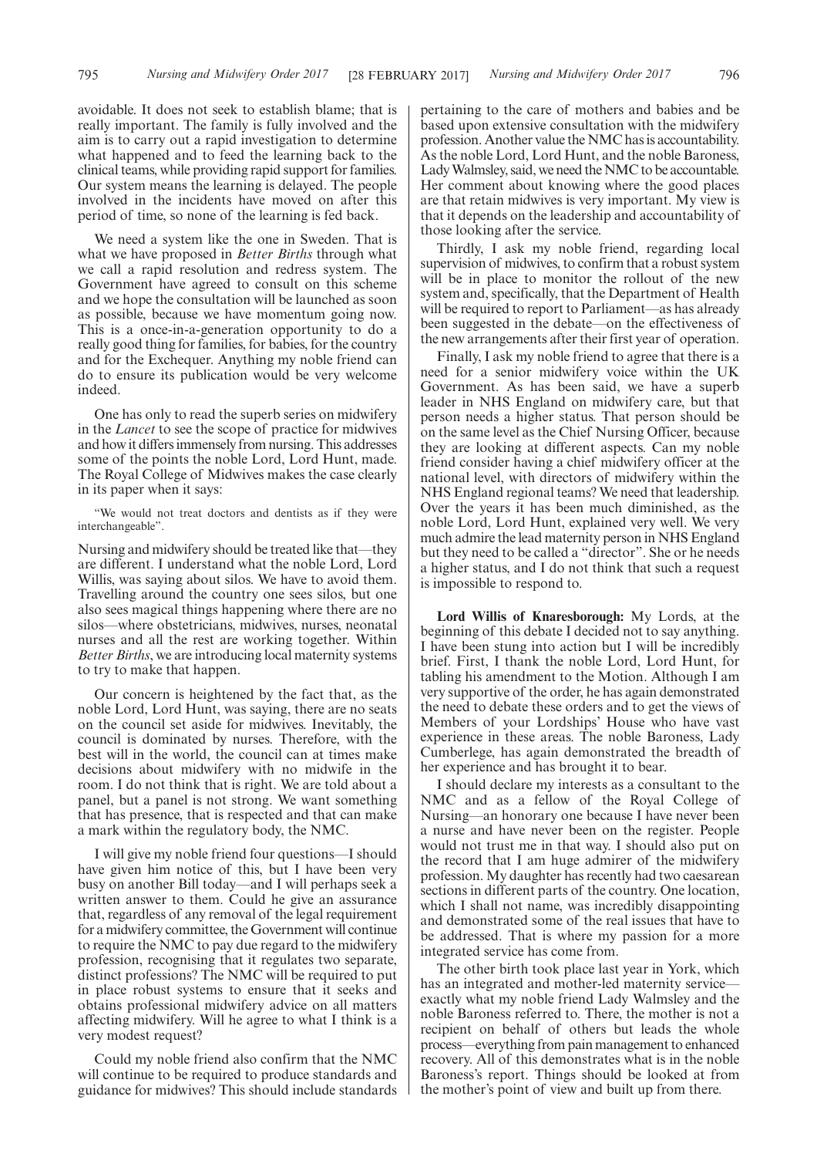We need a system like the one in Sweden. That is what we have proposed in *Better Births* through what we call a rapid resolution and redress system. The Government have agreed to consult on this scheme and we hope the consultation will be launched as soon as possible, because we have momentum going now. This is a once-in-a-generation opportunity to do a really good thing for families, for babies, for the country and for the Exchequer. Anything my noble friend can do to ensure its publication would be very welcome indeed.

One has only to read the superb series on midwifery in the *Lancet* to see the scope of practice for midwives and how it differs immensely from nursing. This addresses some of the points the noble Lord, Lord Hunt, made. The Royal College of Midwives makes the case clearly in its paper when it says:

"We would not treat doctors and dentists as if they were interchangeable".

Nursing and midwifery should be treated like that—they are different. I understand what the noble Lord, Lord Willis, was saying about silos. We have to avoid them. Travelling around the country one sees silos, but one also sees magical things happening where there are no silos—where obstetricians, midwives, nurses, neonatal nurses and all the rest are working together. Within *Better Births*, we are introducing local maternity systems to try to make that happen.

Our concern is heightened by the fact that, as the noble Lord, Lord Hunt, was saying, there are no seats on the council set aside for midwives. Inevitably, the council is dominated by nurses. Therefore, with the best will in the world, the council can at times make decisions about midwifery with no midwife in the room. I do not think that is right. We are told about a panel, but a panel is not strong. We want something that has presence, that is respected and that can make a mark within the regulatory body, the NMC.

I will give my noble friend four questions—I should have given him notice of this, but I have been very busy on another Bill today—and I will perhaps seek a written answer to them. Could he give an assurance that, regardless of any removal of the legal requirement for a midwifery committee, the Government will continue to require the NMC to pay due regard to the midwifery profession, recognising that it regulates two separate, distinct professions? The NMC will be required to put in place robust systems to ensure that it seeks and obtains professional midwifery advice on all matters affecting midwifery. Will he agree to what I think is a very modest request?

Could my noble friend also confirm that the NMC will continue to be required to produce standards and guidance for midwives? This should include standards pertaining to the care of mothers and babies and be based upon extensive consultation with the midwifery profession. Another value the NMC has is accountability. As the noble Lord, Lord Hunt, and the noble Baroness, Lady Walmsley, said, we need the NMC to be accountable. Her comment about knowing where the good places are that retain midwives is very important. My view is that it depends on the leadership and accountability of those looking after the service.

Thirdly, I ask my noble friend, regarding local supervision of midwives, to confirm that a robust system will be in place to monitor the rollout of the new system and, specifically, that the Department of Health will be required to report to Parliament—as has already been suggested in the debate—on the effectiveness of the new arrangements after their first year of operation.

Finally, I ask my noble friend to agree that there is a need for a senior midwifery voice within the UK Government. As has been said, we have a superb leader in NHS England on midwifery care, but that person needs a higher status. That person should be on the same level as the Chief Nursing Officer, because they are looking at different aspects. Can my noble friend consider having a chief midwifery officer at the national level, with directors of midwifery within the NHS England regional teams? We need that leadership. Over the years it has been much diminished, as the noble Lord, Lord Hunt, explained very well. We very much admire the lead maternity person in NHS England but they need to be called a "director". She or he needs a higher status, and I do not think that such a request is impossible to respond to.

**Lord Willis of Knaresborough:** My Lords, at the beginning of this debate I decided not to say anything. I have been stung into action but I will be incredibly brief. First, I thank the noble Lord, Lord Hunt, for tabling his amendment to the Motion. Although I am very supportive of the order, he has again demonstrated the need to debate these orders and to get the views of Members of your Lordships' House who have vast experience in these areas. The noble Baroness, Lady Cumberlege, has again demonstrated the breadth of her experience and has brought it to bear.

I should declare my interests as a consultant to the NMC and as a fellow of the Royal College of Nursing—an honorary one because I have never been a nurse and have never been on the register. People would not trust me in that way. I should also put on the record that I am huge admirer of the midwifery profession. My daughter has recently had two caesarean sections in different parts of the country. One location, which I shall not name, was incredibly disappointing and demonstrated some of the real issues that have to be addressed. That is where my passion for a more integrated service has come from.

The other birth took place last year in York, which has an integrated and mother-led maternity service exactly what my noble friend Lady Walmsley and the noble Baroness referred to. There, the mother is not a recipient on behalf of others but leads the whole process—everything from pain management to enhanced recovery. All of this demonstrates what is in the noble Baroness's report. Things should be looked at from the mother's point of view and built up from there.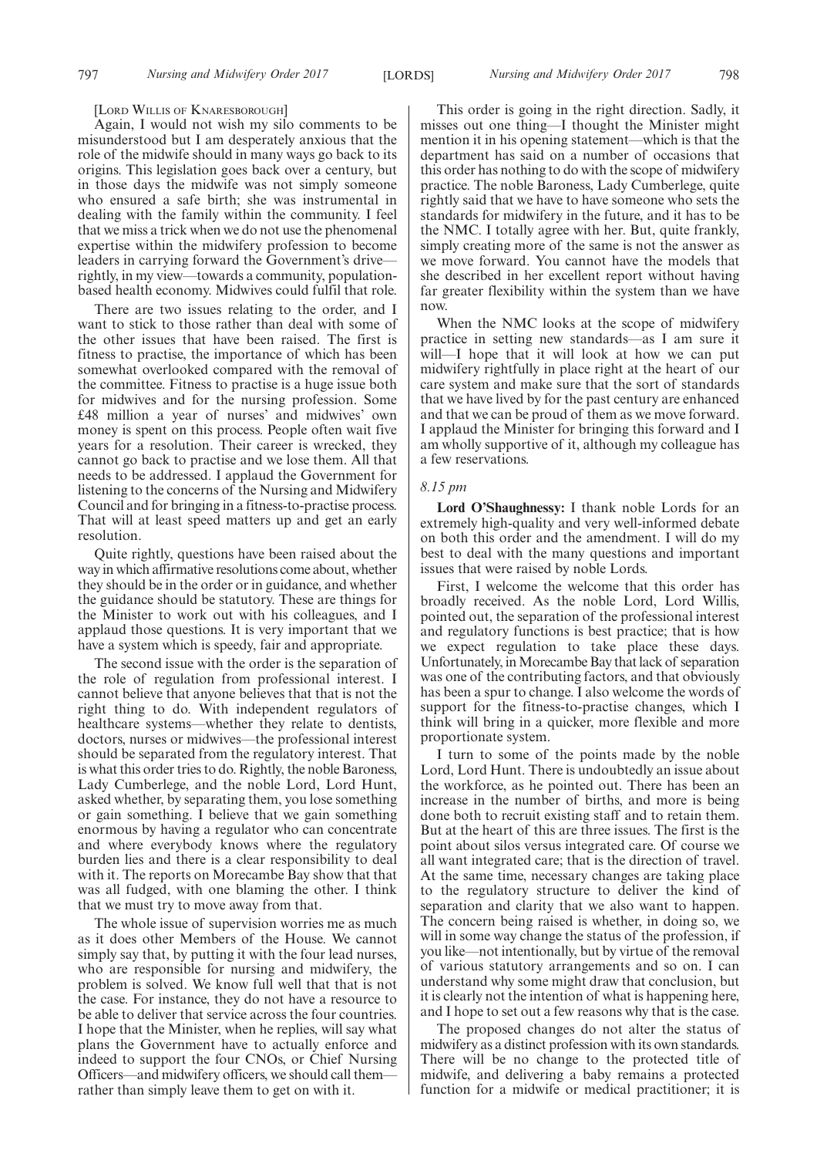#### [LORD WILLIS OF KNARESBOROUGH]

Again, I would not wish my silo comments to be misunderstood but I am desperately anxious that the role of the midwife should in many ways go back to its origins. This legislation goes back over a century, but in those days the midwife was not simply someone who ensured a safe birth; she was instrumental in dealing with the family within the community. I feel that we miss a trick when we do not use the phenomenal expertise within the midwifery profession to become leaders in carrying forward the Government's drive rightly, in my view—towards a community, populationbased health economy. Midwives could fulfil that role.

There are two issues relating to the order, and I want to stick to those rather than deal with some of the other issues that have been raised. The first is fitness to practise, the importance of which has been somewhat overlooked compared with the removal of the committee. Fitness to practise is a huge issue both for midwives and for the nursing profession. Some £48 million a year of nurses' and midwives' own money is spent on this process. People often wait five years for a resolution. Their career is wrecked, they cannot go back to practise and we lose them. All that needs to be addressed. I applaud the Government for listening to the concerns of the Nursing and Midwifery Council and for bringing in a fitness-to-practise process. That will at least speed matters up and get an early resolution.

Quite rightly, questions have been raised about the way in which affirmative resolutions come about, whether they should be in the order or in guidance, and whether the guidance should be statutory. These are things for the Minister to work out with his colleagues, and I applaud those questions. It is very important that we have a system which is speedy, fair and appropriate.

The second issue with the order is the separation of the role of regulation from professional interest. I cannot believe that anyone believes that that is not the right thing to do. With independent regulators of healthcare systems—whether they relate to dentists, doctors, nurses or midwives—the professional interest should be separated from the regulatory interest. That is what this order tries to do. Rightly, the noble Baroness, Lady Cumberlege, and the noble Lord, Lord Hunt, asked whether, by separating them, you lose something or gain something. I believe that we gain something enormous by having a regulator who can concentrate and where everybody knows where the regulatory burden lies and there is a clear responsibility to deal with it. The reports on Morecambe Bay show that that was all fudged, with one blaming the other. I think that we must try to move away from that.

The whole issue of supervision worries me as much as it does other Members of the House. We cannot simply say that, by putting it with the four lead nurses, who are responsible for nursing and midwifery, the problem is solved. We know full well that that is not the case. For instance, they do not have a resource to be able to deliver that service across the four countries. I hope that the Minister, when he replies, will say what plans the Government have to actually enforce and indeed to support the four CNOs, or Chief Nursing Officers—and midwifery officers, we should call them rather than simply leave them to get on with it.

This order is going in the right direction. Sadly, it misses out one thing—I thought the Minister might mention it in his opening statement—which is that the department has said on a number of occasions that this order has nothing to do with the scope of midwifery practice. The noble Baroness, Lady Cumberlege, quite rightly said that we have to have someone who sets the standards for midwifery in the future, and it has to be the NMC. I totally agree with her. But, quite frankly, simply creating more of the same is not the answer as we move forward. You cannot have the models that she described in her excellent report without having far greater flexibility within the system than we have now.

When the NMC looks at the scope of midwifery practice in setting new standards—as I am sure it will—I hope that it will look at how we can put midwifery rightfully in place right at the heart of our care system and make sure that the sort of standards that we have lived by for the past century are enhanced and that we can be proud of them as we move forward. I applaud the Minister for bringing this forward and I am wholly supportive of it, although my colleague has a few reservations.

# *8.15 pm*

**Lord O'Shaughnessy:** I thank noble Lords for an extremely high-quality and very well-informed debate on both this order and the amendment. I will do my best to deal with the many questions and important issues that were raised by noble Lords.

First, I welcome the welcome that this order has broadly received. As the noble Lord, Lord Willis, pointed out, the separation of the professional interest and regulatory functions is best practice; that is how we expect regulation to take place these days. Unfortunately, in Morecambe Bay that lack of separation was one of the contributing factors, and that obviously has been a spur to change. I also welcome the words of support for the fitness-to-practise changes, which I think will bring in a quicker, more flexible and more proportionate system.

I turn to some of the points made by the noble Lord, Lord Hunt. There is undoubtedly an issue about the workforce, as he pointed out. There has been an increase in the number of births, and more is being done both to recruit existing staff and to retain them. But at the heart of this are three issues. The first is the point about silos versus integrated care. Of course we all want integrated care; that is the direction of travel. At the same time, necessary changes are taking place to the regulatory structure to deliver the kind of separation and clarity that we also want to happen. The concern being raised is whether, in doing so, we will in some way change the status of the profession, if you like—not intentionally, but by virtue of the removal of various statutory arrangements and so on. I can understand why some might draw that conclusion, but it is clearly not the intention of what is happening here, and I hope to set out a few reasons why that is the case.

The proposed changes do not alter the status of midwifery as a distinct profession with its own standards. There will be no change to the protected title of midwife, and delivering a baby remains a protected function for a midwife or medical practitioner; it is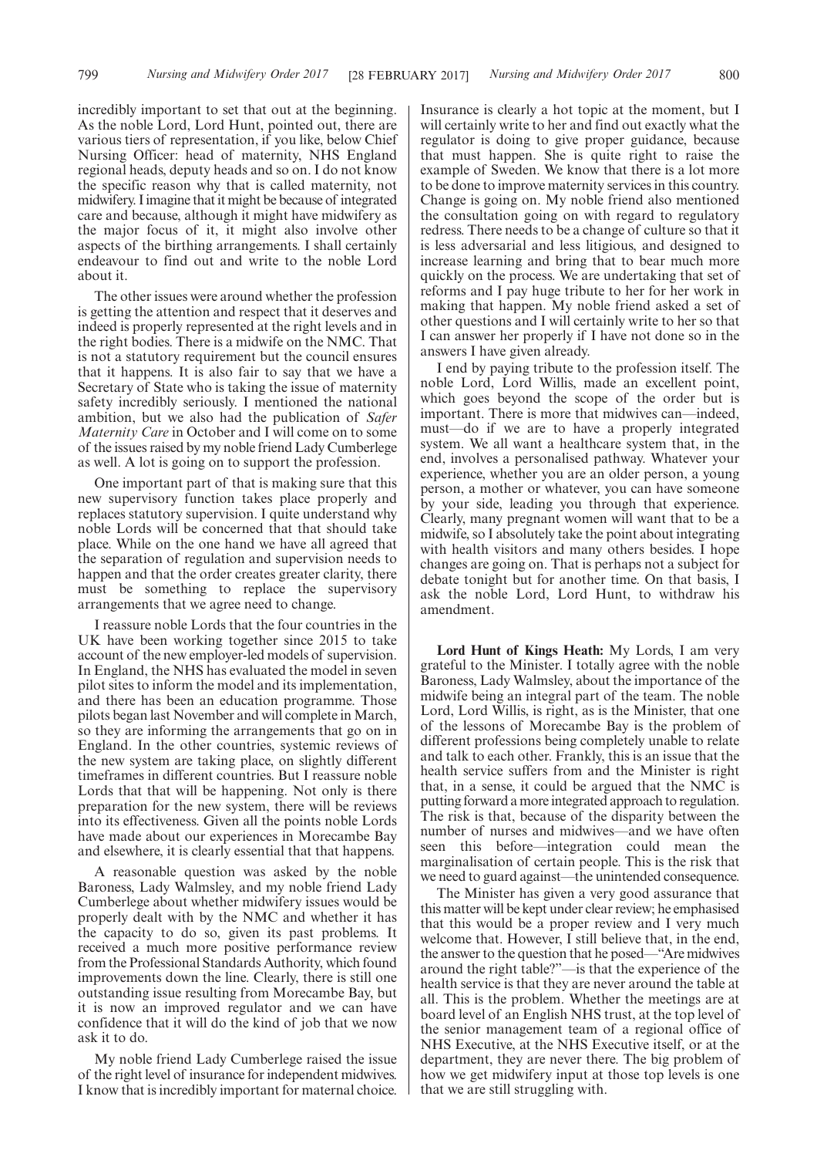incredibly important to set that out at the beginning. As the noble Lord, Lord Hunt, pointed out, there are various tiers of representation, if you like, below Chief Nursing Officer: head of maternity, NHS England regional heads, deputy heads and so on. I do not know the specific reason why that is called maternity, not midwifery. I imagine that it might be because of integrated care and because, although it might have midwifery as the major focus of it, it might also involve other aspects of the birthing arrangements. I shall certainly endeavour to find out and write to the noble Lord about it.

The other issues were around whether the profession is getting the attention and respect that it deserves and indeed is properly represented at the right levels and in the right bodies. There is a midwife on the NMC. That is not a statutory requirement but the council ensures that it happens. It is also fair to say that we have a Secretary of State who is taking the issue of maternity safety incredibly seriously. I mentioned the national ambition, but we also had the publication of *Safer Maternity Care* in October and I will come on to some of the issues raised by my noble friend Lady Cumberlege as well. A lot is going on to support the profession.

One important part of that is making sure that this new supervisory function takes place properly and replaces statutory supervision. I quite understand why noble Lords will be concerned that that should take place. While on the one hand we have all agreed that the separation of regulation and supervision needs to happen and that the order creates greater clarity, there must be something to replace the supervisory arrangements that we agree need to change.

I reassure noble Lords that the four countries in the UK have been working together since 2015 to take account of the new employer-led models of supervision. In England, the NHS has evaluated the model in seven pilot sites to inform the model and its implementation, and there has been an education programme. Those pilots began last November and will complete in March, so they are informing the arrangements that go on in England. In the other countries, systemic reviews of the new system are taking place, on slightly different timeframes in different countries. But I reassure noble Lords that that will be happening. Not only is there preparation for the new system, there will be reviews into its effectiveness. Given all the points noble Lords have made about our experiences in Morecambe Bay and elsewhere, it is clearly essential that that happens.

A reasonable question was asked by the noble Baroness, Lady Walmsley, and my noble friend Lady Cumberlege about whether midwifery issues would be properly dealt with by the NMC and whether it has the capacity to do so, given its past problems. It received a much more positive performance review from the Professional Standards Authority, which found improvements down the line. Clearly, there is still one outstanding issue resulting from Morecambe Bay, but it is now an improved regulator and we can have confidence that it will do the kind of job that we now ask it to do.

My noble friend Lady Cumberlege raised the issue of the right level of insurance for independent midwives. I know that is incredibly important for maternal choice. Insurance is clearly a hot topic at the moment, but I will certainly write to her and find out exactly what the regulator is doing to give proper guidance, because that must happen. She is quite right to raise the example of Sweden. We know that there is a lot more to be done to improve maternity services in this country. Change is going on. My noble friend also mentioned the consultation going on with regard to regulatory redress. There needs to be a change of culture so that it is less adversarial and less litigious, and designed to increase learning and bring that to bear much more quickly on the process. We are undertaking that set of reforms and I pay huge tribute to her for her work in making that happen. My noble friend asked a set of other questions and I will certainly write to her so that I can answer her properly if I have not done so in the answers I have given already.

I end by paying tribute to the profession itself. The noble Lord, Lord Willis, made an excellent point, which goes beyond the scope of the order but is important. There is more that midwives can—indeed, must—do if we are to have a properly integrated system. We all want a healthcare system that, in the end, involves a personalised pathway. Whatever your experience, whether you are an older person, a young person, a mother or whatever, you can have someone by your side, leading you through that experience. Clearly, many pregnant women will want that to be a midwife, so I absolutely take the point about integrating with health visitors and many others besides. I hope changes are going on. That is perhaps not a subject for debate tonight but for another time. On that basis, I ask the noble Lord, Lord Hunt, to withdraw his amendment.

**Lord Hunt of Kings Heath:** My Lords, I am very grateful to the Minister. I totally agree with the noble Baroness, Lady Walmsley, about the importance of the midwife being an integral part of the team. The noble Lord, Lord Willis, is right, as is the Minister, that one of the lessons of Morecambe Bay is the problem of different professions being completely unable to relate and talk to each other. Frankly, this is an issue that the health service suffers from and the Minister is right that, in a sense, it could be argued that the NMC is putting forward a more integrated approach to regulation. The risk is that, because of the disparity between the number of nurses and midwives—and we have often seen this before—integration could mean the marginalisation of certain people. This is the risk that we need to guard against—the unintended consequence.

The Minister has given a very good assurance that this matter will be kept under clear review; he emphasised that this would be a proper review and I very much welcome that. However, I still believe that, in the end, the answer to the question that he posed—"Are midwives around the right table?"—is that the experience of the health service is that they are never around the table at all. This is the problem. Whether the meetings are at board level of an English NHS trust, at the top level of the senior management team of a regional office of NHS Executive, at the NHS Executive itself, or at the department, they are never there. The big problem of how we get midwifery input at those top levels is one that we are still struggling with.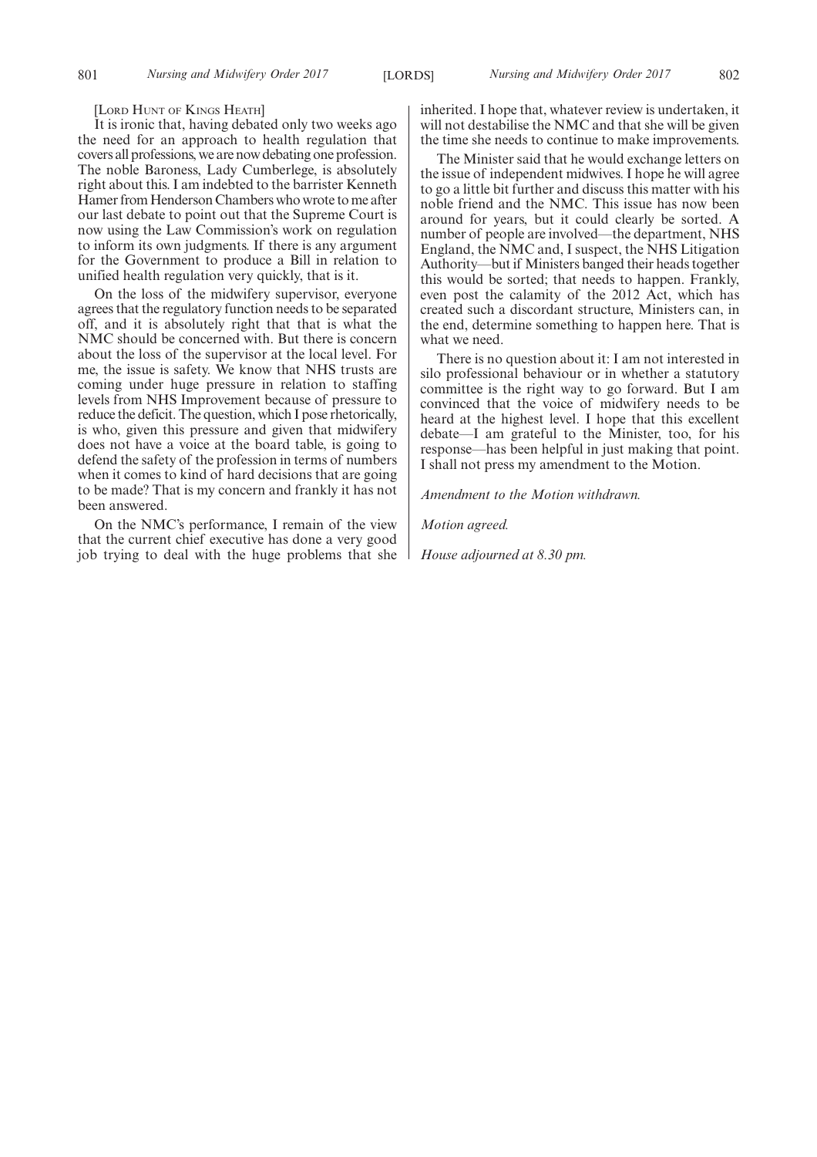[LORD HUNT OF KINGS HEATH]

It is ironic that, having debated only two weeks ago the need for an approach to health regulation that covers all professions, we are now debating one profession. The noble Baroness, Lady Cumberlege, is absolutely right about this. I am indebted to the barrister Kenneth Hamer from Henderson Chambers who wrote to me after our last debate to point out that the Supreme Court is now using the Law Commission's work on regulation to inform its own judgments. If there is any argument for the Government to produce a Bill in relation to unified health regulation very quickly, that is it.

On the loss of the midwifery supervisor, everyone agrees that the regulatory function needs to be separated off, and it is absolutely right that that is what the NMC should be concerned with. But there is concern about the loss of the supervisor at the local level. For me, the issue is safety. We know that NHS trusts are coming under huge pressure in relation to staffing levels from NHS Improvement because of pressure to reduce the deficit. The question, which I pose rhetorically, is who, given this pressure and given that midwifery does not have a voice at the board table, is going to defend the safety of the profession in terms of numbers when it comes to kind of hard decisions that are going to be made? That is my concern and frankly it has not been answered.

On the NMC's performance, I remain of the view that the current chief executive has done a very good job trying to deal with the huge problems that she inherited. I hope that, whatever review is undertaken, it will not destabilise the NMC and that she will be given the time she needs to continue to make improvements.

The Minister said that he would exchange letters on the issue of independent midwives. I hope he will agree to go a little bit further and discuss this matter with his noble friend and the NMC. This issue has now been around for years, but it could clearly be sorted. A number of people are involved—the department, NHS England, the NMC and, I suspect, the NHS Litigation Authority—but if Ministers banged their heads together this would be sorted; that needs to happen. Frankly, even post the calamity of the 2012 Act, which has created such a discordant structure, Ministers can, in the end, determine something to happen here. That is what we need.

There is no question about it: I am not interested in silo professional behaviour or in whether a statutory committee is the right way to go forward. But I am convinced that the voice of midwifery needs to be heard at the highest level. I hope that this excellent debate—I am grateful to the Minister, too, for his response—has been helpful in just making that point. I shall not press my amendment to the Motion.

*Amendment to the Motion withdrawn.*

*Motion agreed.*

*House adjourned at 8.30 pm.*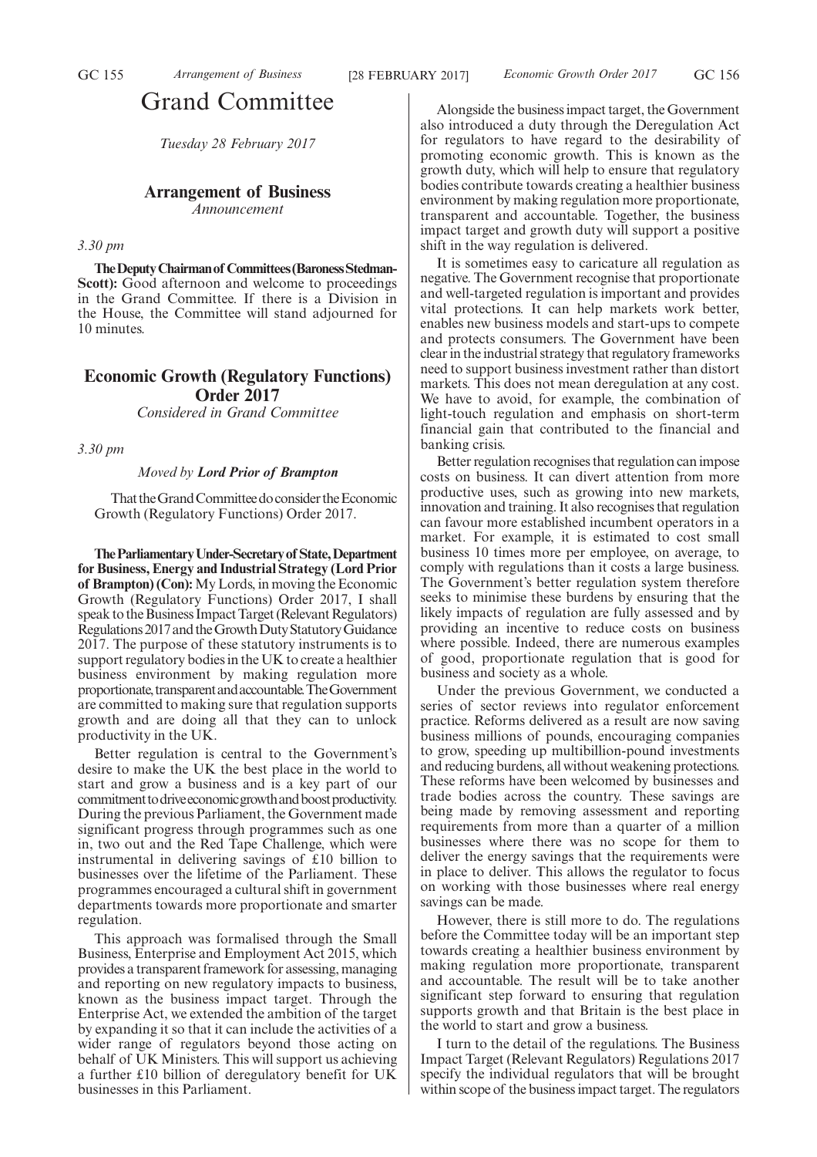# Grand Committee

*Tuesday 28 February 2017*

# **Arrangement of Business**

*Announcement*

# *3.30 pm*

**The Deputy Chairman of Committees (Baroness Stedman-Scott):** Good afternoon and welcome to proceedings in the Grand Committee. If there is a Division in the House, the Committee will stand adjourned for 10 minutes.

# **Economic Growth (Regulatory Functions) Order 2017**

*Considered in Grand Committee*

*3.30 pm*

## *Moved by Lord Prior of Brampton*

That the Grand Committee do consider the Economic Growth (Regulatory Functions) Order 2017.

**TheParliamentaryUnder-Secretaryof State,Department for Business, Energy and Industrial Strategy (Lord Prior of Brampton) (Con):**My Lords, in moving the Economic Growth (Regulatory Functions) Order 2017, I shall speak to the Business Impact Target (Relevant Regulators) Regulations 2017 and the Growth Duty Statutory Guidance 2017. The purpose of these statutory instruments is to support regulatory bodies in the UK to create a healthier business environment by making regulation more proportionate, transparent and accountable. The Government are committed to making sure that regulation supports growth and are doing all that they can to unlock productivity in the UK.

Better regulation is central to the Government's desire to make the UK the best place in the world to start and grow a business and is a key part of our commitment to drive economic growth and boost productivity. During the previous Parliament, the Government made significant progress through programmes such as one in, two out and the Red Tape Challenge, which were instrumental in delivering savings of £10 billion to businesses over the lifetime of the Parliament. These programmes encouraged a cultural shift in government departments towards more proportionate and smarter regulation.

This approach was formalised through the Small Business, Enterprise and Employment Act 2015, which provides a transparent framework for assessing, managing and reporting on new regulatory impacts to business, known as the business impact target. Through the Enterprise Act, we extended the ambition of the target by expanding it so that it can include the activities of a wider range of regulators beyond those acting on behalf of UK Ministers. This will support us achieving a further £10 billion of deregulatory benefit for UK businesses in this Parliament.

Alongside the business impact target, the Government also introduced a duty through the Deregulation Act for regulators to have regard to the desirability of promoting economic growth. This is known as the growth duty, which will help to ensure that regulatory bodies contribute towards creating a healthier business environment by making regulation more proportionate, transparent and accountable. Together, the business impact target and growth duty will support a positive shift in the way regulation is delivered.

It is sometimes easy to caricature all regulation as negative. The Government recognise that proportionate and well-targeted regulation is important and provides vital protections. It can help markets work better, enables new business models and start-ups to compete and protects consumers. The Government have been clear in the industrial strategy that regulatory frameworks need to support business investment rather than distort markets. This does not mean deregulation at any cost. We have to avoid, for example, the combination of light-touch regulation and emphasis on short-term financial gain that contributed to the financial and banking crisis.

Better regulation recognises that regulation can impose costs on business. It can divert attention from more productive uses, such as growing into new markets, innovation and training. It also recognises that regulation can favour more established incumbent operators in a market. For example, it is estimated to cost small business 10 times more per employee, on average, to comply with regulations than it costs a large business. The Government's better regulation system therefore seeks to minimise these burdens by ensuring that the likely impacts of regulation are fully assessed and by providing an incentive to reduce costs on business where possible. Indeed, there are numerous examples of good, proportionate regulation that is good for business and society as a whole.

Under the previous Government, we conducted a series of sector reviews into regulator enforcement practice. Reforms delivered as a result are now saving business millions of pounds, encouraging companies to grow, speeding up multibillion-pound investments and reducing burdens, all without weakening protections. These reforms have been welcomed by businesses and trade bodies across the country. These savings are being made by removing assessment and reporting requirements from more than a quarter of a million businesses where there was no scope for them to deliver the energy savings that the requirements were in place to deliver. This allows the regulator to focus on working with those businesses where real energy savings can be made.

However, there is still more to do. The regulations before the Committee today will be an important step towards creating a healthier business environment by making regulation more proportionate, transparent and accountable. The result will be to take another significant step forward to ensuring that regulation supports growth and that Britain is the best place in the world to start and grow a business.

I turn to the detail of the regulations. The Business Impact Target (Relevant Regulators) Regulations 2017 specify the individual regulators that will be brought within scope of the business impact target. The regulators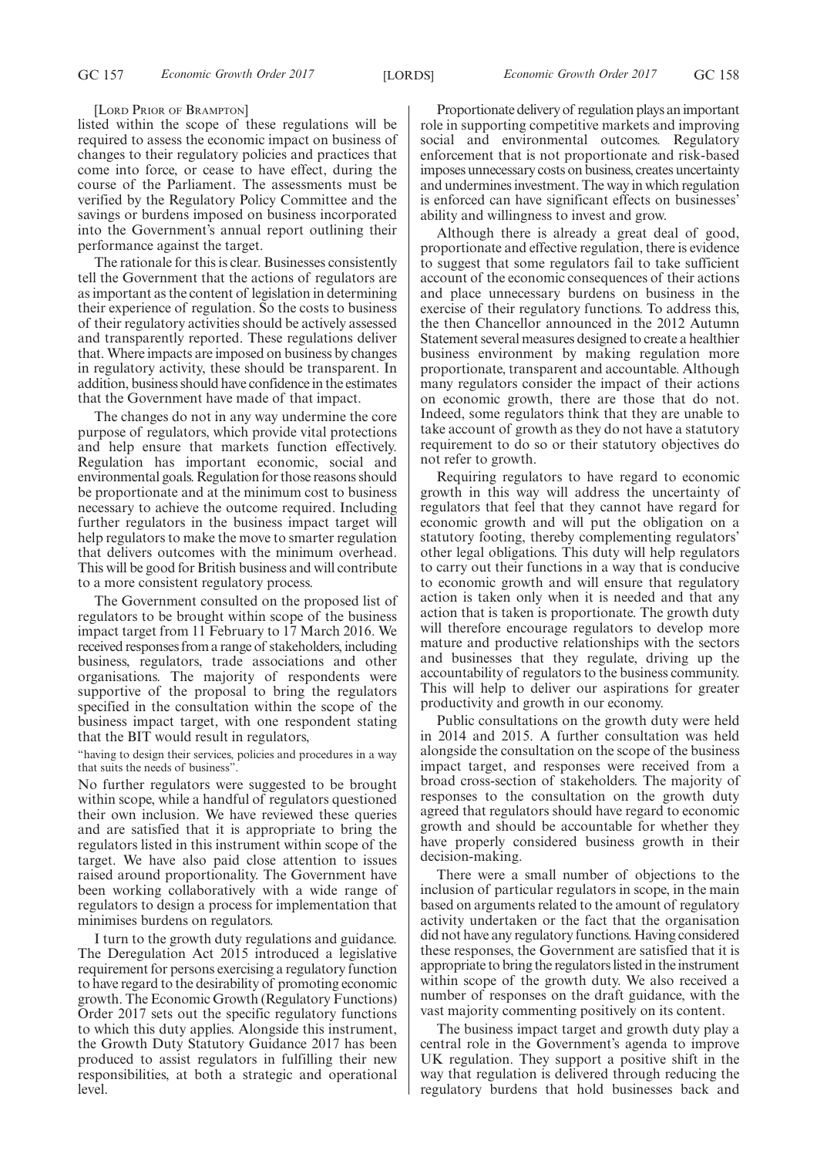[LORD PRIOR OF BRAMPTON]

listed within the scope of these regulations will be required to assess the economic impact on business of changes to their regulatory policies and practices that come into force, or cease to have effect, during the course of the Parliament. The assessments must be verified by the Regulatory Policy Committee and the savings or burdens imposed on business incorporated into the Government's annual report outlining their performance against the target.

The rationale for this is clear. Businesses consistently tell the Government that the actions of regulators are as important as the content of legislation in determining their experience of regulation. So the costs to business of their regulatory activities should be actively assessed and transparently reported. These regulations deliver that. Where impacts are imposed on business by changes in regulatory activity, these should be transparent. In addition, business should have confidence in the estimates that the Government have made of that impact.

The changes do not in any way undermine the core purpose of regulators, which provide vital protections and help ensure that markets function effectively. Regulation has important economic, social and environmental goals. Regulation for those reasons should be proportionate and at the minimum cost to business necessary to achieve the outcome required. Including further regulators in the business impact target will help regulators to make the move to smarter regulation that delivers outcomes with the minimum overhead. This will be good for British business and will contribute to a more consistent regulatory process.

The Government consulted on the proposed list of regulators to be brought within scope of the business impact target from 11 February to 17 March 2016. We received responses from a range of stakeholders, including business, regulators, trade associations and other organisations. The majority of respondents were supportive of the proposal to bring the regulators specified in the consultation within the scope of the business impact target, with one respondent stating that the BIT would result in regulators,

"having to design their services, policies and procedures in a way that suits the needs of business".

No further regulators were suggested to be brought within scope, while a handful of regulators questioned their own inclusion. We have reviewed these queries and are satisfied that it is appropriate to bring the regulators listed in this instrument within scope of the target. We have also paid close attention to issues raised around proportionality. The Government have been working collaboratively with a wide range of regulators to design a process for implementation that minimises burdens on regulators.

I turn to the growth duty regulations and guidance. The Deregulation Act 2015 introduced a legislative requirement for persons exercising a regulatory function to have regard to the desirability of promoting economic growth. The Economic Growth (Regulatory Functions) Order 2017 sets out the specific regulatory functions to which this duty applies. Alongside this instrument, the Growth Duty Statutory Guidance 2017 has been produced to assist regulators in fulfilling their new responsibilities, at both a strategic and operational level.

Proportionate delivery of regulation plays an important role in supporting competitive markets and improving social and environmental outcomes. Regulatory enforcement that is not proportionate and risk-based imposes unnecessary costs on business, creates uncertainty and undermines investment. The way in which regulation is enforced can have significant effects on businesses' ability and willingness to invest and grow.

Although there is already a great deal of good, proportionate and effective regulation, there is evidence to suggest that some regulators fail to take sufficient account of the economic consequences of their actions and place unnecessary burdens on business in the exercise of their regulatory functions. To address this, the then Chancellor announced in the 2012 Autumn Statement several measures designed to create a healthier business environment by making regulation more proportionate, transparent and accountable. Although many regulators consider the impact of their actions on economic growth, there are those that do not. Indeed, some regulators think that they are unable to take account of growth as they do not have a statutory requirement to do so or their statutory objectives do not refer to growth.

Requiring regulators to have regard to economic growth in this way will address the uncertainty of regulators that feel that they cannot have regard for economic growth and will put the obligation on a statutory footing, thereby complementing regulators' other legal obligations. This duty will help regulators to carry out their functions in a way that is conducive to economic growth and will ensure that regulatory action is taken only when it is needed and that any action that is taken is proportionate. The growth duty will therefore encourage regulators to develop more mature and productive relationships with the sectors and businesses that they regulate, driving up the accountability of regulators to the business community. This will help to deliver our aspirations for greater productivity and growth in our economy.

Public consultations on the growth duty were held in 2014 and 2015. A further consultation was held alongside the consultation on the scope of the business impact target, and responses were received from a broad cross-section of stakeholders. The majority of responses to the consultation on the growth duty agreed that regulators should have regard to economic growth and should be accountable for whether they have properly considered business growth in their decision-making.

There were a small number of objections to the inclusion of particular regulators in scope, in the main based on arguments related to the amount of regulatory activity undertaken or the fact that the organisation did not have any regulatory functions. Having considered these responses, the Government are satisfied that it is appropriate to bring the regulators listed in the instrument within scope of the growth duty. We also received a number of responses on the draft guidance, with the vast majority commenting positively on its content.

The business impact target and growth duty play a central role in the Government's agenda to improve UK regulation. They support a positive shift in the way that regulation is delivered through reducing the regulatory burdens that hold businesses back and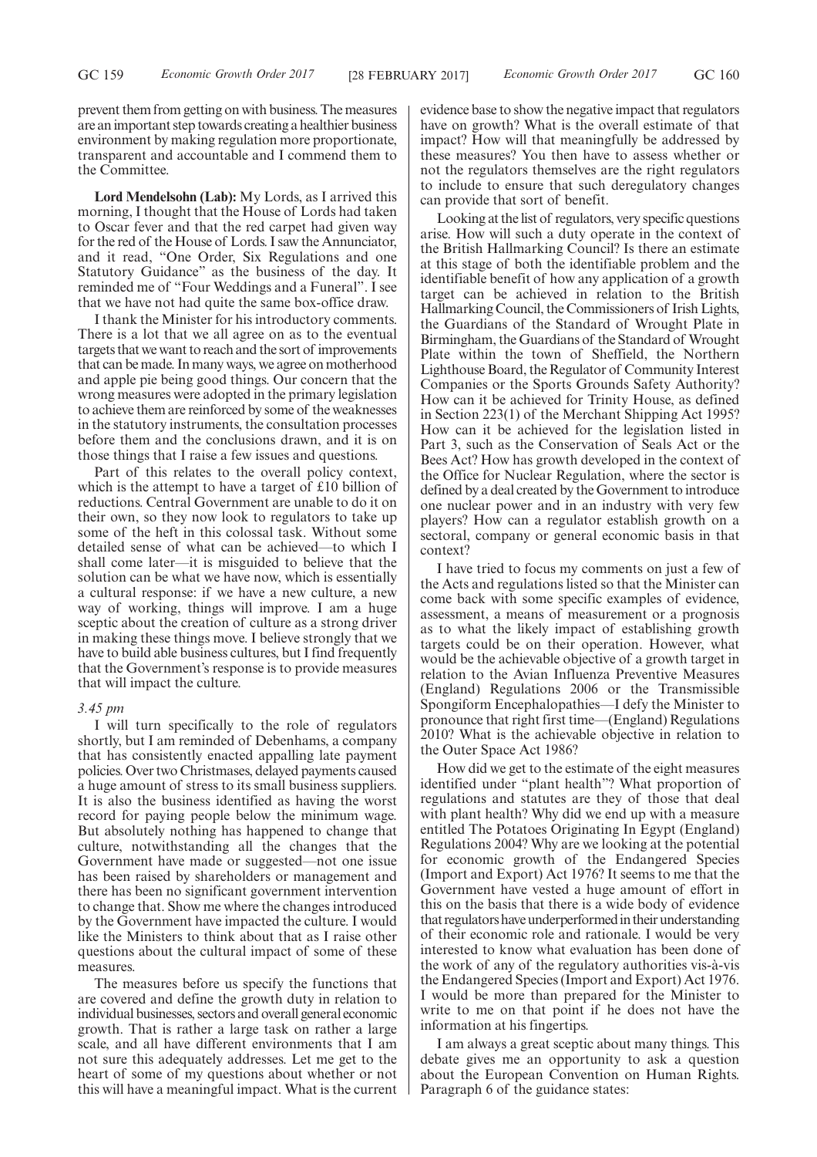prevent them from getting on with business. The measures are an important step towards creating a healthier business environment by making regulation more proportionate, transparent and accountable and I commend them to the Committee.

**Lord Mendelsohn (Lab):** My Lords, as I arrived this morning, I thought that the House of Lords had taken to Oscar fever and that the red carpet had given way for the red of the House of Lords. I saw the Annunciator, and it read, "One Order, Six Regulations and one Statutory Guidance" as the business of the day. It reminded me of "Four Weddings and a Funeral". I see that we have not had quite the same box-office draw.

I thank the Minister for his introductory comments. There is a lot that we all agree on as to the eventual targets that we want to reach and the sort of improvements that can be made. In many ways, we agree on motherhood and apple pie being good things. Our concern that the wrong measures were adopted in the primary legislation to achieve them are reinforced by some of the weaknesses in the statutory instruments, the consultation processes before them and the conclusions drawn, and it is on those things that I raise a few issues and questions.

Part of this relates to the overall policy context, which is the attempt to have a target of £10 billion of reductions. Central Government are unable to do it on their own, so they now look to regulators to take up some of the heft in this colossal task. Without some detailed sense of what can be achieved—to which I shall come later—it is misguided to believe that the solution can be what we have now, which is essentially a cultural response: if we have a new culture, a new way of working, things will improve. I am a huge sceptic about the creation of culture as a strong driver in making these things move. I believe strongly that we have to build able business cultures, but I find frequently that the Government's response is to provide measures that will impact the culture.

## *3.45 pm*

I will turn specifically to the role of regulators shortly, but I am reminded of Debenhams, a company that has consistently enacted appalling late payment policies. Over two Christmases, delayed payments caused a huge amount of stress to its small business suppliers. It is also the business identified as having the worst record for paying people below the minimum wage. But absolutely nothing has happened to change that culture, notwithstanding all the changes that the Government have made or suggested—not one issue has been raised by shareholders or management and there has been no significant government intervention to change that. Show me where the changes introduced by the Government have impacted the culture. I would like the Ministers to think about that as I raise other questions about the cultural impact of some of these measures.

The measures before us specify the functions that are covered and define the growth duty in relation to individual businesses, sectors and overall general economic growth. That is rather a large task on rather a large scale, and all have different environments that I am not sure this adequately addresses. Let me get to the heart of some of my questions about whether or not this will have a meaningful impact. What is the current evidence base to show the negative impact that regulators have on growth? What is the overall estimate of that impact? How will that meaningfully be addressed by these measures? You then have to assess whether or not the regulators themselves are the right regulators to include to ensure that such deregulatory changes can provide that sort of benefit.

Looking at the list of regulators, very specific questions arise. How will such a duty operate in the context of the British Hallmarking Council? Is there an estimate at this stage of both the identifiable problem and the identifiable benefit of how any application of a growth target can be achieved in relation to the British Hallmarking Council, the Commissioners of Irish Lights, the Guardians of the Standard of Wrought Plate in Birmingham, the Guardians of the Standard of Wrought Plate within the town of Sheffield, the Northern Lighthouse Board, the Regulator of Community Interest Companies or the Sports Grounds Safety Authority? How can it be achieved for Trinity House, as defined in Section 223(1) of the Merchant Shipping Act 1995? How can it be achieved for the legislation listed in Part 3, such as the Conservation of Seals Act or the Bees Act? How has growth developed in the context of the Office for Nuclear Regulation, where the sector is defined by a deal created by the Government to introduce one nuclear power and in an industry with very few players? How can a regulator establish growth on a sectoral, company or general economic basis in that context?

I have tried to focus my comments on just a few of the Acts and regulations listed so that the Minister can come back with some specific examples of evidence, assessment, a means of measurement or a prognosis as to what the likely impact of establishing growth targets could be on their operation. However, what would be the achievable objective of a growth target in relation to the Avian Influenza Preventive Measures (England) Regulations 2006 or the Transmissible Spongiform Encephalopathies—I defy the Minister to pronounce that right first time—(England) Regulations 2010? What is the achievable objective in relation to the Outer Space Act 1986?

How did we get to the estimate of the eight measures identified under "plant health"? What proportion of regulations and statutes are they of those that deal with plant health? Why did we end up with a measure entitled The Potatoes Originating In Egypt (England) Regulations 2004? Why are we looking at the potential for economic growth of the Endangered Species (Import and Export) Act 1976? It seems to me that the Government have vested a huge amount of effort in this on the basis that there is a wide body of evidence that regulators have underperformed in their understanding of their economic role and rationale. I would be very interested to know what evaluation has been done of the work of any of the regulatory authorities vis-à-vis the Endangered Species (Import and Export) Act 1976. I would be more than prepared for the Minister to write to me on that point if he does not have the information at his fingertips.

I am always a great sceptic about many things. This debate gives me an opportunity to ask a question about the European Convention on Human Rights. Paragraph 6 of the guidance states: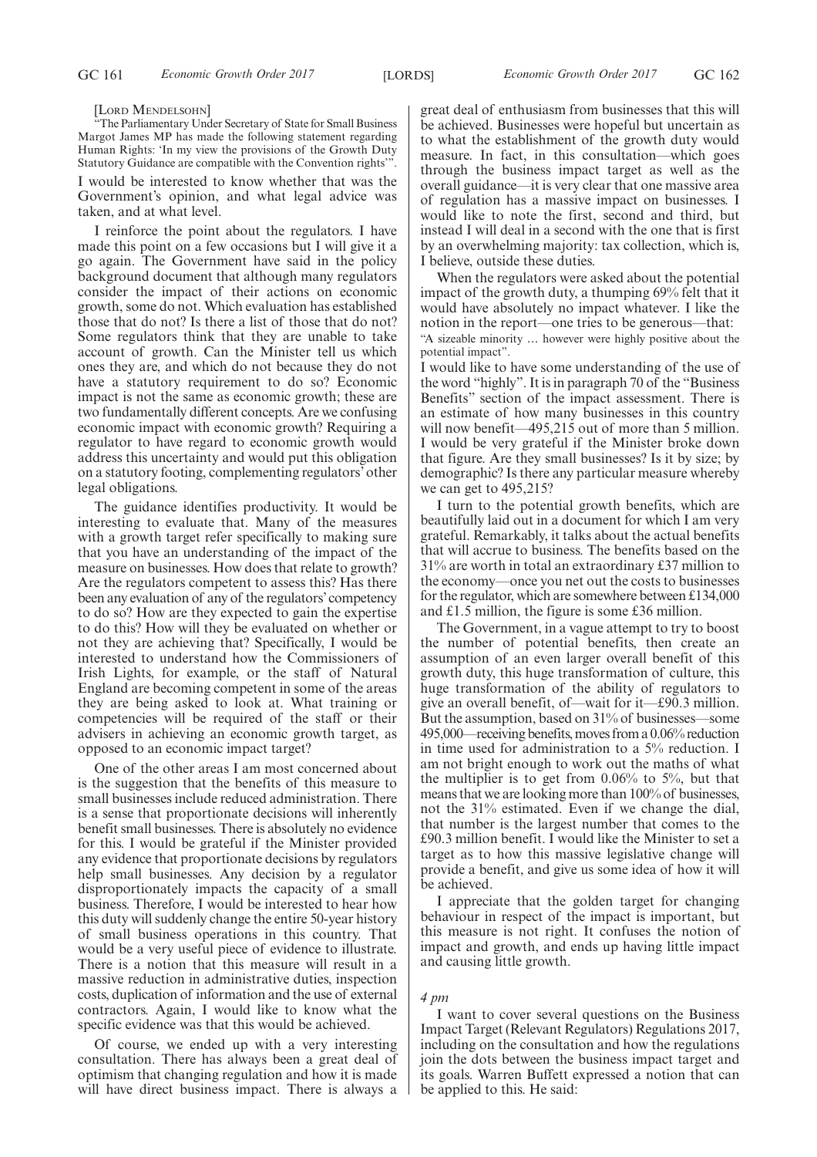#### [LORD MENDELSOHN]

"The Parliamentary Under Secretary of State for Small Business Margot James MP has made the following statement regarding Human Rights: 'In my view the provisions of the Growth Duty Statutory Guidance are compatible with the Convention rights'".

I would be interested to know whether that was the Government's opinion, and what legal advice was taken, and at what level.

I reinforce the point about the regulators. I have made this point on a few occasions but I will give it a go again. The Government have said in the policy background document that although many regulators consider the impact of their actions on economic growth, some do not. Which evaluation has established those that do not? Is there a list of those that do not? Some regulators think that they are unable to take account of growth. Can the Minister tell us which ones they are, and which do not because they do not have a statutory requirement to do so? Economic impact is not the same as economic growth; these are two fundamentally different concepts. Are we confusing economic impact with economic growth? Requiring a regulator to have regard to economic growth would address this uncertainty and would put this obligation on a statutory footing, complementing regulators' other legal obligations.

The guidance identifies productivity. It would be interesting to evaluate that. Many of the measures with a growth target refer specifically to making sure that you have an understanding of the impact of the measure on businesses. How does that relate to growth? Are the regulators competent to assess this? Has there been any evaluation of any of the regulators'competency to do so? How are they expected to gain the expertise to do this? How will they be evaluated on whether or not they are achieving that? Specifically, I would be interested to understand how the Commissioners of Irish Lights, for example, or the staff of Natural England are becoming competent in some of the areas they are being asked to look at. What training or competencies will be required of the staff or their advisers in achieving an economic growth target, as opposed to an economic impact target?

One of the other areas I am most concerned about is the suggestion that the benefits of this measure to small businesses include reduced administration. There is a sense that proportionate decisions will inherently benefit small businesses. There is absolutely no evidence for this. I would be grateful if the Minister provided any evidence that proportionate decisions by regulators help small businesses. Any decision by a regulator disproportionately impacts the capacity of a small business. Therefore, I would be interested to hear how this duty will suddenly change the entire 50-year history of small business operations in this country. That would be a very useful piece of evidence to illustrate. There is a notion that this measure will result in a massive reduction in administrative duties, inspection costs, duplication of information and the use of external contractors. Again, I would like to know what the specific evidence was that this would be achieved.

Of course, we ended up with a very interesting consultation. There has always been a great deal of optimism that changing regulation and how it is made will have direct business impact. There is always a great deal of enthusiasm from businesses that this will be achieved. Businesses were hopeful but uncertain as to what the establishment of the growth duty would measure. In fact, in this consultation—which goes through the business impact target as well as the overall guidance—it is very clear that one massive area of regulation has a massive impact on businesses. I would like to note the first, second and third, but instead I will deal in a second with the one that is first by an overwhelming majority: tax collection, which is, I believe, outside these duties.

When the regulators were asked about the potential impact of the growth duty, a thumping 69% felt that it would have absolutely no impact whatever. I like the notion in the report—one tries to be generous—that: "A sizeable minority … however were highly positive about the potential impact".

I would like to have some understanding of the use of the word "highly". It is in paragraph 70 of the "Business Benefits" section of the impact assessment. There is an estimate of how many businesses in this country will now benefit—495,215 out of more than 5 million. I would be very grateful if the Minister broke down that figure. Are they small businesses? Is it by size; by demographic? Is there any particular measure whereby we can get to 495,215?

I turn to the potential growth benefits, which are beautifully laid out in a document for which I am very grateful. Remarkably, it talks about the actual benefits that will accrue to business. The benefits based on the 31% are worth in total an extraordinary £37 million to the economy—once you net out the costs to businesses for the regulator, which are somewhere between £134,000 and £1.5 million, the figure is some £36 million.

The Government, in a vague attempt to try to boost the number of potential benefits, then create an assumption of an even larger overall benefit of this growth duty, this huge transformation of culture, this huge transformation of the ability of regulators to give an overall benefit, of—wait for it—£90.3 million. But the assumption, based on 31% of businesses—some 495,000—receiving benefits, moves from a 0.06% reduction in time used for administration to a 5% reduction. I am not bright enough to work out the maths of what the multiplier is to get from 0.06% to 5%, but that means that we are looking more than 100% of businesses, not the 31% estimated. Even if we change the dial, that number is the largest number that comes to the £90.3 million benefit. I would like the Minister to set a target as to how this massive legislative change will provide a benefit, and give us some idea of how it will be achieved.

I appreciate that the golden target for changing behaviour in respect of the impact is important, but this measure is not right. It confuses the notion of impact and growth, and ends up having little impact and causing little growth.

# *4 pm*

I want to cover several questions on the Business Impact Target (Relevant Regulators) Regulations 2017, including on the consultation and how the regulations join the dots between the business impact target and its goals. Warren Buffett expressed a notion that can be applied to this. He said: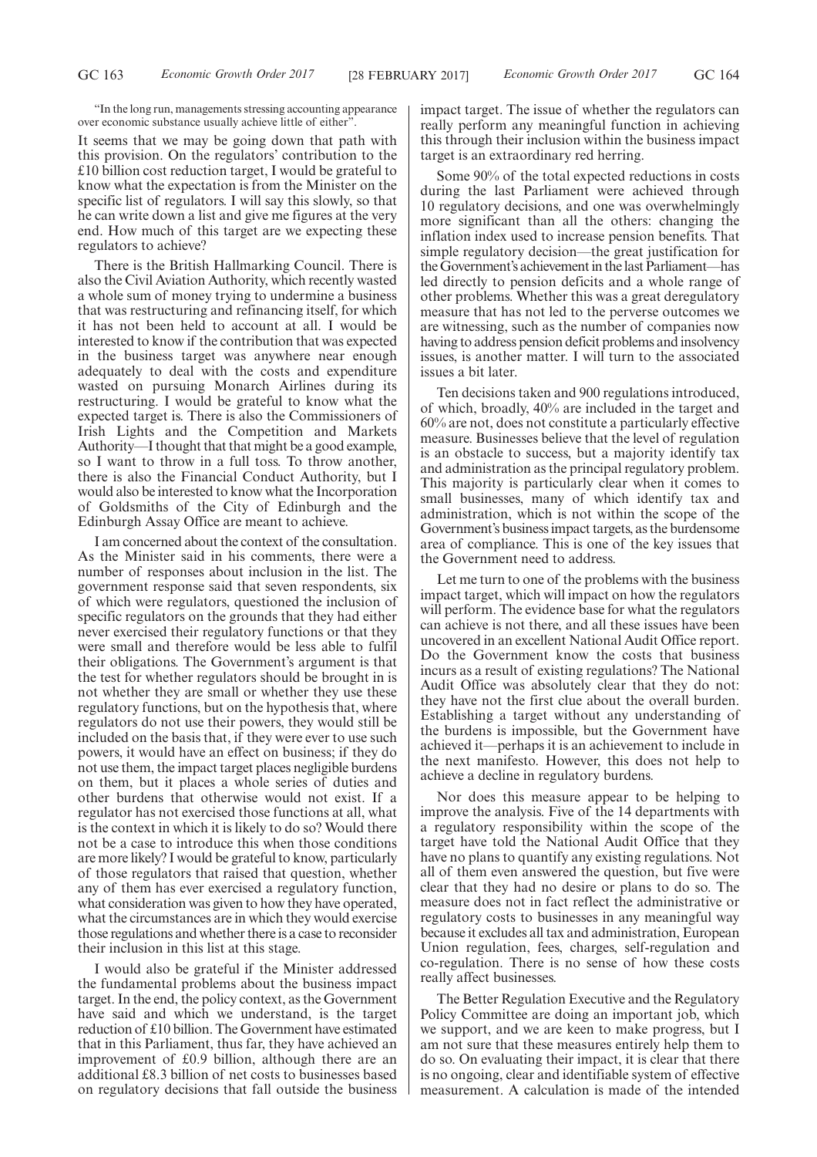"In the long run, managements stressing accounting appearance over economic substance usually achieve little of either

It seems that we may be going down that path with this provision. On the regulators' contribution to the £10 billion cost reduction target, I would be grateful to know what the expectation is from the Minister on the specific list of regulators. I will say this slowly, so that he can write down a list and give me figures at the very end. How much of this target are we expecting these regulators to achieve?

There is the British Hallmarking Council. There is also the Civil Aviation Authority, which recently wasted a whole sum of money trying to undermine a business that was restructuring and refinancing itself, for which it has not been held to account at all. I would be interested to know if the contribution that was expected in the business target was anywhere near enough adequately to deal with the costs and expenditure wasted on pursuing Monarch Airlines during its restructuring. I would be grateful to know what the expected target is. There is also the Commissioners of Irish Lights and the Competition and Markets Authority—I thought that that might be a good example, so I want to throw in a full toss. To throw another, there is also the Financial Conduct Authority, but I would also be interested to know what the Incorporation of Goldsmiths of the City of Edinburgh and the Edinburgh Assay Office are meant to achieve.

I am concerned about the context of the consultation. As the Minister said in his comments, there were a number of responses about inclusion in the list. The government response said that seven respondents, six of which were regulators, questioned the inclusion of specific regulators on the grounds that they had either never exercised their regulatory functions or that they were small and therefore would be less able to fulfil their obligations. The Government's argument is that the test for whether regulators should be brought in is not whether they are small or whether they use these regulatory functions, but on the hypothesis that, where regulators do not use their powers, they would still be included on the basis that, if they were ever to use such powers, it would have an effect on business; if they do not use them, the impact target places negligible burdens on them, but it places a whole series of duties and other burdens that otherwise would not exist. If a regulator has not exercised those functions at all, what is the context in which it is likely to do so? Would there not be a case to introduce this when those conditions are more likely? I would be grateful to know, particularly of those regulators that raised that question, whether any of them has ever exercised a regulatory function, what consideration was given to how they have operated, what the circumstances are in which they would exercise those regulations and whether there is a case to reconsider their inclusion in this list at this stage.

I would also be grateful if the Minister addressed the fundamental problems about the business impact target. In the end, the policy context, as the Government have said and which we understand, is the target reduction of £10 billion. The Government have estimated that in this Parliament, thus far, they have achieved an improvement of £0.9 billion, although there are an additional £8.3 billion of net costs to businesses based on regulatory decisions that fall outside the business impact target. The issue of whether the regulators can really perform any meaningful function in achieving this through their inclusion within the business impact target is an extraordinary red herring.

Some 90% of the total expected reductions in costs during the last Parliament were achieved through 10 regulatory decisions, and one was overwhelmingly more significant than all the others: changing the inflation index used to increase pension benefits. That simple regulatory decision—the great justification for the Government's achievement in the last Parliament—has led directly to pension deficits and a whole range of other problems. Whether this was a great deregulatory measure that has not led to the perverse outcomes we are witnessing, such as the number of companies now having to address pension deficit problems and insolvency issues, is another matter. I will turn to the associated issues a bit later.

Ten decisions taken and 900 regulations introduced, of which, broadly, 40% are included in the target and 60% are not, does not constitute a particularly effective measure. Businesses believe that the level of regulation is an obstacle to success, but a majority identify tax and administration as the principal regulatory problem. This majority is particularly clear when it comes to small businesses, many of which identify tax and administration, which is not within the scope of the Government's business impact targets, as the burdensome area of compliance. This is one of the key issues that the Government need to address.

Let me turn to one of the problems with the business impact target, which will impact on how the regulators will perform. The evidence base for what the regulators can achieve is not there, and all these issues have been uncovered in an excellent National Audit Office report. Do the Government know the costs that business incurs as a result of existing regulations? The National Audit Office was absolutely clear that they do not: they have not the first clue about the overall burden. Establishing a target without any understanding of the burdens is impossible, but the Government have achieved it—perhaps it is an achievement to include in the next manifesto. However, this does not help to achieve a decline in regulatory burdens.

Nor does this measure appear to be helping to improve the analysis. Five of the 14 departments with a regulatory responsibility within the scope of the target have told the National Audit Office that they have no plans to quantify any existing regulations. Not all of them even answered the question, but five were clear that they had no desire or plans to do so. The measure does not in fact reflect the administrative or regulatory costs to businesses in any meaningful way because it excludes all tax and administration, European Union regulation, fees, charges, self-regulation and co-regulation. There is no sense of how these costs really affect businesses.

The Better Regulation Executive and the Regulatory Policy Committee are doing an important job, which we support, and we are keen to make progress, but I am not sure that these measures entirely help them to do so. On evaluating their impact, it is clear that there is no ongoing, clear and identifiable system of effective measurement. A calculation is made of the intended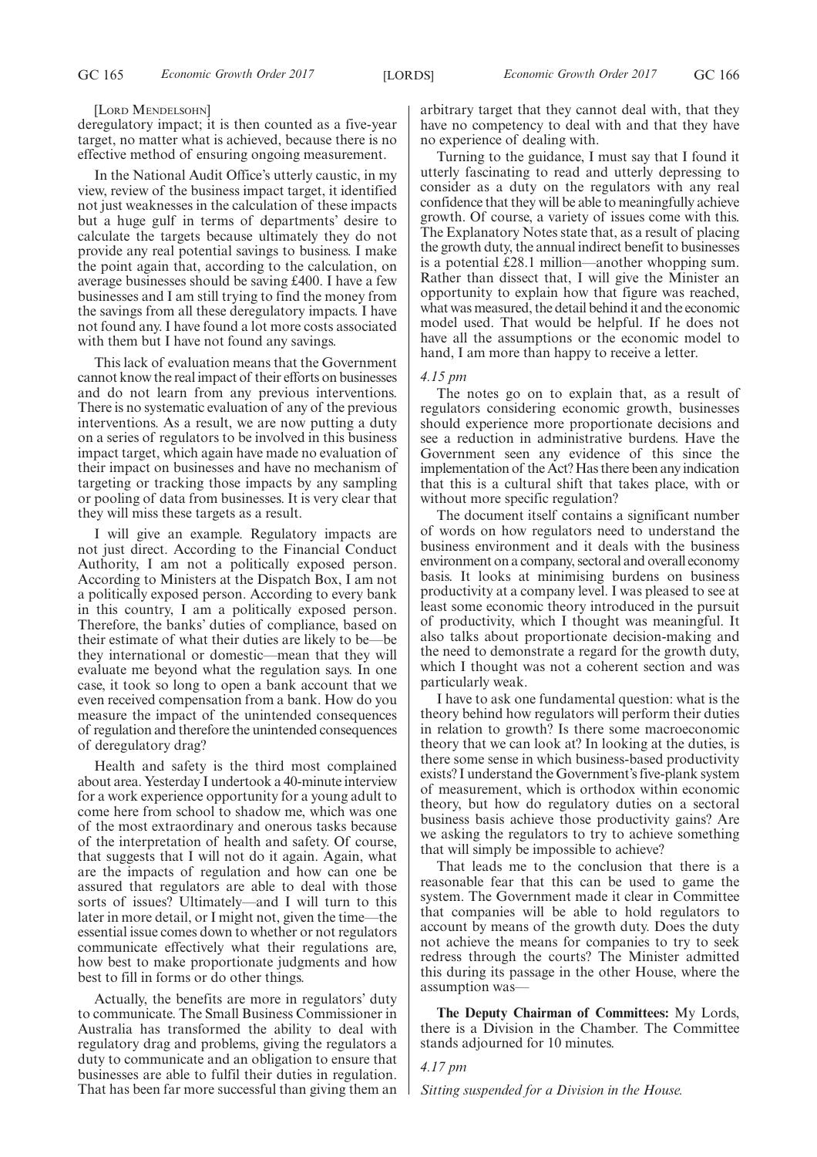#### [LORD MENDELSOHN]

deregulatory impact; it is then counted as a five-year target, no matter what is achieved, because there is no effective method of ensuring ongoing measurement.

In the National Audit Office's utterly caustic, in my view, review of the business impact target, it identified not just weaknesses in the calculation of these impacts but a huge gulf in terms of departments' desire to calculate the targets because ultimately they do not provide any real potential savings to business. I make the point again that, according to the calculation, on average businesses should be saving £400. I have a few businesses and I am still trying to find the money from the savings from all these deregulatory impacts. I have not found any. I have found a lot more costs associated with them but I have not found any savings.

This lack of evaluation means that the Government cannot know the real impact of their efforts on businesses and do not learn from any previous interventions. There is no systematic evaluation of any of the previous interventions. As a result, we are now putting a duty on a series of regulators to be involved in this business impact target, which again have made no evaluation of their impact on businesses and have no mechanism of targeting or tracking those impacts by any sampling or pooling of data from businesses. It is very clear that they will miss these targets as a result.

I will give an example. Regulatory impacts are not just direct. According to the Financial Conduct Authority, I am not a politically exposed person. According to Ministers at the Dispatch Box, I am not a politically exposed person. According to every bank in this country, I am a politically exposed person. Therefore, the banks' duties of compliance, based on their estimate of what their duties are likely to be—be they international or domestic—mean that they will evaluate me beyond what the regulation says. In one case, it took so long to open a bank account that we even received compensation from a bank. How do you measure the impact of the unintended consequences of regulation and therefore the unintended consequences of deregulatory drag?

Health and safety is the third most complained about area. Yesterday I undertook a 40-minute interview for a work experience opportunity for a young adult to come here from school to shadow me, which was one of the most extraordinary and onerous tasks because of the interpretation of health and safety. Of course, that suggests that I will not do it again. Again, what are the impacts of regulation and how can one be assured that regulators are able to deal with those sorts of issues? Ultimately—and I will turn to this later in more detail, or I might not, given the time—the essential issue comes down to whether or not regulators communicate effectively what their regulations are, how best to make proportionate judgments and how best to fill in forms or do other things.

Actually, the benefits are more in regulators' duty to communicate. The Small Business Commissioner in Australia has transformed the ability to deal with regulatory drag and problems, giving the regulators a duty to communicate and an obligation to ensure that businesses are able to fulfil their duties in regulation. That has been far more successful than giving them an arbitrary target that they cannot deal with, that they have no competency to deal with and that they have no experience of dealing with.

Turning to the guidance, I must say that I found it utterly fascinating to read and utterly depressing to consider as a duty on the regulators with any real confidence that they will be able to meaningfully achieve growth. Of course, a variety of issues come with this. The Explanatory Notes state that, as a result of placing the growth duty, the annual indirect benefit to businesses is a potential £28.1 million—another whopping sum. Rather than dissect that, I will give the Minister an opportunity to explain how that figure was reached, what was measured, the detail behind it and the economic model used. That would be helpful. If he does not have all the assumptions or the economic model to hand, I am more than happy to receive a letter.

# *4.15 pm*

The notes go on to explain that, as a result of regulators considering economic growth, businesses should experience more proportionate decisions and see a reduction in administrative burdens. Have the Government seen any evidence of this since the implementation of the Act? Has there been any indication that this is a cultural shift that takes place, with or without more specific regulation?

The document itself contains a significant number of words on how regulators need to understand the business environment and it deals with the business environment on a company, sectoral and overall economy basis. It looks at minimising burdens on business productivity at a company level. I was pleased to see at least some economic theory introduced in the pursuit of productivity, which I thought was meaningful. It also talks about proportionate decision-making and the need to demonstrate a regard for the growth duty, which I thought was not a coherent section and was particularly weak.

I have to ask one fundamental question: what is the theory behind how regulators will perform their duties in relation to growth? Is there some macroeconomic theory that we can look at? In looking at the duties, is there some sense in which business-based productivity exists? I understand the Government's five-plank system of measurement, which is orthodox within economic theory, but how do regulatory duties on a sectoral business basis achieve those productivity gains? Are we asking the regulators to try to achieve something that will simply be impossible to achieve?

That leads me to the conclusion that there is a reasonable fear that this can be used to game the system. The Government made it clear in Committee that companies will be able to hold regulators to account by means of the growth duty. Does the duty not achieve the means for companies to try to seek redress through the courts? The Minister admitted this during its passage in the other House, where the assumption was—

**The Deputy Chairman of Committees:** My Lords, there is a Division in the Chamber. The Committee stands adjourned for 10 minutes.

*4.17 pm*

*Sitting suspended for a Division in the House.*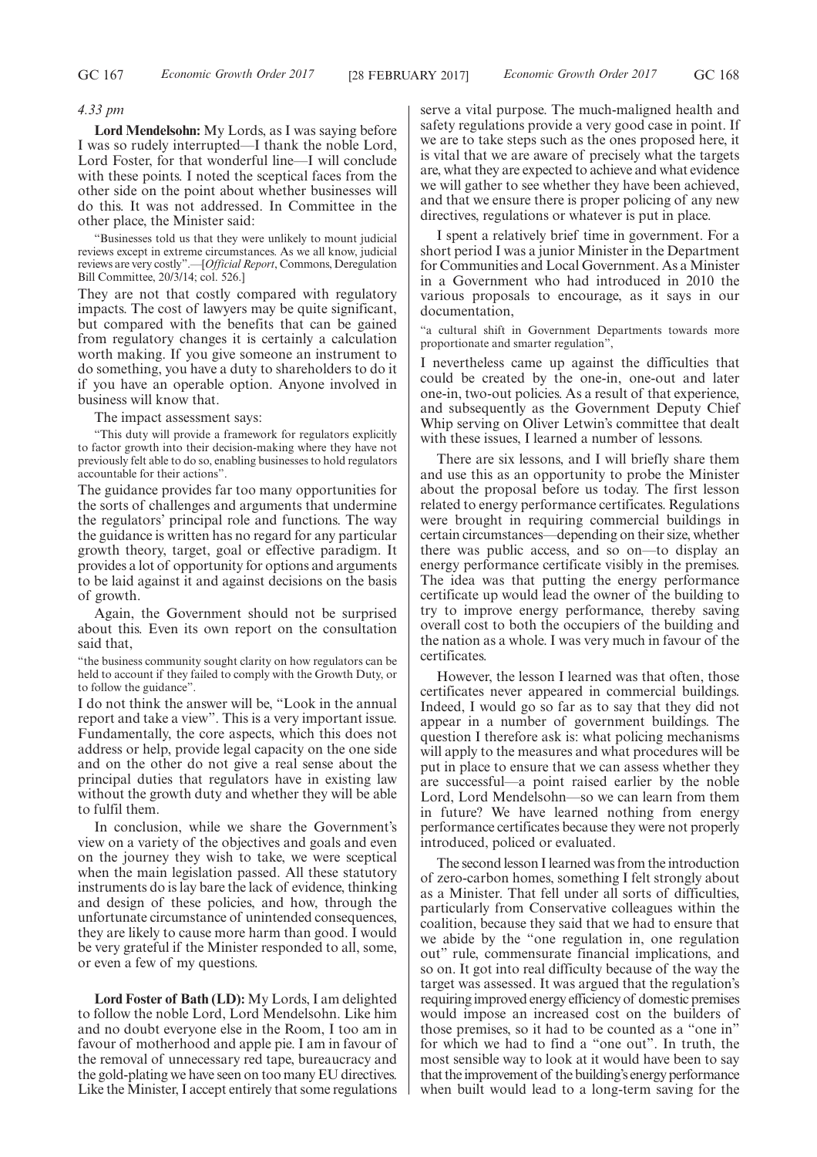### *4.33 pm*

**Lord Mendelsohn:** My Lords, as I was saying before I was so rudely interrupted—I thank the noble Lord, Lord Foster, for that wonderful line—I will conclude with these points. I noted the sceptical faces from the other side on the point about whether businesses will do this. It was not addressed. In Committee in the other place, the Minister said:

"Businesses told us that they were unlikely to mount judicial reviews except in extreme circumstances. As we all know, judicial reviews are very costly".—[*Official Report*, Commons, Deregulation Bill Committee, 20/3/14; col. 526.]

They are not that costly compared with regulatory impacts. The cost of lawyers may be quite significant, but compared with the benefits that can be gained from regulatory changes it is certainly a calculation worth making. If you give someone an instrument to do something, you have a duty to shareholders to do it if you have an operable option. Anyone involved in business will know that.

The impact assessment says:

"This duty will provide a framework for regulators explicitly to factor growth into their decision-making where they have not previously felt able to do so, enabling businesses to hold regulators accountable for their actions".

The guidance provides far too many opportunities for the sorts of challenges and arguments that undermine the regulators' principal role and functions. The way the guidance is written has no regard for any particular growth theory, target, goal or effective paradigm. It provides a lot of opportunity for options and arguments to be laid against it and against decisions on the basis of growth.

Again, the Government should not be surprised about this. Even its own report on the consultation said that,

"the business community sought clarity on how regulators can be held to account if they failed to comply with the Growth Duty, or to follow the guidance".

I do not think the answer will be, "Look in the annual report and take a view". This is a very important issue. Fundamentally, the core aspects, which this does not address or help, provide legal capacity on the one side and on the other do not give a real sense about the principal duties that regulators have in existing law without the growth duty and whether they will be able to fulfil them.

In conclusion, while we share the Government's view on a variety of the objectives and goals and even on the journey they wish to take, we were sceptical when the main legislation passed. All these statutory instruments do is lay bare the lack of evidence, thinking and design of these policies, and how, through the unfortunate circumstance of unintended consequences, they are likely to cause more harm than good. I would be very grateful if the Minister responded to all, some, or even a few of my questions.

**Lord Foster of Bath (LD):** My Lords, I am delighted to follow the noble Lord, Lord Mendelsohn. Like him and no doubt everyone else in the Room, I too am in favour of motherhood and apple pie. I am in favour of the removal of unnecessary red tape, bureaucracy and the gold-plating we have seen on too many EU directives. Like the Minister, I accept entirely that some regulations serve a vital purpose. The much-maligned health and safety regulations provide a very good case in point. If we are to take steps such as the ones proposed here, it is vital that we are aware of precisely what the targets are, what they are expected to achieve and what evidence we will gather to see whether they have been achieved, and that we ensure there is proper policing of any new directives, regulations or whatever is put in place.

I spent a relatively brief time in government. For a short period I was a junior Minister in the Department for Communities and Local Government. As a Minister in a Government who had introduced in 2010 the various proposals to encourage, as it says in our documentation,

"a cultural shift in Government Departments towards more proportionate and smarter regulation",

I nevertheless came up against the difficulties that could be created by the one-in, one-out and later one-in, two-out policies. As a result of that experience, and subsequently as the Government Deputy Chief Whip serving on Oliver Letwin's committee that dealt with these issues, I learned a number of lessons.

There are six lessons, and I will briefly share them and use this as an opportunity to probe the Minister about the proposal before us today. The first lesson related to energy performance certificates. Regulations were brought in requiring commercial buildings in certain circumstances—depending on their size, whether there was public access, and so on—to display an energy performance certificate visibly in the premises. The idea was that putting the energy performance certificate up would lead the owner of the building to try to improve energy performance, thereby saving overall cost to both the occupiers of the building and the nation as a whole. I was very much in favour of the certificates.

However, the lesson I learned was that often, those certificates never appeared in commercial buildings. Indeed, I would go so far as to say that they did not appear in a number of government buildings. The question I therefore ask is: what policing mechanisms will apply to the measures and what procedures will be put in place to ensure that we can assess whether they are successful—a point raised earlier by the noble Lord, Lord Mendelsohn—so we can learn from them in future? We have learned nothing from energy performance certificates because they were not properly introduced, policed or evaluated.

The second lesson I learned was from the introduction of zero-carbon homes, something I felt strongly about as a Minister. That fell under all sorts of difficulties, particularly from Conservative colleagues within the coalition, because they said that we had to ensure that we abide by the "one regulation in, one regulation out" rule, commensurate financial implications, and so on. It got into real difficulty because of the way the target was assessed. It was argued that the regulation's requiring improved energy efficiency of domestic premises would impose an increased cost on the builders of those premises, so it had to be counted as a "one in" for which we had to find a "one out". In truth, the most sensible way to look at it would have been to say that the improvement of the building's energy performance when built would lead to a long-term saving for the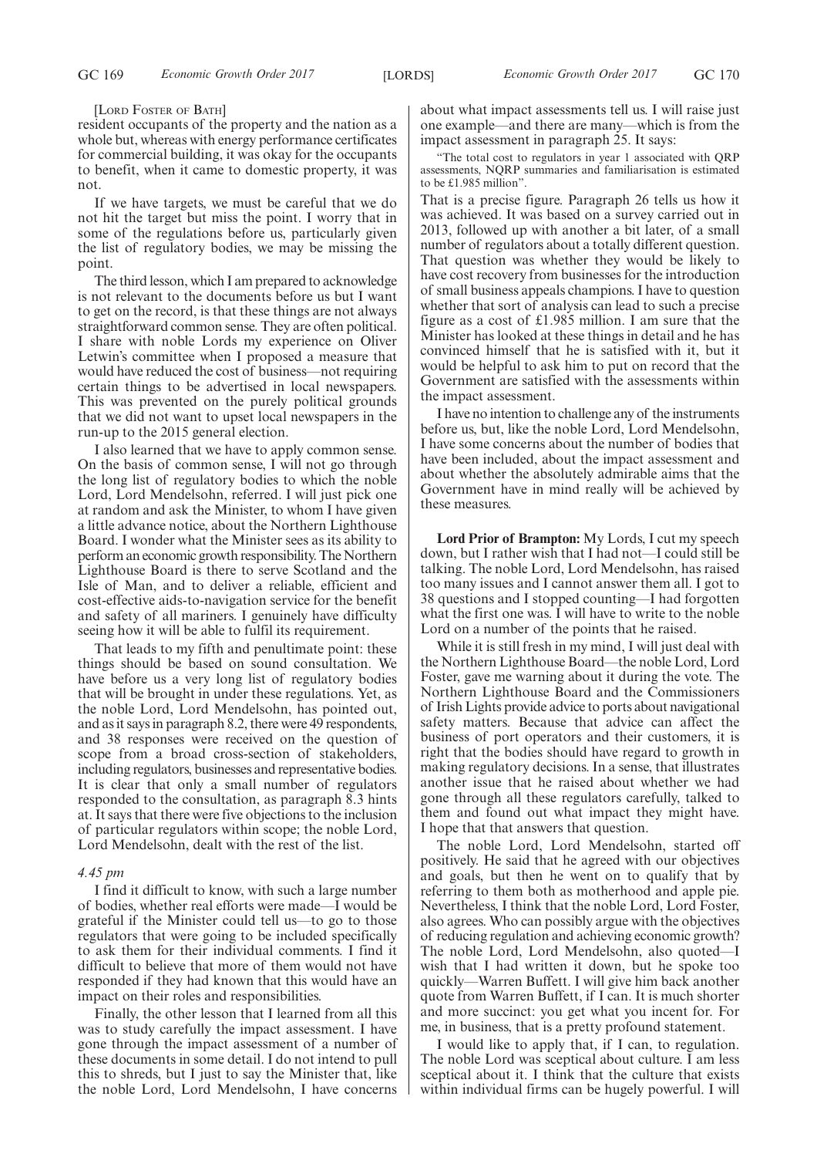#### [LORD FOSTER OF BATH]

resident occupants of the property and the nation as a whole but, whereas with energy performance certificates for commercial building, it was okay for the occupants to benefit, when it came to domestic property, it was not.

If we have targets, we must be careful that we do not hit the target but miss the point. I worry that in some of the regulations before us, particularly given the list of regulatory bodies, we may be missing the point.

The third lesson, which I am prepared to acknowledge is not relevant to the documents before us but I want to get on the record, is that these things are not always straightforward common sense. They are often political. I share with noble Lords my experience on Oliver Letwin's committee when I proposed a measure that would have reduced the cost of business—not requiring certain things to be advertised in local newspapers. This was prevented on the purely political grounds that we did not want to upset local newspapers in the run-up to the 2015 general election.

I also learned that we have to apply common sense. On the basis of common sense, I will not go through the long list of regulatory bodies to which the noble Lord, Lord Mendelsohn, referred. I will just pick one at random and ask the Minister, to whom I have given a little advance notice, about the Northern Lighthouse Board. I wonder what the Minister sees as its ability to perform an economic growth responsibility. The Northern Lighthouse Board is there to serve Scotland and the Isle of Man, and to deliver a reliable, efficient and cost-effective aids-to-navigation service for the benefit and safety of all mariners. I genuinely have difficulty seeing how it will be able to fulfil its requirement.

That leads to my fifth and penultimate point: these things should be based on sound consultation. We have before us a very long list of regulatory bodies that will be brought in under these regulations. Yet, as the noble Lord, Lord Mendelsohn, has pointed out, and as it says in paragraph 8.2, there were 49 respondents, and 38 responses were received on the question of scope from a broad cross-section of stakeholders, including regulators, businesses and representative bodies. It is clear that only a small number of regulators responded to the consultation, as paragraph 8.3 hints at. It says that there were five objections to the inclusion of particular regulators within scope; the noble Lord, Lord Mendelsohn, dealt with the rest of the list.

# *4.45 pm*

I find it difficult to know, with such a large number of bodies, whether real efforts were made—I would be grateful if the Minister could tell us—to go to those regulators that were going to be included specifically to ask them for their individual comments. I find it difficult to believe that more of them would not have responded if they had known that this would have an impact on their roles and responsibilities.

Finally, the other lesson that I learned from all this was to study carefully the impact assessment. I have gone through the impact assessment of a number of these documents in some detail. I do not intend to pull this to shreds, but I just to say the Minister that, like the noble Lord, Lord Mendelsohn, I have concerns

about what impact assessments tell us. I will raise just one example—and there are many—which is from the impact assessment in paragraph 25. It says:

"The total cost to regulators in year 1 associated with QRP assessments, NQRP summaries and familiarisation is estimated to be £1.985 million".

That is a precise figure. Paragraph 26 tells us how it was achieved. It was based on a survey carried out in 2013, followed up with another a bit later, of a small number of regulators about a totally different question. That question was whether they would be likely to have cost recovery from businesses for the introduction of small business appeals champions. I have to question whether that sort of analysis can lead to such a precise figure as a cost of £1.985 million. I am sure that the Minister has looked at these things in detail and he has convinced himself that he is satisfied with it, but it would be helpful to ask him to put on record that the Government are satisfied with the assessments within the impact assessment.

I have no intention to challenge any of the instruments before us, but, like the noble Lord, Lord Mendelsohn, I have some concerns about the number of bodies that have been included, about the impact assessment and about whether the absolutely admirable aims that the Government have in mind really will be achieved by these measures.

**Lord Prior of Brampton:** My Lords, I cut my speech down, but I rather wish that I had not—I could still be talking. The noble Lord, Lord Mendelsohn, has raised too many issues and I cannot answer them all. I got to 38 questions and I stopped counting—I had forgotten what the first one was. I will have to write to the noble Lord on a number of the points that he raised.

While it is still fresh in my mind, I will just deal with the Northern Lighthouse Board—the noble Lord, Lord Foster, gave me warning about it during the vote. The Northern Lighthouse Board and the Commissioners of Irish Lights provide advice to ports about navigational safety matters. Because that advice can affect the business of port operators and their customers, it is right that the bodies should have regard to growth in making regulatory decisions. In a sense, that illustrates another issue that he raised about whether we had gone through all these regulators carefully, talked to them and found out what impact they might have. I hope that that answers that question.

The noble Lord, Lord Mendelsohn, started off positively. He said that he agreed with our objectives and goals, but then he went on to qualify that by referring to them both as motherhood and apple pie. Nevertheless, I think that the noble Lord, Lord Foster, also agrees. Who can possibly argue with the objectives of reducing regulation and achieving economic growth? The noble Lord, Lord Mendelsohn, also quoted—I wish that I had written it down, but he spoke too quickly—Warren Buffett. I will give him back another quote from Warren Buffett, if I can. It is much shorter and more succinct: you get what you incent for. For me, in business, that is a pretty profound statement.

I would like to apply that, if I can, to regulation. The noble Lord was sceptical about culture. I am less sceptical about it. I think that the culture that exists within individual firms can be hugely powerful. I will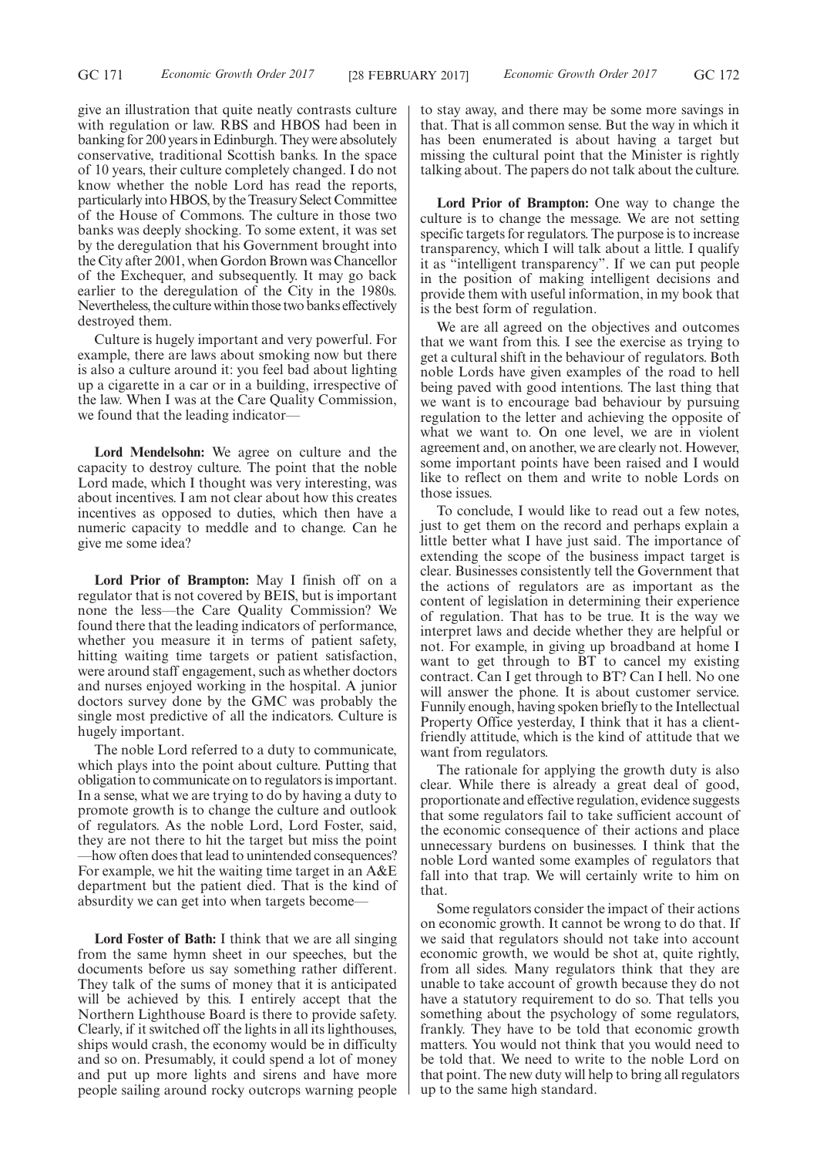give an illustration that quite neatly contrasts culture with regulation or law. RBS and HBOS had been in banking for 200 years in Edinburgh. They were absolutely conservative, traditional Scottish banks. In the space of 10 years, their culture completely changed. I do not know whether the noble Lord has read the reports, particularly into HBOS, by the Treasury Select Committee of the House of Commons. The culture in those two banks was deeply shocking. To some extent, it was set by the deregulation that his Government brought into the City after 2001, when Gordon Brown was Chancellor of the Exchequer, and subsequently. It may go back earlier to the deregulation of the City in the 1980s. Nevertheless, the culture within those two banks effectively destroyed them.

Culture is hugely important and very powerful. For example, there are laws about smoking now but there is also a culture around it: you feel bad about lighting up a cigarette in a car or in a building, irrespective of the law. When I was at the Care Quality Commission, we found that the leading indicator—

**Lord Mendelsohn:** We agree on culture and the capacity to destroy culture. The point that the noble Lord made, which I thought was very interesting, was about incentives. I am not clear about how this creates incentives as opposed to duties, which then have a numeric capacity to meddle and to change. Can he give me some idea?

**Lord Prior of Brampton:** May I finish off on a regulator that is not covered by BEIS, but is important none the less—the Care Quality Commission? We found there that the leading indicators of performance, whether you measure it in terms of patient safety, hitting waiting time targets or patient satisfaction, were around staff engagement, such as whether doctors and nurses enjoyed working in the hospital. A junior doctors survey done by the GMC was probably the single most predictive of all the indicators. Culture is hugely important.

The noble Lord referred to a duty to communicate, which plays into the point about culture. Putting that obligation to communicate on to regulators is important. In a sense, what we are trying to do by having a duty to promote growth is to change the culture and outlook of regulators. As the noble Lord, Lord Foster, said, they are not there to hit the target but miss the point —how often does that lead to unintended consequences? For example, we hit the waiting time target in an A&E department but the patient died. That is the kind of absurdity we can get into when targets become—

**Lord Foster of Bath:** I think that we are all singing from the same hymn sheet in our speeches, but the documents before us say something rather different. They talk of the sums of money that it is anticipated will be achieved by this. I entirely accept that the Northern Lighthouse Board is there to provide safety. Clearly, if it switched off the lights in all its lighthouses, ships would crash, the economy would be in difficulty and so on. Presumably, it could spend a lot of money and put up more lights and sirens and have more people sailing around rocky outcrops warning people to stay away, and there may be some more savings in that. That is all common sense. But the way in which it has been enumerated is about having a target but missing the cultural point that the Minister is rightly talking about. The papers do not talk about the culture.

**Lord Prior of Brampton:** One way to change the culture is to change the message. We are not setting specific targets for regulators. The purpose is to increase transparency, which I will talk about a little. I qualify it as "intelligent transparency". If we can put people in the position of making intelligent decisions and provide them with useful information, in my book that is the best form of regulation.

We are all agreed on the objectives and outcomes that we want from this. I see the exercise as trying to get a cultural shift in the behaviour of regulators. Both noble Lords have given examples of the road to hell being paved with good intentions. The last thing that we want is to encourage bad behaviour by pursuing regulation to the letter and achieving the opposite of what we want to. On one level, we are in violent agreement and, on another, we are clearly not. However, some important points have been raised and I would like to reflect on them and write to noble Lords on those issues.

To conclude, I would like to read out a few notes, just to get them on the record and perhaps explain a little better what I have just said. The importance of extending the scope of the business impact target is clear. Businesses consistently tell the Government that the actions of regulators are as important as the content of legislation in determining their experience of regulation. That has to be true. It is the way we interpret laws and decide whether they are helpful or not. For example, in giving up broadband at home I want to get through to BT to cancel my existing contract. Can I get through to BT? Can I hell. No one will answer the phone. It is about customer service. Funnily enough, having spoken briefly to the Intellectual Property Office yesterday, I think that it has a clientfriendly attitude, which is the kind of attitude that we want from regulators.

The rationale for applying the growth duty is also clear. While there is already a great deal of good, proportionate and effective regulation, evidence suggests that some regulators fail to take sufficient account of the economic consequence of their actions and place unnecessary burdens on businesses. I think that the noble Lord wanted some examples of regulators that fall into that trap. We will certainly write to him on that.

Some regulators consider the impact of their actions on economic growth. It cannot be wrong to do that. If we said that regulators should not take into account economic growth, we would be shot at, quite rightly, from all sides. Many regulators think that they are unable to take account of growth because they do not have a statutory requirement to do so. That tells you something about the psychology of some regulators, frankly. They have to be told that economic growth matters. You would not think that you would need to be told that. We need to write to the noble Lord on that point. The new duty will help to bring all regulators up to the same high standard.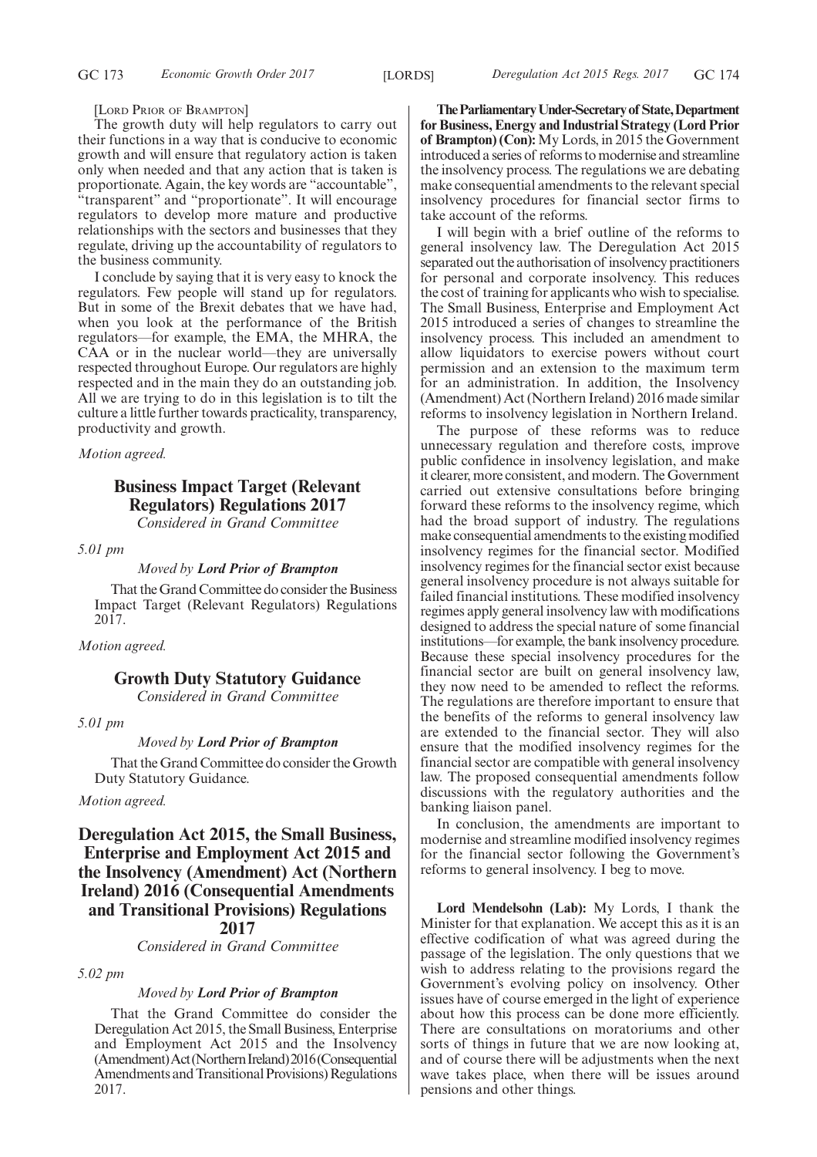GC 173 *Economic Growth Order 2017* [LORDS] *Deregulation Act 2015 Regs. 2017* GC 174

## [LORD PRIOR OF BRAMPTON]

The growth duty will help regulators to carry out their functions in a way that is conducive to economic growth and will ensure that regulatory action is taken only when needed and that any action that is taken is proportionate. Again, the key words are "accountable", "transparent" and "proportionate". It will encourage regulators to develop more mature and productive relationships with the sectors and businesses that they regulate, driving up the accountability of regulators to the business community.

I conclude by saying that it is very easy to knock the regulators. Few people will stand up for regulators. But in some of the Brexit debates that we have had, when you look at the performance of the British regulators—for example, the EMA, the MHRA, the CAA or in the nuclear world—they are universally respected throughout Europe. Our regulators are highly respected and in the main they do an outstanding job. All we are trying to do in this legislation is to tilt the culture a little further towards practicality, transparency, productivity and growth.

*Motion agreed.*

# **Business Impact Target (Relevant Regulators) Regulations 2017** *Considered in Grand Committee*

*5.01 pm*

# *Moved by Lord Prior of Brampton*

That the Grand Committee do consider the Business Impact Target (Relevant Regulators) Regulations 2017.

*Motion agreed.*

# **Growth Duty Statutory Guidance**

*Considered in Grand Committee*

*5.01 pm*

# *Moved by Lord Prior of Brampton*

That the Grand Committee do consider the Growth Duty Statutory Guidance.

# *Motion agreed.*

**Deregulation Act 2015, the Small Business, Enterprise and Employment Act 2015 and the Insolvency (Amendment) Act (Northern Ireland) 2016 (Consequential Amendments and Transitional Provisions) Regulations 2017**

*Considered in Grand Committee*

*5.02 pm*

# *Moved by Lord Prior of Brampton*

That the Grand Committee do consider the Deregulation Act 2015, the Small Business, Enterprise and Employment Act 2015 and the Insolvency (Amendment)Act(NorthernIreland)2016(Consequential Amendments and Transitional Provisions) Regulations 2017.

**TheParliamentaryUnder-Secretaryof State,Department for Business, Energy and Industrial Strategy (Lord Prior of Brampton) (Con):** My Lords, in 2015 the Government introduced a series of reforms to modernise and streamline the insolvency process. The regulations we are debating make consequential amendments to the relevant special insolvency procedures for financial sector firms to take account of the reforms.

I will begin with a brief outline of the reforms to general insolvency law. The Deregulation Act 2015 separated out the authorisation of insolvency practitioners for personal and corporate insolvency. This reduces the cost of training for applicants who wish to specialise. The Small Business, Enterprise and Employment Act 2015 introduced a series of changes to streamline the insolvency process. This included an amendment to allow liquidators to exercise powers without court permission and an extension to the maximum term for an administration. In addition, the Insolvency (Amendment) Act (Northern Ireland) 2016 made similar reforms to insolvency legislation in Northern Ireland.

The purpose of these reforms was to reduce unnecessary regulation and therefore costs, improve public confidence in insolvency legislation, and make it clearer, more consistent, and modern. The Government carried out extensive consultations before bringing forward these reforms to the insolvency regime, which had the broad support of industry. The regulations make consequential amendments to the existing modified insolvency regimes for the financial sector. Modified insolvency regimes for the financial sector exist because general insolvency procedure is not always suitable for failed financial institutions. These modified insolvency regimes apply general insolvency law with modifications designed to address the special nature of some financial institutions—for example, the bank insolvency procedure. Because these special insolvency procedures for the financial sector are built on general insolvency law, they now need to be amended to reflect the reforms. The regulations are therefore important to ensure that the benefits of the reforms to general insolvency law are extended to the financial sector. They will also ensure that the modified insolvency regimes for the financial sector are compatible with general insolvency law. The proposed consequential amendments follow discussions with the regulatory authorities and the banking liaison panel.

In conclusion, the amendments are important to modernise and streamline modified insolvency regimes for the financial sector following the Government's reforms to general insolvency. I beg to move.

**Lord Mendelsohn (Lab):** My Lords, I thank the Minister for that explanation. We accept this as it is an effective codification of what was agreed during the passage of the legislation. The only questions that we wish to address relating to the provisions regard the Government's evolving policy on insolvency. Other issues have of course emerged in the light of experience about how this process can be done more efficiently. There are consultations on moratoriums and other sorts of things in future that we are now looking at, and of course there will be adjustments when the next wave takes place, when there will be issues around pensions and other things.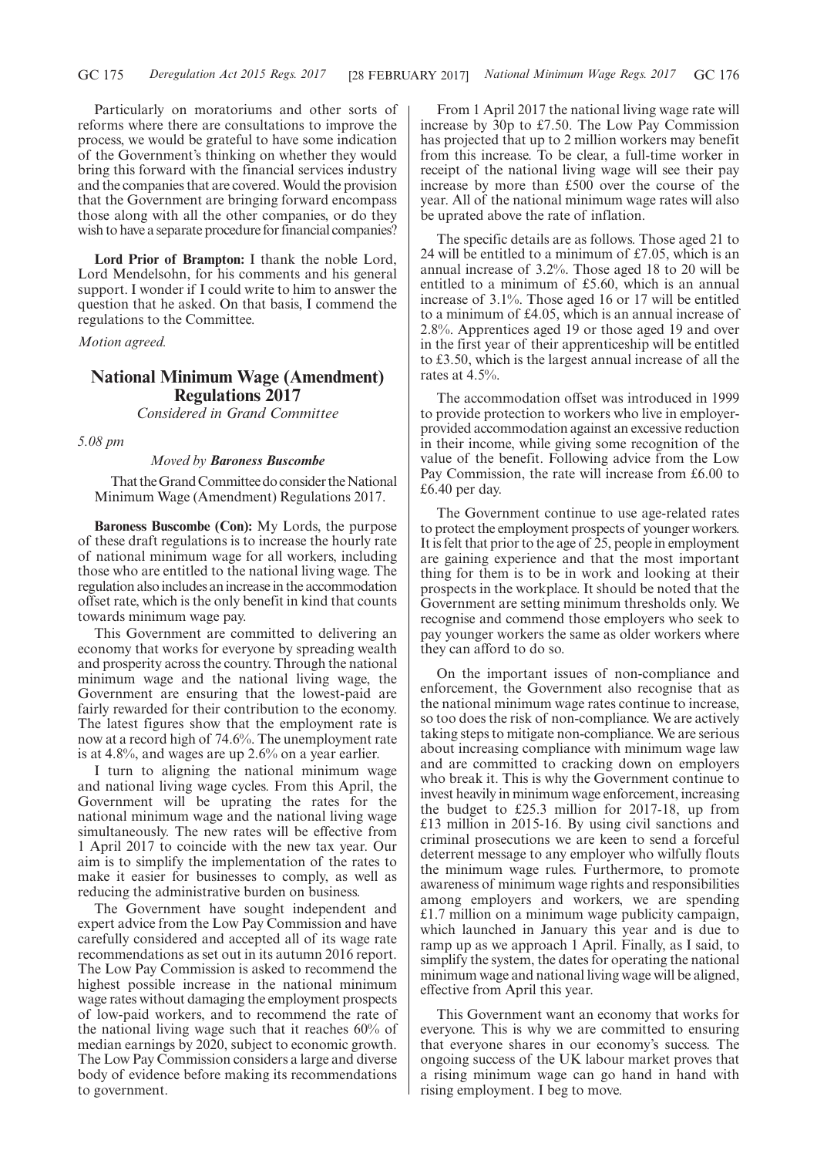Particularly on moratoriums and other sorts of reforms where there are consultations to improve the process, we would be grateful to have some indication of the Government's thinking on whether they would bring this forward with the financial services industry and the companies that are covered. Would the provision that the Government are bringing forward encompass those along with all the other companies, or do they wish to have a separate procedure for financial companies?

**Lord Prior of Brampton:** I thank the noble Lord, Lord Mendelsohn, for his comments and his general support. I wonder if I could write to him to answer the question that he asked. On that basis, I commend the regulations to the Committee.

*Motion agreed.*

# **National Minimum Wage (Amendment) Regulations 2017**

*Considered in Grand Committee*

*5.08 pm*

## *Moved by Baroness Buscombe*

That the Grand Committee do consider the National Minimum Wage (Amendment) Regulations 2017.

**Baroness Buscombe (Con):** My Lords, the purpose of these draft regulations is to increase the hourly rate of national minimum wage for all workers, including those who are entitled to the national living wage. The regulation also includes an increase in the accommodation offset rate, which is the only benefit in kind that counts towards minimum wage pay.

This Government are committed to delivering an economy that works for everyone by spreading wealth and prosperity across the country. Through the national minimum wage and the national living wage, the Government are ensuring that the lowest-paid are fairly rewarded for their contribution to the economy. The latest figures show that the employment rate is now at a record high of 74.6%. The unemployment rate is at 4.8%, and wages are up 2.6% on a year earlier.

I turn to aligning the national minimum wage and national living wage cycles. From this April, the Government will be uprating the rates for the national minimum wage and the national living wage simultaneously. The new rates will be effective from 1 April 2017 to coincide with the new tax year. Our aim is to simplify the implementation of the rates to make it easier for businesses to comply, as well as reducing the administrative burden on business.

The Government have sought independent and expert advice from the Low Pay Commission and have carefully considered and accepted all of its wage rate recommendations as set out in its autumn 2016 report. The Low Pay Commission is asked to recommend the highest possible increase in the national minimum wage rates without damaging the employment prospects of low-paid workers, and to recommend the rate of the national living wage such that it reaches 60% of median earnings by 2020, subject to economic growth. The Low Pay Commission considers a large and diverse body of evidence before making its recommendations to government.

From 1 April 2017 the national living wage rate will increase by 30p to £7.50. The Low Pay Commission has projected that up to 2 million workers may benefit from this increase. To be clear, a full-time worker in receipt of the national living wage will see their pay increase by more than £500 over the course of the year. All of the national minimum wage rates will also be uprated above the rate of inflation.

The specific details are as follows. Those aged 21 to 24 will be entitled to a minimum of £7.05, which is an annual increase of 3.2%. Those aged 18 to 20 will be entitled to a minimum of £5.60, which is an annual increase of 3.1%. Those aged 16 or 17 will be entitled to a minimum of £4.05, which is an annual increase of 2.8%. Apprentices aged 19 or those aged 19 and over in the first year of their apprenticeship will be entitled to £3.50, which is the largest annual increase of all the rates at 4.5%.

The accommodation offset was introduced in 1999 to provide protection to workers who live in employerprovided accommodation against an excessive reduction in their income, while giving some recognition of the value of the benefit. Following advice from the Low Pay Commission, the rate will increase from £6.00 to £6.40 per day.

The Government continue to use age-related rates to protect the employment prospects of younger workers. It is felt that prior to the age of 25, people in employment are gaining experience and that the most important thing for them is to be in work and looking at their prospects in the workplace. It should be noted that the Government are setting minimum thresholds only. We recognise and commend those employers who seek to pay younger workers the same as older workers where they can afford to do so.

On the important issues of non-compliance and enforcement, the Government also recognise that as the national minimum wage rates continue to increase, so too does the risk of non-compliance. We are actively taking steps to mitigate non-compliance. We are serious about increasing compliance with minimum wage law and are committed to cracking down on employers who break it. This is why the Government continue to invest heavily in minimum wage enforcement, increasing the budget to £25.3 million for 2017-18, up from £13 million in 2015-16. By using civil sanctions and criminal prosecutions we are keen to send a forceful deterrent message to any employer who wilfully flouts the minimum wage rules. Furthermore, to promote awareness of minimum wage rights and responsibilities among employers and workers, we are spending £1.7 million on a minimum wage publicity campaign, which launched in January this year and is due to ramp up as we approach 1 April. Finally, as I said, to simplify the system, the dates for operating the national minimum wage and national living wage will be aligned, effective from April this year.

This Government want an economy that works for everyone. This is why we are committed to ensuring that everyone shares in our economy's success. The ongoing success of the UK labour market proves that a rising minimum wage can go hand in hand with rising employment. I beg to move.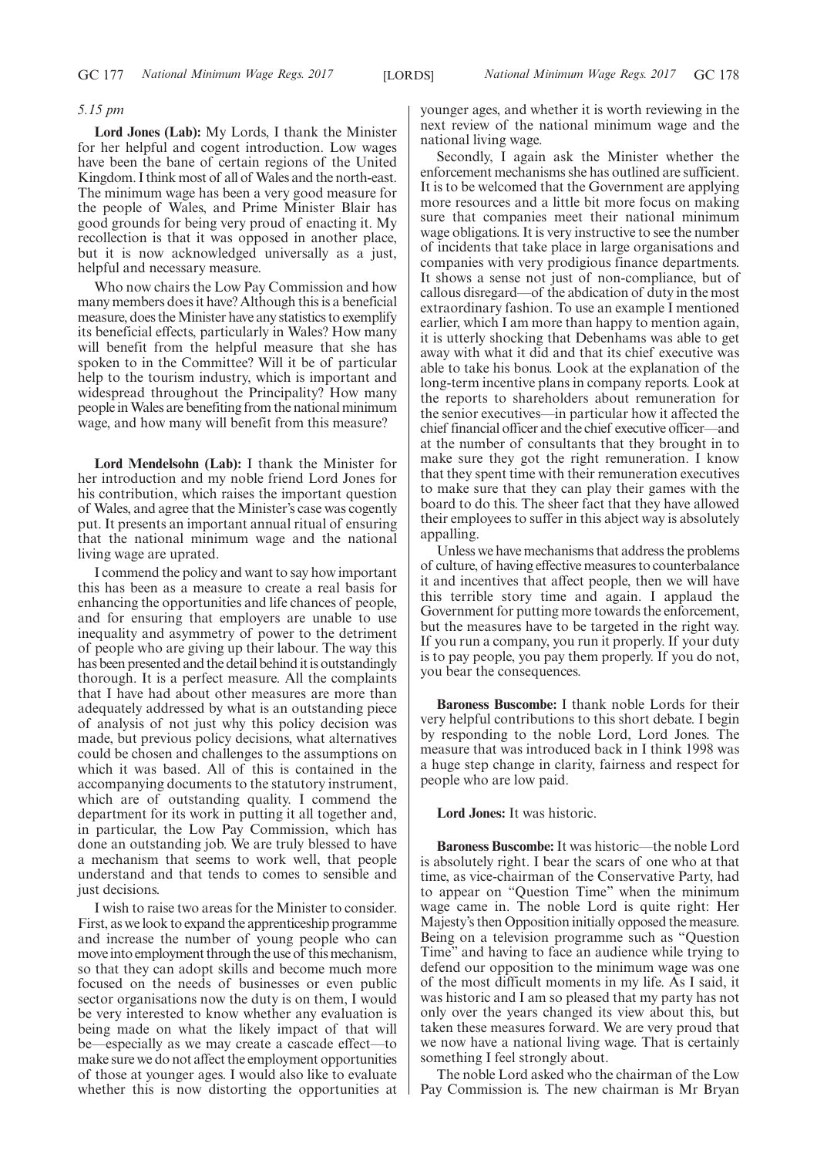# *5.15 pm*

**Lord Jones (Lab):** My Lords, I thank the Minister for her helpful and cogent introduction. Low wages have been the bane of certain regions of the United Kingdom. I think most of all of Wales and the north-east. The minimum wage has been a very good measure for the people of Wales, and Prime Minister Blair has good grounds for being very proud of enacting it. My recollection is that it was opposed in another place, but it is now acknowledged universally as a just, helpful and necessary measure.

Who now chairs the Low Pay Commission and how many members does it have? Although this is a beneficial measure, does the Minister have any statistics to exemplify its beneficial effects, particularly in Wales? How many will benefit from the helpful measure that she has spoken to in the Committee? Will it be of particular help to the tourism industry, which is important and widespread throughout the Principality? How many people in Wales are benefiting from the national minimum wage, and how many will benefit from this measure?

**Lord Mendelsohn (Lab):** I thank the Minister for her introduction and my noble friend Lord Jones for his contribution, which raises the important question of Wales, and agree that the Minister's case was cogently put. It presents an important annual ritual of ensuring that the national minimum wage and the national living wage are uprated.

I commend the policy and want to say how important this has been as a measure to create a real basis for enhancing the opportunities and life chances of people, and for ensuring that employers are unable to use inequality and asymmetry of power to the detriment of people who are giving up their labour. The way this has been presented and the detail behind it is outstandingly thorough. It is a perfect measure. All the complaints that I have had about other measures are more than adequately addressed by what is an outstanding piece of analysis of not just why this policy decision was made, but previous policy decisions, what alternatives could be chosen and challenges to the assumptions on which it was based. All of this is contained in the accompanying documents to the statutory instrument, which are of outstanding quality. I commend the department for its work in putting it all together and, in particular, the Low Pay Commission, which has done an outstanding job. We are truly blessed to have a mechanism that seems to work well, that people understand and that tends to comes to sensible and just decisions.

I wish to raise two areas for the Minister to consider. First, as we look to expand the apprenticeship programme and increase the number of young people who can move into employment through the use of this mechanism, so that they can adopt skills and become much more focused on the needs of businesses or even public sector organisations now the duty is on them, I would be very interested to know whether any evaluation is being made on what the likely impact of that will be—especially as we may create a cascade effect—to make sure we do not affect the employment opportunities of those at younger ages. I would also like to evaluate whether this is now distorting the opportunities at younger ages, and whether it is worth reviewing in the next review of the national minimum wage and the national living wage.

Secondly, I again ask the Minister whether the enforcement mechanisms she has outlined are sufficient. It is to be welcomed that the Government are applying more resources and a little bit more focus on making sure that companies meet their national minimum wage obligations. It is very instructive to see the number of incidents that take place in large organisations and companies with very prodigious finance departments. It shows a sense not just of non-compliance, but of callous disregard—of the abdication of duty in the most extraordinary fashion. To use an example I mentioned earlier, which I am more than happy to mention again, it is utterly shocking that Debenhams was able to get away with what it did and that its chief executive was able to take his bonus. Look at the explanation of the long-term incentive plans in company reports. Look at the reports to shareholders about remuneration for the senior executives—in particular how it affected the chief financial officer and the chief executive officer—and at the number of consultants that they brought in to make sure they got the right remuneration. I know that they spent time with their remuneration executives to make sure that they can play their games with the board to do this. The sheer fact that they have allowed their employees to suffer in this abject way is absolutely appalling.

Unless we have mechanisms that address the problems of culture, of having effective measures to counterbalance it and incentives that affect people, then we will have this terrible story time and again. I applaud the Government for putting more towards the enforcement, but the measures have to be targeted in the right way. If you run a company, you run it properly. If your duty is to pay people, you pay them properly. If you do not, you bear the consequences.

**Baroness Buscombe:** I thank noble Lords for their very helpful contributions to this short debate. I begin by responding to the noble Lord, Lord Jones. The measure that was introduced back in I think 1998 was a huge step change in clarity, fairness and respect for people who are low paid.

## **Lord Jones:** It was historic.

**Baroness Buscombe:** It was historic—the noble Lord is absolutely right. I bear the scars of one who at that time, as vice-chairman of the Conservative Party, had to appear on "Question Time" when the minimum wage came in. The noble Lord is quite right: Her Majesty's then Opposition initially opposed the measure. Being on a television programme such as "Question Time" and having to face an audience while trying to defend our opposition to the minimum wage was one of the most difficult moments in my life. As I said, it was historic and I am so pleased that my party has not only over the years changed its view about this, but taken these measures forward. We are very proud that we now have a national living wage. That is certainly something I feel strongly about.

The noble Lord asked who the chairman of the Low Pay Commission is. The new chairman is Mr Bryan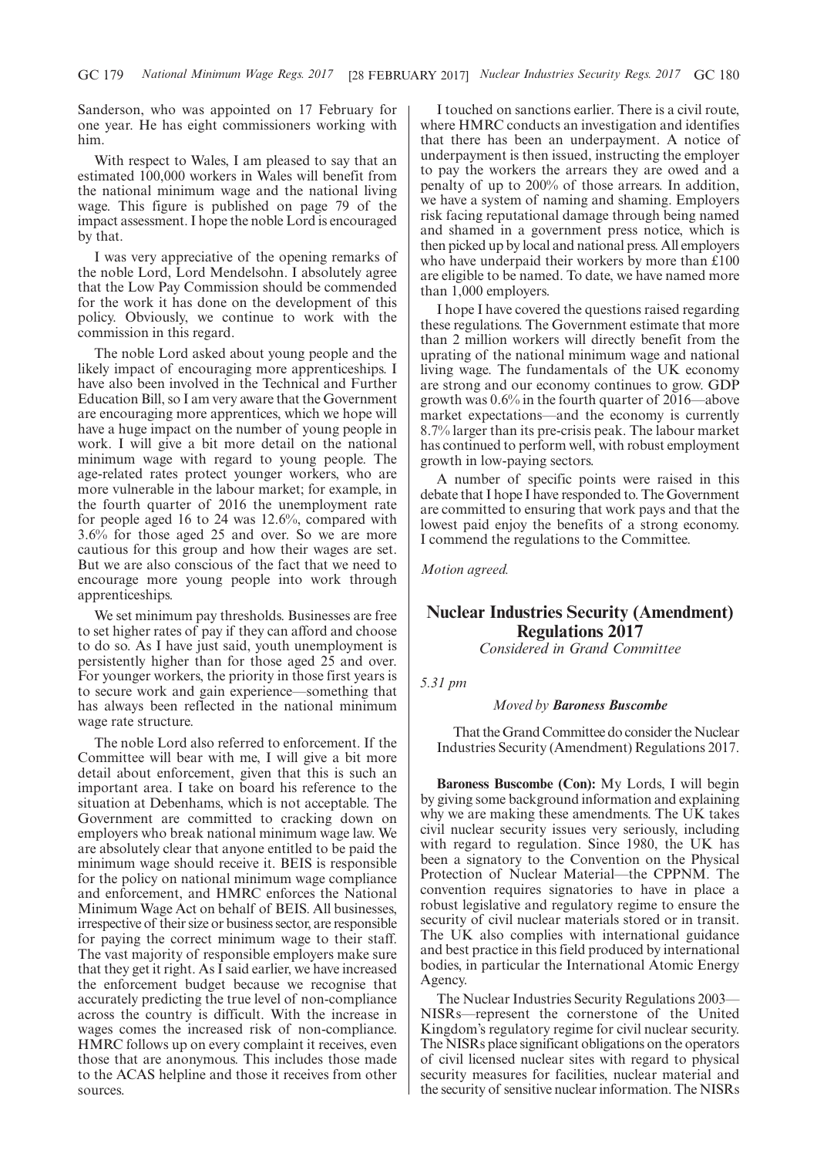Sanderson, who was appointed on 17 February for one year. He has eight commissioners working with him.

With respect to Wales, I am pleased to say that an estimated 100,000 workers in Wales will benefit from the national minimum wage and the national living wage. This figure is published on page 79 of the impact assessment. I hope the noble Lord is encouraged by that.

I was very appreciative of the opening remarks of the noble Lord, Lord Mendelsohn. I absolutely agree that the Low Pay Commission should be commended for the work it has done on the development of this policy. Obviously, we continue to work with the commission in this regard.

The noble Lord asked about young people and the likely impact of encouraging more apprenticeships. I have also been involved in the Technical and Further Education Bill, so I am very aware that the Government are encouraging more apprentices, which we hope will have a huge impact on the number of young people in work. I will give a bit more detail on the national minimum wage with regard to young people. The age-related rates protect younger workers, who are more vulnerable in the labour market; for example, in the fourth quarter of 2016 the unemployment rate for people aged 16 to 24 was 12.6%, compared with 3.6% for those aged 25 and over. So we are more cautious for this group and how their wages are set. But we are also conscious of the fact that we need to encourage more young people into work through apprenticeships.

We set minimum pay thresholds. Businesses are free to set higher rates of pay if they can afford and choose to do so. As I have just said, youth unemployment is persistently higher than for those aged 25 and over. For younger workers, the priority in those first years is to secure work and gain experience—something that has always been reflected in the national minimum wage rate structure.

The noble Lord also referred to enforcement. If the Committee will bear with me, I will give a bit more detail about enforcement, given that this is such an important area. I take on board his reference to the situation at Debenhams, which is not acceptable. The Government are committed to cracking down on employers who break national minimum wage law. We are absolutely clear that anyone entitled to be paid the minimum wage should receive it. BEIS is responsible for the policy on national minimum wage compliance and enforcement, and HMRC enforces the National Minimum Wage Act on behalf of BEIS. All businesses, irrespective of their size or business sector, are responsible for paying the correct minimum wage to their staff. The vast majority of responsible employers make sure that they get it right. As I said earlier, we have increased the enforcement budget because we recognise that accurately predicting the true level of non-compliance across the country is difficult. With the increase in wages comes the increased risk of non-compliance. HMRC follows up on every complaint it receives, even those that are anonymous. This includes those made to the ACAS helpline and those it receives from other sources.

I touched on sanctions earlier. There is a civil route, where HMRC conducts an investigation and identifies that there has been an underpayment. A notice of underpayment is then issued, instructing the employer to pay the workers the arrears they are owed and a penalty of up to 200% of those arrears. In addition, we have a system of naming and shaming. Employers risk facing reputational damage through being named and shamed in a government press notice, which is then picked up by local and national press. All employers who have underpaid their workers by more than £100 are eligible to be named. To date, we have named more than 1,000 employers.

I hope I have covered the questions raised regarding these regulations. The Government estimate that more than 2 million workers will directly benefit from the uprating of the national minimum wage and national living wage. The fundamentals of the UK economy are strong and our economy continues to grow. GDP growth was 0.6% in the fourth quarter of 2016—above market expectations—and the economy is currently 8.7% larger than its pre-crisis peak. The labour market has continued to perform well, with robust employment growth in low-paying sectors.

A number of specific points were raised in this debate that I hope I have responded to. The Government are committed to ensuring that work pays and that the lowest paid enjoy the benefits of a strong economy. I commend the regulations to the Committee.

*Motion agreed.*

# **Nuclear Industries Security (Amendment) Regulations 2017**

*Considered in Grand Committee*

*5.31 pm*

# *Moved by Baroness Buscombe*

That the Grand Committee do consider the Nuclear Industries Security (Amendment) Regulations 2017.

**Baroness Buscombe (Con):** My Lords, I will begin by giving some background information and explaining why we are making these amendments. The UK takes civil nuclear security issues very seriously, including with regard to regulation. Since 1980, the UK has been a signatory to the Convention on the Physical Protection of Nuclear Material—the CPPNM. The convention requires signatories to have in place a robust legislative and regulatory regime to ensure the security of civil nuclear materials stored or in transit. The UK also complies with international guidance and best practice in this field produced by international bodies, in particular the International Atomic Energy Agency.

The Nuclear Industries Security Regulations 2003— NISRs—represent the cornerstone of the United Kingdom's regulatory regime for civil nuclear security. The NISRs place significant obligations on the operators of civil licensed nuclear sites with regard to physical security measures for facilities, nuclear material and the security of sensitive nuclear information. The NISRs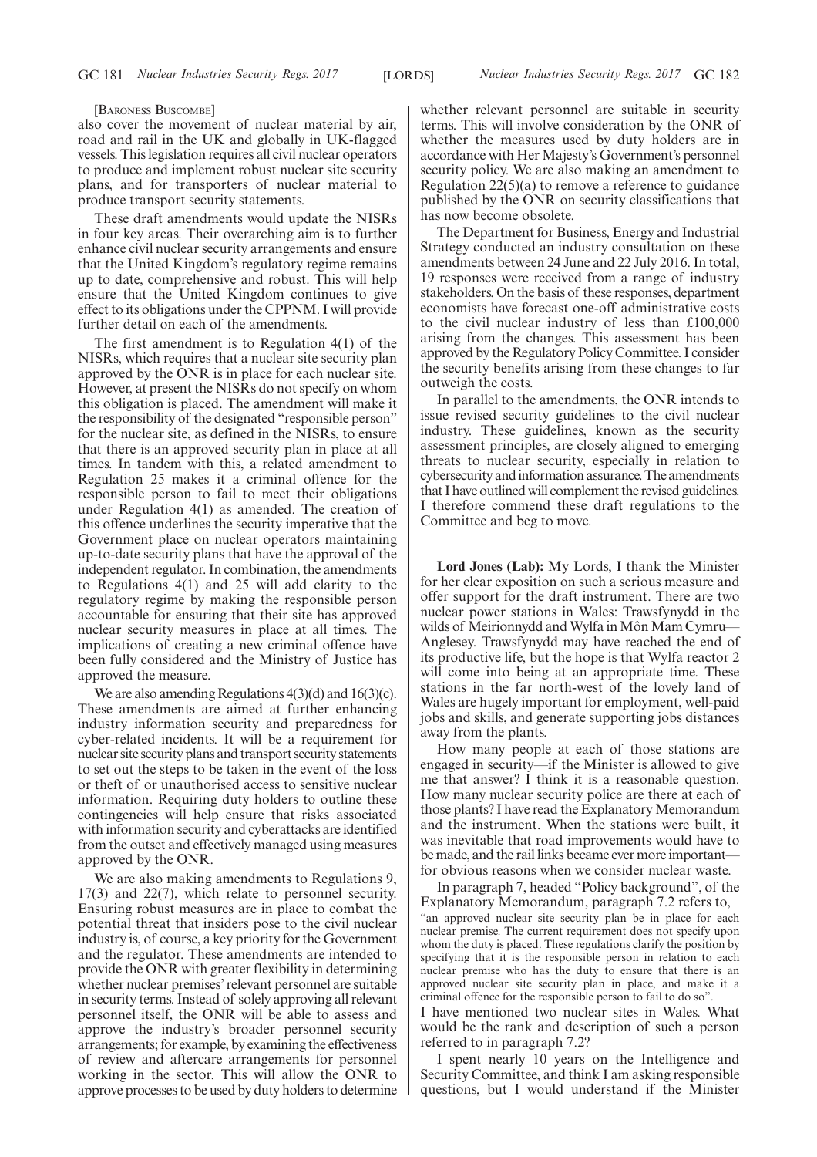[BARONESS BUSCOMBE]

also cover the movement of nuclear material by air, road and rail in the UK and globally in UK-flagged vessels. This legislation requires all civil nuclear operators to produce and implement robust nuclear site security plans, and for transporters of nuclear material to produce transport security statements.

These draft amendments would update the NISRs in four key areas. Their overarching aim is to further enhance civil nuclear security arrangements and ensure that the United Kingdom's regulatory regime remains up to date, comprehensive and robust. This will help ensure that the United Kingdom continues to give effect to its obligations under the CPPNM. I will provide further detail on each of the amendments.

The first amendment is to Regulation 4(1) of the NISRs, which requires that a nuclear site security plan approved by the ONR is in place for each nuclear site. However, at present the NISRs do not specify on whom this obligation is placed. The amendment will make it the responsibility of the designated "responsible person" for the nuclear site, as defined in the NISRs, to ensure that there is an approved security plan in place at all times. In tandem with this, a related amendment to Regulation 25 makes it a criminal offence for the responsible person to fail to meet their obligations under Regulation 4(1) as amended. The creation of this offence underlines the security imperative that the Government place on nuclear operators maintaining up-to-date security plans that have the approval of the independent regulator. In combination, the amendments to Regulations 4(1) and 25 will add clarity to the regulatory regime by making the responsible person accountable for ensuring that their site has approved nuclear security measures in place at all times. The implications of creating a new criminal offence have been fully considered and the Ministry of Justice has approved the measure.

We are also amending Regulations 4(3)(d) and 16(3)(c). These amendments are aimed at further enhancing industry information security and preparedness for cyber-related incidents. It will be a requirement for nuclear site security plans and transport security statements to set out the steps to be taken in the event of the loss or theft of or unauthorised access to sensitive nuclear information. Requiring duty holders to outline these contingencies will help ensure that risks associated with information security and cyberattacks are identified from the outset and effectively managed using measures approved by the ONR.

We are also making amendments to Regulations 9, 17(3) and 22(7), which relate to personnel security. Ensuring robust measures are in place to combat the potential threat that insiders pose to the civil nuclear industry is, of course, a key priority for the Government and the regulator. These amendments are intended to provide the ONR with greater flexibility in determining whether nuclear premises'relevant personnel are suitable in security terms. Instead of solely approving all relevant personnel itself, the ONR will be able to assess and approve the industry's broader personnel security arrangements; for example, by examining the effectiveness of review and aftercare arrangements for personnel working in the sector. This will allow the ONR to approve processes to be used by duty holders to determine whether relevant personnel are suitable in security terms. This will involve consideration by the ONR of whether the measures used by duty holders are in accordance with Her Majesty's Government's personnel security policy. We are also making an amendment to Regulation  $22(5)(a)$  to remove a reference to guidance published by the ONR on security classifications that has now become obsolete.

The Department for Business, Energy and Industrial Strategy conducted an industry consultation on these amendments between 24 June and 22 July 2016. In total, 19 responses were received from a range of industry stakeholders. On the basis of these responses, department economists have forecast one-off administrative costs to the civil nuclear industry of less than £100,000 arising from the changes. This assessment has been approved by the Regulatory Policy Committee. I consider the security benefits arising from these changes to far outweigh the costs.

In parallel to the amendments, the ONR intends to issue revised security guidelines to the civil nuclear industry. These guidelines, known as the security assessment principles, are closely aligned to emerging threats to nuclear security, especially in relation to cybersecurity and information assurance. The amendments that I have outlined will complement the revised guidelines. I therefore commend these draft regulations to the Committee and beg to move.

**Lord Jones (Lab):** My Lords, I thank the Minister for her clear exposition on such a serious measure and offer support for the draft instrument. There are two nuclear power stations in Wales: Trawsfynydd in the wilds of Meirionnydd and Wylfa in Môn Mam Cymru— Anglesey. Trawsfynydd may have reached the end of its productive life, but the hope is that Wylfa reactor 2 will come into being at an appropriate time. These stations in the far north-west of the lovely land of Wales are hugely important for employment, well-paid jobs and skills, and generate supporting jobs distances away from the plants.

How many people at each of those stations are engaged in security—if the Minister is allowed to give me that answer? I think it is a reasonable question. How many nuclear security police are there at each of those plants? I have read the Explanatory Memorandum and the instrument. When the stations were built, it was inevitable that road improvements would have to be made, and the rail links became ever more important for obvious reasons when we consider nuclear waste.

In paragraph 7, headed "Policy background", of the Explanatory Memorandum, paragraph 7.2 refers to, "an approved nuclear site security plan be in place for each nuclear premise. The current requirement does not specify upon whom the duty is placed. These regulations clarify the position by specifying that it is the responsible person in relation to each nuclear premise who has the duty to ensure that there is an approved nuclear site security plan in place, and make it a criminal offence for the responsible person to fail to do so".

I have mentioned two nuclear sites in Wales. What would be the rank and description of such a person referred to in paragraph 7.2?

I spent nearly 10 years on the Intelligence and Security Committee, and think I am asking responsible questions, but I would understand if the Minister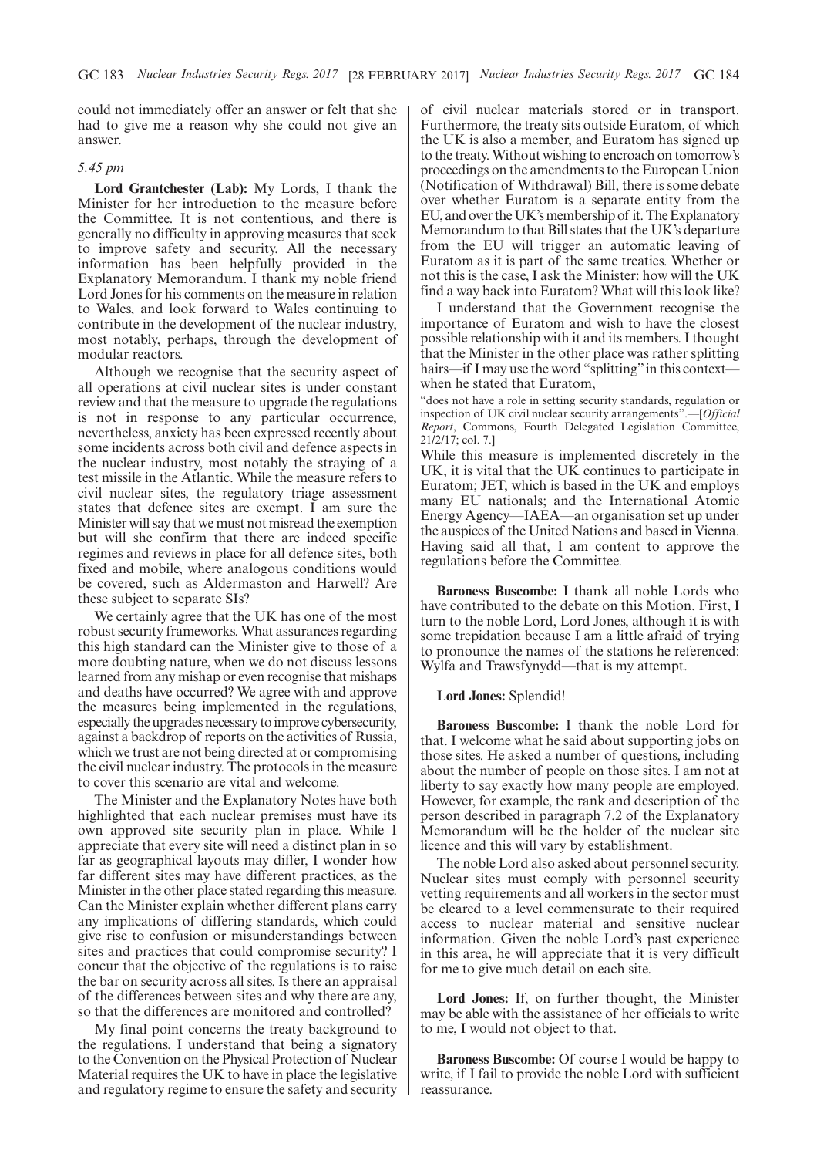could not immediately offer an answer or felt that she had to give me a reason why she could not give an answer.

# *5.45 pm*

**Lord Grantchester (Lab):** My Lords, I thank the Minister for her introduction to the measure before the Committee. It is not contentious, and there is generally no difficulty in approving measures that seek to improve safety and security. All the necessary information has been helpfully provided in the Explanatory Memorandum. I thank my noble friend Lord Jones for his comments on the measure in relation to Wales, and look forward to Wales continuing to contribute in the development of the nuclear industry, most notably, perhaps, through the development of modular reactors.

Although we recognise that the security aspect of all operations at civil nuclear sites is under constant review and that the measure to upgrade the regulations is not in response to any particular occurrence, nevertheless, anxiety has been expressed recently about some incidents across both civil and defence aspects in the nuclear industry, most notably the straying of a test missile in the Atlantic. While the measure refers to civil nuclear sites, the regulatory triage assessment states that defence sites are exempt. I am sure the Minister will say that we must not misread the exemption but will she confirm that there are indeed specific regimes and reviews in place for all defence sites, both fixed and mobile, where analogous conditions would be covered, such as Aldermaston and Harwell? Are these subject to separate SIs?

We certainly agree that the UK has one of the most robust security frameworks. What assurances regarding this high standard can the Minister give to those of a more doubting nature, when we do not discuss lessons learned from any mishap or even recognise that mishaps and deaths have occurred? We agree with and approve the measures being implemented in the regulations, especially the upgrades necessary to improve cybersecurity, against a backdrop of reports on the activities of Russia, which we trust are not being directed at or compromising the civil nuclear industry. The protocols in the measure to cover this scenario are vital and welcome.

The Minister and the Explanatory Notes have both highlighted that each nuclear premises must have its own approved site security plan in place. While I appreciate that every site will need a distinct plan in so far as geographical layouts may differ, I wonder how far different sites may have different practices, as the Minister in the other place stated regarding this measure. Can the Minister explain whether different plans carry any implications of differing standards, which could give rise to confusion or misunderstandings between sites and practices that could compromise security? I concur that the objective of the regulations is to raise the bar on security across all sites. Is there an appraisal of the differences between sites and why there are any, so that the differences are monitored and controlled?

My final point concerns the treaty background to the regulations. I understand that being a signatory to the Convention on the Physical Protection of Nuclear Material requires the UK to have in place the legislative and regulatory regime to ensure the safety and security of civil nuclear materials stored or in transport. Furthermore, the treaty sits outside Euratom, of which the UK is also a member, and Euratom has signed up to the treaty. Without wishing to encroach on tomorrow's proceedings on the amendments to the European Union (Notification of Withdrawal) Bill, there is some debate over whether Euratom is a separate entity from the EU, and over the UK's membership of it. The Explanatory Memorandum to that Bill states that the UK's departure from the EU will trigger an automatic leaving of Euratom as it is part of the same treaties. Whether or not this is the case, I ask the Minister: how will the UK find a way back into Euratom? What will this look like?

I understand that the Government recognise the importance of Euratom and wish to have the closest possible relationship with it and its members. I thought that the Minister in the other place was rather splitting hairs—if I may use the word "splitting" in this contextwhen he stated that Euratom,

"does not have a role in setting security standards, regulation or inspection of UK civil nuclear security arrangements".—[*Official Report*, Commons, Fourth Delegated Legislation Committee, 21/2/17; col. 7.]

While this measure is implemented discretely in the UK, it is vital that the UK continues to participate in Euratom; JET, which is based in the UK and employs many EU nationals; and the International Atomic Energy Agency—IAEA—an organisation set up under the auspices of the United Nations and based in Vienna. Having said all that, I am content to approve the regulations before the Committee.

**Baroness Buscombe:** I thank all noble Lords who have contributed to the debate on this Motion. First, I turn to the noble Lord, Lord Jones, although it is with some trepidation because I am a little afraid of trying to pronounce the names of the stations he referenced: Wylfa and Trawsfynydd—that is my attempt.

# **Lord Jones:** Splendid!

**Baroness Buscombe:** I thank the noble Lord for that. I welcome what he said about supporting jobs on those sites. He asked a number of questions, including about the number of people on those sites. I am not at liberty to say exactly how many people are employed. However, for example, the rank and description of the person described in paragraph 7.2 of the Explanatory Memorandum will be the holder of the nuclear site licence and this will vary by establishment.

The noble Lord also asked about personnel security. Nuclear sites must comply with personnel security vetting requirements and all workers in the sector must be cleared to a level commensurate to their required access to nuclear material and sensitive nuclear information. Given the noble Lord's past experience in this area, he will appreciate that it is very difficult for me to give much detail on each site.

**Lord Jones:** If, on further thought, the Minister may be able with the assistance of her officials to write to me, I would not object to that.

**Baroness Buscombe:** Of course I would be happy to write, if I fail to provide the noble Lord with sufficient reassurance.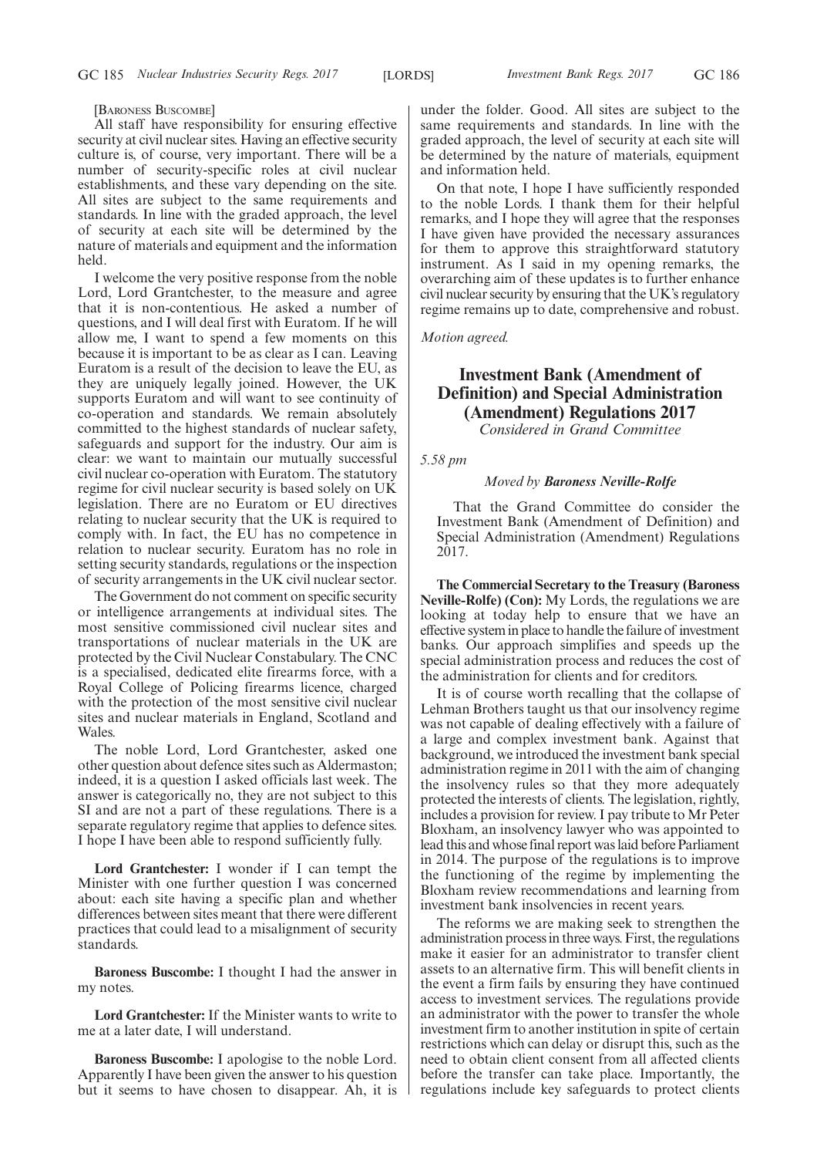[BARONESS BUSCOMBE]

All staff have responsibility for ensuring effective security at civil nuclear sites. Having an effective security culture is, of course, very important. There will be a number of security-specific roles at civil nuclear establishments, and these vary depending on the site. All sites are subject to the same requirements and standards. In line with the graded approach, the level of security at each site will be determined by the nature of materials and equipment and the information held.

I welcome the very positive response from the noble Lord, Lord Grantchester, to the measure and agree that it is non-contentious. He asked a number of questions, and I will deal first with Euratom. If he will allow me, I want to spend a few moments on this because it is important to be as clear as I can. Leaving Euratom is a result of the decision to leave the EU, as they are uniquely legally joined. However, the UK supports Euratom and will want to see continuity of co-operation and standards. We remain absolutely committed to the highest standards of nuclear safety, safeguards and support for the industry. Our aim is clear: we want to maintain our mutually successful civil nuclear co-operation with Euratom. The statutory regime for civil nuclear security is based solely on UK legislation. There are no Euratom or EU directives relating to nuclear security that the UK is required to comply with. In fact, the EU has no competence in relation to nuclear security. Euratom has no role in setting security standards, regulations or the inspection of security arrangements in the UK civil nuclear sector.

The Government do not comment on specific security or intelligence arrangements at individual sites. The most sensitive commissioned civil nuclear sites and transportations of nuclear materials in the UK are protected by the Civil Nuclear Constabulary. The CNC is a specialised, dedicated elite firearms force, with a Royal College of Policing firearms licence, charged with the protection of the most sensitive civil nuclear sites and nuclear materials in England, Scotland and Wales.

The noble Lord, Lord Grantchester, asked one other question about defence sites such as Aldermaston; indeed, it is a question I asked officials last week. The answer is categorically no, they are not subject to this SI and are not a part of these regulations. There is a separate regulatory regime that applies to defence sites. I hope I have been able to respond sufficiently fully.

**Lord Grantchester:** I wonder if I can tempt the Minister with one further question I was concerned about: each site having a specific plan and whether differences between sites meant that there were different practices that could lead to a misalignment of security standards.

**Baroness Buscombe:** I thought I had the answer in my notes.

**Lord Grantchester:** If the Minister wants to write to me at a later date, I will understand.

**Baroness Buscombe:** I apologise to the noble Lord. Apparently I have been given the answer to his question but it seems to have chosen to disappear. Ah, it is under the folder. Good. All sites are subject to the same requirements and standards. In line with the graded approach, the level of security at each site will be determined by the nature of materials, equipment and information held.

On that note, I hope I have sufficiently responded to the noble Lords. I thank them for their helpful remarks, and I hope they will agree that the responses I have given have provided the necessary assurances for them to approve this straightforward statutory instrument. As I said in my opening remarks, the overarching aim of these updates is to further enhance civil nuclear security by ensuring that the UK's regulatory regime remains up to date, comprehensive and robust.

*Motion agreed.*

# **Investment Bank (Amendment of Definition) and Special Administration (Amendment) Regulations 2017**

*Considered in Grand Committee*

*5.58 pm*

# *Moved by Baroness Neville-Rolfe*

That the Grand Committee do consider the Investment Bank (Amendment of Definition) and Special Administration (Amendment) Regulations 2017.

**The Commercial Secretary to the Treasury (Baroness Neville-Rolfe) (Con):** My Lords, the regulations we are looking at today help to ensure that we have an effective system in place to handle the failure of investment banks. Our approach simplifies and speeds up the special administration process and reduces the cost of the administration for clients and for creditors.

It is of course worth recalling that the collapse of Lehman Brothers taught us that our insolvency regime was not capable of dealing effectively with a failure of a large and complex investment bank. Against that background, we introduced the investment bank special administration regime in 2011 with the aim of changing the insolvency rules so that they more adequately protected the interests of clients. The legislation, rightly, includes a provision for review. I pay tribute to Mr Peter Bloxham, an insolvency lawyer who was appointed to lead this and whose final report was laid before Parliament in 2014. The purpose of the regulations is to improve the functioning of the regime by implementing the Bloxham review recommendations and learning from investment bank insolvencies in recent years.

The reforms we are making seek to strengthen the administration process in three ways. First, the regulations make it easier for an administrator to transfer client assets to an alternative firm. This will benefit clients in the event a firm fails by ensuring they have continued access to investment services. The regulations provide an administrator with the power to transfer the whole investment firm to another institution in spite of certain restrictions which can delay or disrupt this, such as the need to obtain client consent from all affected clients before the transfer can take place. Importantly, the regulations include key safeguards to protect clients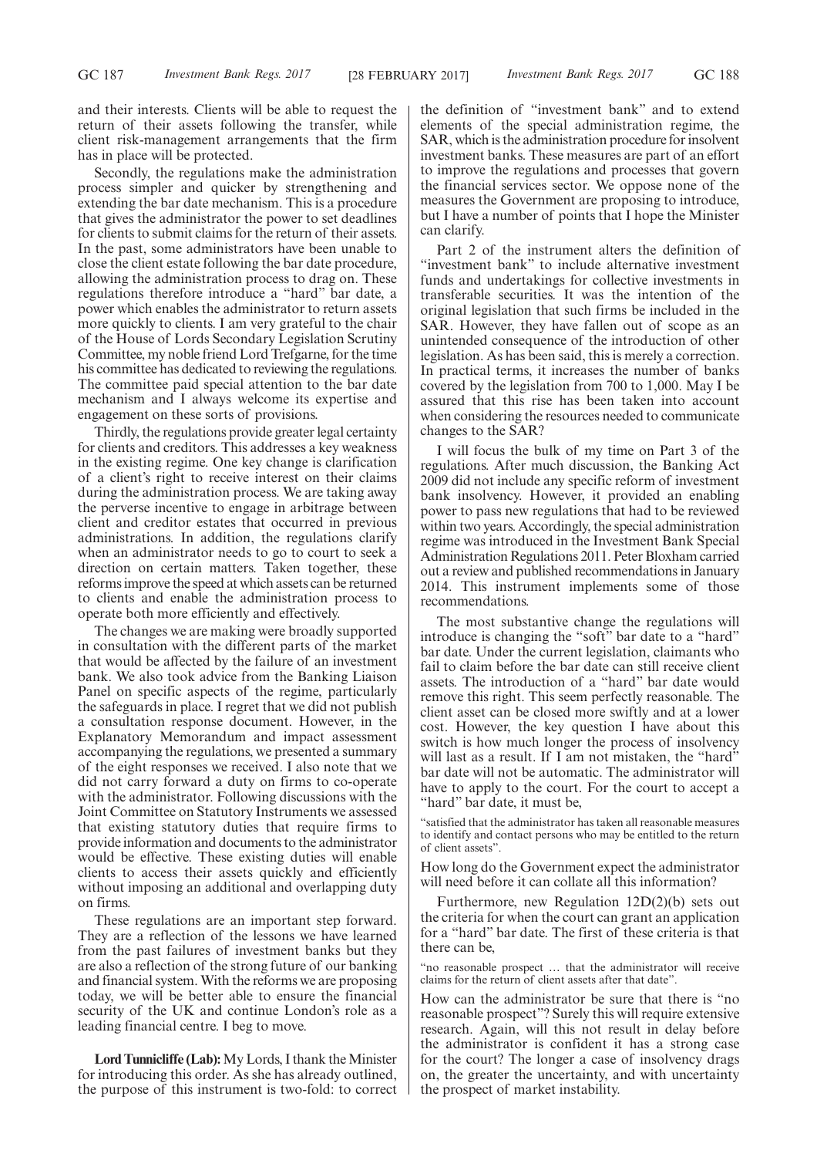and their interests. Clients will be able to request the return of their assets following the transfer, while client risk-management arrangements that the firm has in place will be protected.

Secondly, the regulations make the administration process simpler and quicker by strengthening and extending the bar date mechanism. This is a procedure that gives the administrator the power to set deadlines for clients to submit claims for the return of their assets. In the past, some administrators have been unable to close the client estate following the bar date procedure, allowing the administration process to drag on. These regulations therefore introduce a "hard" bar date, a power which enables the administrator to return assets more quickly to clients. I am very grateful to the chair of the House of Lords Secondary Legislation Scrutiny Committee, my noble friend Lord Trefgarne, for the time his committee has dedicated to reviewing the regulations. The committee paid special attention to the bar date mechanism and I always welcome its expertise and engagement on these sorts of provisions.

Thirdly, the regulations provide greater legal certainty for clients and creditors. This addresses a key weakness in the existing regime. One key change is clarification of a client's right to receive interest on their claims during the administration process. We are taking away the perverse incentive to engage in arbitrage between client and creditor estates that occurred in previous administrations. In addition, the regulations clarify when an administrator needs to go to court to seek a direction on certain matters. Taken together, these reforms improve the speed at which assets can be returned to clients and enable the administration process to operate both more efficiently and effectively.

The changes we are making were broadly supported in consultation with the different parts of the market that would be affected by the failure of an investment bank. We also took advice from the Banking Liaison Panel on specific aspects of the regime, particularly the safeguards in place. I regret that we did not publish a consultation response document. However, in the Explanatory Memorandum and impact assessment accompanying the regulations, we presented a summary of the eight responses we received. I also note that we did not carry forward a duty on firms to co-operate with the administrator. Following discussions with the Joint Committee on Statutory Instruments we assessed that existing statutory duties that require firms to provide information and documents to the administrator would be effective. These existing duties will enable clients to access their assets quickly and efficiently without imposing an additional and overlapping duty on firms.

These regulations are an important step forward. They are a reflection of the lessons we have learned from the past failures of investment banks but they are also a reflection of the strong future of our banking and financial system. With the reforms we are proposing today, we will be better able to ensure the financial security of the UK and continue London's role as a leading financial centre. I beg to move.

**Lord Tunnicliffe (Lab):**My Lords, I thank the Minister for introducing this order. As she has already outlined, the purpose of this instrument is two-fold: to correct the definition of "investment bank" and to extend elements of the special administration regime, the SAR, which is the administration procedure for insolvent investment banks. These measures are part of an effort to improve the regulations and processes that govern the financial services sector. We oppose none of the measures the Government are proposing to introduce, but I have a number of points that I hope the Minister can clarify.

Part 2 of the instrument alters the definition of "investment bank" to include alternative investment funds and undertakings for collective investments in transferable securities. It was the intention of the original legislation that such firms be included in the SAR. However, they have fallen out of scope as an unintended consequence of the introduction of other legislation. As has been said, this is merely a correction. In practical terms, it increases the number of banks covered by the legislation from 700 to 1,000. May I be assured that this rise has been taken into account when considering the resources needed to communicate changes to the SAR?

I will focus the bulk of my time on Part 3 of the regulations. After much discussion, the Banking Act 2009 did not include any specific reform of investment bank insolvency. However, it provided an enabling power to pass new regulations that had to be reviewed within two years. Accordingly, the special administration regime was introduced in the Investment Bank Special Administration Regulations 2011. Peter Bloxham carried out a review and published recommendations in January 2014. This instrument implements some of those recommendations.

The most substantive change the regulations will introduce is changing the "soft" bar date to a "hard" bar date. Under the current legislation, claimants who fail to claim before the bar date can still receive client assets. The introduction of a "hard" bar date would remove this right. This seem perfectly reasonable. The client asset can be closed more swiftly and at a lower cost. However, the key question I have about this switch is how much longer the process of insolvency will last as a result. If I am not mistaken, the "hard" bar date will not be automatic. The administrator will have to apply to the court. For the court to accept a "hard" bar date, it must be,

"satisfied that the administrator has taken all reasonable measures to identify and contact persons who may be entitled to the return of client assets".

How long do the Government expect the administrator will need before it can collate all this information?

Furthermore, new Regulation 12D(2)(b) sets out the criteria for when the court can grant an application for a "hard" bar date. The first of these criteria is that there can be,

"no reasonable prospect … that the administrator will receive claims for the return of client assets after that date".

How can the administrator be sure that there is "no reasonable prospect"? Surely this will require extensive research. Again, will this not result in delay before the administrator is confident it has a strong case for the court? The longer a case of insolvency drags on, the greater the uncertainty, and with uncertainty the prospect of market instability.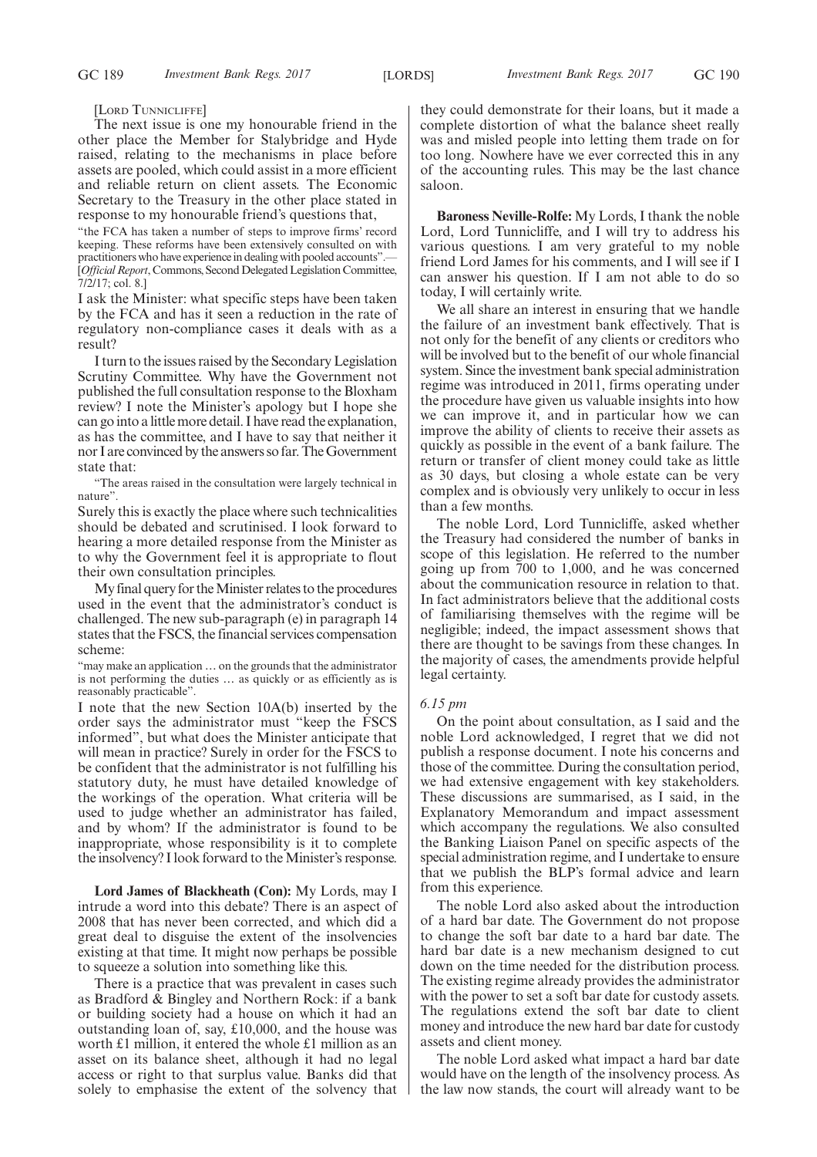[LORD TUNNICLIFFE]

The next issue is one my honourable friend in the other place the Member for Stalybridge and Hyde raised, relating to the mechanisms in place before assets are pooled, which could assist in a more efficient and reliable return on client assets. The Economic Secretary to the Treasury in the other place stated in response to my honourable friend's questions that,

"the FCA has taken a number of steps to improve firms' record keeping. These reforms have been extensively consulted on with practitioners who have experience in dealing with pooled accounts". [*Official Report*, Commons, Second Delegated Legislation Committee, 7/2/17; col. 8.]

I ask the Minister: what specific steps have been taken by the FCA and has it seen a reduction in the rate of regulatory non-compliance cases it deals with as a result?

I turn to the issues raised by the Secondary Legislation Scrutiny Committee. Why have the Government not published the full consultation response to the Bloxham review? I note the Minister's apology but I hope she can go into a little more detail. I have read the explanation, as has the committee, and I have to say that neither it nor I are convinced by the answers so far. The Government state that:

"The areas raised in the consultation were largely technical in nature".

Surely this is exactly the place where such technicalities should be debated and scrutinised. I look forward to hearing a more detailed response from the Minister as to why the Government feel it is appropriate to flout their own consultation principles.

My final query for the Minister relates to the procedures used in the event that the administrator's conduct is challenged. The new sub-paragraph (e) in paragraph 14 states that the FSCS, the financial services compensation scheme:

"may make an application … on the grounds that the administrator is not performing the duties … as quickly or as efficiently as is reasonably practicable".

I note that the new Section 10A(b) inserted by the order says the administrator must "keep the FSCS informed", but what does the Minister anticipate that will mean in practice? Surely in order for the FSCS to be confident that the administrator is not fulfilling his statutory duty, he must have detailed knowledge of the workings of the operation. What criteria will be used to judge whether an administrator has failed, and by whom? If the administrator is found to be inappropriate, whose responsibility is it to complete the insolvency? I look forward to the Minister's response.

**Lord James of Blackheath (Con):** My Lords, may I intrude a word into this debate? There is an aspect of 2008 that has never been corrected, and which did a great deal to disguise the extent of the insolvencies existing at that time. It might now perhaps be possible to squeeze a solution into something like this.

There is a practice that was prevalent in cases such as Bradford & Bingley and Northern Rock: if a bank or building society had a house on which it had an outstanding loan of, say, £10,000, and the house was worth £1 million, it entered the whole £1 million as an asset on its balance sheet, although it had no legal access or right to that surplus value. Banks did that solely to emphasise the extent of the solvency that they could demonstrate for their loans, but it made a complete distortion of what the balance sheet really was and misled people into letting them trade on for too long. Nowhere have we ever corrected this in any of the accounting rules. This may be the last chance saloon.

**Baroness Neville-Rolfe:** My Lords, I thank the noble Lord, Lord Tunnicliffe, and I will try to address his various questions. I am very grateful to my noble friend Lord James for his comments, and I will see if I can answer his question. If I am not able to do so today, I will certainly write.

We all share an interest in ensuring that we handle the failure of an investment bank effectively. That is not only for the benefit of any clients or creditors who will be involved but to the benefit of our whole financial system. Since the investment bank special administration regime was introduced in 2011, firms operating under the procedure have given us valuable insights into how we can improve it, and in particular how we can improve the ability of clients to receive their assets as quickly as possible in the event of a bank failure. The return or transfer of client money could take as little as 30 days, but closing a whole estate can be very complex and is obviously very unlikely to occur in less than a few months.

The noble Lord, Lord Tunnicliffe, asked whether the Treasury had considered the number of banks in scope of this legislation. He referred to the number going up from 700 to 1,000, and he was concerned about the communication resource in relation to that. In fact administrators believe that the additional costs of familiarising themselves with the regime will be negligible; indeed, the impact assessment shows that there are thought to be savings from these changes. In the majority of cases, the amendments provide helpful legal certainty.

### *6.15 pm*

On the point about consultation, as I said and the noble Lord acknowledged, I regret that we did not publish a response document. I note his concerns and those of the committee. During the consultation period, we had extensive engagement with key stakeholders. These discussions are summarised, as I said, in the Explanatory Memorandum and impact assessment which accompany the regulations. We also consulted the Banking Liaison Panel on specific aspects of the special administration regime, and I undertake to ensure that we publish the BLP's formal advice and learn from this experience.

The noble Lord also asked about the introduction of a hard bar date. The Government do not propose to change the soft bar date to a hard bar date. The hard bar date is a new mechanism designed to cut down on the time needed for the distribution process. The existing regime already provides the administrator with the power to set a soft bar date for custody assets. The regulations extend the soft bar date to client money and introduce the new hard bar date for custody assets and client money.

The noble Lord asked what impact a hard bar date would have on the length of the insolvency process. As the law now stands, the court will already want to be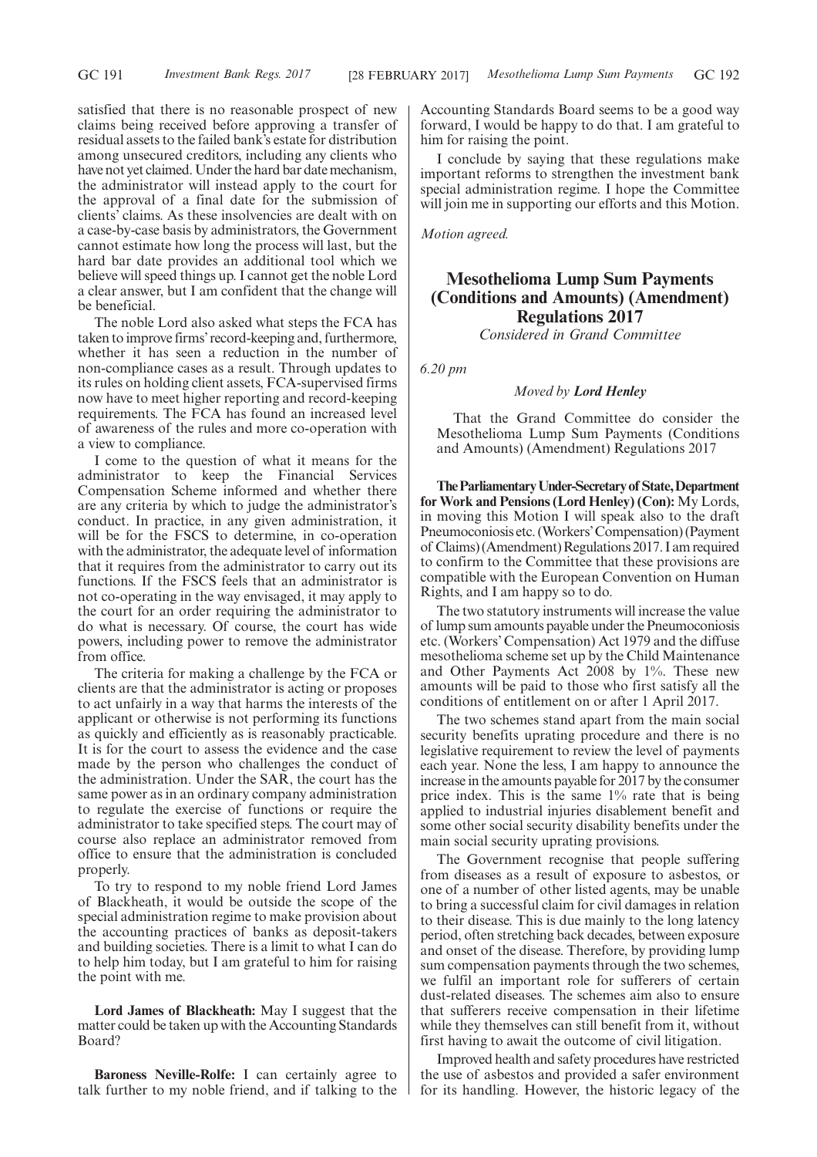satisfied that there is no reasonable prospect of new claims being received before approving a transfer of residual assets to the failed bank's estate for distribution among unsecured creditors, including any clients who have not yet claimed. Under the hard bar date mechanism, the administrator will instead apply to the court for the approval of a final date for the submission of clients' claims. As these insolvencies are dealt with on a case-by-case basis by administrators, the Government cannot estimate how long the process will last, but the hard bar date provides an additional tool which we believe will speed things up. I cannot get the noble Lord a clear answer, but I am confident that the change will be beneficial.

The noble Lord also asked what steps the FCA has taken to improve firms'record-keeping and, furthermore, whether it has seen a reduction in the number of non-compliance cases as a result. Through updates to its rules on holding client assets, FCA-supervised firms now have to meet higher reporting and record-keeping requirements. The FCA has found an increased level of awareness of the rules and more co-operation with a view to compliance.

I come to the question of what it means for the administrator to keep the Financial Services Compensation Scheme informed and whether there are any criteria by which to judge the administrator's conduct. In practice, in any given administration, it will be for the FSCS to determine, in co-operation with the administrator, the adequate level of information that it requires from the administrator to carry out its functions. If the FSCS feels that an administrator is not co-operating in the way envisaged, it may apply to the court for an order requiring the administrator to do what is necessary. Of course, the court has wide powers, including power to remove the administrator from office.

The criteria for making a challenge by the FCA or clients are that the administrator is acting or proposes to act unfairly in a way that harms the interests of the applicant or otherwise is not performing its functions as quickly and efficiently as is reasonably practicable. It is for the court to assess the evidence and the case made by the person who challenges the conduct of the administration. Under the SAR, the court has the same power as in an ordinary company administration to regulate the exercise of functions or require the administrator to take specified steps. The court may of course also replace an administrator removed from office to ensure that the administration is concluded properly.

To try to respond to my noble friend Lord James of Blackheath, it would be outside the scope of the special administration regime to make provision about the accounting practices of banks as deposit-takers and building societies. There is a limit to what I can do to help him today, but I am grateful to him for raising the point with me.

**Lord James of Blackheath:** May I suggest that the matter could be taken up with the Accounting Standards Board?

**Baroness Neville-Rolfe:** I can certainly agree to talk further to my noble friend, and if talking to the Accounting Standards Board seems to be a good way forward, I would be happy to do that. I am grateful to him for raising the point.

I conclude by saying that these regulations make important reforms to strengthen the investment bank special administration regime. I hope the Committee will join me in supporting our efforts and this Motion.

*Motion agreed.*

# **Mesothelioma Lump Sum Payments (Conditions and Amounts) (Amendment) Regulations 2017**

*Considered in Grand Committee*

*6.20 pm*

## *Moved by Lord Henley*

That the Grand Committee do consider the Mesothelioma Lump Sum Payments (Conditions and Amounts) (Amendment) Regulations 2017

**TheParliamentaryUnder-Secretaryof State,Department for Work and Pensions (Lord Henley) (Con):** My Lords, in moving this Motion I will speak also to the draft Pneumoconiosis etc. (Workers'Compensation) (Payment of Claims) (Amendment) Regulations 2017. I am required to confirm to the Committee that these provisions are compatible with the European Convention on Human Rights, and I am happy so to do.

The two statutory instruments will increase the value of lump sum amounts payable under the Pneumoconiosis etc. (Workers' Compensation) Act 1979 and the diffuse mesothelioma scheme set up by the Child Maintenance and Other Payments Act 2008 by 1%. These new amounts will be paid to those who first satisfy all the conditions of entitlement on or after 1 April 2017.

The two schemes stand apart from the main social security benefits uprating procedure and there is no legislative requirement to review the level of payments each year. None the less, I am happy to announce the increase in the amounts payable for 2017 by the consumer price index. This is the same 1% rate that is being applied to industrial injuries disablement benefit and some other social security disability benefits under the main social security uprating provisions.

The Government recognise that people suffering from diseases as a result of exposure to asbestos, or one of a number of other listed agents, may be unable to bring a successful claim for civil damages in relation to their disease. This is due mainly to the long latency period, often stretching back decades, between exposure and onset of the disease. Therefore, by providing lump sum compensation payments through the two schemes, we fulfil an important role for sufferers of certain dust-related diseases. The schemes aim also to ensure that sufferers receive compensation in their lifetime while they themselves can still benefit from it, without first having to await the outcome of civil litigation.

Improved health and safety procedures have restricted the use of asbestos and provided a safer environment for its handling. However, the historic legacy of the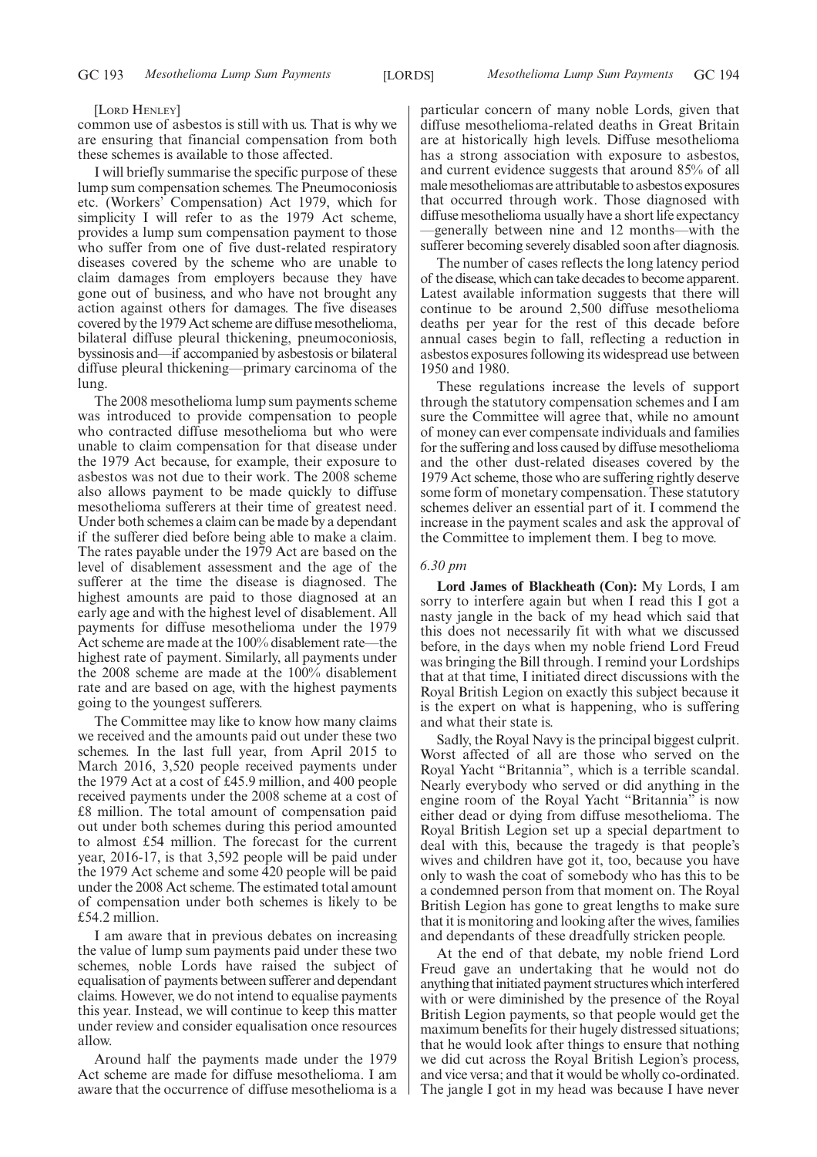#### [LORD HENLEY]

common use of asbestos is still with us. That is why we are ensuring that financial compensation from both these schemes is available to those affected.

I will briefly summarise the specific purpose of these lump sum compensation schemes. The Pneumoconiosis etc. (Workers' Compensation) Act 1979, which for simplicity I will refer to as the 1979 Act scheme, provides a lump sum compensation payment to those who suffer from one of five dust-related respiratory diseases covered by the scheme who are unable to claim damages from employers because they have gone out of business, and who have not brought any action against others for damages. The five diseases covered by the 1979 Act scheme are diffuse mesothelioma, bilateral diffuse pleural thickening, pneumoconiosis, byssinosis and—if accompanied by asbestosis or bilateral diffuse pleural thickening—primary carcinoma of the lung.

The 2008 mesothelioma lump sum payments scheme was introduced to provide compensation to people who contracted diffuse mesothelioma but who were unable to claim compensation for that disease under the 1979 Act because, for example, their exposure to asbestos was not due to their work. The 2008 scheme also allows payment to be made quickly to diffuse mesothelioma sufferers at their time of greatest need. Under both schemes a claim can be made by a dependant if the sufferer died before being able to make a claim. The rates payable under the 1979 Act are based on the level of disablement assessment and the age of the sufferer at the time the disease is diagnosed. The highest amounts are paid to those diagnosed at an early age and with the highest level of disablement. All payments for diffuse mesothelioma under the 1979 Act scheme are made at the 100% disablement rate—the highest rate of payment. Similarly, all payments under the 2008 scheme are made at the 100% disablement rate and are based on age, with the highest payments going to the youngest sufferers.

The Committee may like to know how many claims we received and the amounts paid out under these two schemes. In the last full year, from April 2015 to March 2016, 3,520 people received payments under the 1979 Act at a cost of £45.9 million, and 400 people received payments under the 2008 scheme at a cost of £8 million. The total amount of compensation paid out under both schemes during this period amounted to almost £54 million. The forecast for the current year, 2016-17, is that 3,592 people will be paid under the 1979 Act scheme and some 420 people will be paid under the 2008 Act scheme. The estimated total amount of compensation under both schemes is likely to be £54.2 million.

I am aware that in previous debates on increasing the value of lump sum payments paid under these two schemes, noble Lords have raised the subject of equalisation of payments between sufferer and dependant claims. However, we do not intend to equalise payments this year. Instead, we will continue to keep this matter under review and consider equalisation once resources allow.

Around half the payments made under the 1979 Act scheme are made for diffuse mesothelioma. I am aware that the occurrence of diffuse mesothelioma is a particular concern of many noble Lords, given that diffuse mesothelioma-related deaths in Great Britain are at historically high levels. Diffuse mesothelioma has a strong association with exposure to asbestos, and current evidence suggests that around 85% of all male mesotheliomas are attributable to asbestos exposures that occurred through work. Those diagnosed with diffuse mesothelioma usually have a short life expectancy —generally between nine and 12 months—with the sufferer becoming severely disabled soon after diagnosis.

The number of cases reflects the long latency period of the disease, which can take decades to become apparent. Latest available information suggests that there will continue to be around 2,500 diffuse mesothelioma deaths per year for the rest of this decade before annual cases begin to fall, reflecting a reduction in asbestos exposures following its widespread use between 1950 and 1980.

These regulations increase the levels of support through the statutory compensation schemes and  $\overline{I}$  am sure the Committee will agree that, while no amount of money can ever compensate individuals and families for the suffering and loss caused by diffuse mesothelioma and the other dust-related diseases covered by the 1979 Act scheme, those who are suffering rightly deserve some form of monetary compensation. These statutory schemes deliver an essential part of it. I commend the increase in the payment scales and ask the approval of the Committee to implement them. I beg to move.

# *6.30 pm*

**Lord James of Blackheath (Con):** My Lords, I am sorry to interfere again but when I read this I got a nasty jangle in the back of my head which said that this does not necessarily fit with what we discussed before, in the days when my noble friend Lord Freud was bringing the Bill through. I remind your Lordships that at that time, I initiated direct discussions with the Royal British Legion on exactly this subject because it is the expert on what is happening, who is suffering and what their state is.

Sadly, the Royal Navy is the principal biggest culprit. Worst affected of all are those who served on the Royal Yacht "Britannia", which is a terrible scandal. Nearly everybody who served or did anything in the engine room of the Royal Yacht "Britannia" is now either dead or dying from diffuse mesothelioma. The Royal British Legion set up a special department to deal with this, because the tragedy is that people's wives and children have got it, too, because you have only to wash the coat of somebody who has this to be a condemned person from that moment on. The Royal British Legion has gone to great lengths to make sure that it is monitoring and looking after the wives, families and dependants of these dreadfully stricken people.

At the end of that debate, my noble friend Lord Freud gave an undertaking that he would not do anything that initiated payment structures which interfered with or were diminished by the presence of the Royal British Legion payments, so that people would get the maximum benefits for their hugely distressed situations; that he would look after things to ensure that nothing we did cut across the Royal British Legion's process, and vice versa; and that it would be wholly co-ordinated. The jangle I got in my head was because I have never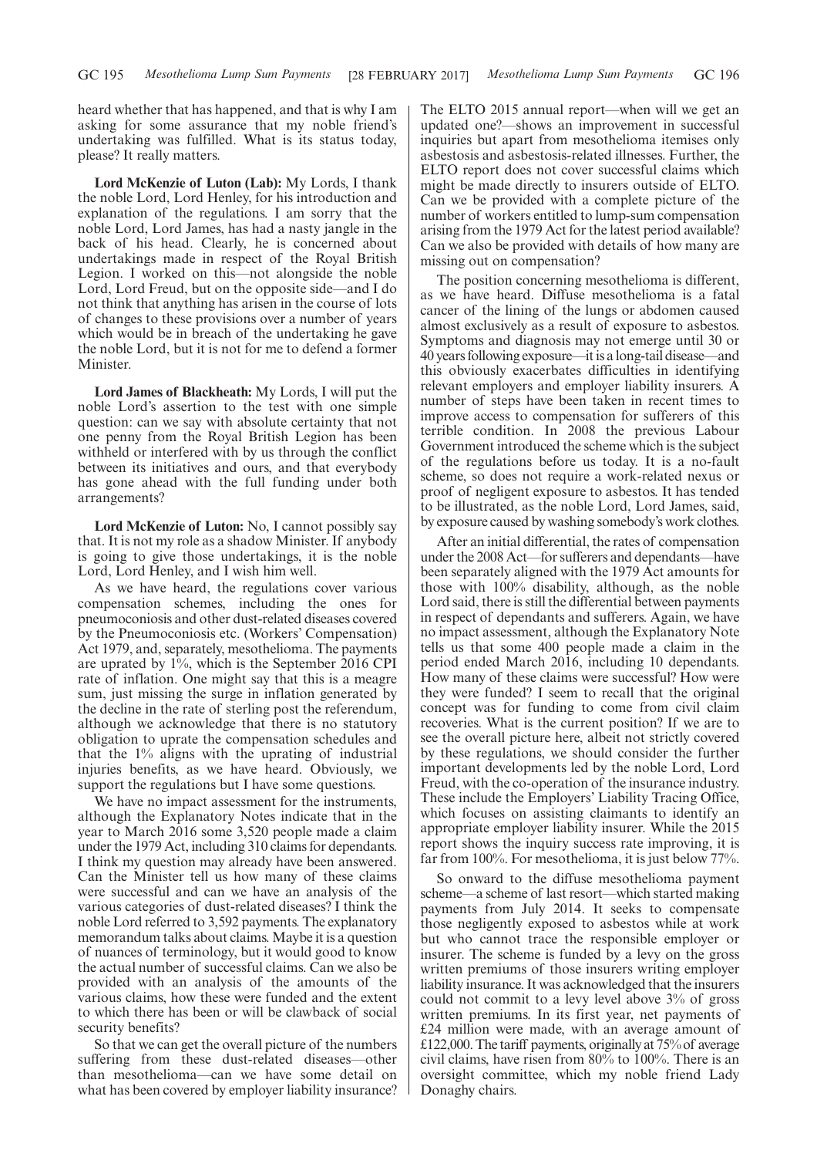heard whether that has happened, and that is why I am asking for some assurance that my noble friend's undertaking was fulfilled. What is its status today, please? It really matters.

**Lord McKenzie of Luton (Lab):** My Lords, I thank the noble Lord, Lord Henley, for his introduction and explanation of the regulations. I am sorry that the noble Lord, Lord James, has had a nasty jangle in the back of his head. Clearly, he is concerned about undertakings made in respect of the Royal British Legion. I worked on this—not alongside the noble Lord, Lord Freud, but on the opposite side—and I do not think that anything has arisen in the course of lots of changes to these provisions over a number of years which would be in breach of the undertaking he gave the noble Lord, but it is not for me to defend a former Minister.

**Lord James of Blackheath:** My Lords, I will put the noble Lord's assertion to the test with one simple question: can we say with absolute certainty that not one penny from the Royal British Legion has been withheld or interfered with by us through the conflict between its initiatives and ours, and that everybody has gone ahead with the full funding under both arrangements?

**Lord McKenzie of Luton:** No, I cannot possibly say that. It is not my role as a shadow Minister. If anybody is going to give those undertakings, it is the noble Lord, Lord Henley, and I wish him well.

As we have heard, the regulations cover various compensation schemes, including the ones for pneumoconiosis and other dust-related diseases covered by the Pneumoconiosis etc. (Workers' Compensation) Act 1979, and, separately, mesothelioma. The payments are uprated by 1%, which is the September 2016 CPI rate of inflation. One might say that this is a meagre sum, just missing the surge in inflation generated by the decline in the rate of sterling post the referendum, although we acknowledge that there is no statutory obligation to uprate the compensation schedules and that the 1% aligns with the uprating of industrial injuries benefits, as we have heard. Obviously, we support the regulations but I have some questions.

We have no impact assessment for the instruments, although the Explanatory Notes indicate that in the year to March 2016 some 3,520 people made a claim under the 1979 Act, including 310 claims for dependants. I think my question may already have been answered. Can the Minister tell us how many of these claims were successful and can we have an analysis of the various categories of dust-related diseases? I think the noble Lord referred to 3,592 payments. The explanatory memorandum talks about claims. Maybe it is a question of nuances of terminology, but it would good to know the actual number of successful claims. Can we also be provided with an analysis of the amounts of the various claims, how these were funded and the extent to which there has been or will be clawback of social security benefits?

So that we can get the overall picture of the numbers suffering from these dust-related diseases—other than mesothelioma—can we have some detail on what has been covered by employer liability insurance? The ELTO 2015 annual report—when will we get an updated one?—shows an improvement in successful inquiries but apart from mesothelioma itemises only asbestosis and asbestosis-related illnesses. Further, the ELTO report does not cover successful claims which might be made directly to insurers outside of ELTO. Can we be provided with a complete picture of the number of workers entitled to lump-sum compensation arising from the 1979 Act for the latest period available? Can we also be provided with details of how many are missing out on compensation?

The position concerning mesothelioma is different, as we have heard. Diffuse mesothelioma is a fatal cancer of the lining of the lungs or abdomen caused almost exclusively as a result of exposure to asbestos. Symptoms and diagnosis may not emerge until 30 or 40 years following exposure—it is a long-tail disease—and this obviously exacerbates difficulties in identifying relevant employers and employer liability insurers. A number of steps have been taken in recent times to improve access to compensation for sufferers of this terrible condition. In 2008 the previous Labour Government introduced the scheme which is the subject of the regulations before us today. It is a no-fault scheme, so does not require a work-related nexus or proof of negligent exposure to asbestos. It has tended to be illustrated, as the noble Lord, Lord James, said, by exposure caused by washing somebody's work clothes.

After an initial differential, the rates of compensation under the 2008 Act—for sufferers and dependants—have been separately aligned with the 1979 Act amounts for those with 100% disability, although, as the noble Lord said, there is still the differential between payments in respect of dependants and sufferers. Again, we have no impact assessment, although the Explanatory Note tells us that some 400 people made a claim in the period ended March 2016, including 10 dependants. How many of these claims were successful? How were they were funded? I seem to recall that the original concept was for funding to come from civil claim recoveries. What is the current position? If we are to see the overall picture here, albeit not strictly covered by these regulations, we should consider the further important developments led by the noble Lord, Lord Freud, with the co-operation of the insurance industry. These include the Employers' Liability Tracing Office, which focuses on assisting claimants to identify an appropriate employer liability insurer. While the 2015 report shows the inquiry success rate improving, it is far from 100%. For mesothelioma, it is just below 77%.

So onward to the diffuse mesothelioma payment scheme—a scheme of last resort—which started making payments from July 2014. It seeks to compensate those negligently exposed to asbestos while at work but who cannot trace the responsible employer or insurer. The scheme is funded by a levy on the gross written premiums of those insurers writing employer liability insurance. It was acknowledged that the insurers could not commit to a levy level above 3% of gross written premiums. In its first year, net payments of £24 million were made, with an average amount of £122,000. The tariff payments, originally at 75% of average civil claims, have risen from 80% to 100%. There is an oversight committee, which my noble friend Lady Donaghy chairs.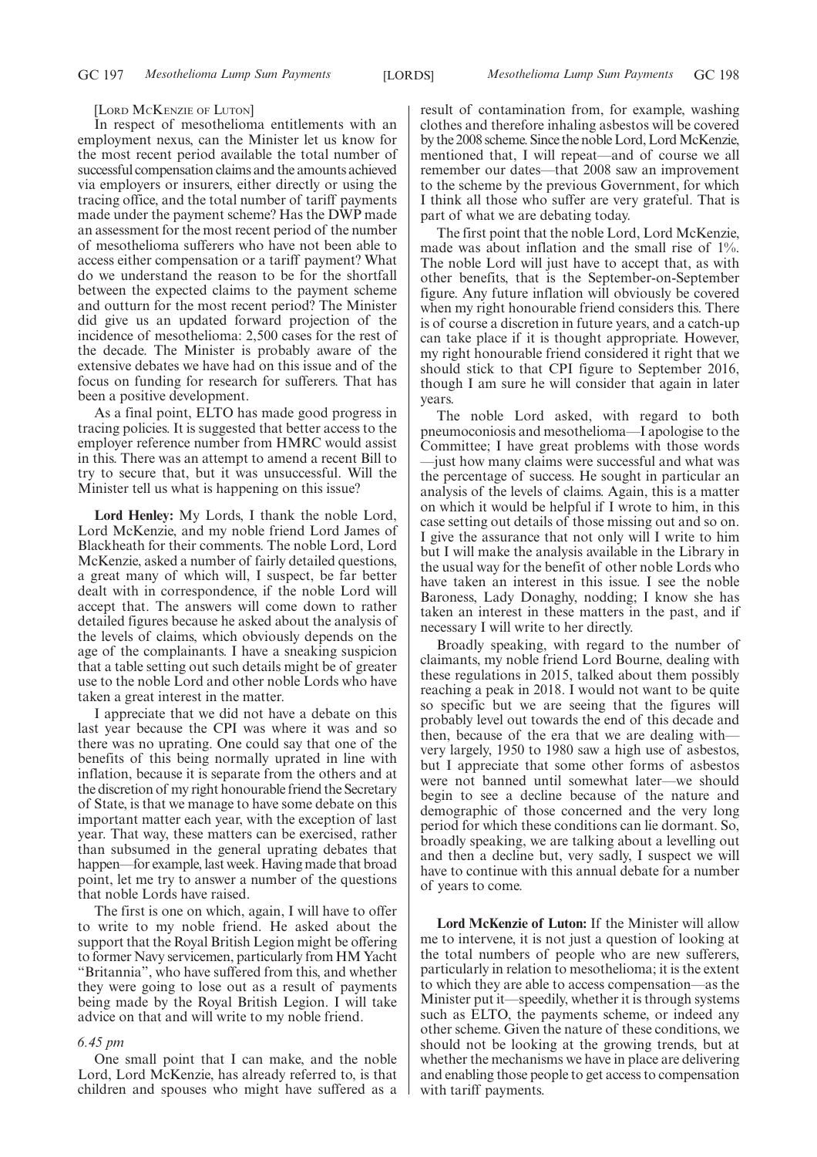#### [LORD MCKENZIE OF LUTON]

In respect of mesothelioma entitlements with an employment nexus, can the Minister let us know for the most recent period available the total number of successful compensation claims and the amounts achieved via employers or insurers, either directly or using the tracing office, and the total number of tariff payments made under the payment scheme? Has the DWP made an assessment for the most recent period of the number of mesothelioma sufferers who have not been able to access either compensation or a tariff payment? What do we understand the reason to be for the shortfall between the expected claims to the payment scheme and outturn for the most recent period? The Minister did give us an updated forward projection of the incidence of mesothelioma: 2,500 cases for the rest of the decade. The Minister is probably aware of the extensive debates we have had on this issue and of the focus on funding for research for sufferers. That has been a positive development.

As a final point, ELTO has made good progress in tracing policies. It is suggested that better access to the employer reference number from HMRC would assist in this. There was an attempt to amend a recent Bill to try to secure that, but it was unsuccessful. Will the Minister tell us what is happening on this issue?

**Lord Henley:** My Lords, I thank the noble Lord, Lord McKenzie, and my noble friend Lord James of Blackheath for their comments. The noble Lord, Lord McKenzie, asked a number of fairly detailed questions, a great many of which will, I suspect, be far better dealt with in correspondence, if the noble Lord will accept that. The answers will come down to rather detailed figures because he asked about the analysis of the levels of claims, which obviously depends on the age of the complainants. I have a sneaking suspicion that a table setting out such details might be of greater use to the noble Lord and other noble Lords who have taken a great interest in the matter.

I appreciate that we did not have a debate on this last year because the CPI was where it was and so there was no uprating. One could say that one of the benefits of this being normally uprated in line with inflation, because it is separate from the others and at the discretion of my right honourable friend the Secretary of State, is that we manage to have some debate on this important matter each year, with the exception of last year. That way, these matters can be exercised, rather than subsumed in the general uprating debates that happen—for example, last week. Having made that broad point, let me try to answer a number of the questions that noble Lords have raised.

The first is one on which, again, I will have to offer to write to my noble friend. He asked about the support that the Royal British Legion might be offering to former Navy servicemen, particularly from HM Yacht "Britannia", who have suffered from this, and whether they were going to lose out as a result of payments being made by the Royal British Legion. I will take advice on that and will write to my noble friend.

## *6.45 pm*

One small point that I can make, and the noble Lord, Lord McKenzie, has already referred to, is that children and spouses who might have suffered as a result of contamination from, for example, washing clothes and therefore inhaling asbestos will be covered by the 2008 scheme. Since the noble Lord, Lord McKenzie, mentioned that, I will repeat—and of course we all remember our dates—that 2008 saw an improvement to the scheme by the previous Government, for which I think all those who suffer are very grateful. That is part of what we are debating today.

The first point that the noble Lord, Lord McKenzie, made was about inflation and the small rise of 1%. The noble Lord will just have to accept that, as with other benefits, that is the September-on-September figure. Any future inflation will obviously be covered when my right honourable friend considers this. There is of course a discretion in future years, and a catch-up can take place if it is thought appropriate. However, my right honourable friend considered it right that we should stick to that CPI figure to September 2016, though I am sure he will consider that again in later years.

The noble Lord asked, with regard to both pneumoconiosis and mesothelioma—I apologise to the Committee; I have great problems with those words —just how many claims were successful and what was the percentage of success. He sought in particular an analysis of the levels of claims. Again, this is a matter on which it would be helpful if I wrote to him, in this case setting out details of those missing out and so on. I give the assurance that not only will I write to him but I will make the analysis available in the Library in the usual way for the benefit of other noble Lords who have taken an interest in this issue. I see the noble Baroness, Lady Donaghy, nodding; I know she has taken an interest in these matters in the past, and if necessary I will write to her directly.

Broadly speaking, with regard to the number of claimants, my noble friend Lord Bourne, dealing with these regulations in 2015, talked about them possibly reaching a peak in 2018. I would not want to be quite so specific but we are seeing that the figures will probably level out towards the end of this decade and then, because of the era that we are dealing with very largely, 1950 to 1980 saw a high use of asbestos, but I appreciate that some other forms of asbestos were not banned until somewhat later—we should begin to see a decline because of the nature and demographic of those concerned and the very long period for which these conditions can lie dormant. So, broadly speaking, we are talking about a levelling out and then a decline but, very sadly, I suspect we will have to continue with this annual debate for a number of years to come.

**Lord McKenzie of Luton:** If the Minister will allow me to intervene, it is not just a question of looking at the total numbers of people who are new sufferers, particularly in relation to mesothelioma; it is the extent to which they are able to access compensation—as the Minister put it—speedily, whether it is through systems such as ELTO, the payments scheme, or indeed any other scheme. Given the nature of these conditions, we should not be looking at the growing trends, but at whether the mechanisms we have in place are delivering and enabling those people to get access to compensation with tariff payments.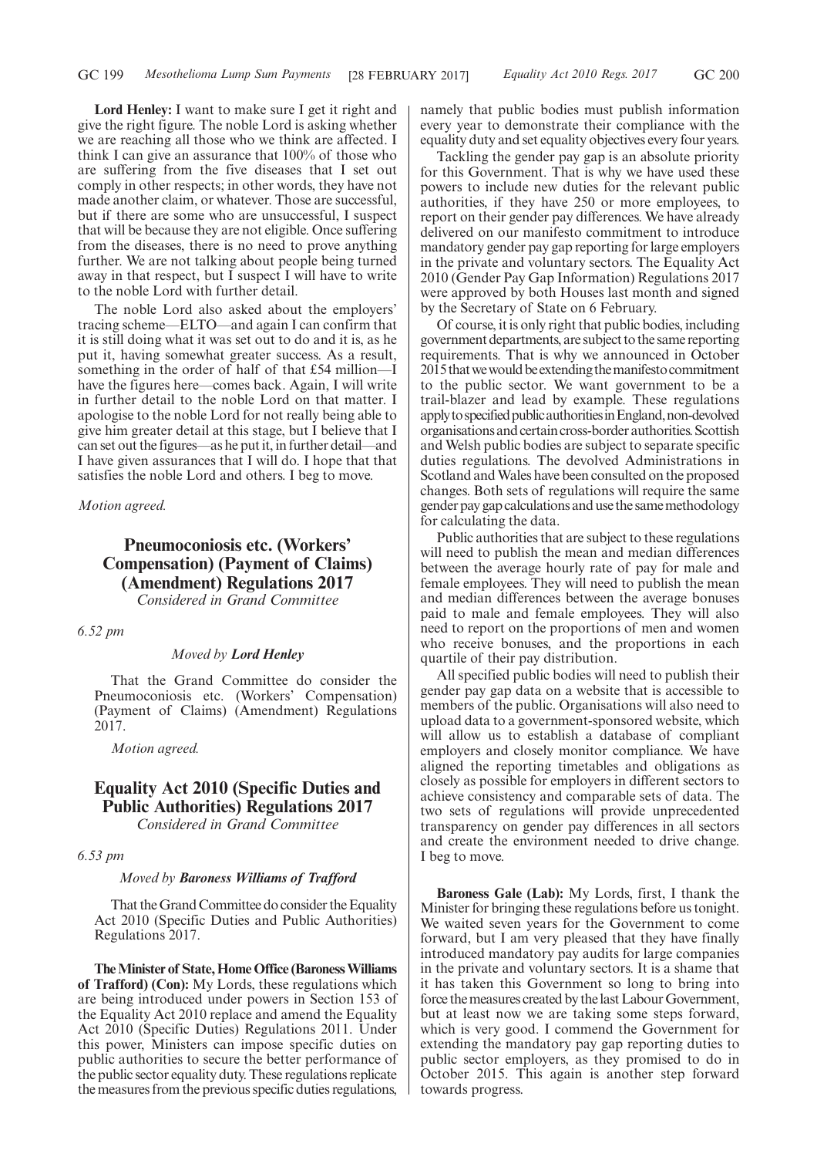**Lord Henley:** I want to make sure I get it right and give the right figure. The noble Lord is asking whether we are reaching all those who we think are affected. I think I can give an assurance that 100% of those who are suffering from the five diseases that I set out comply in other respects; in other words, they have not made another claim, or whatever. Those are successful, but if there are some who are unsuccessful, I suspect that will be because they are not eligible. Once suffering from the diseases, there is no need to prove anything further. We are not talking about people being turned away in that respect, but I suspect I will have to write to the noble Lord with further detail.

The noble Lord also asked about the employers' tracing scheme—ELTO—and again I can confirm that it is still doing what it was set out to do and it is, as he put it, having somewhat greater success. As a result, something in the order of half of that £54 million—I have the figures here—comes back. Again, I will write in further detail to the noble Lord on that matter. I apologise to the noble Lord for not really being able to give him greater detail at this stage, but I believe that I can set out the figures—as he put it, in further detail—and I have given assurances that I will do. I hope that that satisfies the noble Lord and others. I beg to move.

*Motion agreed.*

# **Pneumoconiosis etc. (Workers' Compensation) (Payment of Claims) (Amendment) Regulations 2017** *Considered in Grand Committee*

#### *6.52 pm*

# *Moved by Lord Henley*

That the Grand Committee do consider the Pneumoconiosis etc. (Workers' Compensation) (Payment of Claims) (Amendment) Regulations 2017.

*Motion agreed.*

# **Equality Act 2010 (Specific Duties and Public Authorities) Regulations 2017**

*Considered in Grand Committee*

*6.53 pm*

## *Moved by Baroness Williams of Trafford*

That the Grand Committee do consider the Equality Act 2010 (Specific Duties and Public Authorities) Regulations 2017.

**The Minister of State, Home Office (Baroness Williams of Trafford) (Con):** My Lords, these regulations which are being introduced under powers in Section 153 of the Equality Act 2010 replace and amend the Equality Act 2010 (Specific Duties) Regulations 2011. Under this power, Ministers can impose specific duties on public authorities to secure the better performance of the public sector equality duty. These regulations replicate the measures from the previous specific duties regulations, namely that public bodies must publish information every year to demonstrate their compliance with the equality duty and set equality objectives every four years.

Tackling the gender pay gap is an absolute priority for this Government. That is why we have used these powers to include new duties for the relevant public authorities, if they have 250 or more employees, to report on their gender pay differences. We have already delivered on our manifesto commitment to introduce mandatory gender pay gap reporting for large employers in the private and voluntary sectors. The Equality Act 2010 (Gender Pay Gap Information) Regulations 2017 were approved by both Houses last month and signed by the Secretary of State on 6 February.

Of course, it is only right that public bodies, including government departments, are subject to the same reporting requirements. That is why we announced in October 2015 that we would be extending the manifesto commitment to the public sector. We want government to be a trail-blazer and lead by example. These regulations apply to specified public authorities in England, non-devolved organisationsandcertaincross-borderauthorities.Scottish and Welsh public bodies are subject to separate specific duties regulations. The devolved Administrations in Scotland and Wales have been consulted on the proposed changes. Both sets of regulations will require the same gender pay gap calculations and use the same methodology for calculating the data.

Public authorities that are subject to these regulations will need to publish the mean and median differences between the average hourly rate of pay for male and female employees. They will need to publish the mean and median differences between the average bonuses paid to male and female employees. They will also need to report on the proportions of men and women who receive bonuses, and the proportions in each quartile of their pay distribution.

All specified public bodies will need to publish their gender pay gap data on a website that is accessible to members of the public. Organisations will also need to upload data to a government-sponsored website, which will allow us to establish a database of compliant employers and closely monitor compliance. We have aligned the reporting timetables and obligations as closely as possible for employers in different sectors to achieve consistency and comparable sets of data. The two sets of regulations will provide unprecedented transparency on gender pay differences in all sectors and create the environment needed to drive change. I beg to move.

**Baroness Gale (Lab):** My Lords, first, I thank the Minister for bringing these regulations before us tonight. We waited seven years for the Government to come forward, but I am very pleased that they have finally introduced mandatory pay audits for large companies in the private and voluntary sectors. It is a shame that it has taken this Government so long to bring into force the measures created by the last Labour Government, but at least now we are taking some steps forward, which is very good. I commend the Government for extending the mandatory pay gap reporting duties to public sector employers, as they promised to do in October 2015. This again is another step forward towards progress.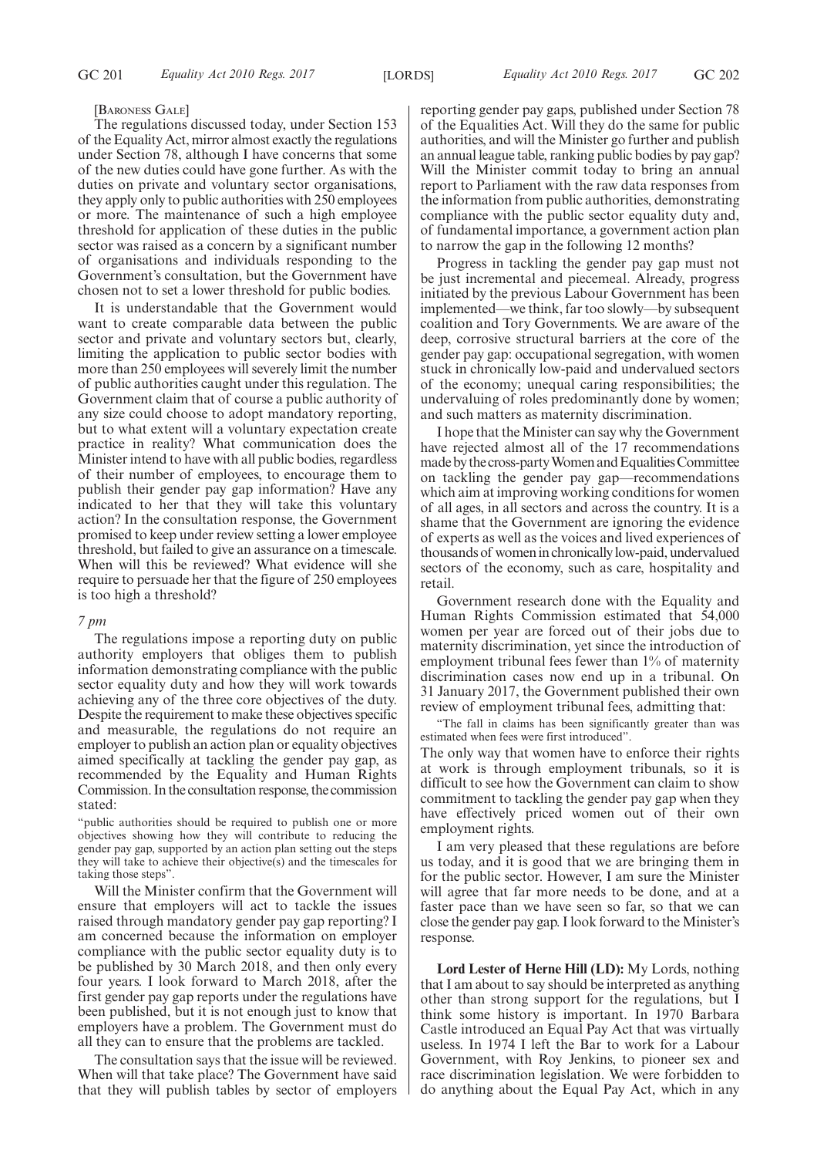#### [BARONESS GALE]

The regulations discussed today, under Section 153 of the Equality Act, mirror almost exactly the regulations under Section 78, although I have concerns that some of the new duties could have gone further. As with the duties on private and voluntary sector organisations, they apply only to public authorities with 250 employees or more. The maintenance of such a high employee threshold for application of these duties in the public sector was raised as a concern by a significant number of organisations and individuals responding to the Government's consultation, but the Government have chosen not to set a lower threshold for public bodies.

It is understandable that the Government would want to create comparable data between the public sector and private and voluntary sectors but, clearly, limiting the application to public sector bodies with more than 250 employees will severely limit the number of public authorities caught under this regulation. The Government claim that of course a public authority of any size could choose to adopt mandatory reporting, but to what extent will a voluntary expectation create practice in reality? What communication does the Minister intend to have with all public bodies, regardless of their number of employees, to encourage them to publish their gender pay gap information? Have any indicated to her that they will take this voluntary action? In the consultation response, the Government promised to keep under review setting a lower employee threshold, but failed to give an assurance on a timescale. When will this be reviewed? What evidence will she require to persuade her that the figure of 250 employees is too high a threshold?

#### *7 pm*

The regulations impose a reporting duty on public authority employers that obliges them to publish information demonstrating compliance with the public sector equality duty and how they will work towards achieving any of the three core objectives of the duty. Despite the requirement to make these objectives specific and measurable, the regulations do not require an employer to publish an action plan or equality objectives aimed specifically at tackling the gender pay gap, as recommended by the Equality and Human Rights Commission. In the consultation response, the commission stated:

"public authorities should be required to publish one or more objectives showing how they will contribute to reducing the gender pay gap, supported by an action plan setting out the steps they will take to achieve their objective(s) and the timescales for taking those steps".

Will the Minister confirm that the Government will ensure that employers will act to tackle the issues raised through mandatory gender pay gap reporting? I am concerned because the information on employer compliance with the public sector equality duty is to be published by 30 March 2018, and then only every four years. I look forward to March 2018, after the first gender pay gap reports under the regulations have been published, but it is not enough just to know that employers have a problem. The Government must do all they can to ensure that the problems are tackled.

The consultation says that the issue will be reviewed. When will that take place? The Government have said that they will publish tables by sector of employers reporting gender pay gaps, published under Section 78 of the Equalities Act. Will they do the same for public authorities, and will the Minister go further and publish an annual league table, ranking public bodies by pay gap? Will the Minister commit today to bring an annual report to Parliament with the raw data responses from the information from public authorities, demonstrating compliance with the public sector equality duty and, of fundamental importance, a government action plan to narrow the gap in the following 12 months?

Progress in tackling the gender pay gap must not be just incremental and piecemeal. Already, progress initiated by the previous Labour Government has been implemented—we think, far too slowly—by subsequent coalition and Tory Governments. We are aware of the deep, corrosive structural barriers at the core of the gender pay gap: occupational segregation, with women stuck in chronically low-paid and undervalued sectors of the economy; unequal caring responsibilities; the undervaluing of roles predominantly done by women; and such matters as maternity discrimination.

I hope that the Minister can say why the Government have rejected almost all of the 17 recommendations made by the cross-party Women and Equalities Committee on tackling the gender pay gap—recommendations which aim at improving working conditions for women of all ages, in all sectors and across the country. It is a shame that the Government are ignoring the evidence of experts as well as the voices and lived experiences of thousands of women in chronically low-paid, undervalued sectors of the economy, such as care, hospitality and retail.

Government research done with the Equality and Human Rights Commission estimated that 54,000 women per year are forced out of their jobs due to maternity discrimination, yet since the introduction of employment tribunal fees fewer than 1% of maternity discrimination cases now end up in a tribunal. On 31 January 2017, the Government published their own review of employment tribunal fees, admitting that:

"The fall in claims has been significantly greater than was estimated when fees were first introduced".

The only way that women have to enforce their rights at work is through employment tribunals, so it is difficult to see how the Government can claim to show commitment to tackling the gender pay gap when they have effectively priced women out of their own employment rights.

I am very pleased that these regulations are before us today, and it is good that we are bringing them in for the public sector. However, I am sure the Minister will agree that far more needs to be done, and at a faster pace than we have seen so far, so that we can close the gender pay gap. I look forward to the Minister's response.

**Lord Lester of Herne Hill (LD):** My Lords, nothing that I am about to say should be interpreted as anything other than strong support for the regulations, but I think some history is important. In 1970 Barbara Castle introduced an Equal Pay Act that was virtually useless. In 1974 I left the Bar to work for a Labour Government, with Roy Jenkins, to pioneer sex and race discrimination legislation. We were forbidden to do anything about the Equal Pay Act, which in any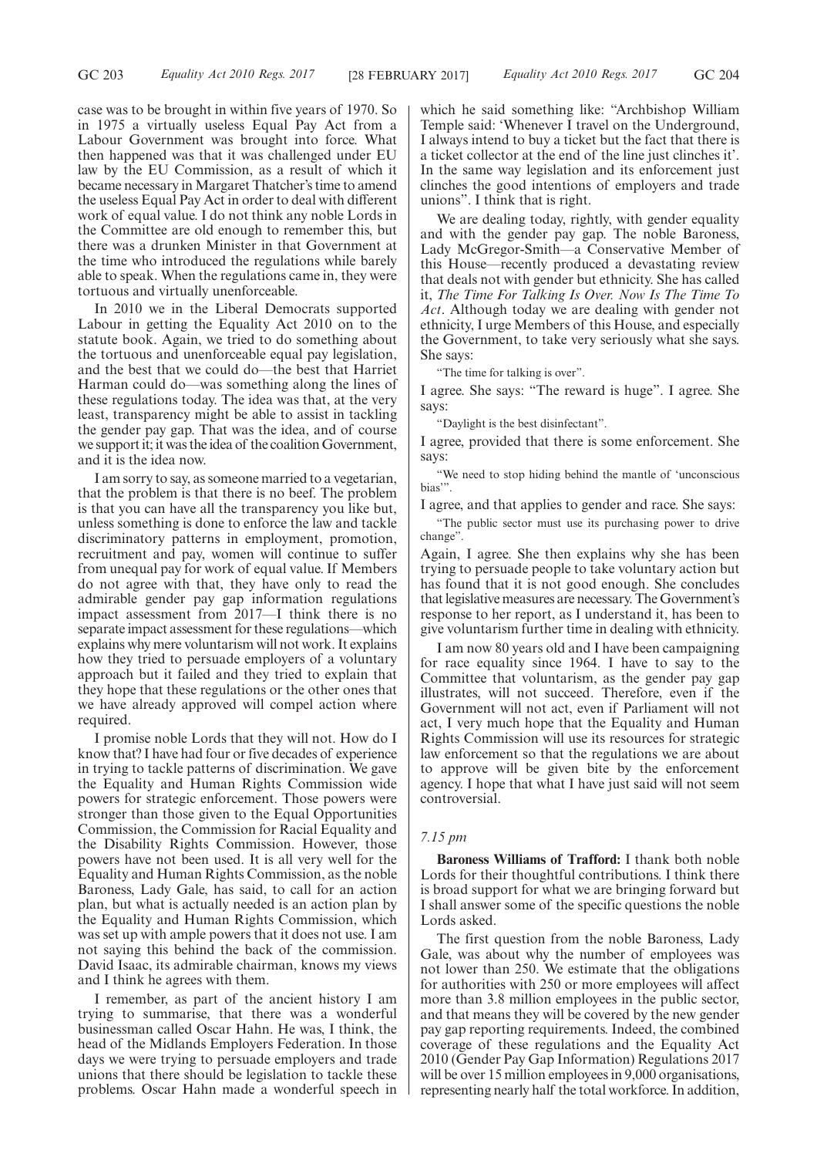case was to be brought in within five years of 1970. So in 1975 a virtually useless Equal Pay Act from a Labour Government was brought into force. What then happened was that it was challenged under EU law by the EU Commission, as a result of which it became necessary in Margaret Thatcher's time to amend the useless Equal Pay Act in order to deal with different work of equal value. I do not think any noble Lords in the Committee are old enough to remember this, but there was a drunken Minister in that Government at the time who introduced the regulations while barely able to speak. When the regulations came in, they were tortuous and virtually unenforceable.

In 2010 we in the Liberal Democrats supported Labour in getting the Equality Act 2010 on to the statute book. Again, we tried to do something about the tortuous and unenforceable equal pay legislation, and the best that we could do—the best that Harriet Harman could do—was something along the lines of these regulations today. The idea was that, at the very least, transparency might be able to assist in tackling the gender pay gap. That was the idea, and of course we support it; it was the idea of the coalition Government, and it is the idea now.

I am sorry to say, as someone married to a vegetarian, that the problem is that there is no beef. The problem is that you can have all the transparency you like but, unless something is done to enforce the law and tackle discriminatory patterns in employment, promotion, recruitment and pay, women will continue to suffer from unequal pay for work of equal value. If Members do not agree with that, they have only to read the admirable gender pay gap information regulations impact assessment from 2017—I think there is no separate impact assessment for these regulations—which explains why mere voluntarism will not work. It explains how they tried to persuade employers of a voluntary approach but it failed and they tried to explain that they hope that these regulations or the other ones that we have already approved will compel action where required.

I promise noble Lords that they will not. How do I know that? I have had four or five decades of experience in trying to tackle patterns of discrimination. We gave the Equality and Human Rights Commission wide powers for strategic enforcement. Those powers were stronger than those given to the Equal Opportunities Commission, the Commission for Racial Equality and the Disability Rights Commission. However, those powers have not been used. It is all very well for the Equality and Human Rights Commission, as the noble Baroness, Lady Gale, has said, to call for an action plan, but what is actually needed is an action plan by the Equality and Human Rights Commission, which was set up with ample powers that it does not use. I am not saying this behind the back of the commission. David Isaac, its admirable chairman, knows my views and I think he agrees with them.

I remember, as part of the ancient history I am trying to summarise, that there was a wonderful businessman called Oscar Hahn. He was, I think, the head of the Midlands Employers Federation. In those days we were trying to persuade employers and trade unions that there should be legislation to tackle these problems. Oscar Hahn made a wonderful speech in which he said something like: "Archbishop William Temple said: 'Whenever I travel on the Underground, I always intend to buy a ticket but the fact that there is a ticket collector at the end of the line just clinches it'. In the same way legislation and its enforcement just clinches the good intentions of employers and trade unions". I think that is right.

We are dealing today, rightly, with gender equality and with the gender pay gap. The noble Baroness, Lady McGregor-Smith—a Conservative Member of this House—recently produced a devastating review that deals not with gender but ethnicity. She has called it, *The Time For Talking Is Over. Now Is The Time To Act*. Although today we are dealing with gender not ethnicity, I urge Members of this House, and especially the Government, to take very seriously what she says. She says:

"The time for talking is over".

I agree. She says: "The reward is huge". I agree. She says:

"Daylight is the best disinfectant".

I agree, provided that there is some enforcement. She says:

"We need to stop hiding behind the mantle of 'unconscious bias'".

I agree, and that applies to gender and race. She says: "The public sector must use its purchasing power to drive

change".

Again, I agree. She then explains why she has been trying to persuade people to take voluntary action but has found that it is not good enough. She concludes that legislative measures are necessary. The Government's response to her report, as I understand it, has been to give voluntarism further time in dealing with ethnicity.

I am now 80 years old and I have been campaigning for race equality since 1964. I have to say to the Committee that voluntarism, as the gender pay gap illustrates, will not succeed. Therefore, even if the Government will not act, even if Parliament will not act, I very much hope that the Equality and Human Rights Commission will use its resources for strategic law enforcement so that the regulations we are about to approve will be given bite by the enforcement agency. I hope that what I have just said will not seem controversial.

## *7.15 pm*

**Baroness Williams of Trafford:** I thank both noble Lords for their thoughtful contributions. I think there is broad support for what we are bringing forward but I shall answer some of the specific questions the noble Lords asked.

The first question from the noble Baroness, Lady Gale, was about why the number of employees was not lower than 250. We estimate that the obligations for authorities with 250 or more employees will affect more than 3.8 million employees in the public sector, and that means they will be covered by the new gender pay gap reporting requirements. Indeed, the combined coverage of these regulations and the Equality Act 2010 (Gender Pay Gap Information) Regulations 2017 will be over 15 million employees in 9,000 organisations, representing nearly half the total workforce. In addition,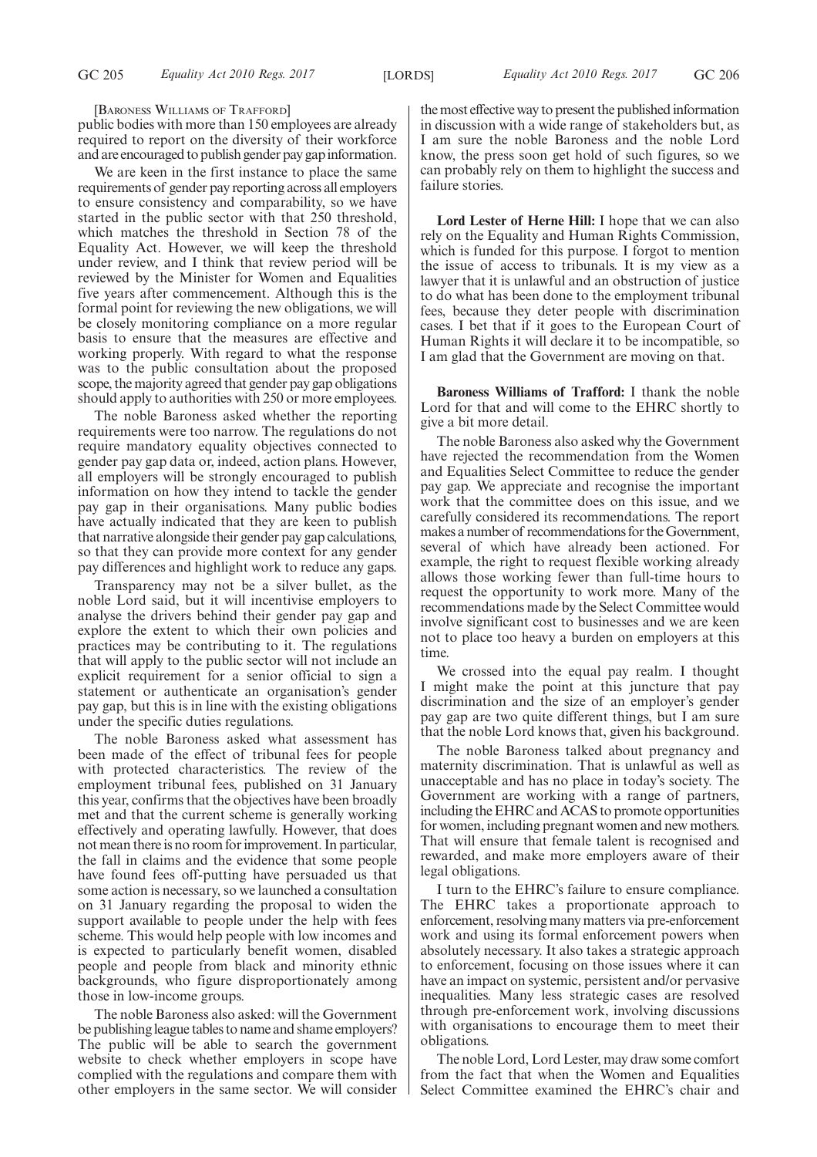[BARONESS WILLIAMS OF TRAFFORD]

public bodies with more than 150 employees are already required to report on the diversity of their workforce and are encouraged to publish gender pay gap information.

We are keen in the first instance to place the same requirements of gender pay reporting across all employers to ensure consistency and comparability, so we have started in the public sector with that 250 threshold, which matches the threshold in Section 78 of the Equality Act. However, we will keep the threshold under review, and I think that review period will be reviewed by the Minister for Women and Equalities five years after commencement. Although this is the formal point for reviewing the new obligations, we will be closely monitoring compliance on a more regular basis to ensure that the measures are effective and working properly. With regard to what the response was to the public consultation about the proposed scope, the majority agreed that gender pay gap obligations should apply to authorities with 250 or more employees.

The noble Baroness asked whether the reporting requirements were too narrow. The regulations do not require mandatory equality objectives connected to gender pay gap data or, indeed, action plans. However, all employers will be strongly encouraged to publish information on how they intend to tackle the gender pay gap in their organisations. Many public bodies have actually indicated that they are keen to publish that narrative alongside their gender pay gap calculations, so that they can provide more context for any gender pay differences and highlight work to reduce any gaps.

Transparency may not be a silver bullet, as the noble Lord said, but it will incentivise employers to analyse the drivers behind their gender pay gap and explore the extent to which their own policies and practices may be contributing to it. The regulations that will apply to the public sector will not include an explicit requirement for a senior official to sign a statement or authenticate an organisation's gender pay gap, but this is in line with the existing obligations under the specific duties regulations.

The noble Baroness asked what assessment has been made of the effect of tribunal fees for people with protected characteristics. The review of the employment tribunal fees, published on 31 January this year, confirms that the objectives have been broadly met and that the current scheme is generally working effectively and operating lawfully. However, that does not mean there is no room for improvement. In particular, the fall in claims and the evidence that some people have found fees off-putting have persuaded us that some action is necessary, so we launched a consultation on 31 January regarding the proposal to widen the support available to people under the help with fees scheme. This would help people with low incomes and is expected to particularly benefit women, disabled people and people from black and minority ethnic backgrounds, who figure disproportionately among those in low-income groups.

The noble Baroness also asked: will the Government be publishing league tables to name and shame employers? The public will be able to search the government website to check whether employers in scope have complied with the regulations and compare them with other employers in the same sector. We will consider

the most effective way to present the published information in discussion with a wide range of stakeholders but, as I am sure the noble Baroness and the noble Lord know, the press soon get hold of such figures, so we can probably rely on them to highlight the success and failure stories.

**Lord Lester of Herne Hill:** I hope that we can also rely on the Equality and Human Rights Commission, which is funded for this purpose. I forgot to mention the issue of access to tribunals. It is my view as a lawyer that it is unlawful and an obstruction of justice to do what has been done to the employment tribunal fees, because they deter people with discrimination cases. I bet that if it goes to the European Court of Human Rights it will declare it to be incompatible, so I am glad that the Government are moving on that.

**Baroness Williams of Trafford:** I thank the noble Lord for that and will come to the EHRC shortly to give a bit more detail.

The noble Baroness also asked why the Government have rejected the recommendation from the Women and Equalities Select Committee to reduce the gender pay gap. We appreciate and recognise the important work that the committee does on this issue, and we carefully considered its recommendations. The report makes a number of recommendations for the Government, several of which have already been actioned. For example, the right to request flexible working already allows those working fewer than full-time hours to request the opportunity to work more. Many of the recommendations made by the Select Committee would involve significant cost to businesses and we are keen not to place too heavy a burden on employers at this time.

We crossed into the equal pay realm. I thought I might make the point at this juncture that pay discrimination and the size of an employer's gender pay gap are two quite different things, but I am sure that the noble Lord knows that, given his background.

The noble Baroness talked about pregnancy and maternity discrimination. That is unlawful as well as unacceptable and has no place in today's society. The Government are working with a range of partners, including the EHRC and ACAS to promote opportunities for women, including pregnant women and new mothers. That will ensure that female talent is recognised and rewarded, and make more employers aware of their legal obligations.

I turn to the EHRC's failure to ensure compliance. The EHRC takes a proportionate approach to enforcement, resolving many matters via pre-enforcement work and using its formal enforcement powers when absolutely necessary. It also takes a strategic approach to enforcement, focusing on those issues where it can have an impact on systemic, persistent and/or pervasive inequalities. Many less strategic cases are resolved through pre-enforcement work, involving discussions with organisations to encourage them to meet their obligations.

The noble Lord, Lord Lester, may draw some comfort from the fact that when the Women and Equalities Select Committee examined the EHRC's chair and